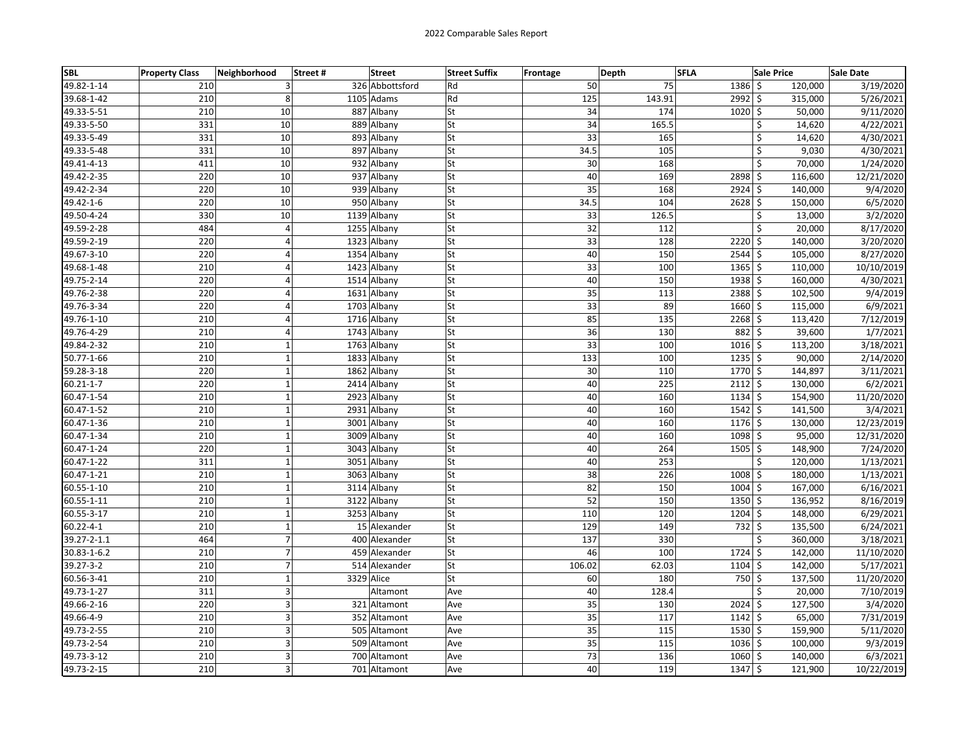| <b>SBL</b>      | <b>Property Class</b> | Neighborhood   | <b>Street</b><br>Street# | <b>Street Suffix</b> | Frontage        | <b>Depth</b> | <b>SFLA</b>        | <b>Sale Price</b> | <b>Sale Date</b> |
|-----------------|-----------------------|----------------|--------------------------|----------------------|-----------------|--------------|--------------------|-------------------|------------------|
| 49.82-1-14      | 210                   | 3              | 326 Abbottsford          | Rd                   | 50              | 75           | 1386 \$            | 120.000           | 3/19/2020        |
| 39.68-1-42      | 210                   | 8              | 1105 Adams               | Rd                   | 125             | 143.91       | $2992$ \$          | 315,000           | 5/26/2021        |
| 49.33-5-51      | 210                   | 10             | 887 Albany               | St                   | 34              | 174          | $1020$ \$          | 50,000            | 9/11/2020        |
| 49.33-5-50      | 331                   | 10             | 889 Albany               | St                   | 34              | 165.5        |                    | \$<br>14,620      | 4/22/2021        |
| 49.33-5-49      | 331                   | 10             | 893 Albany               | St                   | 33              | 165          |                    | \$<br>14,620      | 4/30/2021        |
| 49.33-5-48      | 331                   | 10             | 897 Albany               | St                   | 34.5            | 105          |                    | \$<br>9,030       | 4/30/2021        |
| 49.41-4-13      | 411                   | 10             | 932 Albany               | St                   | 30              | 168          |                    | \$<br>70,000      | 1/24/2020        |
| 49.42-2-35      | 220                   | 10             | 937 Albany               | St                   | 40              | 169          | 2898 \$            | 116,600           | 12/21/2020       |
| 49.42-2-34      | 220                   | 10             | 939 Albany               | St                   | $\overline{35}$ | 168          | $2924$ \$          | 140,000           | 9/4/2020         |
| 49.42-1-6       | 220                   | 10             | 950 Albany               | St                   | 34.5            | 104          | $2628$ \$          | 150,000           | 6/5/2020         |
| 49.50-4-24      | 330                   | 10             | 1139 Albany              | St                   | 33              | 126.5        |                    | \$<br>13,000      | 3/2/2020         |
| 49.59-2-28      | 484                   | 4              | 1255 Albany              | St                   | 32              | 112          |                    | \$<br>20,000      | 8/17/2020        |
| 49.59-2-19      | 220                   | 4              | 1323 Albany              | St                   | 33              | 128          | $2220$ \$          | 140,000           | 3/20/2020        |
| 49.67-3-10      | 220                   | 4              | 1354 Albany              | St                   | 40              | 150          | $2544$ \$          | 105,000           | 8/27/2020        |
| 49.68-1-48      | 210                   | $\overline{4}$ | 1423 Albany              | St                   | 33              | 100          | $1365$ \$          | 110,000           | 10/10/2019       |
| 49.75-2-14      | 220                   | $\overline{4}$ | 1514 Albany              | St                   | 40              | 150          | $1938$ \$          | 160,000           | 4/30/2021        |
| 49.76-2-38      | 220                   | 4              | 1631 Albany              | St                   | 35              | 113          | 2388 \$            | 102,500           | 9/4/2019         |
| 49.76-3-34      | 220                   | 4              | 1703 Albany              | St                   | 33              | 89           | 1660 \$            | 115,000           | 6/9/2021         |
| 49.76-1-10      | 210                   | 4              | 1716 Albany              | St                   | 85              | 135          | 2268 \$            | 113,420           | 7/12/2019        |
| 49.76-4-29      | 210                   | $\overline{4}$ | 1743 Albany              | St                   | 36              | 130          | 882 \$             | 39,600            | 1/7/2021         |
| 49.84-2-32      | 210                   | $\mathbf 1$    | 1763 Albany              | St                   | 33              | 100          | $1016$ \$          | 113,200           | 3/18/2021        |
| 50.77-1-66      | 210                   | $\mathbf 1$    | 1833 Albany              | St                   | 133             | 100          | $1235$ \$          | 90,000            | 2/14/2020        |
| 59.28-3-18      | 220                   | $\mathbf 1$    | 1862 Albany              | St                   | 30              | 110          | 1770 \$            | 144,897           | 3/11/2021        |
| 60.21-1-7       | 220                   | $\mathbf{1}$   | 2414 Albany              | St                   | 40              | 225          | $2112 \mid 5$      | 130,000           | 6/2/2021         |
| 60.47-1-54      | 210                   | $\mathbf{1}$   | 2923 Albany              | St                   | 40              | 160          | $1134$ \$          | 154,900           | 11/20/2020       |
| 60.47-1-52      | 210                   | $\mathbf{1}$   | 2931 Albany              | St                   | 40              | 160          | $1542 \mid$ \$     | 141,500           | 3/4/2021         |
| 60.47-1-36      | 210                   | $\mathbf{1}$   | 3001 Albany              | St                   | 40              | 160          | $1176$ \$          | 130,000           | 12/23/2019       |
| 60.47-1-34      | 210                   | $\mathbf 1$    | 3009 Albany              | St                   | 40              | 160          | 1098 \$            | 95,000            | 12/31/2020       |
| 60.47-1-24      | 220                   | $\mathbf 1$    | 3043 Albany              | St                   | 40              | 264          | $1505$ \$          | 148,900           | 7/24/2020        |
| 60.47-1-22      | 311                   | $\mathbf{1}$   | 3051 Albany              | St                   | 40              | 253          |                    | \$<br>120,000     | 1/13/2021        |
| 60.47-1-21      | 210                   | $\mathbf{1}$   | 3063 Albany              | St                   | 38              | 226          | 1008 \$            | 180,000           | 1/13/2021        |
| 60.55-1-10      | 210                   | $\mathbf{1}$   | 3114 Albany              | St                   | 82              | 150          | $1004$ \$          | 167,000           | 6/16/2021        |
| 60.55-1-11      | 210                   | $\mathbf 1$    | 3122 Albany              | St                   | 52              | 150          | $1350$ \$          | 136,952           | 8/16/2019        |
| 60.55-3-17      | 210                   | $\mathbf{1}$   | 3253 Albany              | St                   | 110             | 120          | $1204$ \$          | 148,000           | 6/29/2021        |
| $60.22 - 4 - 1$ | 210                   | $\mathbf 1$    | 15 Alexander             | St                   | 129             | 149          | 732 \$             | 135,500           | 6/24/2021        |
| 39.27-2-1.1     | 464                   | $\overline{7}$ | 400 Alexander            | St                   | 137             | 330          |                    | \$<br>360,000     | 3/18/2021        |
| 30.83-1-6.2     | 210                   | $\overline{7}$ | 459 Alexander            | St                   | 46              | 100          | 1724 \$            | 142,000           | 11/10/2020       |
| 39.27-3-2       | 210                   | $\overline{7}$ | 514 Alexander            | St                   | 106.02          | 62.03        | $1104$ \$          | 142,000           | 5/17/2021        |
| 60.56-3-41      | 210                   | $\mathbf 1$    | 3329 Alice               | St                   | 60              | 180          | 750 \$             | 137,500           | 11/20/2020       |
| 49.73-1-27      | 311                   | 3              | Altamont                 | Ave                  | 40              | 128.4        |                    | \$<br>20,000      | 7/10/2019        |
| 49.66-2-16      | 220                   | 3              | 321 Altamont             | Ave                  | 35              | 130          | $2024$ \$          | 127,500           | 3/4/2020         |
| 49.66-4-9       | 210                   | 3              | 352 Altamont             | Ave                  | $\overline{35}$ | 117          | $1142 \mid 5$      | 65,000            | 7/31/2019        |
| 49.73-2-55      | 210                   | 3              | 505 Altamont             | Ave                  | 35              | 115          | 1530 \$            | 159,900           | 5/11/2020        |
| 49.73-2-54      | 210                   | 3              | 509 Altamont             | Ave                  | 35              | 115          | $1036$ \$          | 100,000           | 9/3/2019         |
| 49.73-3-12      | 210                   | 3              | 700 Altamont             | Ave                  | 73              | 136          | 1060 \$            | 140,000           | 6/3/2021         |
| 49.73-2-15      | 210                   | 3              | 701 Altamont             | Ave                  | 40              | 119          | $1347 \frac{1}{5}$ | 121,900           | 10/22/2019       |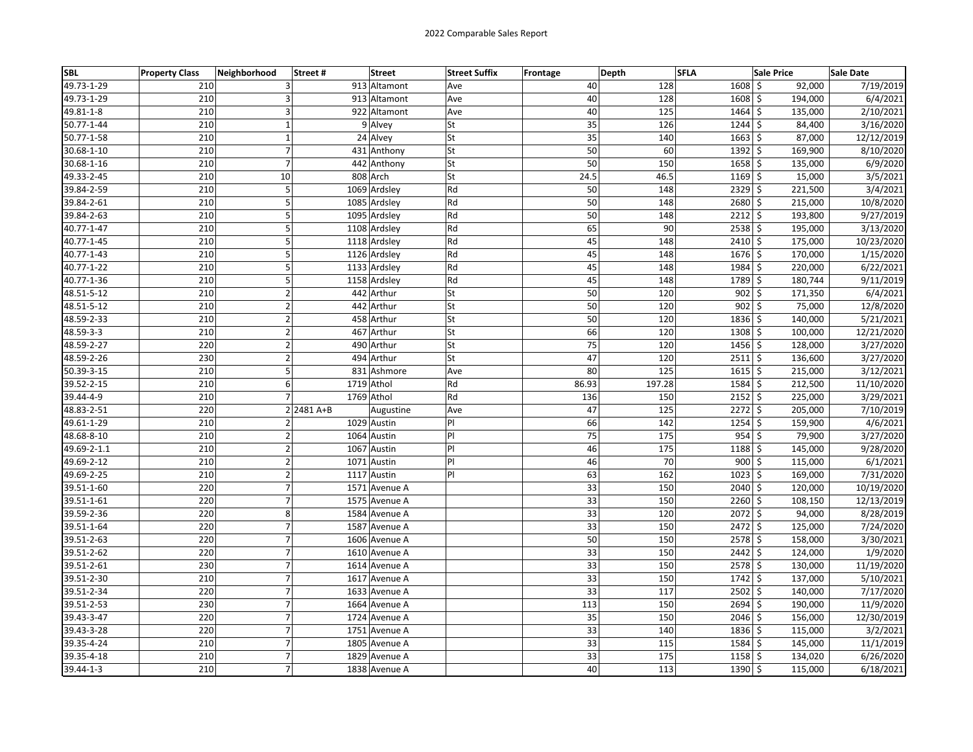| <b>SBL</b>  | <b>Property Class</b> | Neighborhood<br>Street# | <b>Street</b> | <b>Street Suffix</b> | Frontage | Depth | <b>SFLA</b> | <b>Sale Price</b>    |         | <b>Sale Date</b> |
|-------------|-----------------------|-------------------------|---------------|----------------------|----------|-------|-------------|----------------------|---------|------------------|
| 49.73-1-29  | 210                   | 3                       | 913 Altamont  | Ave                  |          | 40    | 128         | $1608 \le$           | 92,000  | 7/19/2019        |
| 49.73-1-29  | 210                   | 3                       | 913 Altamont  | Ave                  |          | 40    | 128         | $1608$ \$            | 194,000 | 6/4/2021         |
| 49.81-1-8   | 210                   | $\overline{3}$          | 922 Altamont  | Ave                  |          | 40    | 125         | $1464$ \$            | 135,000 | 2/10/2021        |
| 50.77-1-44  | 210                   | $\mathbf 1$             | 9 Alvey       | <b>St</b>            |          | 35    | 126         | $1244$ \$            | 84,400  | 3/16/2020        |
| 50.77-1-58  | 210                   | $\mathbf 1$             | 24 Alvey      | st                   |          | 35    | 140         | $1663$ \$            | 87,000  | 12/12/2019       |
| 30.68-1-10  | 210                   | $\overline{7}$          | 431 Anthony   | <b>St</b>            |          | 50    | 60          | 1392 \$              | 169,900 | 8/10/2020        |
| 30.68-1-16  | 210                   | $\overline{7}$          | 442 Anthony   | <b>St</b>            |          | 50    | 150         | $1658$ \$            | 135,000 | 6/9/2020         |
| 49.33-2-45  | 210                   | 10                      | 808 Arch      | <b>St</b>            |          | 24.5  | 46.5        | $1169$ \$            | 15,000  | 3/5/2021         |
| 39.84-2-59  | 210                   | 5                       | 1069 Ardsley  | Rd                   |          | 50    | 148         | $2329$ \$            | 221,500 | 3/4/2021         |
| 39.84-2-61  | 210                   | 5                       | 1085 Ardsley  | Rd                   |          | 50    | 148         | 2680 \$              | 215,000 | 10/8/2020        |
| 39.84-2-63  | 210                   | 5                       | 1095 Ardsley  | Rd                   |          | 50    | 148         | $2212 \mid 5$        | 193,800 | 9/27/2019        |
| 40.77-1-47  | 210                   | 5                       | 1108 Ardsley  | Rd                   |          | 65    | 90          | $2538$ \$            | 195,000 | 3/13/2020        |
| 40.77-1-45  | 210                   | 5                       | 1118 Ardsley  | Rd                   |          | 45    | 148         | 2410 \$              | 175,000 | 10/23/2020       |
| 40.77-1-43  | 210                   | 5                       | 1126 Ardsley  | Rd                   |          | 45    | 148         | $1676$ \$            | 170,000 | 1/15/2020        |
| 40.77-1-22  | 210                   | 5                       | 1133 Ardsley  | Rd                   |          | 45    | 148         | 1984 \$              | 220,000 | 6/22/2021        |
| 40.77-1-36  | 210                   | 5                       | 1158 Ardsley  | Rd                   |          | 45    | 148         | 1789 \$              | 180,744 | 9/11/2019        |
| 48.51-5-12  | 210                   | $\mathbf 2$             | 442 Arthur    | lSt                  |          | 50    | 120         | $902$ \$             | 171,350 | 6/4/2021         |
| 48.51-5-12  | 210                   | $\mathbf 2$             | 442 Arthur    | St                   |          | 50    | 120         | $902$ \$             | 75,000  | 12/8/2020        |
| 48.59-2-33  | 210                   | $\overline{2}$          | 458 Arthur    | <b>St</b>            |          | 50    | 120         | 1836 \$              | 140,000 | 5/21/2021        |
| 48.59-3-3   | 210                   | $\overline{2}$          | 467 Arthur    | lSt                  |          | 66    | 120         | 1308 \$              | 100,000 | 12/21/2020       |
| 48.59-2-27  | 220                   | $\overline{2}$          | 490 Arthur    | <b>St</b>            |          | 75    | 120         | $1456$ \$            | 128,000 | 3/27/2020        |
| 48.59-2-26  | 230                   | $\mathbf 2$             | 494 Arthur    | <b>St</b>            |          | 47    | 120         | $2511$ \$            | 136,600 | 3/27/2020        |
| 50.39-3-15  | 210                   | 5                       | 831 Ashmore   | Ave                  |          | 80    | 125         | $1615$ \$            | 215,000 | 3/12/2021        |
| 39.52-2-15  | 210                   | 6                       | 1719 Athol    | Rd                   |          | 86.93 | 197.28      | 1584 \$              | 212,500 | 11/10/2020       |
| 39.44-4-9   | 210                   | $\overline{7}$          | 1769 Athol    | Rd                   |          | 136   | 150         | $2152$ \$            | 225,000 | 3/29/2021        |
| 48.83-2-51  | 220                   | 2 2481 A+B              | Augustine     | Ave                  |          | 47    | 125         | $2272 \mid 5$        | 205,000 | 7/10/2019        |
| 49.61-1-29  | 210                   | $\overline{2}$          | 1029 Austin   | PI                   |          | 66    | 142         | $1254$ \$            | 159,900 | 4/6/2021         |
| 48.68-8-10  | 210                   | $\mathbf 2$             | 1064 Austin   | P                    |          | 75    | 175         | $954$ \$             | 79,900  | 3/27/2020        |
| 49.69-2-1.1 | 210                   | $\mathbf 2$             | 1067 Austin   | PI                   |          | 46    | 175         | $1188$ \$            | 145,000 | 9/28/2020        |
| 49.69-2-12  | 210                   | $\mathbf 2$             | 1071 Austin   | $\mathsf{PI}$        |          | 46    | 70          | $900$ \$             | 115,000 | 6/1/2021         |
| 49.69-2-25  | 210                   | $\overline{2}$          | 1117 Austin   | P                    |          | 63    | 162         | $1023$ \$            | 169,000 | 7/31/2020        |
| 39.51-1-60  | 220                   | $\overline{7}$          | 1571 Avenue A |                      |          | 33    | 150         | $2040$ \$            | 120,000 | 10/19/2020       |
| 39.51-1-61  | 220                   | $\overline{7}$          | 1575 Avenue A |                      |          | 33    | 150         | $2260$ \$            | 108,150 | 12/13/2019       |
| 39.59-2-36  | 220                   | 8                       | 1584 Avenue A |                      |          | 33    | 120         | $2072$ \$            | 94,000  | 8/28/2019        |
| 39.51-1-64  | 220                   | $\overline{7}$          | 1587 Avenue A |                      |          | 33    | 150         | 2472 \$              | 125,000 | 7/24/2020        |
| 39.51-2-63  | 220                   | $\overline{7}$          | 1606 Avenue A |                      |          | 50    | 150         | 2578 \$              | 158,000 | 3/30/2021        |
| 39.51-2-62  | 220                   | $\boldsymbol{7}$        | 1610 Avenue A |                      |          | 33    | 150         | $2442$ \$            | 124,000 | 1/9/2020         |
| 39.51-2-61  | 230                   | $\boldsymbol{7}$        | 1614 Avenue A |                      |          | 33    | 150         | $2578$ \$            | 130,000 | 11/19/2020       |
| 39.51-2-30  | 210                   | $\overline{7}$          | 1617 Avenue A |                      |          | 33    | 150         | 1742 \$              | 137,000 | 5/10/2021        |
| 39.51-2-34  | 220                   | $\overline{7}$          | 1633 Avenue A |                      |          | 33    | 117         | $2502 \mid$ \$       | 140,000 | 7/17/2020        |
| 39.51-2-53  | 230                   | $\overline{7}$          | 1664 Avenue A |                      |          | 113   | 150         | 2694 \$              | 190,000 | 11/9/2020        |
| 39.43-3-47  | 220                   | $\overline{7}$          | 1724 Avenue A |                      |          | 35    | 150         | $\overline{2046}$ \$ | 156,000 | 12/30/2019       |
| 39.43-3-28  | 220                   | $\overline{7}$          | 1751 Avenue A |                      |          | 33    | 140         | 1836 \$              | 115,000 | 3/2/2021         |
| 39.35-4-24  | 210                   | $\overline{7}$          | 1805 Avenue A |                      |          | 33    | 115         | 1584 \$              | 145,000 | 11/1/2019        |
| 39.35-4-18  | 210                   | $\boldsymbol{7}$        | 1829 Avenue A |                      |          | 33    | 175         | $1158$ \$            | 134,020 | 6/26/2020        |
| 39.44-1-3   | 210                   | $\overline{7}$          | 1838 Avenue A |                      |          | 40    | 113         | 1390 \$              | 115,000 | 6/18/2021        |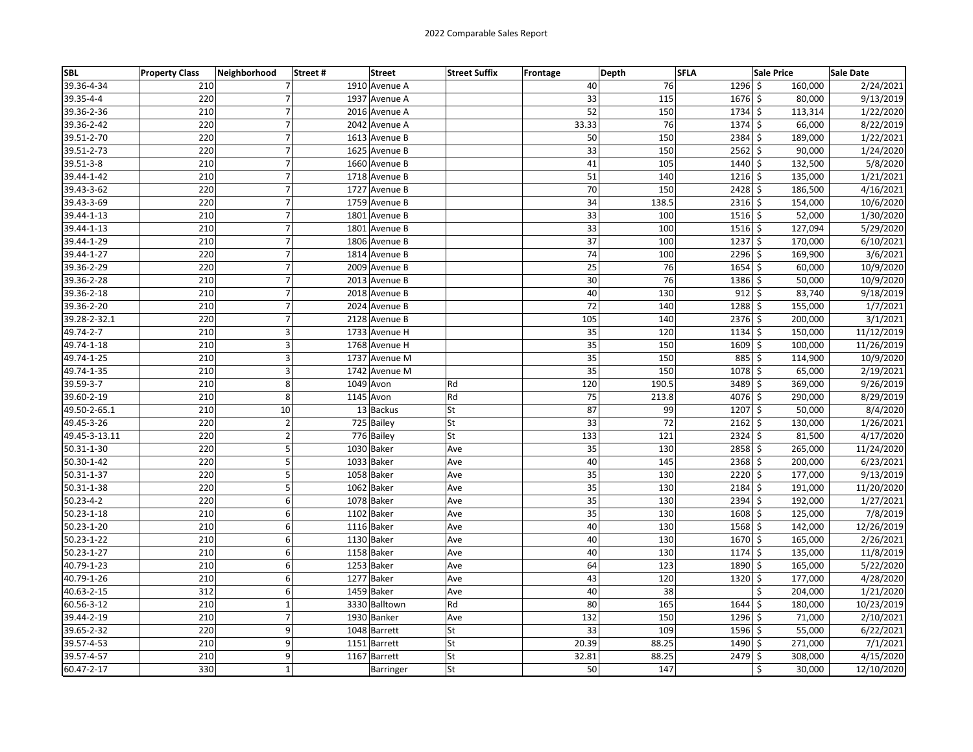| <b>SBL</b>    | <b>Property Class</b> | Neighborhood   | Street# | <b>Street</b> | <b>Street Suffix</b> | Frontage | Depth | <b>SFLA</b>          | <b>Sale Price</b> | Sale Date  |
|---------------|-----------------------|----------------|---------|---------------|----------------------|----------|-------|----------------------|-------------------|------------|
| 39.36-4-34    | 210                   | 7              |         | 1910 Avenue A |                      | 40       | 76    | $1296$ \$            | 160,000           | 2/24/2021  |
| 39.35-4-4     | 220                   | $\overline{7}$ |         | 1937 Avenue A |                      | 33       | 115   | $1676$ \$            | 80,000            | 9/13/2019  |
| 39.36-2-36    | 210                   | $\overline{7}$ |         | 2016 Avenue A |                      | 52       | 150   | $\overline{1734}$ \$ | 113,314           | 1/22/2020  |
| 39.36-2-42    | 220                   | 7              |         | 2042 Avenue A |                      | 33.33    | 76    | $1374 \,$ \$         | 66,000            | 8/22/2019  |
| 39.51-2-70    | 220                   | $\overline{7}$ |         | 1613 Avenue B |                      | 50       | 150   | $2384$ \$            | 189,000           | 1/22/2021  |
| 39.51-2-73    | 220                   | $\overline{7}$ |         | 1625 Avenue B |                      | 33       | 150   | $2562$ \$            | 90,000            | 1/24/2020  |
| 39.51-3-8     | 210                   | $\overline{7}$ |         | 1660 Avenue B |                      | 41       | 105   | 1440 \$              | 132,500           | 5/8/2020   |
| 39.44-1-42    | 210                   | $\overline{7}$ |         | 1718 Avenue B |                      | 51       | 140   | $1216 \mid 5$        | 135,000           | 1/21/2021  |
| 39.43-3-62    | 220                   | $\overline{7}$ |         | 1727 Avenue B |                      | 70       | 150   | $2428$ \$            | 186,500           | 4/16/2021  |
| 39.43-3-69    | 220                   | $\overline{7}$ |         | 1759 Avenue B |                      | 34       | 138.5 | $2316$ \$            | 154,000           | 10/6/2020  |
| 39.44-1-13    | 210                   | 7              |         | 1801 Avenue B |                      | 33       | 100   | $1516 \mid 5$        | 52,000            | 1/30/2020  |
| 39.44-1-13    | 210                   | $\overline{7}$ |         | 1801 Avenue B |                      | 33       | 100   | $1516$ \$            | 127,094           | 5/29/2020  |
| 39.44-1-29    | 210                   | $\overline{7}$ |         | 1806 Avenue B |                      | 37       | 100   | $1237$ \$            | 170,000           | 6/10/2021  |
| 39.44-1-27    | 220                   | 7              |         | 1814 Avenue B |                      | 74       | 100   | $2296$ \$            | 169,900           | 3/6/2021   |
| 39.36-2-29    | 220                   | $\overline{7}$ |         | 2009 Avenue B |                      | 25       | 76    | $1654$ \$            | 60,000            | 10/9/2020  |
| 39.36-2-28    | 210                   | $\overline{7}$ |         | 2013 Avenue B |                      | 30       | 76    | 1386 \$              | 50,000            | 10/9/2020  |
| 39.36-2-18    | 210                   | $\overline{7}$ |         | 2018 Avenue B |                      | 40       | 130   | $912 \div$           | 83,740            | 9/18/2019  |
| 39.36-2-20    | 210                   | 7              |         | 2024 Avenue B |                      | 72       | 140   | 1288 \$              | 155,000           | 1/7/2021   |
| 39.28-2-32.1  | 220                   | $\overline{7}$ |         | 2128 Avenue B |                      | 105      | 140   | $2376$ \$            | 200,000           | 3/1/2021   |
| 49.74-2-7     | 210                   | 3              |         | 1733 Avenue H |                      | 35       | 120   | $1134$ \$            | 150,000           | 11/12/2019 |
| 49.74-1-18    | 210                   | 3              |         | 1768 Avenue H |                      | 35       | 150   | $1609$ \$            | 100,000           | 11/26/2019 |
| 49.74-1-25    | 210                   | 3              |         | 1737 Avenue M |                      | 35       | 150   | 885 \$               | 114,900           | 10/9/2020  |
| 49.74-1-35    | 210                   | 3              |         | 1742 Avenue M |                      | 35       | 150   | $1078$ \$            | 65,000            | 2/19/2021  |
| 39.59-3-7     | 210                   | 8              |         | 1049 Avon     | Rd                   | 120      | 190.5 | 3489 \$              | 369,000           | 9/26/2019  |
| 39.60-2-19    | 210                   | 8              |         | 1145 Avon     | Rd                   | 75       | 213.8 | 4076 \$              | 290,000           | 8/29/2019  |
| 49.50-2-65.1  | 210                   | 10             |         | 13 Backus     | <b>St</b>            | 87       | 99    | $1207 \mid 5$        | 50,000            | 8/4/2020   |
| 49.45-3-26    | 220                   | $\overline{2}$ |         | 725 Bailey    | St                   | 33       | 72    | $2162$ \$            | 130,000           | 1/26/2021  |
| 49.45-3-13.11 | 220                   | $\mathbf{2}$   |         | 776 Bailey    | St                   | 133      | 121   | $2324$ \$            | 81,500            | 4/17/2020  |
| 50.31-1-30    | 220                   | 5              |         | 1030 Baker    | Ave                  | 35       | 130   | $2858$ \$            | 265,000           | 11/24/2020 |
| 50.30-1-42    | 220                   | 5              |         | 1033 Baker    | Ave                  | 40       | 145   | $2368$ \$            | 200,000           | 6/23/2021  |
| 50.31-1-37    | 220                   | 5              |         | 1058 Baker    | Ave                  | 35       | 130   | $2220$ \$            | 177,000           | 9/13/2019  |
| 50.31-1-38    | 220                   | 5              |         | 1062 Baker    | Ave                  | 35       | 130   | 2184 \$              | 191,000           | 11/20/2020 |
| 50.23-4-2     | 220                   | 6              |         | 1078 Baker    | Ave                  | 35       | 130   | $2394$ \$            | 192,000           | 1/27/2021  |
| 50.23-1-18    | 210                   | 6              |         | 1102 Baker    | Ave                  | 35       | 130   | $1608$ \$            | 125,000           | 7/8/2019   |
| 50.23-1-20    | 210                   | 6              |         | 1116 Baker    | Ave                  | 40       | 130   | $1568$ \$            | 142,000           | 12/26/2019 |
| 50.23-1-22    | 210                   | 6              |         | 1130 Baker    | Ave                  | 40       | 130   | 1670 \$              | 165,000           | 2/26/2021  |
| 50.23-1-27    | 210                   | 6              |         | 1158 Baker    | Ave                  | 40       | 130   | $1174$ \$            | 135,000           | 11/8/2019  |
| 40.79-1-23    | 210                   | 6              |         | 1253 Baker    | Ave                  | 64       | 123   | 1890 \$              | 165,000           | 5/22/2020  |
| 40.79-1-26    | 210                   | 6              |         | 1277 Baker    | Ave                  | 43       | 120   | $1320 \mid 5$        | 177,000           | 4/28/2020  |
| 40.63-2-15    | 312                   | 6              |         | 1459 Baker    | Ave                  | 40       | 38    |                      | \$<br>204,000     | 1/21/2020  |
| 60.56-3-12    | 210                   | $\mathbf{1}$   |         | 3330 Balltown | Rd                   | 80       | 165   | $1644$ \$            | 180,000           | 10/23/2019 |
| 39.44-2-19    | 210                   | 7              |         | 1930 Banker   | Ave                  | 132      | 150   | $1296$ \$            | 71,000            | 2/10/2021  |
| 39.65-2-32    | 220                   | 9              |         | 1048 Barrett  | St                   | 33       | 109   | 1596 \$              | 55,000            | 6/22/2021  |
| 39.57-4-53    | 210                   | 9              |         | 1151 Barrett  | St                   | 20.39    | 88.25 | 1490 \$              | 271,000           | 7/1/2021   |
| 39.57-4-57    | 210                   | 9              |         | 1167 Barrett  | St                   | 32.81    | 88.25 | 2479 \$              | 308,000           | 4/15/2020  |
| 60.47-2-17    | 330                   | $\mathbf 1$    |         | Barringer     | St                   | 50       | 147   |                      | \$<br>30,000      | 12/10/2020 |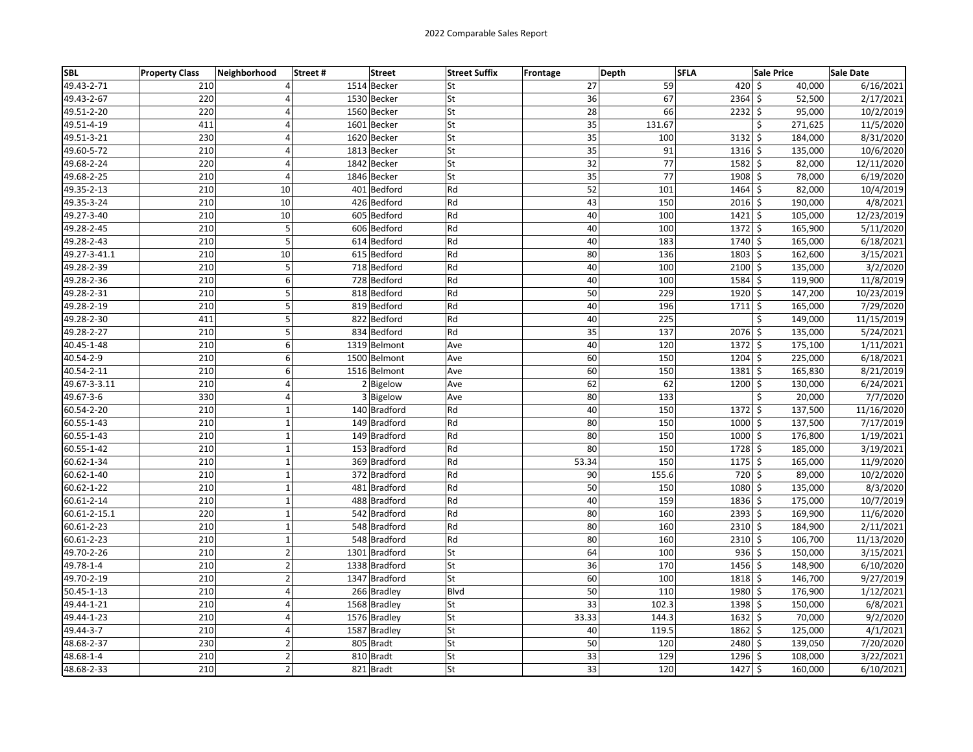| SBL          | <b>Property Class</b> | Neighborhood   | Street # | <b>Street</b> | <b>Street Suffix</b> | <b>Frontage</b> | Depth | <b>SFLA</b> |                    | <b>Sale Price</b> | Sale Date  |
|--------------|-----------------------|----------------|----------|---------------|----------------------|-----------------|-------|-------------|--------------------|-------------------|------------|
| 49.43-2-71   | 210                   | 4              |          | 1514 Becker   | lSt                  |                 | 27    | 59          | $420 \,$ \$        | 40,000            | 6/16/2021  |
| 49.43-2-67   | 220                   |                |          | 1530 Becker   | St                   |                 | 36    | 67          | $2364$ \$          | 52,500            | 2/17/2021  |
| 49.51-2-20   | 220                   | 4              |          | 1560 Becker   | St                   |                 | 28    | 66          | $2232$ \$          | 95,000            | 10/2/2019  |
| 49.51-4-19   | 411                   | 4              |          | 1601 Becker   | <b>St</b>            |                 | 35    | 131.67      |                    | \$<br>271,625     | 11/5/2020  |
| 49.51-3-21   | 230                   | $\overline{a}$ |          | 1620 Becker   | <b>St</b>            |                 | 35    | 100         | $3132$ \$          | 184,000           | 8/31/2020  |
| 49.60-5-72   | 210                   | 4              |          | 1813 Becker   | <b>St</b>            |                 | 35    | 91          | $1316 \,$ \$       | 135,000           | 10/6/2020  |
| 49.68-2-24   | 220                   | 4              |          | 1842 Becker   | lSt                  |                 | 32    | 77          | $1582 \mid 5$      | 82,000            | 12/11/2020 |
| 49.68-2-25   | 210                   | $\overline{4}$ |          | 1846 Becker   | lSt                  |                 | 35    | 77          | 1908 \$            | 78,000            | 6/19/2020  |
| 49.35-2-13   | 210                   | 10             |          | 401 Bedford   | Rd                   |                 | 52    | 101         | 1464 \$            | 82,000            | 10/4/2019  |
| 49.35-3-24   | 210                   | 10             |          | 426 Bedford   | Rd                   |                 | 43    | 150         | $2016$ \$          | 190,000           | 4/8/2021   |
| 49.27-3-40   | 210                   | 10             |          | 605 Bedford   | Rd                   |                 | 40    | 100         | $1421 \,$ \$       | 105,000           | 12/23/2019 |
| 49.28-2-45   | 210                   | 5              |          | 606 Bedford   | Rd                   |                 | 40    | 100         | $1372 \,$ \$       | 165,900           | 5/11/2020  |
| 49.28-2-43   | 210                   | 5              |          | 614 Bedford   | Rd                   |                 | 40    | 183         | 1740 \$            | 165,000           | 6/18/2021  |
| 49.27-3-41.1 | 210                   | 10             |          | 615 Bedford   | Rd                   |                 | 80    | 136         | $1803$ \$          | 162,600           | 3/15/2021  |
| 49.28-2-39   | 210                   | 5              |          | 718 Bedford   | Rd                   |                 | 40    | 100         | $2100 \,$ \$       | 135,000           | 3/2/2020   |
| 49.28-2-36   | 210                   | 6              |          | 728 Bedford   | Rd                   |                 | 40    | 100         | $1584$ \$          | 119,900           | 11/8/2019  |
| 49.28-2-31   | 210                   | 5              |          | 818 Bedford   | Rd                   |                 | 50    | 229         | 1920 \$            | 147,200           | 10/23/2019 |
| 49.28-2-19   | 210                   | 5              |          | 819 Bedford   | Rd                   |                 | 40    | 196         | $1711 \frac{1}{2}$ | 165,000           | 7/29/2020  |
| 49.28-2-30   | 411                   | 5              |          | 822 Bedford   | Rd                   |                 | 40    | 225         |                    | \$<br>149,000     | 11/15/2019 |
| 49.28-2-27   | 210                   | 5              |          | 834 Bedford   | Rd                   |                 | 35    | 137         | 2076 \$            | 135,000           | 5/24/2021  |
| 40.45-1-48   | 210                   | 6              |          | 1319 Belmont  | Ave                  |                 | 40    | 120         | $1372 \,$ \$       | 175,100           | 1/11/2021  |
| 40.54-2-9    | 210                   | 6              |          | 1500 Belmont  | Ave                  |                 | 60    | 150         | $1204$ \$          | 225,000           | 6/18/2021  |
| 40.54-2-11   | 210                   | 6              |          | 1516 Belmont  | Ave                  |                 | 60    | 150         | 1381 \$            | 165,830           | 8/21/2019  |
| 49.67-3-3.11 | 210                   | 4              |          | 2 Bigelow     | Ave                  |                 | 62    | 62          | $1200 \mid 5$      | 130,000           | 6/24/2021  |
| 49.67-3-6    | 330                   | 4              |          | 3 Bigelow     | Ave                  |                 | 80    | 133         |                    | \$<br>20,000      | 7/7/2020   |
| 60.54-2-20   | 210                   | $\mathbf{1}$   |          | 140 Bradford  | Rd                   |                 | 40    | 150         | $1372$ \$          | 137,500           | 11/16/2020 |
| 60.55-1-43   | 210                   | $\mathbf 1$    |          | 149 Bradford  | Rd                   |                 | 80    | 150         | $1000 \,$ \$       | 137,500           | 7/17/2019  |
| 60.55-1-43   | 210                   | $\mathbf 1$    |          | 149 Bradford  | Rd                   |                 | 80    | 150         | $1000 \mid 5$      | 176,800           | 1/19/2021  |
| 60.55-1-42   | 210                   | $\mathbf{1}$   |          | 153 Bradford  | Rd                   |                 | 80    | 150         | $1728$ \$          | 185,000           | 3/19/2021  |
| 60.62-1-34   | 210                   | $\mathbf 1$    |          | 369 Bradford  | Rd                   |                 | 53.34 | 150         | $1175$ \$          | 165,000           | 11/9/2020  |
| 60.62-1-40   | 210                   | $\mathbf{1}$   |          | 372 Bradford  | Rd                   |                 | 90    | 155.6       | 720 \$             | 89,000            | 10/2/2020  |
| 60.62-1-22   | 210                   | $\mathbf{1}$   |          | 481 Bradford  | Rd                   |                 | 50    | 150         | 1080 \$            | 135,000           | 8/3/2020   |
| 60.61-2-14   | 210                   | $\mathbf 1$    |          | 488 Bradford  | Rd                   |                 | 40    | 159         | $1836$ \$          | 175,000           | 10/7/2019  |
| 60.61-2-15.1 | 220                   | $\mathbf 1$    |          | 542 Bradford  | Rd                   |                 | 80    | 160         | $2393$ \$          | 169,900           | 11/6/2020  |
| 60.61-2-23   | 210                   | $\mathbf 1$    |          | 548 Bradford  | Rd                   |                 | 80    | 160         | $2310 \mid 5$      | 184,900           | 2/11/2021  |
| 60.61-2-23   | 210                   | $\mathbf{1}$   |          | 548 Bradford  | Rd                   |                 | 80    | 160         | 2310 \$            | 106,700           | 11/13/2020 |
| 49.70-2-26   | 210                   | $\overline{2}$ |          | 1301 Bradford | lSt                  |                 | 64    | 100         | $936$ \$           | 150,000           | 3/15/2021  |
| 49.78-1-4    | 210                   | $\mathbf 2$    |          | 1338 Bradford | <b>St</b>            |                 | 36    | 170         | $1456$ \$          | 148,900           | 6/10/2020  |
| 49.70-2-19   | 210                   | $\overline{2}$ |          | 1347 Bradford | <b>St</b>            |                 | 60    | 100         | $1818$ \$          | 146,700           | 9/27/2019  |
| 50.45-1-13   | 210                   | 4              |          | 266 Bradley   | <b>Blvd</b>          |                 | 50    | 110         | 1980 \$            | 176,900           | 1/12/2021  |
| 49.44-1-21   | 210                   | 4              |          | 1568 Bradley  | <b>St</b>            |                 | 33    | 102.3       | 1398 \$            | 150,000           | 6/8/2021   |
| 49.44-1-23   | 210                   | 4              |          | 1576 Bradley  | St                   |                 | 33.33 | 144.3       | $1632 \mid 5$      | 70,000            | 9/2/2020   |
| 49.44-3-7    | 210                   | 4              |          | 1587 Bradley  | <b>St</b>            |                 | 40    | 119.5       | 1862 \$            | 125,000           | 4/1/2021   |
| 48.68-2-37   | 230                   | $\overline{2}$ |          | 805 Bradt     | <b>St</b>            |                 | 50    | 120         | 2480 \$            | 139,050           | 7/20/2020  |
| 48.68-1-4    | 210                   | $\mathbf 2$    |          | 810 Bradt     | <b>St</b>            |                 | 33    | 129         | $1296$ \$          | 108,000           | 3/22/2021  |
| 48.68-2-33   | 210                   | $\overline{2}$ |          | 821 Bradt     | <b>St</b>            |                 | 33    | 120         | $1427$ \$          | 160,000           | 6/10/2021  |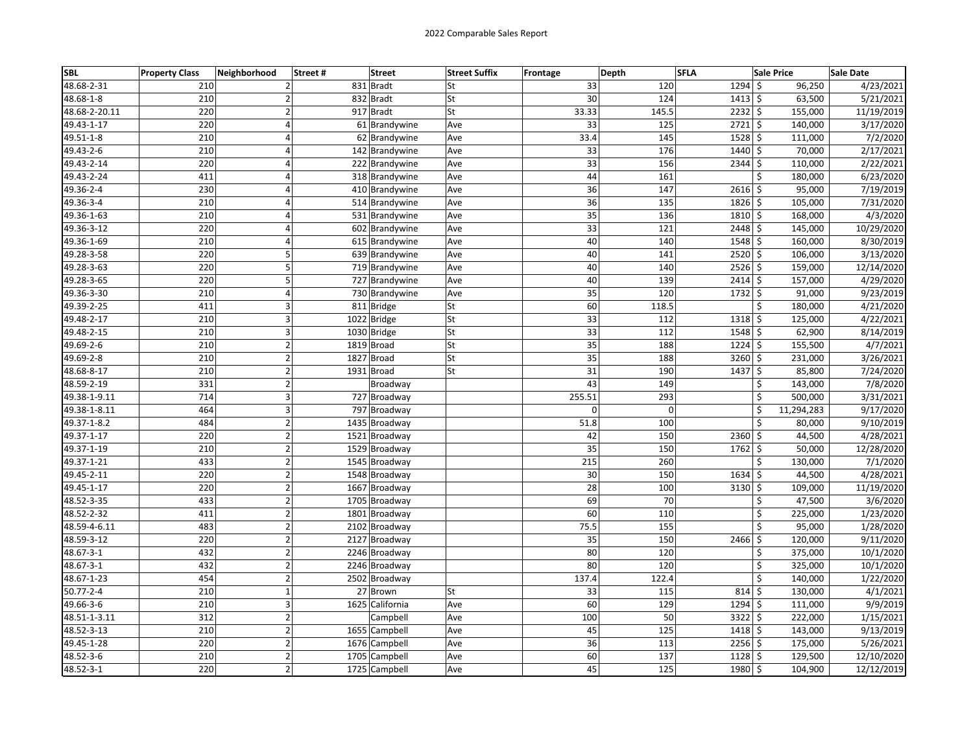| <b>SBL</b>      | <b>Property Class</b> | Neighborhood   | Street# | <b>Street</b>   | <b>Street Suffix</b> | Frontage        | <b>Depth</b> | <b>SFLA</b>   | <b>Sale Price</b>  | <b>Sale Date</b> |
|-----------------|-----------------------|----------------|---------|-----------------|----------------------|-----------------|--------------|---------------|--------------------|------------------|
| 48.68-2-31      | 210                   | 2              |         | 831 Bradt       | St                   | 33              | 120          | 1294          | \$<br>96,250       | 4/23/2021        |
| 48.68-1-8       | 210                   | $\overline{2}$ |         | 832 Bradt       | St                   | 30              | 124          | $1413$ \$     | 63,500             | 5/21/2021        |
| 48.68-2-20.11   | 220                   | $\overline{2}$ |         | 917 Bradt       | St                   | 33.33           | 145.5        | $2232$ \$     | 155,000            | 11/19/2019       |
| 49.43-1-17      | 220                   | 4              |         | 61 Brandywine   | Ave                  | 33              | 125          | $2721$ \$     | 140,000            | 3/17/2020        |
| 49.51-1-8       | 210                   | $\overline{a}$ |         | 62 Brandywine   | Ave                  | 33.4            | 145          | 1528          | \$<br>111,000      | 7/2/2020         |
| 49.43-2-6       | 210                   | $\overline{4}$ |         | 142 Brandywine  | Ave                  | 33              | 176          | 1440 \$       | 70,000             | 2/17/2021        |
| 49.43-2-14      | 220                   | $\overline{4}$ |         | 222 Brandywine  | Ave                  | $\overline{33}$ | 156          | 2344          | \$<br>110,000      | 2/22/2021        |
| 49.43-2-24      | 411                   | $\overline{4}$ |         | 318 Brandywine  | Ave                  | 44              | 161          |               | \$<br>180,000      | 6/23/2020        |
| 49.36-2-4       | 230                   | 4              |         | 410 Brandywine  | Ave                  | 36              | 147          | $2616$ \$     | 95,000             | 7/19/2019        |
| 49.36-3-4       | 210                   | $\overline{4}$ |         | 514 Brandywine  | Ave                  | 36              | 135          | 1826 \$       | 105,000            | 7/31/2020        |
| 49.36-1-63      | 210                   | $\overline{4}$ |         | 531 Brandywine  | Ave                  | 35              | 136          | 1810 \$       | 168,000            | 4/3/2020         |
| 49.36-3-12      | 220                   | $\overline{a}$ |         | 602 Brandywine  | Ave                  | 33              | 121          | 2448          | \$<br>145,000      | 10/29/2020       |
| 49.36-1-69      | 210                   | 4              |         | 615 Brandywine  | Ave                  | 40              | 140          | 1548 \$       | 160,000            | 8/30/2019        |
| 49.28-3-58      | 220                   | 5              |         | 639 Brandywine  | Ave                  | 40              | 141          | $2520 \mid 5$ | 106,000            | 3/13/2020        |
| 49.28-3-63      | 220                   | 5              |         | 719 Brandywine  | Ave                  | 40              | 140          | $2526$ \$     | 159,000            | 12/14/2020       |
| 49.28-3-65      | 220                   | 5              |         | 727 Brandywine  | Ave                  | 40              | 139          | $2414$ \$     | 157,000            | 4/29/2020        |
| 49.36-3-30      | 210                   | $\overline{4}$ |         | 730 Brandywine  | Ave                  | 35              | 120          | 1732          | \$<br>91,000       | 9/23/2019        |
| 49.39-2-25      | 411                   | 3              |         | 811 Bridge      | St                   | 60              | 118.5        |               | \$<br>180,000      | 4/21/2020        |
| 49.48-2-17      | 210                   | 3              |         | 1022 Bridge     | St                   | 33              | 112          | 1318          | \$<br>125,000      | 4/22/2021        |
| 49.48-2-15      | 210                   | 3              |         | 1030 Bridge     | St                   | 33              | 112          | $1548$ \$     | 62,900             | 8/14/2019        |
| 49.69-2-6       | 210                   | $\overline{2}$ |         | 1819 Broad      | St                   | $\overline{35}$ | 188          | $1224$ \$     | 155,500            | 4/7/2021         |
| 49.69-2-8       | 210                   | $\mathbf 2$    |         | 1827 Broad      | St                   | $\overline{35}$ | 188          | 3260          | \$<br>231,000      | 3/26/2021        |
| 48.68-8-17      | 210                   | $\mathbf 2$    |         | 1931 Broad      | St                   | 31              | 190          | 1437          | \$<br>85,800       | 7/24/2020        |
| 48.59-2-19      | 331                   | $\overline{2}$ |         | Broadway        |                      | 43              | 149          |               | \$<br>143,000      | 7/8/2020         |
| 49.38-1-9.11    | 714                   | 3              |         | 727 Broadway    |                      | 255.51          | 293          |               | \$<br>500,000      | 3/31/2021        |
| 49.38-1-8.11    | 464                   | 3              |         | 797 Broadway    |                      | 0               | 0            |               | \$<br>11,294,283   | 9/17/2020        |
| 49.37-1-8.2     | 484                   | $\mathbf 2$    |         | 1435 Broadway   |                      | 51.8            | 100          |               | \$<br>80,000       | 9/10/2019        |
| 49.37-1-17      | 220                   | $\mathbf 2$    |         | 1521 Broadway   |                      | 42              | 150          | $2360$ \$     | 44,500             | 4/28/2021        |
| 49.37-1-19      | 210                   | $\overline{2}$ |         | 1529 Broadway   |                      | 35              | 150          | 1762          | \$<br>50,000       | 12/28/2020       |
| 49.37-1-21      | 433                   | $\mathbf 2$    |         | 1545 Broadway   |                      | 215             | 260          |               | \$<br>130,000      | 7/1/2020         |
| 49.45-2-11      | 220                   | $\overline{2}$ |         | 1548 Broadway   |                      | 30              | 150          | 1634 \$       | 44,500             | 4/28/2021        |
| 49.45-1-17      | 220                   | $\mathbf 2$    |         | 1667 Broadway   |                      | 28              | 100          | 3130          | \$<br>109,000      | 11/19/2020       |
| 48.52-3-35      | 433                   | $\overline{2}$ |         | 1705 Broadway   |                      | 69              | 70           |               | \$<br>47,500       | 3/6/2020         |
| 48.52-2-32      | 411                   | $\overline{2}$ |         | 1801 Broadway   |                      | 60              | 110          |               | \$<br>225,000      | 1/23/2020        |
| 48.59-4-6.11    | 483                   | $\overline{2}$ |         | 2102 Broadway   |                      | 75.5            | 155          |               | \$<br>95,000       | 1/28/2020        |
| 48.59-3-12      | 220                   | $\overline{2}$ |         | 2127 Broadway   |                      | 35              | 150          | 2466          | \$<br>120,000      | 9/11/2020        |
| 48.67-3-1       | 432                   | $\overline{2}$ |         | 2246 Broadway   |                      | 80              | 120          |               | \$<br>375,000      | 10/1/2020        |
| 48.67-3-1       | 432                   | $\overline{2}$ |         | 2246 Broadway   |                      | 80              | 120          |               | \$<br>325,000      | 10/1/2020        |
| 48.67-1-23      | 454                   | $\overline{2}$ |         | 2502 Broadway   |                      | 137.4           | 122.4        |               | \$<br>140,000      | 1/22/2020        |
| $50.77 - 2 - 4$ | 210                   | $\mathbf 1$    |         | 27 Brown        | St                   | 33              | 115          | $814 \div$    | 130,000            | 4/1/2021         |
| 49.66-3-6       | 210                   | $\overline{3}$ |         | 1625 California | Ave                  | 60              | 129          | 1294          | \$<br>111,000      | 9/9/2019         |
| 48.51-1-3.11    | 312                   | $\overline{2}$ |         | Campbell        | Ave                  | 100             | 50           | 3322          | \$<br>222,000      | 1/15/2021        |
| 48.52-3-13      | 210                   | $\overline{2}$ |         | 1655 Campbell   | Ave                  | 45              | 125          | 1418 \$       | 143,000            | 9/13/2019        |
| 49.45-1-28      | 220                   | $\mathbf 2$    |         | 1676 Campbell   | Ave                  | 36              | 113          | $2256$ \$     | 175,000            | 5/26/2021        |
| 48.52-3-6       | 210                   | $\mathbf 2$    |         | 1705 Campbell   | Ave                  | 60              | 137          | $1128$ \$     | 129,500            | 12/10/2020       |
| 48.52-3-1       | 220                   | $\overline{2}$ |         | 1725 Campbell   | Ave                  | 45              | 125          | 1980          | $\zeta$<br>104,900 | 12/12/2019       |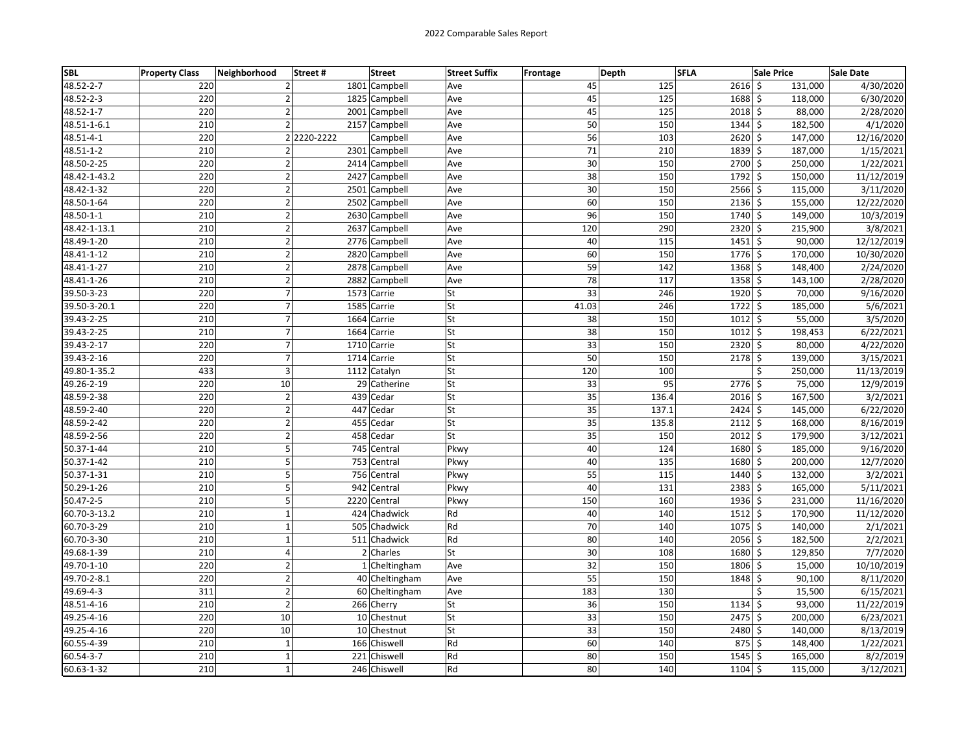| <b>SBL</b>   | <b>Property Class</b> | Neighborhood   | <b>Street</b><br>Street# | <b>Street Suffix</b> | Depth<br>Frontage |       | <b>SFLA</b>   | <b>Sale Price</b>  | <b>Sale Date</b> |
|--------------|-----------------------|----------------|--------------------------|----------------------|-------------------|-------|---------------|--------------------|------------------|
| 48.52-2-7    | 220                   | $\overline{2}$ | 1801 Campbell            | Ave                  | 45                | 125   | $2616$ \$     | 131,000            | 4/30/2020        |
| 48.52-2-3    | 220                   | $\overline{2}$ | 1825 Campbell            | Ave                  | 45                | 125   | 1688 \$       | 118,000            | 6/30/2020        |
| 48.52-1-7    | 220                   | $\overline{2}$ | 2001 Campbell            | Ave                  | 45                | 125   | 2018 \$       | 88,000             | 2/28/2020        |
| 48.51-1-6.1  | 210                   | $\overline{2}$ | 2157 Campbell            | Ave                  | 50                | 150   | $1344$ \$     | 182,500            | 4/1/2020         |
| 48.51-4-1    | 220                   |                | 2 2220-2222<br>Campbell  | Ave                  | 56                | 103   | 2620          | $\zeta$<br>147,000 | 12/16/2020       |
| 48.51-1-2    | 210                   | $\overline{2}$ | 2301 Campbell            | Ave                  | 71                | 210   | $1839$ \$     | 187,000            | 1/15/2021        |
| 48.50-2-25   | 220                   | $\overline{2}$ | 2414 Campbell            | Ave                  | 30                | 150   | 2700          | \$<br>250,000      | 1/22/2021        |
| 48.42-1-43.2 | 220                   | $\overline{2}$ | 2427 Campbell            | Ave                  | 38                | 150   | $1792$ \$     | 150,000            | 11/12/2019       |
| 48.42-1-32   | 220                   | $\mathbf 2$    | 2501 Campbell            | Ave                  | 30                | 150   | $2566$ \$     | 115,000            | 3/11/2020        |
| 48.50-1-64   | 220                   | $\mathbf 2$    | 2502 Campbell            | Ave                  | 60                | 150   | $2136$ \$     | 155,000            | 12/22/2020       |
| 48.50-1-1    | 210                   | $\overline{2}$ | 2630 Campbell            | Ave                  | 96                | 150   | 1740 \$       | 149,000            | 10/3/2019        |
| 48.42-1-13.1 | 210                   | $\mathbf 2$    | 2637 Campbell            | Ave                  | 120               | 290   | 2320          | $\zeta$<br>215,900 | 3/8/2021         |
| 48.49-1-20   | 210                   | $\mathbf 2$    | 2776 Campbell            | Ave                  | 40                | 115   | 1451          | \$<br>90,000       | 12/12/2019       |
| 48.41-1-12   | 210                   | $\overline{2}$ | 2820 Campbell            | Ave                  | 60                | 150   | 1776 \$       | 170,000            | 10/30/2020       |
| 48.41-1-27   | 210                   | $\overline{2}$ | 2878 Campbell            | Ave                  | 59                | 142   | $1368$ \$     | 148,400            | 2/24/2020        |
| 48.41-1-26   | 210                   | $\mathbf 2$    | 2882 Campbell            | Ave                  | 78                | 117   | $1358$ \$     | 143,100            | 2/28/2020        |
| 39.50-3-23   | 220                   | $\overline{7}$ | 1573 Carrie              | St                   | 33                | 246   | 1920          | \$<br>70,000       | 9/16/2020        |
| 39.50-3-20.1 | 220                   | $\overline{7}$ | 1585<br>Carrie           | <b>St</b>            | 41.03             | 246   | 1722          | \$<br>185,000      | 5/6/2021         |
| 39.43-2-25   | 210                   | $\overline{7}$ | 1664<br>Carrie           | <b>St</b>            | 38                | 150   | 1012 \$       | 55,000             | 3/5/2020         |
| 39.43-2-25   | 210                   | $\overline{7}$ | 1664 Carrie              | <b>St</b>            | 38                | 150   | $1012 \mid 5$ | 198,453            | 6/22/2021        |
| 39.43-2-17   | 220                   | $\overline{7}$ | 1710 Carrie              | <b>St</b>            | 33                | 150   | $2320 \leq$   | 80,000             | 4/22/2020        |
| 39.43-2-16   | 220                   | $\overline{7}$ | 1714 Carrie              | lSt                  | 50                | 150   | 2178          | \$<br>139,000      | 3/15/2021        |
| 49.80-1-35.2 | 433                   | 3              | 1112 Catalyn             | <b>St</b>            | 120               | 100   |               | \$<br>250,000      | 11/13/2019       |
| 49.26-2-19   | 220                   | 10             | 29 Catherine             | St                   | 33                | 95    | 2776 \$       | 75,000             | 12/9/2019        |
| 48.59-2-38   | 220                   | $\overline{2}$ | 439<br>Cedar             | <b>St</b>            | 35                | 136.4 | 2016 \$       | 167,500            | 3/2/2021         |
| 48.59-2-40   | 220                   | $\overline{2}$ | 447 Cedar                | <b>St</b>            | 35                | 137.1 | $2424$ \$     | 145,000            | 6/22/2020        |
| 48.59-2-42   | 220                   | $\overline{2}$ | 455 Cedar                | St                   | $\overline{35}$   | 135.8 | $2112 \,$ \$  | 168,000            | 8/16/2019        |
| 48.59-2-56   | 220                   | $\overline{2}$ | 458 Cedar                | <b>St</b>            | 35                | 150   | $2012 \mid 5$ | 179,900            | 3/12/2021        |
| 50.37-1-44   | 210                   | 5              | 745<br>Central           | Pkwy                 | 40                | 124   | 1680          | \$<br>185,000      | 9/16/2020        |
| 50.37-1-42   | 210                   | 5              | 753 Central              | Pkwy                 | 40                | 135   | 1680          | \$<br>200,000      | 12/7/2020        |
| 50.37-1-31   | 210                   | 5              | 756 Central              | Pkwy                 | 55                | 115   | 1440 \$       | 132,000            | 3/2/2021         |
| 50.29-1-26   | 210                   | 5              | 942 Central              | Pkwy                 | 40                | 131   | $2383$ \$     | 165,000            | 5/11/2021        |
| 50.47-2-5    | 210                   | 5              | 2220 Central             | Pkwy                 | 150               | 160   | $1936$ \$     | 231,000            | 11/16/2020       |
| 60.70-3-13.2 | 210                   | $\mathbf 1$    | 424 Chadwick             | Rd                   | 40                | 140   | 1512          | \$<br>170,900      | 11/12/2020       |
| 60.70-3-29   | 210                   | $\mathbf 1$    | 505 Chadwick             | Rd                   | 70                | 140   | 1075          | \$<br>140,000      | 2/1/2021         |
| 60.70-3-30   | 210                   | $\mathbf{1}$   | 511 Chadwick             | Rd                   | 80                | 140   | 2056 \$       | 182,500            | 2/2/2021         |
| 49.68-1-39   | 210                   | $\overline{4}$ | $\overline{2}$ Charles   | lSt                  | 30                | 108   | 1680 \$       | 129,850            | 7/7/2020         |
| 49.70-1-10   | 220                   | $\mathbf 2$    | 1 Cheltingham            | Ave                  | 32                | 150   | 1806 \$       | 15,000             | 10/10/2019       |
| 49.70-2-8.1  | 220                   | $\mathbf 2$    | 40 Cheltingham           | Ave                  | 55                | 150   | 1848          | \$<br>90,100       | 8/11/2020        |
| 49.69-4-3    | 311                   | $\overline{2}$ | 60 Cheltingham           | Ave                  | 183               | 130   |               | \$<br>15,500       | 6/15/2021        |
| 48.51-4-16   | 210                   | $\overline{2}$ | 266 Cherry               | <b>St</b>            | 36                | 150   | 1134          | \$<br>93,000       | 11/22/2019       |
| 49.25-4-16   | 220                   | 10             | 10 Chestnut              | <b>St</b>            | 33                | 150   | 2475 \$       | 200,000            | 6/23/2021        |
| 49.25-4-16   | 220                   | 10             | 10 Chestnut              | <b>St</b>            | 33                | 150   | 2480 \$       | 140,000            | 8/13/2019        |
| 60.55-4-39   | 210                   | $\mathbf 1$    | 166<br>Chiswell          | Rd                   | 60                | 140   | 875           | Ś.<br>148,400      | 1/22/2021        |
| 60.54-3-7    | 210                   | $\mathbf 1$    | 221<br>Chiswell          | Rd                   | 80                | 150   | 1545          | \$<br>165,000      | 8/2/2019         |
| 60.63-1-32   | 210                   | $\mathbf{1}$   | 246 Chiswell             | Rd                   | 80                | 140   | 1104          | \$<br>115,000      | 3/12/2021        |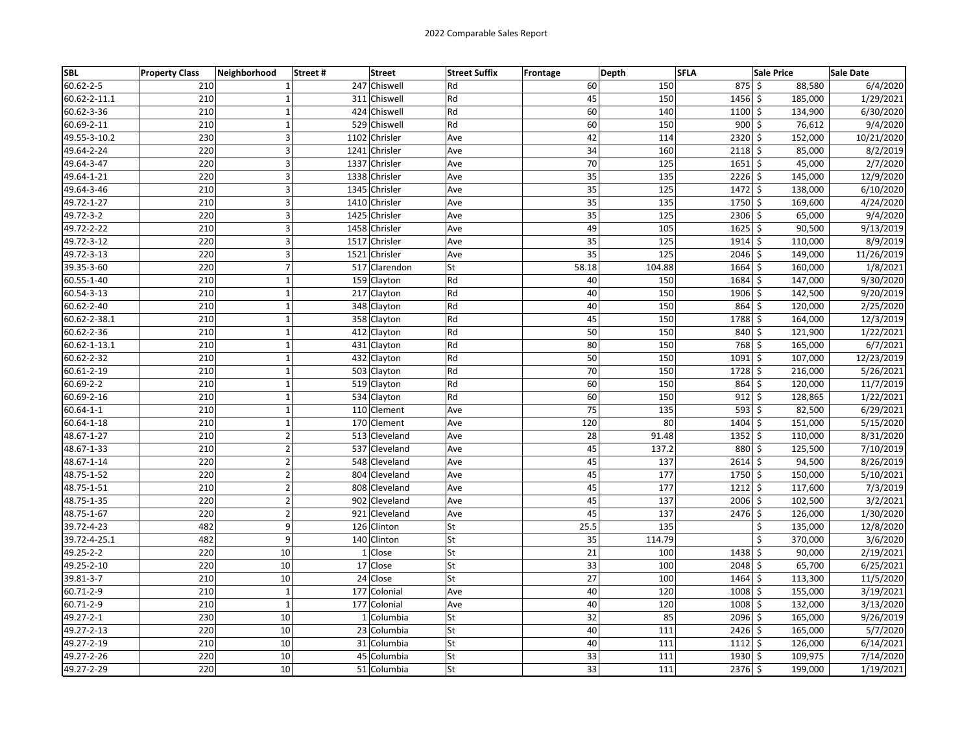| <b>SBL</b>      | <b>Property Class</b> | Neighborhood            | Street# | <b>Street</b> | <b>Street Suffix</b> | Frontage        | Depth  | <b>SFLA</b>   | <b>Sale Price</b> | Sale Date  |
|-----------------|-----------------------|-------------------------|---------|---------------|----------------------|-----------------|--------|---------------|-------------------|------------|
| $60.62 - 2 - 5$ | 210                   | $\mathbf{1}$            |         | 247 Chiswell  | Rd                   | 60              | 150    | 875S          | 88,580            | 6/4/2020   |
| 60.62-2-11.1    | 210                   | $\mathbf{1}$            |         | 311 Chiswell  | Rd                   | 45              | 150    | $1456$ \$     | 185,000           | 1/29/2021  |
| 60.62-3-36      | 210                   | $\mathbf 1$             |         | 424 Chiswell  | Rd                   | 60              | 140    | $1100 \le$    | 134,900           | 6/30/2020  |
| 60.69-2-11      | 210                   | $\mathbf 1$             |         | 529 Chiswell  | Rd                   | 60              | 150    | $900$ \$      | 76,612            | 9/4/2020   |
| 49.55-3-10.2    | 230                   | 3                       | 1102    | Chrisler      | Ave                  | 42              | 114    | $2320$ \$     | 152,000           | 10/21/2020 |
| 49.64-2-24      | 220                   | 3                       |         | 1241 Chrisler | Ave                  | 34              | 160    | $2118$ \$     | 85,000            | 8/2/2019   |
| 49.64-3-47      | 220                   | 3                       |         | 1337 Chrisler | Ave                  | 70              | 125    | $1651 \mid 5$ | 45,000            | 2/7/2020   |
| 49.64-1-21      | 220                   | 3                       | 1338    | Chrisler      | Ave                  | 35              | 135    | $2226$ \$     | 145,000           | 12/9/2020  |
| 49.64-3-46      | 210                   | 3                       |         | 1345 Chrisler | Ave                  | 35              | 125    | $1472 \mid 5$ | 138,000           | 6/10/2020  |
| 49.72-1-27      | 210                   | 3                       |         | 1410 Chrisler | Ave                  | $\overline{35}$ | 135    | 1750 \$       | 169,600           | 4/24/2020  |
| 49.72-3-2       | 220                   | 3                       |         | 1425 Chrisler | Ave                  | 35              | 125    | $2306$ \$     | 65,000            | 9/4/2020   |
| 49.72-2-22      | 210                   | 3                       |         | 1458 Chrisler | Ave                  | 49              | 105    | $1625$ \$     | 90,500            | 9/13/2019  |
| 49.72-3-12      | 220                   | 3                       | 1517    | Chrisler      | Ave                  | 35              | 125    | $1914$ \$     | 110,000           | 8/9/2019   |
| 49.72-3-13      | 220                   | 3                       |         | 1521 Chrisler | Ave                  | 35              | 125    | 2046 \$       | 149,000           | 11/26/2019 |
| 39.35-3-60      | 220                   | $\overline{7}$          |         | 517 Clarendon | St                   | 58.18           | 104.88 | $1664$ \$     | 160,000           | 1/8/2021   |
| 60.55-1-40      | 210                   | $\mathbf{1}$            |         | 159 Clayton   | Rd                   | 40              | 150    | $1684$ \$     | 147,000           | 9/30/2020  |
| 60.54-3-13      | 210                   | $\mathbf 1$             |         | 217 Clayton   | Rd                   | 40              | 150    | 1906 \$       | 142,500           | 9/20/2019  |
| 60.62-2-40      | 210                   | $\mathbf 1$             |         | 348 Clayton   | Rd                   | 40              | 150    | $864 \le$     | 120,000           | 2/25/2020  |
| 60.62-2-38.1    | 210                   | $\mathbf{1}$            |         | 358 Clayton   | Rd                   | 45              | 150    | 1788 \$       | 164,000           | 12/3/2019  |
| 60.62-2-36      | 210                   | $\mathbf{1}$            |         | 412 Clayton   | Rd                   | 50              | 150    | 840 \$        | 121,900           | 1/22/2021  |
| 60.62-1-13.1    | 210                   | $\mathbf 1$             |         | 431 Clayton   | Rd                   | 80              | 150    | 768 \$        | 165,000           | 6/7/2021   |
| 60.62-2-32      | 210                   | $\mathbf 1$             |         | 432 Clayton   | Rd                   | 50              | 150    | $1091$ \$     | 107,000           | 12/23/2019 |
| 60.61-2-19      | 210                   | $\mathbf 1$             |         | 503 Clayton   | Rd                   | 70              | 150    | 1728 \$       | 216,000           | 5/26/2021  |
| 60.69-2-2       | 210                   | $\mathbf{1}$            |         | 519 Clayton   | Rd                   | 60              | 150    | $864$ \$      | 120,000           | 11/7/2019  |
| 60.69-2-16      | 210                   | $\mathbf 1$             |         | 534 Clayton   | Rd                   | 60              | 150    | $912 \div$    | 128,865           | 1/22/2021  |
| 60.64-1-1       | 210                   | $\mathbf 1$             |         | 110 Clement   | Ave                  | 75              | 135    | $593$ \$      | 82,500            | 6/29/2021  |
| 60.64-1-18      | 210                   | $\mathbf{1}$            |         | 170 Clement   | Ave                  | 120             | 80     | 1404 \$       | 151,000           | 5/15/2020  |
| 48.67-1-27      | 210                   | $\overline{2}$          |         | 513 Cleveland | Ave                  | 28              | 91.48  | $1352$ \$     | 110,000           | 8/31/2020  |
| 48.67-1-33      | 210                   | $\overline{2}$          | 537     | Cleveland     | Ave                  | 45              | 137.2  | 880 \$        | 125,500           | 7/10/2019  |
| 48.67-1-14      | 220                   | $\mathbf{2}$            |         | 548 Cleveland | Ave                  | 45              | 137    | $2614$ \$     | 94,500            | 8/26/2019  |
| 48.75-1-52      | 220                   | $\overline{2}$          |         | 804 Cleveland | Ave                  | 45              | 177    | 1750 \$       | 150,000           | 5/10/2021  |
| 48.75-1-51      | 210                   | $\mathbf{2}$            |         | 808 Cleveland | Ave                  | 45              | 177    | $1212 \mid 5$ | 117,600           | 7/3/2019   |
| 48.75-1-35      | 220                   | $\overline{\mathbf{c}}$ |         | 902 Cleveland | Ave                  | 45              | 137    | 2006 \$       | 102,500           | 3/2/2021   |
| 48.75-1-67      | 220                   | $\mathbf{2}$            | 921     | Cleveland     | Ave                  | 45              | 137    | $2476$ \$     | 126,000           | 1/30/2020  |
| 39.72-4-23      | 482                   | 9                       |         | 126 Clinton   | St                   | 25.5            | 135    |               | \$<br>135,000     | 12/8/2020  |
| 39.72-4-25.1    | 482                   | 9                       |         | 140 Clinton   | St                   | 35              | 114.79 |               | \$<br>370,000     | 3/6/2020   |
| 49.25-2-2       | 220                   | 10                      |         | 1 Close       | St                   | 21              | 100    | $1438$ \$     | 90,000            | 2/19/2021  |
| 49.25-2-10      | 220                   | 10                      |         | 17 Close      | St                   | 33              | 100    | 2048 \$       | 65,700            | 6/25/2021  |
| 39.81-3-7       | 210                   | 10                      |         | 24 Close      | St                   | 27              | 100    | $1464$ \$     | 113,300           | 11/5/2020  |
| 60.71-2-9       | 210                   | $\mathbf{1}$            |         | 177 Colonial  | Ave                  | 40              | 120    | $1008$ \$     | 155,000           | 3/19/2021  |
| 60.71-2-9       | 210                   | $\mathbf{1}$            |         | 177 Colonial  | Ave                  | 40              | 120    | $1008$ \$     | 132,000           | 3/13/2020  |
| 49.27-2-1       | 230                   | 10                      |         | 1 Columbia    | St                   | 32              | 85     | 2096 \$       | 165,000           | 9/26/2019  |
| 49.27-2-13      | 220                   | 10                      |         | 23 Columbia   | <b>St</b>            | 40              | 111    | $2426 \mid 5$ | 165,000           | 5/7/2020   |
| 49.27-2-19      | 210                   | 10                      |         | 31 Columbia   | St                   | 40              | 111    | $1112 \mid 5$ | 126,000           | 6/14/2021  |
| 49.27-2-26      | 220                   | 10                      |         | 45 Columbia   | <b>St</b>            | 33              | 111    | $1930 \mid 5$ | 109,975           | 7/14/2020  |
| 49.27-2-29      | 220                   | 10                      |         | 51 Columbia   | St                   | 33              | 111    | $2376$ \$     | 199,000           | 1/19/2021  |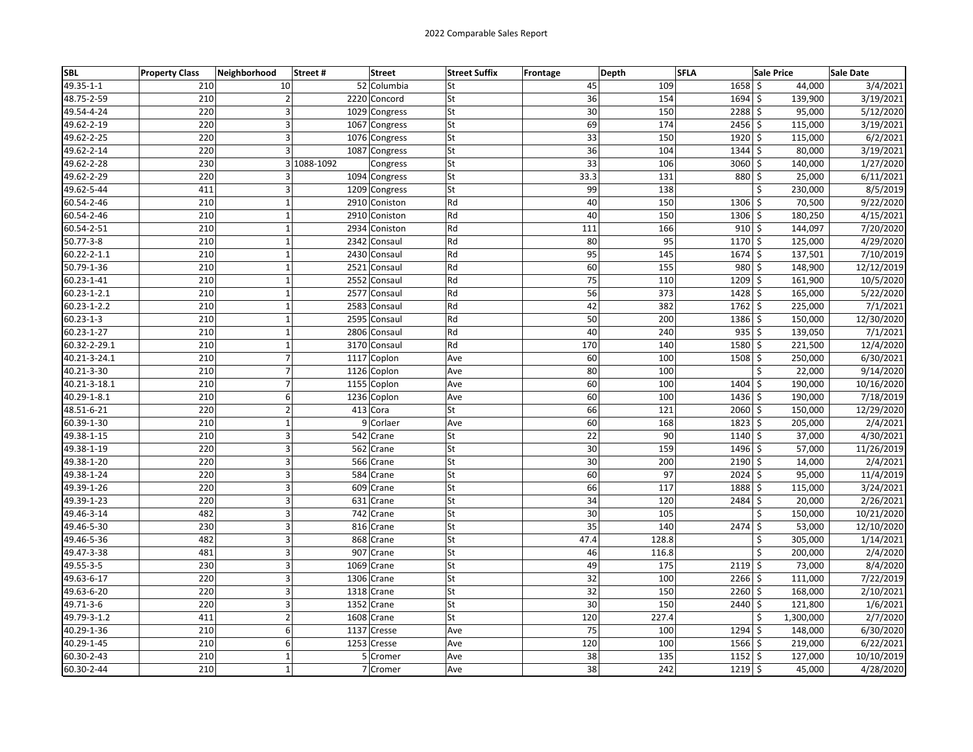| <b>SBL</b>      | <b>Property Class</b> | Neighborhood   | Street#     | <b>Street</b> | <b>Street Suffix</b> | Frontage | Depth | <b>SFLA</b>   | <b>Sale Price</b> | Sale Date  |
|-----------------|-----------------------|----------------|-------------|---------------|----------------------|----------|-------|---------------|-------------------|------------|
| 49.35-1-1       | 210                   | 10             |             | 52 Columbia   | St                   | 45       | 109   | $1658$ \$     | 44,000            | 3/4/2021   |
| 48.75-2-59      | 210                   | $\overline{2}$ |             | 2220 Concord  | St                   | 36       | 154   | 1694 \$       | 139,900           | 3/19/2021  |
| 49.54-4-24      | 220                   | 3              |             | 1029 Congress | St                   | 30       | 150   | 2288 \$       | 95,000            | 5/12/2020  |
| 49.62-2-19      | 220                   | 3              |             | 1067 Congress | <b>St</b>            | 69       | 174   | $2456$ \$     | 115,000           | 3/19/2021  |
| 49.62-2-25      | 220                   | 3              |             | 1076 Congress | St                   | 33       | 150   | 1920 \$       | 115,000           | 6/2/2021   |
| 49.62-2-14      | 220                   | 3              |             | 1087 Congress | St                   | 36       | 104   | $1344$ \$     | 80,000            | 3/19/2021  |
| 49.62-2-28      | 230                   |                | 3 1088-1092 | Congress      | St                   | 33       | 106   | $3060$ \$     | 140,000           | 1/27/2020  |
| 49.62-2-29      | 220                   | 3              |             | 1094 Congress | St                   | 33.3     | 131   | 880 \$        | 25,000            | 6/11/2021  |
| 49.62-5-44      | 411                   | 3              |             | 1209 Congress | St                   | 99       | 138   | \$            | 230,000           | 8/5/2019   |
| 60.54-2-46      | 210                   | $\mathbf 1$    |             | 2910 Coniston | Rd                   | 40       | 150   | $1306$ \$     | 70,500            | 9/22/2020  |
| 60.54-2-46      | 210                   | $\mathbf 1$    |             | 2910 Coniston | Rd                   | 40       | 150   | $1306$ \$     | 180,250           | 4/15/2021  |
| 60.54-2-51      | 210                   | $\mathbf 1$    |             | 2934 Coniston | Rd                   | 111      | 166   | $910$ \$      | 144,097           | 7/20/2020  |
| $50.77 - 3 - 8$ | 210                   | $\mathbf 1$    | 2342        | Consaul       | Rd                   | 80       | 95    | $1170 \,$ \$  | 125,000           | 4/29/2020  |
| 60.22-2-1.1     | 210                   | $\mathbf{1}$   |             | 2430 Consaul  | Rd                   | 95       | 145   | $1674$ \$     | 137,501           | 7/10/2019  |
| 50.79-1-36      | 210                   | $\mathbf{1}$   |             | 2521 Consaul  | Rd                   | 60       | 155   | 980 \$        | 148,900           | 12/12/2019 |
| 60.23-1-41      | 210                   | $\mathbf{1}$   |             | 2552 Consaul  | Rd                   | 75       | 110   | $1209$ \$     | 161,900           | 10/5/2020  |
| 60.23-1-2.1     | 210                   | $\mathbf 1$    |             | 2577 Consaul  | Rd                   | 56       | 373   | $1428$ \$     | 165,000           | 5/22/2020  |
| 60.23-1-2.2     | 210                   | $\mathbf{1}$   |             | 2583 Consaul  | Rd                   | 42       | 382   | $1762 \mid 5$ | 225,000           | 7/1/2021   |
| $60.23 - 1 - 3$ | 210                   | $\mathbf{1}$   | 2595        | Consaul       | Rd                   | 50       | 200   | 1386 \$       | 150,000           | 12/30/2020 |
| 60.23-1-27      | 210                   | $\mathbf 1$    |             | 2806 Consaul  | Rd                   | 40       | 240   | $935$ \$      | 139,050           | 7/1/2021   |
| 60.32-2-29.1    | 210                   | $\mathbf 1$    |             | 3170 Consaul  | Rd                   | 170      | 140   | 1580 \$       | 221,500           | 12/4/2020  |
| 40.21-3-24.1    | 210                   | $\overline{7}$ |             | 1117 Coplon   | Ave                  | 60       | 100   | 1508 \$       | 250,000           | 6/30/2021  |
| 40.21-3-30      | 210                   | $\overline{7}$ |             | 1126 Coplon   | Ave                  | 80       | 100   | \$            | 22,000            | 9/14/2020  |
| 40.21-3-18.1    | 210                   | $\overline{7}$ |             | 1155 Coplon   | Ave                  | 60       | 100   | 1404 \$       | 190,000           | 10/16/2020 |
| 40.29-1-8.1     | 210                   | 6              |             | 1236 Coplon   | Ave                  | 60       | 100   | 1436 \$       | 190,000           | 7/18/2019  |
| 48.51-6-21      | 220                   | $\overline{2}$ |             | 413 Cora      | St                   | 66       | 121   | 2060 \$       | 150,000           | 12/29/2020 |
| 60.39-1-30      | 210                   | $\mathbf 1$    |             | 9 Corlaer     | Ave                  | 60       | 168   | 1823 \$       | 205,000           | 2/4/2021   |
| 49.38-1-15      | 210                   | 3              |             | 542 Crane     | St                   | 22       | 90    | $1140 \mid 5$ | 37,000            | 4/30/2021  |
| 49.38-1-19      | 220                   | 3              |             | 562 Crane     | St                   | 30       | 159   | $1496$ \$     | 57,000            | 11/26/2019 |
| 49.38-1-20      | 220                   | 3              |             | 566 Crane     | St                   | 30       | 200   | $2190$ \$     | 14,000            | 2/4/2021   |
| 49.38-1-24      | 220                   | 3              |             | 584 Crane     | St                   | 60       | 97    | $2024$ \$     | 95,000            | 11/4/2019  |
| 49.39-1-26      | 220                   | 3              |             | 609 Crane     | St                   | 66       | 117   | 1888 \$       | 115,000           | 3/24/2021  |
| 49.39-1-23      | 220                   | 3              |             | 631 Crane     | St                   | 34       | 120   | 2484 \$       | 20,000            | 2/26/2021  |
| 49.46-3-14      | 482                   | 3              |             | 742 Crane     | St                   | 30       | 105   | Ś             | 150,000           | 10/21/2020 |
| 49.46-5-30      | 230                   | 3              |             | 816 Crane     | St                   | 35       | 140   | $2474$ \$     | 53,000            | 12/10/2020 |
| 49.46-5-36      | 482                   | 3              |             | 868 Crane     | St                   | 47.4     | 128.8 | \$            | 305,000           | 1/14/2021  |
| 49.47-3-38      | 481                   | 3              |             | 907 Crane     | St                   | 46       | 116.8 | Ś             | 200,000           | 2/4/2020   |
| 49.55-3-5       | 230                   | 3              |             | 1069 Crane    | St                   | 49       | 175   | $2119$ \$     | 73,000            | 8/4/2020   |
| 49.63-6-17      | 220                   | 3              | 1306        | Crane         | St                   | 32       | 100   | $2266$ \$     | 111,000           | 7/22/2019  |
| 49.63-6-20      | 220                   | 3              |             | 1318 Crane    | St                   | 32       | 150   | $2260$ \$     | 168,000           | 2/10/2021  |
| 49.71-3-6       | 220                   | 3              |             | 1352 Crane    | St                   | 30       | 150   | 2440 \$       | 121,800           | 1/6/2021   |
| 49.79-3-1.2     | 411                   | $\overline{2}$ |             | 1608 Crane    | St                   | 120      | 227.4 | \$            | 1,300,000         | 2/7/2020   |
| 40.29-1-36      | 210                   | 6              |             | 1137 Cresse   | Ave                  | 75       | 100   | $1294$ \$     | 148,000           | 6/30/2020  |
| 40.29-1-45      | 210                   | 6              |             | 1253 Cresse   | Ave                  | 120      | 100   | 1566 \$       | 219,000           | 6/22/2021  |
| 60.30-2-43      | 210                   | $\mathbf 1$    |             | 5 Cromer      | Ave                  | 38       | 135   | $1152 \mid 5$ | 127,000           | 10/10/2019 |
| 60.30-2-44      | 210                   | $\mathbf 1$    |             | 7 Cromer      | Ave                  | 38       | 242   | $1219$ \$     | 45,000            | 4/28/2020  |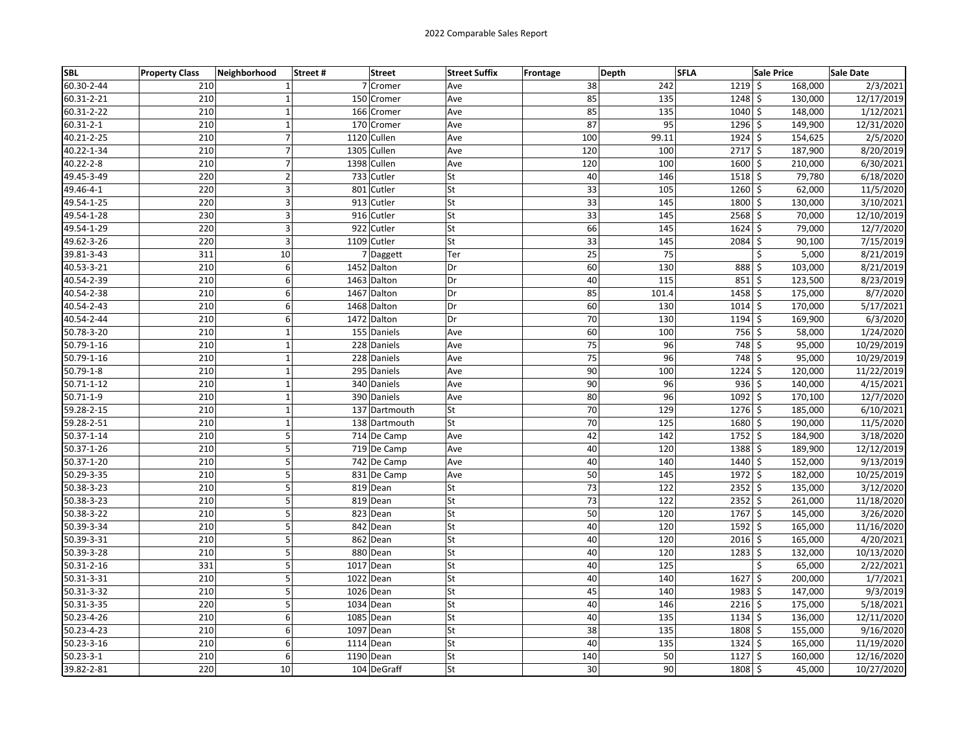| <b>SBL</b>      | <b>Property Class</b> | Neighborhood   | Street# | <b>Street</b> | <b>Street Suffix</b> | Frontage | Depth | <b>SFLA</b>    | <b>Sale Price</b> | Sale Date  |
|-----------------|-----------------------|----------------|---------|---------------|----------------------|----------|-------|----------------|-------------------|------------|
| 60.30-2-44      | 210                   | $\mathbf{1}$   |         | 7 Cromer      | Ave                  | 38       | 242   | $1219$ \$      | 168,000           | 2/3/2021   |
| 60.31-2-21      | 210                   | $\mathbf{1}$   |         | 150 Cromer    | Ave                  | 85       | 135   | $1248$ \$      | 130,000           | 12/17/2019 |
| 60.31-2-22      | 210                   | $\mathbf 1$    |         | 166 Cromer    | Ave                  | 85       | 135   | 1040 \$        | 148,000           | 1/12/2021  |
| 60.31-2-1       | 210                   | $\mathbf 1$    |         | 170 Cromer    | Ave                  | 87       | 95    | $1296$ \$      | 149,900           | 12/31/2020 |
| 40.21-2-25      | 210                   | $\overline{7}$ |         | 1120 Cullen   | Ave                  | 100      | 99.11 | $1924$ \$      | 154,625           | 2/5/2020   |
| 40.22-1-34      | 210                   | $\overline{7}$ |         | 1305 Cullen   | Ave                  | 120      | 100   | $2717$ \$      | 187,900           | 8/20/2019  |
| 40.22-2-8       | 210                   | $\overline{7}$ |         | 1398 Cullen   | Ave                  | 120      | 100   | $1600 \mid 5$  | 210,000           | 6/30/2021  |
| 49.45-3-49      | 220                   | $\overline{2}$ |         | 733 Cutler    | St                   | 40       | 146   | $1518$ \$      | 79,780            | 6/18/2020  |
| 49.46-4-1       | 220                   | 3              |         | 801 Cutler    | St                   | 33       | 105   | $1260 \mid 5$  | 62,000            | 11/5/2020  |
| 49.54-1-25      | 220                   | 3              |         | 913 Cutler    | St                   | 33       | 145   | 1800 \$        | 130,000           | 3/10/2021  |
| 49.54-1-28      | 230                   | 3              |         | 916 Cutler    | St                   | 33       | 145   | $2568$ \$      | 70,000            | 12/10/2019 |
| 49.54-1-29      | 220                   | 3              |         | 922 Cutler    | St                   | 66       | 145   | $1624$ \$      | 79,000            | 12/7/2020  |
| 49.62-3-26      | 220                   | 3              |         | 1109 Cutler   | St                   | 33       | 145   | $2084$ \$      | 90,100            | 7/15/2019  |
| 39.81-3-43      | 311                   | 10             |         | 7 Daggett     | Ter                  | 25       | 75    |                | \$<br>5,000       | 8/21/2019  |
| 40.53-3-21      | 210                   | 6              |         | 1452 Dalton   | Dr                   | 60       | 130   | 888 \$         | 103,000           | 8/21/2019  |
| 40.54-2-39      | 210                   | 6              |         | 1463 Dalton   | Dr                   | 40       | 115   | $851 \;$ \$    | 123,500           | 8/23/2019  |
| 40.54-2-38      | 210                   | 6              |         | 1467 Dalton   | Dr                   | 85       | 101.4 | $1458$ \$      | 175,000           | 8/7/2020   |
| 40.54-2-43      | 210                   | 6              |         | 1468 Dalton   | Dr                   | 60       | 130   | $1014$ \$      | 170,000           | 5/17/2021  |
| 40.54-2-44      | 210                   | 6              |         | 1472 Dalton   | Dr                   | 70       | 130   | $1194 \mid 5$  | 169,900           | 6/3/2020   |
| 50.78-3-20      | 210                   | $\mathbf 1$    |         | 155 Daniels   | Ave                  | 60       | 100   | 756 \$         | 58,000            | 1/24/2020  |
| 50.79-1-16      | 210                   | $\mathbf 1$    |         | 228 Daniels   | Ave                  | 75       | 96    | 748 \$         | 95,000            | 10/29/2019 |
| 50.79-1-16      | 210                   | $\mathbf 1$    |         | 228 Daniels   | Ave                  | 75       | 96    | 748 \$         | 95,000            | 10/29/2019 |
| $50.79 - 1 - 8$ | 210                   | $\mathbf 1$    |         | 295 Daniels   | Ave                  | 90       | 100   | $1224$ \$      | 120,000           | 11/22/2019 |
| 50.71-1-12      | 210                   | $\mathbf{1}$   |         | 340 Daniels   | Ave                  | 90       | 96    | $936$ \$       | 140,000           | 4/15/2021  |
| 50.71-1-9       | 210                   | $\mathbf{1}$   |         | 390 Daniels   | Ave                  | 80       | 96    | 1092 \$        | 170,100           | 12/7/2020  |
| 59.28-2-15      | 210                   | $\mathbf{1}$   |         | 137 Dartmouth | <b>St</b>            | 70       | 129   | 1276 \$        | 185,000           | 6/10/2021  |
| 59.28-2-51      | 210                   | $\mathbf 1$    |         | 138 Dartmouth | St                   | 70       | 125   | 1680 \$        | 190,000           | 11/5/2020  |
| 50.37-1-14      | 210                   | 5              |         | 714 De Camp   | Ave                  | 42       | 142   | $1752 \mid 5$  | 184,900           | 3/18/2020  |
| 50.37-1-26      | 210                   | 5              |         | 719 De Camp   | Ave                  | 40       | 120   | $1388$ \$      | 189,900           | 12/12/2019 |
| 50.37-1-20      | 210                   | 5              |         | 742 De Camp   | Ave                  | 40       | 140   | 1440 \$        | 152,000           | 9/13/2019  |
| 50.29-3-35      | 210                   | 5              |         | 831 De Camp   | Ave                  | 50       | 145   | $1972 \mid 5$  | 182,000           | 10/25/2019 |
| 50.38-3-23      | 210                   | 5              |         | 819 Dean      | St                   | 73       | 122   | $2352 \mid 5$  | 135,000           | 3/12/2020  |
| 50.38-3-23      | 210                   | 5              |         | 819 Dean      | St                   | 73       | 122   | $2352$ \$      | 261,000           | 11/18/2020 |
| 50.38-3-22      | 210                   | 5              |         | 823 Dean      | St                   | 50       | 120   | 1767 \$        | 145,000           | 3/26/2020  |
| 50.39-3-34      | 210                   | 5              |         | 842 Dean      | St                   | 40       | 120   | $1592 \mid$ \$ | 165,000           | 11/16/2020 |
| 50.39-3-31      | 210                   | 5              |         | 862 Dean      | St                   | 40       | 120   | $2016$ \$      | 165,000           | 4/20/2021  |
| 50.39-3-28      | 210                   | 5              |         | 880 Dean      | St                   | 40       | 120   | $1283$ \$      | 132,000           | 10/13/2020 |
| 50.31-2-16      | 331                   | 5              |         | 1017 Dean     | St                   | 40       | 125   |                | \$<br>65,000      | 2/22/2021  |
| 50.31-3-31      | 210                   | 5              |         | 1022 Dean     | St                   | 40       | 140   | $1627$ \$      | 200,000           | 1/7/2021   |
| 50.31-3-32      | 210                   | 5              |         | 1026 Dean     | St                   | 45       | 140   | $1983$ \$      | 147,000           | 9/3/2019   |
| 50.31-3-35      | 220                   | 5              |         | 1034 Dean     | St                   | 40       | 146   | $2216$ \$      | 175,000           | 5/18/2021  |
| 50.23-4-26      | 210                   | 6              |         | 1085 Dean     | St                   | 40       | 135   | $1134$ \$      | 136,000           | 12/11/2020 |
| 50.23-4-23      | 210                   | 6              |         | 1097 Dean     | St                   | 38       | 135   | 1808 \$        | 155,000           | 9/16/2020  |
| 50.23-3-16      | 210                   | 6              |         | 1114 Dean     | St                   | 40       | 135   | $1324$ \$      | 165,000           | 11/19/2020 |
| $50.23 - 3 - 1$ | 210                   | 6              |         | 1190 Dean     | St                   | 140      | 50    | $1127 \,$ \$   | 160,000           | 12/16/2020 |
| 39.82-2-81      | 220                   | 10             |         | 104 DeGraff   | St                   | 30       | 90    | 1808 \$        | 45,000            | 10/27/2020 |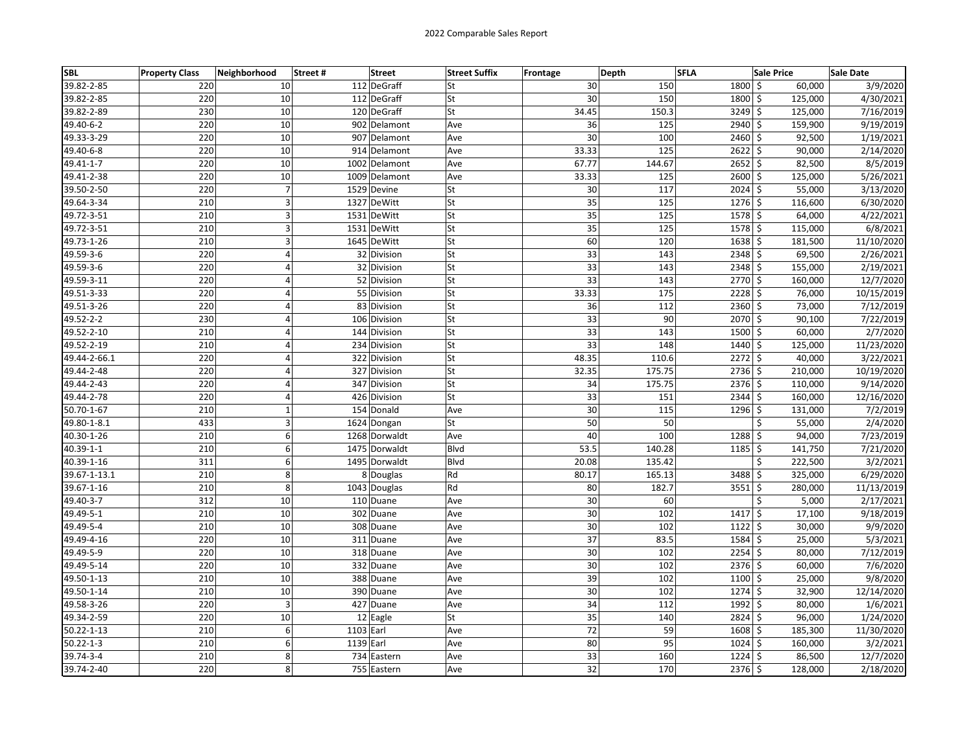| <b>SBL</b>       | <b>Property Class</b> | Neighborhood       | Street# | <b>Street</b> | <b>Street Suffix</b> | Frontage | Depth           | <b>SFLA</b> |                      | <b>Sale Price</b> | Sale Date  |
|------------------|-----------------------|--------------------|---------|---------------|----------------------|----------|-----------------|-------------|----------------------|-------------------|------------|
| 39.82-2-85       | 220                   | 10                 |         | 112 DeGraff   | lSt                  |          | 30              | 150         | 1800 \$              | 60,000            | 3/9/2020   |
| 39.82-2-85       | 220                   | 10                 |         | 112 DeGraff   | St                   |          | 30              | 150         | 1800 \$              | 125,000           | 4/30/2021  |
| 39.82-2-89       | 230                   | 10                 |         | 120 DeGraff   | lSt                  |          | 34.45           | 150.3       | $3249$ \$            | 125,000           | 7/16/2019  |
| 49.40-6-2        | 220                   | 10                 |         | 902 Delamont  | Ave                  |          | 36              | 125         | 2940 \$              | 159,900           | 9/19/2019  |
| 49.33-3-29       | 220                   | 10                 |         | 907 Delamont  | Ave                  |          | 30              | 100         | $2460 \div$          | 92,500            | 1/19/2021  |
| 49.40-6-8        | 220                   | 10                 |         | 914 Delamont  | Ave                  |          | 33.33           | 125         | $2622$ \$            | 90,000            | 2/14/2020  |
| 49.41-1-7        | 220                   | 10                 |         | 1002 Delamont | Ave                  |          | 67.77           | 144.67      | $2652$ \$            | 82,500            | 8/5/2019   |
| 49.41-2-38       | 220                   | 10                 |         | 1009 Delamont | Ave                  |          | 33.33           | 125         | $2600$ \$            | 125,000           | 5/26/2021  |
| 39.50-2-50       | 220                   | $\overline{7}$     |         | 1529 Devine   | lSt                  |          | 30              | 117         | $2024$ \$            | 55,000            | 3/13/2020  |
| 49.64-3-34       | 210                   | 3                  |         | 1327 DeWitt   | lSt                  |          | $\overline{35}$ | 125         | $1276$ \$            | 116,600           | 6/30/2020  |
| 49.72-3-51       | 210                   | 3                  |         | 1531 DeWitt   | <b>St</b>            |          | 35              | 125         | 1578 \$              | 64,000            | 4/22/2021  |
| 49.72-3-51       | 210                   | 3                  |         | 1531 DeWitt   | <b>St</b>            |          | 35              | 125         | $1578$ \$            | 115,000           | 6/8/2021   |
| 49.73-1-26       | 210                   | 3                  |         | 1645 DeWitt   | <b>St</b>            |          | 60              | 120         | $1638$ \$            | 181,500           | 11/10/2020 |
| 49.59-3-6        | 220                   | $\overline{4}$     |         | 32 Division   | <b>St</b>            |          | 33              | 143         | 2348 \$              | 69,500            | 2/26/2021  |
| 49.59-3-6        | 220                   | $\overline{4}$     |         | 32 Division   | lSt                  |          | 33              | 143         | $2348$ \$            | 155,000           | 2/19/2021  |
| 49.59-3-11       | 220                   | 4                  |         | 52 Division   | <b>St</b>            |          | 33              | 143         | 2770 \$              | 160,000           | 12/7/2020  |
| 49.51-3-33       | 220                   | $\overline{4}$     |         | 55 Division   | lSt                  |          | 33.33           | 175         | $2228$ \$            | 76,000            | 10/15/2019 |
| 49.51-3-26       | 220                   | 4                  |         | 83 Division   | St                   |          | 36              | 112         | $2360$ \$            | 73,000            | 7/12/2019  |
| 49.52-2-2        | 230                   | 4                  |         | 106 Division  | <b>St</b>            |          | 33              | 90          | 2070 \$              | 90,100            | 7/22/2019  |
| 49.52-2-10       | 210                   | $\overline{4}$     |         | 144 Division  | lSt                  |          | 33              | 143         | $\overline{1500}$ \$ | 60,000            | 2/7/2020   |
| 49.52-2-19       | 210                   | $\overline{4}$     |         | 234 Division  | <b>St</b>            |          | 33              | 148         | 1440 \$              | 125,000           | 11/23/2020 |
| 49.44-2-66.1     | 220                   | $\overline{4}$     |         | 322 Division  | <b>St</b>            |          | 48.35           | 110.6       | $2272$ \$            | 40,000            | 3/22/2021  |
| 49.44-2-48       | 220                   | 4                  |         | 327 Division  | St                   |          | 32.35           | 175.75      | 2736 \$              | 210,000           | 10/19/2020 |
| 49.44-2-43       | 220                   | 4                  |         | 347 Division  | <b>St</b>            |          | 34              | 175.75      | 2376 \$              | 110,000           | 9/14/2020  |
| 49.44-2-78       | 220                   | $\overline{4}$     |         | 426 Division  | St                   |          | 33              | 151         | 2344 \$              | 160,000           | 12/16/2020 |
| 50.70-1-67       | 210                   | $\mathbf 1$        |         | 154 Donald    | Ave                  |          | 30              | 115         | 1296 \$              | 131,000           | 7/2/2019   |
| 49.80-1-8.1      | 433                   | 3                  |         | 1624 Dongan   | lSt                  |          | 50              | 50          |                      | Ś<br>55,000       | 2/4/2020   |
| 40.30-1-26       | 210                   | 6                  |         | 1268 Dorwaldt | Ave                  |          | 40              | 100         | $1288$ \$            | 94,000            | 7/23/2019  |
| 40.39-1-1        | 210                   | 6                  |         | 1475 Dorwaldt | Blvd                 |          | 53.5            | 140.28      | $1185$ \$            | 141,750           | 7/21/2020  |
| 40.39-1-16       | 311                   | 6                  |         | 1495 Dorwaldt | Blvd                 |          | 20.08           | 135.42      |                      | \$<br>222,500     | 3/2/2021   |
| 39.67-1-13.1     | 210                   | 8                  |         | 8 Douglas     | Rd                   |          | 80.17           | 165.13      | 3488 \$              | 325,000           | 6/29/2020  |
| 39.67-1-16       | 210                   | 8                  |         | 1043 Douglas  | Rd                   |          | 80              | 182.7       | $3551$ \$            | 280,000           | 11/13/2019 |
| 49.40-3-7        | 312                   | 10                 |         | 110 Duane     | Ave                  |          | 30              | 60          |                      | \$<br>5,000       | 2/17/2021  |
| 49.49-5-1        | 210                   | 10                 |         | 302 Duane     | Ave                  |          | 30              | 102         | $1417 \frac{1}{5}$   | 17,100            | 9/18/2019  |
| 49.49-5-4        | 210                   | 10                 |         | 308 Duane     | Ave                  |          | 30              | 102         | $1122$ \$            | 30,000            | 9/9/2020   |
| 49.49-4-16       | 220                   | 10                 |         | 311 Duane     | Ave                  |          | 37              | 83.5        | 1584 \$              | 25,000            | 5/3/2021   |
| 49.49-5-9        | 220                   | 10                 |         | 318 Duane     | Ave                  |          | 30              | 102         | $\overline{2254}$ \$ | 80,000            | 7/12/2019  |
| 49.49-5-14       | 220                   | 10                 |         | 332 Duane     | Ave                  |          | 30              | 102         | $2376$ \$            | 60,000            | 7/6/2020   |
| 49.50-1-13       | 210                   | 10                 |         | 388 Duane     | Ave                  |          | 39              | 102         | $1100 \mid 5$        | 25,000            | 9/8/2020   |
| 49.50-1-14       | 210                   | 10                 |         | 390 Duane     | Ave                  |          | 30              | 102         | $1274$ \$            | 32,900            | 12/14/2020 |
| 49.58-3-26       | 220                   | 3                  |         | 427 Duane     | Ave                  |          | 34              | 112         | 1992 \$              | 80,000            | 1/6/2021   |
| 49.34-2-59       | 220                   | 10                 |         | 12 Eagle      | St                   |          | 35              | 140         | $2824$ \$            | 96,000            | 1/24/2020  |
| $50.22 - 1 - 13$ | 210                   | 6                  |         | 1103 Earl     | Ave                  |          | 72              | 59          | $1608$ \$            | 185,300           | 11/30/2020 |
| $50.22 - 1 - 3$  | 210                   | 6                  |         | 1139 Earl     | Ave                  |          | 80              | 95          | $1024$ \$            | 160,000           | 3/2/2021   |
| 39.74-3-4        | 210                   | 8                  |         | 734 Eastern   | Ave                  |          | 33              | 160         | $1224$ \$            | 86,500            | 12/7/2020  |
| 39.74-2-40       | 220                   | $\overline{\bf 8}$ |         | 755 Eastern   | Ave                  |          | 32              | 170         | $2376$ \$            | 128,000           | 2/18/2020  |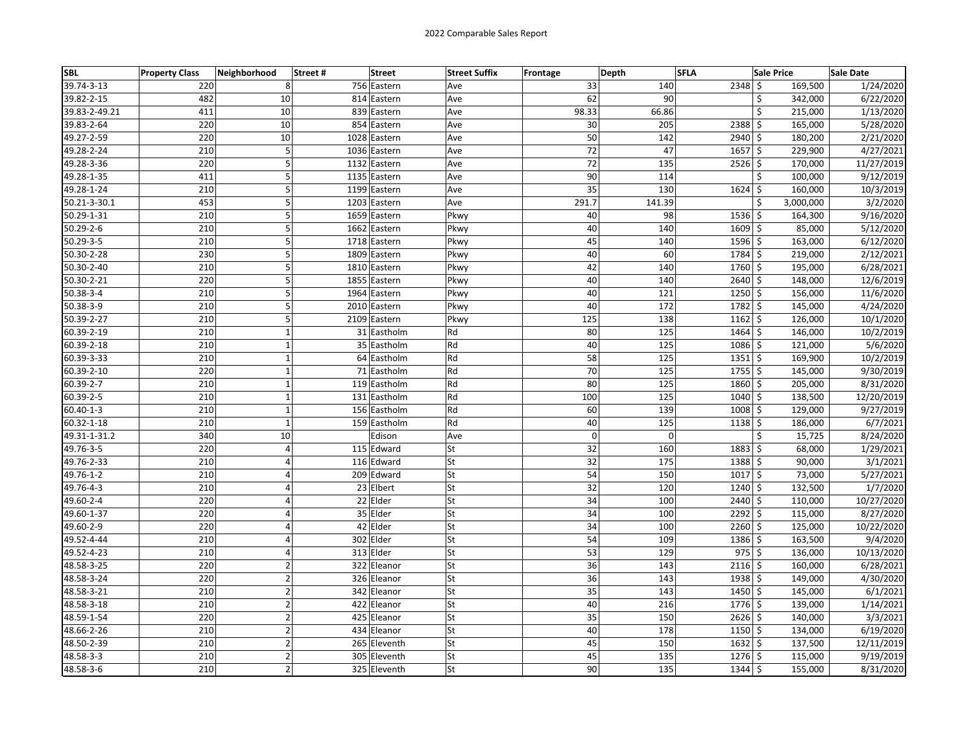| <b>SBL</b>      | <b>Property Class</b> | Neighborhood   | Street #<br><b>Street</b> | <b>Street Suffix</b> | <b>Frontage</b> | Depth    | <b>SFLA</b>   | <b>Sale Price</b> | <b>Sale Date</b> |
|-----------------|-----------------------|----------------|---------------------------|----------------------|-----------------|----------|---------------|-------------------|------------------|
| 39.74-3-13      | 220                   | 8              | 756 Eastern               | Ave                  | 33              | 140      | 2348          | \$<br>169,500     | 1/24/2020        |
| 39.82-2-15      | 482                   | 10             | 814 Eastern               | Ave                  | 62              | 90       |               | \$<br>342,000     | 6/22/2020        |
| 39.83-2-49.21   | 411                   | 10             | 839 Eastern               | Ave                  | 98.33           | 66.86    |               | \$<br>215,000     | 1/13/2020        |
| 39.83-2-64      | 220                   | 10             | 854 Eastern               | Ave                  | 30              | 205      | $2388$ \$     | 165,000           | 5/28/2020        |
| 49.27-2-59      | 220                   | 10             | 1028 Eastern              | Ave                  | 50              | 142      | 2940          | Ś.<br>180,200     | 2/21/2020        |
| 49.28-2-24      | 210                   | 5              | 1036 Eastern              | Ave                  | 72              | 47       | $1657$ \$     | 229,900           | 4/27/2021        |
| 49.28-3-36      | 220                   | 5              | 1132 Eastern              | Ave                  | 72              | 135      | 2526          | \$<br>170,000     | 11/27/2019       |
| 49.28-1-35      | 411                   | 5              | 1135 Eastern              | Ave                  | 90              | 114      |               | \$<br>100,000     | 9/12/2019        |
| 49.28-1-24      | 210                   | 5              | 1199 Eastern              | Ave                  | $\overline{35}$ | 130      | $1624$ \$     | 160,000           | 10/3/2019        |
| 50.21-3-30.1    | 453                   | 5              | 1203 Eastern              | Ave                  | 291.7           | 141.39   |               | Ś<br>3,000,000    | 3/2/2020         |
| 50.29-1-31      | 210                   | 5              | 1659 Eastern              | Pkwy                 | 40              | 98       | 1536          | \$<br>164,300     | 9/16/2020        |
| $50.29 - 2 - 6$ | 210                   | 5              | 1662 Eastern              | Pkwy                 | 40              | 140      | $1609$ \$     | 85,000            | 5/12/2020        |
| 50.29-3-5       | 210                   | 5              | 1718 Eastern              | Pkwy                 | 45              | 140      | $1596$ \$     | 163,000           | 6/12/2020        |
| 50.30-2-28      | 230                   | 5              | 1809 Eastern              | Pkwy                 | 40              | 60       | 1784 \$       | 219,000           | 2/12/2021        |
| 50.30-2-40      | 210                   | 5              | 1810 Eastern              | Pkwy                 | 42              | 140      | 1760 \$       | 195,000           | 6/28/2021        |
| 50.30-2-21      | 220                   | 5              | 1855 Eastern              | Pkwy                 | 40              | 140      | $2640 \le$    | 148,000           | 12/6/2019        |
| 50.38-3-4       | 210                   | 5              | 1964 Eastern              | Pkwy                 | 40              | 121      | 1250          | \$<br>156,000     | 11/6/2020        |
| 50.38-3-9       | 210                   | 5              | 2010 Eastern              | Pkwy                 | 40              | 172      | 1782          | \$<br>145,000     | 4/24/2020        |
| 50.39-2-27      | 210                   | 5              | 2109 Eastern              | Pkwy                 | 125             | 138      | 1162 \$       | 126,000           | 10/1/2020        |
| 60.39-2-19      | 210                   | $\mathbf{1}$   | 31 Eastholm               | Rd                   | 80              | 125      | $1464$ \$     | 146,000           | 10/2/2019        |
| 60.39-2-18      | 210                   | $\mathbf{1}$   | 35 Eastholm               | Rd                   | 40              | 125      | $1086$ \$     | 121,000           | 5/6/2020         |
| 60.39-3-33      | 210                   | $\mathbf 1$    | 64 Eastholm               | Rd                   | 58              | 125      | $1351$ \$     | 169,900           | 10/2/2019        |
| 60.39-2-10      | 220                   | $\mathbf 1$    | 71 Eastholm               | Rd                   | 70              | 125      | $1755$ \$     | 145,000           | 9/30/2019        |
| 60.39-2-7       | 210                   | $\mathbf{1}$   | 119 Eastholm              | Rd                   | 80              | 125      | 1860          | \$<br>205,000     | 8/31/2020        |
| 60.39-2-5       | 210                   | $\mathbf{1}$   | 131 Eastholm              | Rd                   | 100             | 125      | $1040 \,$ \$  | 138,500           | 12/20/2019       |
| $60.40 - 1 - 3$ | 210                   | $\mathbf{1}$   | 156 Eastholm              | Rd                   | 60              | 139      | $1008$ \$     | 129,000           | 9/27/2019        |
| 60.32-1-18      | 210                   | $\mathbf{1}$   | 159 Eastholm              | Rd                   | 40              | 125      | $1138$ \$     | 186,000           | 6/7/2021         |
| 49.31-1-31.2    | 340                   | 10             | Edison                    | Ave                  | $\pmb{0}$       | $\Omega$ |               | \$<br>15,725      | 8/24/2020        |
| 49.76-3-5       | 220                   | $\overline{4}$ | 115 Edward                | lSt                  | 32              | 160      | 1883          | \$<br>68,000      | 1/29/2021        |
| 49.76-2-33      | 210                   | $\overline{4}$ | 116 Edward                | <b>St</b>            | 32              | 175      | 1388 \$       | 90,000            | 3/1/2021         |
| 49.76-1-2       | 210                   | 4              | 209 Edward                | <b>St</b>            | 54              | 150      | $1017$ \$     | 73,000            | 5/27/2021        |
| 49.76-4-3       | 210                   | 4              | 23 Elbert                 | lSt                  | 32              | 120      | $1240 \mid 5$ | 132,500           | 1/7/2020         |
| 49.60-2-4       | 220                   | 4              | 22 Elder                  | <b>St</b>            | 34              | 100      | $2440$ \$     | 110,000           | 10/27/2020       |
| 49.60-1-37      | 220                   | 4              | 35 Elder                  | <b>St</b>            | 34              | 100      | 2292          | \$<br>115,000     | 8/27/2020        |
| 49.60-2-9       | 220                   | 4              | 42 Elder                  | St                   | 34              | 100      | 2260          | \$<br>125,000     | 10/22/2020       |
| 49.52-4-44      | 210                   | 4              | 302 Elder                 | <b>St</b>            | 54              | 109      | 1386 \$       | 163,500           | 9/4/2020         |
| 49.52-4-23      | 210                   | 4              | 313 Elder                 | lSt                  | 53              | 129      | $975$ \$      | 136,000           | 10/13/2020       |
| 48.58-3-25      | 220                   | $\mathbf 2$    | 322 Eleanor               | <b>St</b>            | 36              | 143      | $2116 \,$ \$  | 160,000           | 6/28/2021        |
| 48.58-3-24      | 220                   | $\mathbf 2$    | 326 Eleanor               | <b>St</b>            | 36              | 143      | 1938          | Ś.<br>149,000     | 4/30/2020        |
| 48.58-3-21      | 210                   | $\overline{2}$ | 342 Eleanor               | <b>St</b>            | 35              | 143      | $1450 \,$ \$  | 145,000           | 6/1/2021         |
| 48.58-3-18      | 210                   | $\overline{2}$ | 422 Eleanor               | <b>St</b>            | 40              | 216      | 1776 \$       | 139,000           | 1/14/2021        |
| 48.59-1-54      | 220                   | $\overline{2}$ | 425 Eleanor               | <b>St</b>            | 35              | 150      | 2626 \$       | 140,000           | 3/3/2021         |
| 48.66-2-26      | 210                   | $\mathbf 2$    | 434 Eleanor               | <b>St</b>            | 40              | 178      | $1150 \mid 5$ | 134,000           | 6/19/2020        |
| 48.50-2-39      | 210                   | $\overline{2}$ | 265 Eleventh              | <b>St</b>            | 45              | 150      | 1632          | \$<br>137,500     | 12/11/2019       |
| 48.58-3-3       | 210                   | $\overline{2}$ | 305 Eleventh              | <b>St</b>            | 45              | 135      | $1276$ \$     | 115,000           | 9/19/2019        |
| 48.58-3-6       | 210                   | $\overline{2}$ | 325 Eleventh              | <b>St</b>            | 90              | 135      | 1344          | \$<br>155,000     | 8/31/2020        |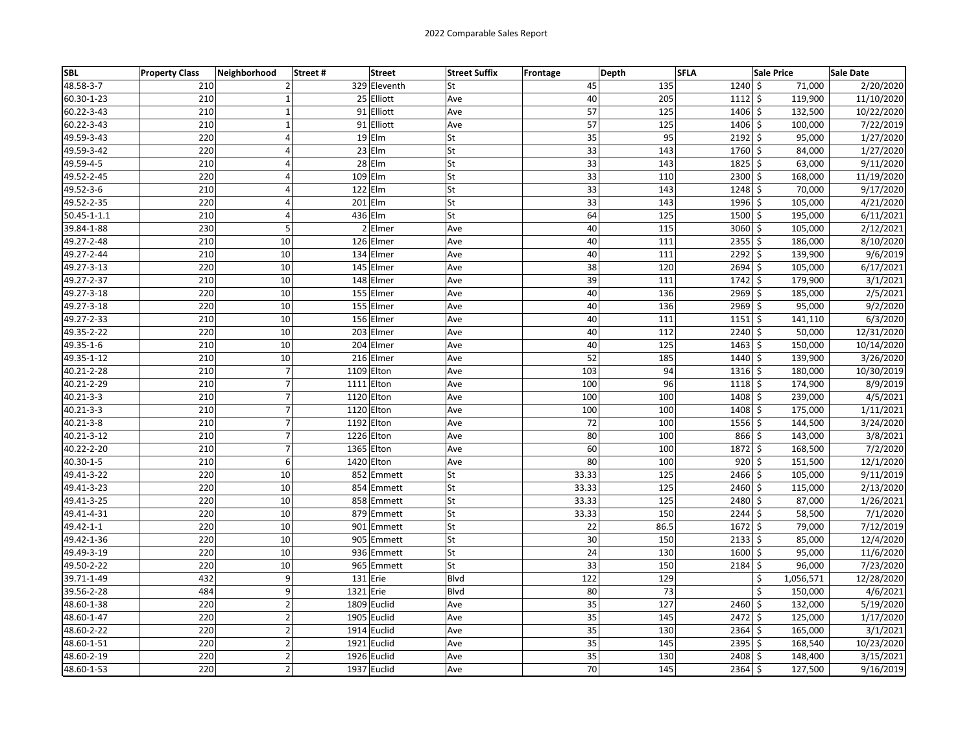| <b>SBL</b>  | <b>Property Class</b> | Neighborhood   | Street#   | <b>Street</b> | <b>Street Suffix</b> | Frontage        | Depth | <b>SFLA</b>    | <b>Sale Price</b> | Sale Date  |
|-------------|-----------------------|----------------|-----------|---------------|----------------------|-----------------|-------|----------------|-------------------|------------|
| 48.58-3-7   | 210                   | $\overline{2}$ |           | 329 Eleventh  | St                   | 45              | 135   | $1240 \mid$ \$ | 71,000            | 2/20/2020  |
| 60.30-1-23  | 210                   | $\mathbf{1}$   |           | 25 Elliott    | Ave                  | 40              | 205   | $1112$ \$      | 119,900           | 11/10/2020 |
| 60.22-3-43  | 210                   | $\mathbf 1$    |           | 91 Elliott    | Ave                  | 57              | 125   | $1406 \le$     | 132,500           | 10/22/2020 |
| 60.22-3-43  | 210                   | $\mathbf 1$    |           | 91 Elliott    | Ave                  | 57              | 125   | 1406 \$        | 100,000           | 7/22/2019  |
| 49.59-3-43  | 220                   | $\overline{4}$ |           | $19$ Elm      | St                   | 35              | 95    | $2192$ \$      | 95,000            | 1/27/2020  |
| 49.59-3-42  | 220                   | 4              |           | $23$ Elm      | St                   | 33              | 143   | 1760 \$        | 84,000            | 1/27/2020  |
| 49.59-4-5   | 210                   | 4              |           | $28$ Elm      | St                   | 33              | 143   | $1825$ \$      | 63,000            | 9/11/2020  |
| 49.52-2-45  | 220                   | 4              |           | 109 Elm       | St                   | 33              | 110   | 2300 \$        | 168,000           | 11/19/2020 |
| 49.52-3-6   | 210                   | 4              |           | $122$ Elm     | St                   | 33              | 143   | $1248$ \$      | 70,000            | 9/17/2020  |
| 49.52-2-35  | 220                   | $\overline{4}$ |           | 201 Elm       | St                   | 33              | 143   | 1996 \$        | 105,000           | 4/21/2020  |
| 50.45-1-1.1 | 210                   | 4              |           | 436 Elm       | St                   | 64              | 125   | 1500 \$        | 195,000           | 6/11/2021  |
| 39.84-1-88  | 230                   | 5              |           | 2 Elmer       | Ave                  | 40              | 115   | $3060$ \$      | 105,000           | 2/12/2021  |
| 49.27-2-48  | 210                   | 10             |           | 126 Elmer     | Ave                  | 40              | 111   | $2355$ \$      | 186,000           | 8/10/2020  |
| 49.27-2-44  | 210                   | 10             |           | 134 Elmer     | Ave                  | 40              | 111   | 2292 \$        | 139,900           | 9/6/2019   |
| 49.27-3-13  | 220                   | 10             |           | 145 Elmer     | Ave                  | 38              | 120   | $2694$ \$      | 105,000           | 6/17/2021  |
| 49.27-2-37  | 210                   | 10             |           | 148 Elmer     | Ave                  | 39              | 111   | $1742 \mid 5$  | 179,900           | 3/1/2021   |
| 49.27-3-18  | 220                   | 10             |           | 155 Elmer     | Ave                  | 40              | 136   | $2969$ \$      | 185,000           | 2/5/2021   |
| 49.27-3-18  | 220                   | 10             |           | 155 Elmer     | Ave                  | 40              | 136   | $2969$ \$      | 95,000            | 9/2/2020   |
| 49.27-2-33  | 210                   | 10             |           | 156 Elmer     | Ave                  | 40              | 111   | $1151$ \$      | 141,110           | 6/3/2020   |
| 49.35-2-22  | 220                   | 10             |           | 203 Elmer     | Ave                  | 40              | 112   | $2240$ \$      | 50,000            | 12/31/2020 |
| 49.35-1-6   | 210                   | 10             |           | 204 Elmer     | Ave                  | 40              | 125   | $1463$ \$      | 150,000           | 10/14/2020 |
| 49.35-1-12  | 210                   | 10             |           | 216 Elmer     | Ave                  | 52              | 185   | $1440 \mid$ \$ | 139,900           | 3/26/2020  |
| 40.21-2-28  | 210                   | $\overline{7}$ |           | 1109 Elton    | Ave                  | 103             | 94    | $1316 \,$ \$   | 180,000           | 10/30/2019 |
| 40.21-2-29  | 210                   | $\overline{7}$ |           | 1111 Elton    | Ave                  | 100             | 96    | $1118$ \$      | 174,900           | 8/9/2019   |
| 40.21-3-3   | 210                   | $\overline{7}$ |           | 1120 Elton    | Ave                  | 100             | 100   | 1408 \$        | 239,000           | 4/5/2021   |
| 40.21-3-3   | 210                   | $\overline{7}$ |           | 1120 Elton    | Ave                  | 100             | 100   | 1408 \$        | 175,000           | 1/11/2021  |
| 40.21-3-8   | 210                   | $\overline{7}$ |           | 1192 Elton    | Ave                  | 72              | 100   | $1556$ \$      | 144,500           | 3/24/2020  |
| 40.21-3-12  | 210                   | 7              |           | 1226 Elton    | Ave                  | 80              | 100   | 866 \$         | 143,000           | 3/8/2021   |
| 40.22-2-20  | 210                   | $\overline{7}$ |           | 1365 Elton    | Ave                  | 60              | 100   | $1872 \mid$ \$ | 168,500           | 7/2/2020   |
| 40.30-1-5   | 210                   | 6              |           | 1420 Elton    | Ave                  | 80              | 100   | $920 \mid 5$   | 151,500           | 12/1/2020  |
| 49.41-3-22  | 220                   | 10             |           | 852 Emmett    | St                   | 33.33           | 125   | $2466$ \$      | 105,000           | 9/11/2019  |
| 49.41-3-23  | 220                   | 10             |           | 854 Emmett    | St                   | 33.33           | 125   | $2460$ \$      | 115,000           | 2/13/2020  |
| 49.41-3-25  | 220                   | 10             |           | 858 Emmett    | St                   | 33.33           | 125   | 2480 \$        | 87,000            | 1/26/2021  |
| 49.41-4-31  | 220                   | 10             |           | 879 Emmett    | St                   | 33.33           | 150   | $2244$ \$      | 58,500            | 7/1/2020   |
| 49.42-1-1   | 220                   | 10             |           | 901 Emmett    | St                   | 22              | 86.5  | $1672 \mid$ \$ | 79,000            | 7/12/2019  |
| 49.42-1-36  | 220                   | 10             |           | 905 Emmett    | St                   | 30              | 150   | $2133$ \$      | 85,000            | 12/4/2020  |
| 49.49-3-19  | 220                   | 10             |           | 936 Emmett    | St                   | 24              | 130   | $1600 \mid 5$  | 95,000            | 11/6/2020  |
| 49.50-2-22  | 220                   | 10             |           | 965 Emmett    | St                   | 33              | 150   | $2184$ \$      | 96,000            | 7/23/2020  |
| 39.71-1-49  | 432                   | 9              |           | 131 Erie      | <b>Blvd</b>          | 122             | 129   |                | Ś<br>1,056,571    | 12/28/2020 |
| 39.56-2-28  | 484                   | 9              | 1321 Erie |               | <b>Blvd</b>          | 80              | 73    |                | \$<br>150,000     | 4/6/2021   |
| 48.60-1-38  | 220                   | $\overline{2}$ |           | 1809 Euclid   | Ave                  | $\overline{35}$ | 127   | $2460$ \$      | 132,000           | 5/19/2020  |
| 48.60-1-47  | 220                   | $\overline{2}$ |           | 1905 Euclid   | Ave                  | 35              | 145   | 2472 \$        | 125,000           | 1/17/2020  |
| 48.60-2-22  | 220                   | $\overline{2}$ |           | 1914 Euclid   | Ave                  | 35              | 130   | $2364$ \$      | 165,000           | 3/1/2021   |
| 48.60-1-51  | 220                   | $\overline{2}$ |           | 1921 Euclid   | Ave                  | 35              | 145   | $2395$ \$      | 168,540           | 10/23/2020 |
| 48.60-2-19  | 220                   | $\overline{2}$ |           | 1926 Euclid   | Ave                  | 35              | 130   | 2408 \$        | 148,400           | 3/15/2021  |
| 48.60-1-53  | 220                   | $\overline{2}$ |           | 1937 Euclid   | Ave                  | 70              | 145   | $2364$ \$      | 127,500           | 9/16/2019  |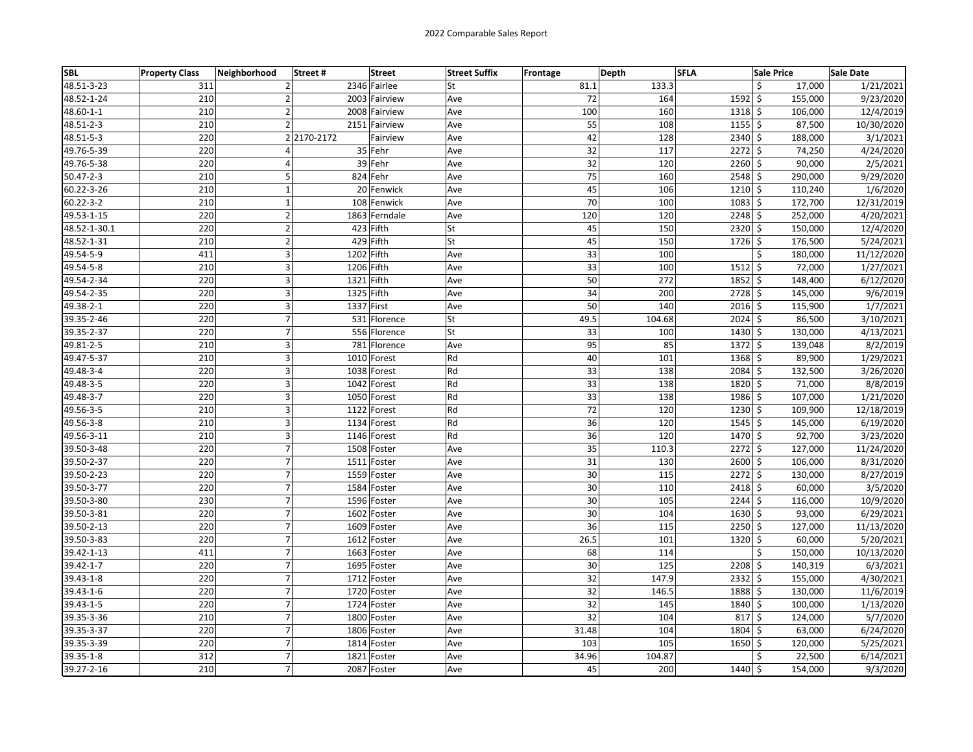| <b>SBL</b>      | <b>Property Class</b> | Neighborhood     | Street#     | <b>Street</b> | <b>Street Suffix</b> | Frontage | Depth  | <b>SFLA</b>    | <b>Sale Price</b> | <b>Sale Date</b> |
|-----------------|-----------------------|------------------|-------------|---------------|----------------------|----------|--------|----------------|-------------------|------------------|
| 48.51-3-23      | 311                   | 2                |             | 2346 Fairlee  | St                   | 81.1     | 133.3  | \$             | 17.000            | 1/21/2021        |
| 48.52-1-24      | 210                   | 2                |             | 2003 Fairview | Ave                  | 72       | 164    | $1592 \mid$ \$ | 155,000           | 9/23/2020        |
| 48.60-1-1       | 210                   | $\overline{2}$   |             | 2008 Fairview | Ave                  | 100      | 160    | 1318 \$        | 106,000           | 12/4/2019        |
| 48.51-2-3       | 210                   | $\overline{2}$   |             | 2151 Fairview | Ave                  | 55       | 108    | $1155$ \$      | 87,500            | 10/30/2020       |
| 48.51-5-3       | 220                   |                  | 2 2170-2172 | Fairview      | Ave                  | 42       | 128    | $2340 \mid 5$  | 188,000           | 3/1/2021         |
| 49.76-5-39      | 220                   | 4                |             | 35 Fehr       | Ave                  | 32       | 117    | $2272$ \$      | 74,250            | 4/24/2020        |
| 49.76-5-38      | 220                   | 4                |             | 39 Fehr       | Ave                  | 32       | 120    | $2260$ \$      | 90,000            | 2/5/2021         |
| 50.47-2-3       | 210                   | 5                |             | 824 Fehr      | Ave                  | 75       | 160    | $2548$ \$      | 290,000           | 9/29/2020        |
| 60.22-3-26      | 210                   | $\mathbf 1$      |             | 20 Fenwick    | Ave                  | 45       | 106    | $1210 \,$ \$   | 110,240           | 1/6/2020         |
| $60.22 - 3 - 2$ | 210                   | $\mathbf{1}$     |             | 108 Fenwick   | Ave                  | 70       | 100    | $1083$ \$      | 172,700           | 12/31/2019       |
| 49.53-1-15      | 220                   | $\overline{2}$   |             | 1863 Ferndale | Ave                  | 120      | 120    | $2248$ \$      | 252,000           | 4/20/2021        |
| 48.52-1-30.1    | 220                   | $\overline{2}$   |             | 423 Fifth     | St                   | 45       | 150    | $2320 \mid 5$  | 150,000           | 12/4/2020        |
| 48.52-1-31      | 210                   | $\overline{2}$   |             | 429 Fifth     | St                   | 45       | 150    | $1726$ \$      | 176,500           | 5/24/2021        |
| 49.54-5-9       | 411                   | 3                | 1202 Fifth  |               | Ave                  | 33       | 100    | \$             | 180,000           | 11/12/2020       |
| 49.54-5-8       | 210                   | 3                | 1206 Fifth  |               | Ave                  | 33       | 100    | $1512 \mid 5$  | 72,000            | 1/27/2021        |
| 49.54-2-34      | 220                   | 3                | 1321 Fifth  |               | Ave                  | 50       | 272    | $1852 \mid$ \$ | 148,400           | 6/12/2020        |
| 49.54-2-35      | 220                   | 3                | 1325 Fifth  |               | Ave                  | 34       | 200    | $2728$ \$      | 145,000           | 9/6/2019         |
| 49.38-2-1       | 220                   | 3                | 1337 First  |               | Ave                  | 50       | 140    | $2016$ \$      | 115,900           | 1/7/2021         |
| 39.35-2-46      | 220                   | $\overline{7}$   |             | 531 Florence  | St                   | 49.5     | 104.68 | $2024$ \$      | 86,500            | 3/10/2021        |
| 39.35-2-37      | 220                   | $\overline{7}$   |             | 556 Florence  | St                   | 33       | 100    | 1430 \$        | 130,000           | 4/13/2021        |
| 49.81-2-5       | 210                   | 3                |             | 781 Florence  | Ave                  | 95       | 85     | $1372 \,$ \$   | 139,048           | 8/2/2019         |
| 49.47-5-37      | 210                   | 3                |             | 1010 Forest   | Rd                   | 40       | 101    | $1368$ \$      | 89,900            | 1/29/2021        |
| 49.48-3-4       | 220                   | 3                |             | 1038 Forest   | Rd                   | 33       | 138    | 2084 \$        | 132,500           | 3/26/2020        |
| 49.48-3-5       | 220                   | 3                |             | 1042 Forest   | Rd                   | 33       | 138    | 1820 \$        | 71,000            | 8/8/2019         |
| 49.48-3-7       | 220                   | 3                |             | 1050 Forest   | Rd                   | 33       | 138    | 1986 \$        | 107,000           | 1/21/2020        |
| 49.56-3-5       | 210                   | 3                |             | 1122 Forest   | Rd                   | 72       | 120    | $1230 \mid 5$  | 109,900           | 12/18/2019       |
| 49.56-3-8       | 210                   | 3                |             | 1134 Forest   | Rd                   | 36       | 120    | $1545$ \$      | 145,000           | 6/19/2020        |
| 49.56-3-11      | 210                   | 3                |             | 1146 Forest   | Rd                   | 36       | 120    | 1470 \$        | 92,700            | 3/23/2020        |
| 39.50-3-48      | 220                   | $\overline{7}$   |             | 1508 Foster   | Ave                  | 35       | 110.3  | $2272 \mid 5$  | 127,000           | 11/24/2020       |
| 39.50-2-37      | 220                   | $\overline{7}$   |             | 1511 Foster   | Ave                  | 31       | 130    | 2600 \$        | 106,000           | 8/31/2020        |
| 39.50-2-23      | 220                   | $\overline{7}$   |             | 1559 Foster   | Ave                  | 30       | 115    | $2272 \mid 5$  | 130,000           | 8/27/2019        |
| 39.50-3-77      | 220                   | $\overline{7}$   |             | 1584 Foster   | Ave                  | 30       | 110    | 2418 \$        | 60,000            | 3/5/2020         |
| 39.50-3-80      | 230                   | 7                |             | 1596 Foster   | Ave                  | 30       | 105    | $2244$ \$      | 116,000           | 10/9/2020        |
| 39.50-3-81      | 220                   | $\overline{7}$   | 1602        | Foster        | Ave                  | 30       | 104    | $1630 \mid 5$  | 93,000            | 6/29/2021        |
| 39.50-2-13      | 220                   | $\overline{7}$   | 1609        | Foster        | Ave                  | 36       | 115    | $2250$ \$      | 127,000           | 11/13/2020       |
| 39.50-3-83      | 220                   | $\overline{7}$   |             | 1612 Foster   | Ave                  | 26.5     | 101    | $1320 \mid 5$  | 60,000            | 5/20/2021        |
| 39.42-1-13      | 411                   | $\overline{7}$   |             | 1663 Foster   | Ave                  | 68       | 114    | Ś              | 150,000           | 10/13/2020       |
| 39.42-1-7       | 220                   | $\boldsymbol{7}$ |             | 1695 Foster   | Ave                  | 30       | 125    | $2208$ \$      | 140,319           | 6/3/2021         |
| 39.43-1-8       | 220                   | $\overline{7}$   |             | 1712 Foster   | Ave                  | 32       | 147.9  | $2332$ \$      | 155,000           | 4/30/2021        |
| 39.43-1-6       | 220                   | $\overline{7}$   |             | 1720 Foster   | Ave                  | 32       | 146.5  | 1888 \$        | 130,000           | 11/6/2019        |
| 39.43-1-5       | 220                   | $\overline{7}$   |             | 1724 Foster   | Ave                  | 32       | 145    | 1840 \$        | 100,000           | 1/13/2020        |
| 39.35-3-36      | 210                   | 7                |             | 1800 Foster   | Ave                  | 32       | 104    | 817S           | 124,000           | 5/7/2020         |
| 39.35-3-37      | 220                   | $\overline{7}$   |             | 1806 Foster   | Ave                  | 31.48    | 104    | $1804 \mid 5$  | 63,000            | 6/24/2020        |
| 39.35-3-39      | 220                   | $\overline{7}$   | 1814        | Foster        | Ave                  | 103      | 105    | 1650 \$        | 120,000           | 5/25/2021        |
| 39.35-1-8       | 312                   | $\overline{7}$   |             | 1821 Foster   | Ave                  | 34.96    | 104.87 | \$             | 22,500            | 6/14/2021        |
| 39.27-2-16      | 210                   | $\overline{7}$   |             | 2087 Foster   | Ave                  | 45       | 200    | 1440 \$        | 154,000           | 9/3/2020         |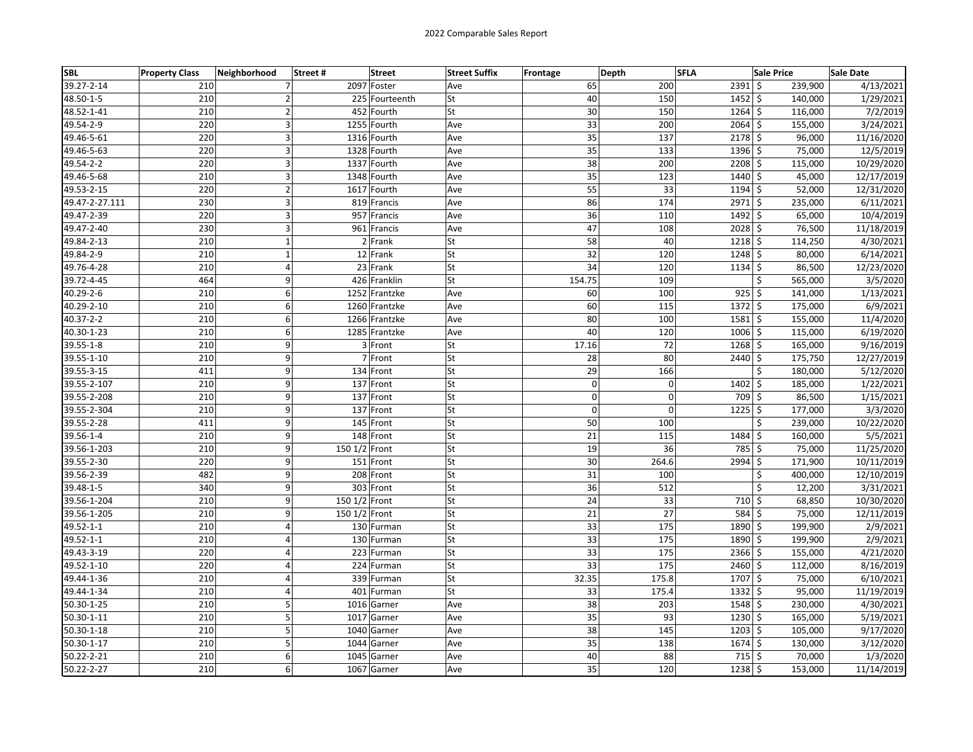| SBL            | <b>Property Class</b> | Neighborhood   | Street# | <b>Street</b>  | <b>Street Suffix</b> | <b>Frontage</b> | Depth       | <b>SFLA</b> |                | <b>Sale Price</b> | Sale Date  |
|----------------|-----------------------|----------------|---------|----------------|----------------------|-----------------|-------------|-------------|----------------|-------------------|------------|
| 39.27-2-14     | 210                   | 7              |         | 2097 Foster    | Ave                  |                 | 65          | 200         | $2391$ \$      | 239,900           | 4/13/2021  |
| 48.50-1-5      | 210                   | $\overline{2}$ |         | 225 Fourteenth | St                   |                 | 40          | 150         | $1452 \mid$ \$ | 140,000           | 1/29/2021  |
| 48.52-1-41     | 210                   | $\overline{2}$ |         | 452 Fourth     | St                   |                 | 30          | 150         | $1264$ \$      | 116,000           | 7/2/2019   |
| 49.54-2-9      | 220                   | 3              |         | 1255 Fourth    | Ave                  |                 | 33          | 200         | $2064$ \$      | 155,000           | 3/24/2021  |
| 49.46-5-61     | 220                   | 3              |         | 1316 Fourth    | Ave                  |                 | 35          | 137         | $2178$ \$      | 96,000            | 11/16/2020 |
| 49.46-5-63     | 220                   | 3              |         | 1328 Fourth    | Ave                  |                 | 35          | 133         | 1396 \$        | 75,000            | 12/5/2019  |
| 49.54-2-2      | 220                   | 3              |         | 1337 Fourth    | Ave                  |                 | 38          | 200         | $2208$ \$      | 115,000           | 10/29/2020 |
| 49.46-5-68     | 210                   | 3              |         | 1348 Fourth    | Ave                  |                 | 35          | 123         | $1440 \mid$ \$ | 45,000            | 12/17/2019 |
| 49.53-2-15     | 220                   | $\overline{2}$ |         | 1617 Fourth    | Ave                  |                 | 55          | 33          | $1194$ \$      | 52,000            | 12/31/2020 |
| 49.47-2-27.111 | 230                   | 3              |         | 819 Francis    | Ave                  |                 | 86          | 174         | 2971 \$        | 235,000           | 6/11/2021  |
| 49.47-2-39     | 220                   | 3              |         | 957 Francis    | Ave                  |                 | 36          | 110         | 1492 \$        | 65,000            | 10/4/2019  |
| 49.47-2-40     | 230                   | $\overline{3}$ |         | 961 Francis    | Ave                  |                 | 47          | 108         | $2028$ \$      | 76,500            | 11/18/2019 |
| 49.84-2-13     | 210                   | $\mathbf 1$    |         | 2 Frank        | St                   |                 | 58          | 40          | 1218 \$        | 114,250           | 4/30/2021  |
| 49.84-2-9      | 210                   | $\mathbf{1}$   |         | 12 Frank       | <b>St</b>            |                 | 32          | 120         | $1248$ \$      | 80,000            | 6/14/2021  |
| 49.76-4-28     | 210                   | $\overline{4}$ |         | 23 Frank       | lSt                  |                 | 34          | 120         | $1134$ \$      | 86,500            | 12/23/2020 |
| 39.72-4-45     | 464                   | 9              |         | 426 Franklin   | lSt                  | 154.75          |             | 109         |                | \$<br>565,000     | 3/5/2020   |
| 40.29-2-6      | 210                   | 6              |         | 1252 Frantzke  | Ave                  |                 | 60          | 100         | $925$ \$       | 141,000           | 1/13/2021  |
| 40.29-2-10     | 210                   | 6              |         | 1260 Frantzke  | Ave                  |                 | 60          | 115         | $1372 \mid$ \$ | 175,000           | 6/9/2021   |
| 40.37-2-2      | 210                   | 6              |         | 1266 Frantzke  | Ave                  |                 | 80          | 100         | $1581$ \$      | 155,000           | 11/4/2020  |
| 40.30-1-23     | 210                   | 6              |         | 1285 Frantzke  | Ave                  |                 | 40          | 120         | $1006$ \$      | 115,000           | 6/19/2020  |
| 39.55-1-8      | 210                   | 9              |         | 3 Front        | <b>St</b>            | 17.16           |             | 72          | $1268$ \$      | 165,000           | 9/16/2019  |
| 39.55-1-10     | 210                   | 9              |         | 7 Front        | lSt                  |                 | 28          | 80          | 2440 \$        | 175,750           | 12/27/2019 |
| 39.55-3-15     | 411                   | 9              |         | 134 Front      | <b>St</b>            |                 | 29          | 166         |                | \$<br>180,000     | 5/12/2020  |
| 39.55-2-107    | 210                   | 9              |         | 137 Front      | St                   |                 | $\mathbf 0$ | $\mathbf 0$ | $1402 \mid 5$  | 185,000           | 1/22/2021  |
| 39.55-2-208    | 210                   | 9              |         | 137 Front      | <b>St</b>            |                 | $\Omega$    | $\Omega$    | 709 \$         | 86,500            | 1/15/2021  |
| 39.55-2-304    | 210                   | 9              |         | 137 Front      | <b>St</b>            |                 | $\mathbf 0$ | $\mathbf 0$ | $1225$ \$      | 177,000           | 3/3/2020   |
| 39.55-2-28     | 411                   | 9              |         | 145 Front      | lSt                  |                 | 50          | 100         |                | Ś<br>239,000      | 10/22/2020 |
| 39.56-1-4      | 210                   | 9              |         | 148 Front      | <b>St</b>            |                 | 21          | 115         | 1484 \$        | 160,000           | 5/5/2021   |
| 39.56-1-203    | 210                   | 9              |         | 150 1/2 Front  | lSt                  |                 | 19          | 36          | 785 \$         | 75,000            | 11/25/2020 |
| 39.55-2-30     | 220                   | 9              |         | 151 Front      | <b>St</b>            |                 | 30          | 264.6       | 2994 \$        | 171,900           | 10/11/2019 |
| 39.56-2-39     | 482                   | 9              |         | 208 Front      | <b>St</b>            |                 | 31          | 100         |                | \$<br>400,000     | 12/10/2019 |
| 39.48-1-5      | 340                   | 9              |         | 303 Front      | lst                  |                 | 36          | 512         |                | Ś<br>12,200       | 3/31/2021  |
| 39.56-1-204    | 210                   | 9              |         | 150 1/2 Front  | <b>St</b>            |                 | 24          | 33          | 710 \$         | 68,850            | 10/30/2020 |
| 39.56-1-205    | 210                   | 9              |         | 150 1/2 Front  | <b>St</b>            |                 | 21          | 27          | 584 \$         | 75,000            | 12/11/2019 |
| 49.52-1-1      | 210                   | 4              |         | 130 Furman     | St                   |                 | 33          | 175         | 1890 \$        | 199,900           | 2/9/2021   |
| 49.52-1-1      | 210                   | 4              |         | 130 Furman     | <b>St</b>            |                 | 33          | 175         | 1890 \$        | 199,900           | 2/9/2021   |
| 49.43-3-19     | 220                   | $\overline{4}$ |         | 223 Furman     | lSt                  |                 | 33          | 175         | $2366$ \$      | 155,000           | 4/21/2020  |
| 49.52-1-10     | 220                   | $\overline{4}$ |         | 224 Furman     | <b>St</b>            |                 | 33          | 175         | $2460 \leq$    | 112,000           | 8/16/2019  |
| 49.44-1-36     | 210                   | 4              |         | 339 Furman     | <b>St</b>            | 32.35           |             | 175.8       | 1707 \$        | 75,000            | 6/10/2021  |
| 49.44-1-34     | 210                   | 4              |         | 401 Furman     | lSt                  |                 | 33          | 175.4       | $1332 \mid 5$  | 95,000            | 11/19/2019 |
| 50.30-1-25     | 210                   | 5              |         | 1016 Garner    | Ave                  |                 | 38          | 203         | $1548$ \$      | 230,000           | 4/30/2021  |
| 50.30-1-11     | 210                   | 5              |         | 1017 Garner    | Ave                  |                 | 35          | 93          | $1230 \mid 5$  | 165,000           | 5/19/2021  |
| 50.30-1-18     | 210                   | 5              |         | 1040 Garner    | Ave                  |                 | 38          | 145         | $1203$ \$      | 105,000           | 9/17/2020  |
| 50.30-1-17     | 210                   | 5              |         | 1044<br>Garner | Ave                  |                 | 35          | 138         | $1674$ \$      | 130,000           | 3/12/2020  |
| 50.22-2-21     | 210                   | 6              |         | 1045<br>Garner | Ave                  |                 | 40          | 88          | $715$ \$       | 70,000            | 1/3/2020   |
| 50.22-2-27     | 210                   | $\overline{6}$ |         | 1067 Garner    | Ave                  |                 | 35          | 120         | $1238$ \$      | 153,000           | 11/14/2019 |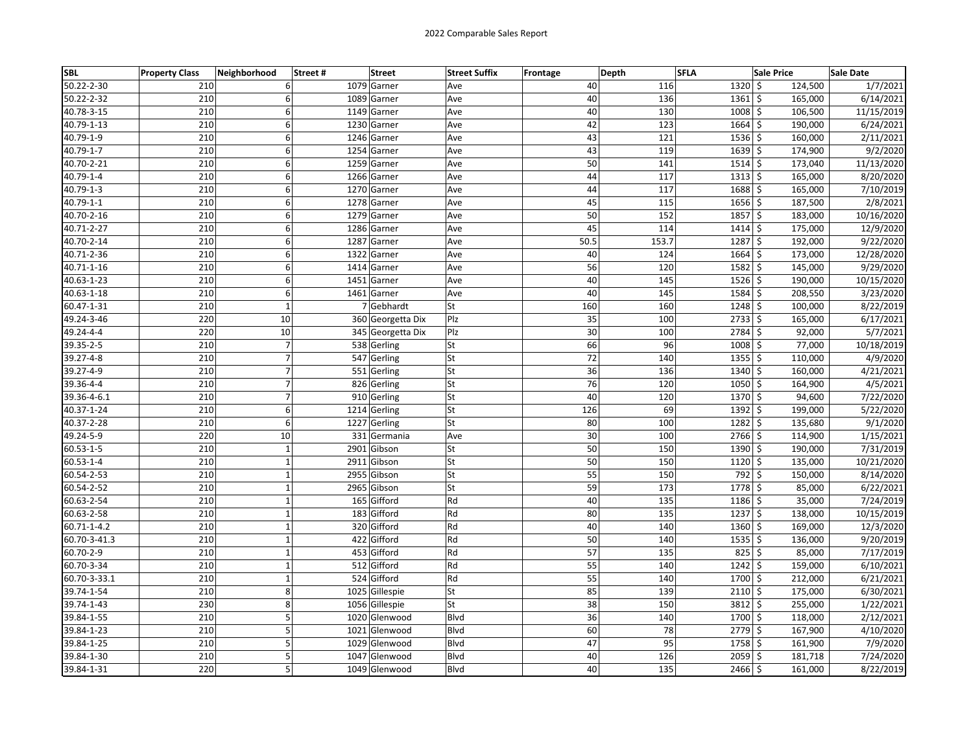| <b>SBL</b>      | <b>Property Class</b> | Neighborhood   | Street# | <b>Street</b>     | <b>Street Suffix</b> | <b>Frontage</b> | Depth | <b>SFLA</b> |               | <b>Sale Price</b> | Sale Date  |
|-----------------|-----------------------|----------------|---------|-------------------|----------------------|-----------------|-------|-------------|---------------|-------------------|------------|
| 50.22-2-30      | 210                   | 6              |         | 1079 Garner       | Ave                  |                 | 40    | 116         | $1320 \,$ \$  | 124,500           | 1/7/2021   |
| 50.22-2-32      | 210                   | 6              |         | 1089 Garner       | Ave                  |                 | 40    | 136         | $1361$ \$     | 165,000           | 6/14/2021  |
| 40.78-3-15      | 210                   | 6              |         | 1149 Garner       | Ave                  |                 | 40    | 130         | $1008$ \$     | 106,500           | 11/15/2019 |
| 40.79-1-13      | 210                   | 6              |         | 1230 Garner       | Ave                  |                 | 42    | 123         | $1664$ \$     | 190,000           | 6/24/2021  |
| 40.79-1-9       | 210                   | 6              |         | 1246 Garner       | Ave                  |                 | 43    | 121         | $1536$ \$     | 160,000           | 2/11/2021  |
| 40.79-1-7       | 210                   | 6              |         | 1254 Garner       | Ave                  |                 | 43    | 119         | $1639$ \$     | 174,900           | 9/2/2020   |
| 40.70-2-21      | 210                   | 6              |         | 1259 Garner       | Ave                  |                 | 50    | 141         | $1514$ \$     | 173,040           | 11/13/2020 |
| 40.79-1-4       | 210                   | 6              |         | 1266 Garner       | Ave                  |                 | 44    | 117         | $1313$ \$     | 165,000           | 8/20/2020  |
| 40.79-1-3       | 210                   | 6              |         | 1270 Garner       | Ave                  |                 | 44    | 117         | 1688 \$       | 165,000           | 7/10/2019  |
| 40.79-1-1       | 210                   | 6              |         | 1278 Garner       | Ave                  |                 | 45    | 115         | $1656$ \$     | 187,500           | 2/8/2021   |
| 40.70-2-16      | 210                   | 6              |         | 1279 Garner       | Ave                  |                 | 50    | 152         | $1857$ \$     | 183,000           | 10/16/2020 |
| 40.71-2-27      | 210                   | 6              |         | 1286 Garner       | Ave                  |                 | 45    | 114         | $1414$ \$     | 175,000           | 12/9/2020  |
| 40.70-2-14      | 210                   | 6              |         | 1287<br>Garner    | Ave                  |                 | 50.5  | 153.7       | $1287$ \$     | 192,000           | 9/22/2020  |
| 40.71-2-36      | 210                   | 6              |         | 1322 Garner       | Ave                  |                 | 40    | 124         | $1664$ \$     | 173,000           | 12/28/2020 |
| 40.71-1-16      | 210                   | 6              |         | 1414 Garner       | Ave                  |                 | 56    | 120         | $1582 \mid 5$ | 145,000           | 9/29/2020  |
| 40.63-1-23      | 210                   | 6              |         | 1451 Garner       | Ave                  |                 | 40    | 145         | $1526$ \$     | 190,000           | 10/15/2020 |
| 40.63-1-18      | 210                   | 6              |         | 1461 Garner       | Ave                  |                 | 40    | 145         | 1584 \$       | 208,550           | 3/23/2020  |
| 60.47-1-31      | 210                   | $\mathbf 1$    |         | 7 Gebhardt        | lSt                  |                 | 160   | 160         | $1248$ \$     | 100,000           | 8/22/2019  |
| 49.24-3-46      | 220                   | 10             |         | 360 Georgetta Dix | Plz                  |                 | 35    | 100         | $2733$ \$     | 165,000           | 6/17/2021  |
| 49.24-4-4       | 220                   | 10             |         | 345 Georgetta Dix | Plz                  |                 | 30    | 100         | 2784 \$       | 92,000            | 5/7/2021   |
| 39.35-2-5       | 210                   | $\overline{7}$ |         | 538 Gerling       | <b>St</b>            |                 | 66    | 96          | $1008$ \$     | 77,000            | 10/18/2019 |
| 39.27-4-8       | 210                   | $\overline{7}$ |         | 547 Gerling       | lSt                  |                 | 72    | 140         | $1355$ \$     | 110,000           | 4/9/2020   |
| 39.27-4-9       | 210                   | $\overline{7}$ |         | 551 Gerling       | <b>St</b>            |                 | 36    | 136         | 1340 \$       | 160,000           | 4/21/2021  |
| 39.36-4-4       | 210                   | $\overline{7}$ |         | 826 Gerling       | St                   |                 | 76    | 120         | $1050$ \$     | 164,900           | 4/5/2021   |
| 39.36-4-6.1     | 210                   | $\overline{7}$ |         | 910 Gerling       | <b>St</b>            |                 | 40    | 120         | 1370 \$       | 94,600            | 7/22/2020  |
| 40.37-1-24      | 210                   | 6              |         | 1214 Gerling      | <b>St</b>            |                 | 126   | 69          | 1392 \$       | 199,000           | 5/22/2020  |
| 40.37-2-28      | 210                   | 6              |         | 1227 Gerling      | lSt                  |                 | 80    | 100         | $1282 \mid 5$ | 135,680           | 9/1/2020   |
| 49.24-5-9       | 220                   | 10             |         | 331 Germania      | Ave                  |                 | 30    | 100         | $2766$ \$     | 114,900           | 1/15/2021  |
| $60.53 - 1 - 5$ | 210                   | $\mathbf 1$    |         | 2901<br>Gibson    | St                   |                 | 50    | 150         | 1390 \$       | 190,000           | 7/31/2019  |
| 60.53-1-4       | 210                   | $\mathbf 1$    |         | 2911<br>Gibson    | St                   |                 | 50    | 150         | $1120 \mid 5$ | 135,000           | 10/21/2020 |
| 60.54-2-53      | 210                   | $\mathbf{1}$   |         | 2955 Gibson       | <b>St</b>            |                 | 55    | 150         | 792 \$        | 150,000           | 8/14/2020  |
| 60.54-2-52      | 210                   | $\mathbf{1}$   |         | 2965 Gibson       | lSt                  |                 | 59    | 173         | 1778 \$       | 85,000            | 6/22/2021  |
| 60.63-2-54      | 210                   | $\mathbf 1$    |         | 165 Gifford       | Rd                   |                 | 40    | 135         | $1186$ \$     | 35,000            | 7/24/2019  |
| 60.63-2-58      | 210                   | $\mathbf{1}$   |         | 183 Gifford       | Rd                   |                 | 80    | 135         | $1237$ \$     | 138,000           | 10/15/2019 |
| 60.71-1-4.2     | 210                   | $\mathbf 1$    |         | 320 Gifford       | Rd                   |                 | 40    | 140         | $1360 \,$ \$  | 169,000           | 12/3/2020  |
| 60.70-3-41.3    | 210                   | $\mathbf{1}$   |         | 422 Gifford       | Rd                   |                 | 50    | 140         | $1535$ \$     | 136,000           | 9/20/2019  |
| 60.70-2-9       | 210                   | $\mathbf 1$    |         | 453 Gifford       | Rd                   |                 | 57    | 135         | $825$ \$      | 85,000            | 7/17/2019  |
| 60.70-3-34      | 210                   | $\mathbf 1$    |         | 512 Gifford       | Rd                   |                 | 55    | 140         | $1242$ \$     | 159,000           | 6/10/2021  |
| 60.70-3-33.1    | 210                   | $\mathbf 1$    |         | 524 Gifford       | Rd                   |                 | 55    | 140         | 1700 \$       | 212,000           | 6/21/2021  |
| 39.74-1-54      | 210                   | 8              |         | 1025 Gillespie    | lSt                  |                 | 85    | 139         | $2110 \mid 5$ | 175,000           | 6/30/2021  |
| 39.74-1-43      | 230                   | 8              |         | 1056 Gillespie    | lSt                  |                 | 38    | 150         | $3812 \mid 5$ | 255,000           | 1/22/2021  |
| 39.84-1-55      | 210                   | 5              |         | 1020 Glenwood     | <b>Blvd</b>          |                 | 36    | 140         | 1700 \$       | 118,000           | 2/12/2021  |
| 39.84-1-23      | 210                   | 5              |         | 1021 Glenwood     | <b>Blvd</b>          |                 | 60    | 78          | 2779 \$       | 167,900           | 4/10/2020  |
| 39.84-1-25      | 210                   | 5              |         | 1029<br>Glenwood  | <b>Blvd</b>          |                 | 47    | 95          | 1758 \$       | 161,900           | 7/9/2020   |
| 39.84-1-30      | 210                   | 5              |         | 1047 Glenwood     | Blvd                 |                 | 40    | 126         | $2059$ \$     | 181,718           | 7/24/2020  |
| 39.84-1-31      | 220                   | 5              |         | 1049 Glenwood     | <b>Blvd</b>          |                 | 40    | 135         | $2466$ \$     | 161,000           | 8/22/2019  |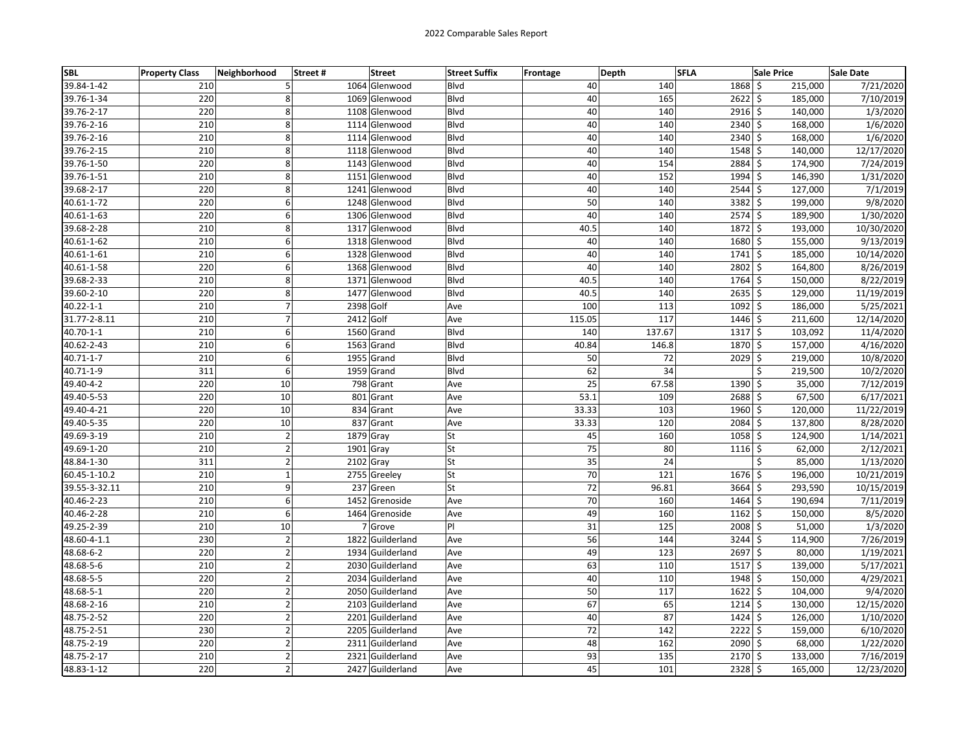| <b>SBL</b>      | <b>Property Class</b> | Neighborhood            | Street#   | <b>Street</b>    | <b>Street Suffix</b> | Frontage | Depth  | <b>SFLA</b>     |               | <b>Sale Price</b>             | <b>Sale Date</b> |
|-----------------|-----------------------|-------------------------|-----------|------------------|----------------------|----------|--------|-----------------|---------------|-------------------------------|------------------|
| 39.84-1-42      | 210                   | 5                       |           | 1064 Glenwood    | Blvd                 |          | 40     | 140             | 1868          | \$<br>215,000                 | 7/21/2020        |
| 39.76-1-34      | 220                   | 8                       |           | 1069 Glenwood    | Blvd                 |          | 40     | 165             | $2622$ \$     | 185,000                       | 7/10/2019        |
| 39.76-2-17      | 220                   | 8                       |           | 1108 Glenwood    | Blvd                 |          | 40     | 140             | 2916 \$       | 140,000                       | 1/3/2020         |
| 39.76-2-16      | 210                   | $\bf 8$                 |           | 1114 Glenwood    | Blvd                 |          | 40     | 140             | 2340 \$       | 168,000                       | 1/6/2020         |
| 39.76-2-16      | 210                   | 8                       |           | 1114 Glenwood    | <b>Blvd</b>          |          | 40     | 140             | 2340          | \$<br>168,000                 | 1/6/2020         |
| 39.76-2-15      | 210                   | 8                       |           | 1118 Glenwood    | <b>Blvd</b>          |          | 40     | 140             | 1548 \$       | 140,000                       | 12/17/2020       |
| 39.76-1-50      | 220                   | 8                       |           | 1143 Glenwood    | Blvd                 |          | 40     | 154             | 2884          | \$<br>174,900                 | 7/24/2019        |
| 39.76-1-51      | 210                   | 8                       |           | 1151 Glenwood    | Blvd                 |          | 40     | 152             | 1994 \$       | 146,390                       | 1/31/2020        |
| 39.68-2-17      | 220                   | 8                       |           | 1241 Glenwood    | <b>Blvd</b>          |          | 40     | 140             | $2544$ \$     | 127,000                       | 7/1/2019         |
| 40.61-1-72      | 220                   | 6                       |           | 1248 Glenwood    | <b>Blvd</b>          |          | 50     | 140             | 3382 \$       | 199,000                       | 9/8/2020         |
| 40.61-1-63      | 220                   | $6\vert$                |           | 1306 Glenwood    | <b>Blvd</b>          |          | 40     | 140             | $2574$ \$     | 189,900                       | 1/30/2020        |
| 39.68-2-28      | 210                   | 8                       |           | 1317 Glenwood    | <b>Blvd</b>          |          | 40.5   | 140             | 1872          | \$<br>193,000                 | 10/30/2020       |
| 40.61-1-62      | 210                   | 6                       |           | 1318 Glenwood    | Blvd                 |          | 40     | 140             | 1680 \$       | 155,000                       | 9/13/2019        |
| 40.61-1-61      | 210                   | 6                       |           | 1328 Glenwood    | <b>Blvd</b>          |          | 40     | 140             | $1741$ \$     | 185,000                       | 10/14/2020       |
| 40.61-1-58      | 220                   | 6                       |           | 1368 Glenwood    | <b>Blvd</b>          |          | 40     | 140             | $2802 \div$   | 164,800                       | 8/26/2019        |
| 39.68-2-33      | 210                   | 8                       |           | 1371 Glenwood    | <b>Blvd</b>          |          | 40.5   | 140             | 1764 \$       | 150,000                       | 8/22/2019        |
| 39.60-2-10      | 220                   | 8                       |           | 1477 Glenwood    | <b>Blvd</b>          |          | 40.5   | 140             | 2635          | \$<br>129,000                 | 11/19/2019       |
| $40.22 - 1 - 1$ | 210                   | $\overline{7}$          | 2398 Golf |                  | Ave                  |          | 100    | 113             | 1092          | \$<br>186,000                 | 5/25/2021        |
| 31.77-2-8.11    | 210                   | $\overline{7}$          | 2412 Golf |                  | Ave                  |          | 115.05 | 117             | 1446 \$       | 211,600                       | 12/14/2020       |
| 40.70-1-1       | 210                   | 6                       |           | 1560 Grand       | Blvd                 |          | 140    | 137.67          | 1317 \$       | 103,092                       | 11/4/2020        |
| 40.62-2-43      | 210                   | $6\vert$                |           | 1563 Grand       | <b>Blvd</b>          |          | 40.84  | 146.8           | 1870 \$       | 157,000                       | 4/16/2020        |
| 40.71-1-7       | 210                   | 6                       |           | 1955 Grand       | Blvd                 |          | 50     | 72              | 2029          | \$<br>219,000                 | 10/8/2020        |
| 40.71-1-9       | 311                   | 6                       |           | 1959 Grand       | Blvd                 |          | 62     | $\overline{34}$ |               | \$<br>219,500                 | 10/2/2020        |
| 49.40-4-2       | 220                   | 10                      |           | 798 Grant        | Ave                  |          | 25     | 67.58           | 1390          | \$<br>35,000                  | 7/12/2019        |
| 49.40-5-53      | 220                   | 10                      |           | 801 Grant        | Ave                  |          | 53.1   | 109             | 2688          | \$<br>67,500                  | 6/17/2021        |
| 49.40-4-21      | 220                   | 10                      |           | 834 Grant        | Ave                  |          | 33.33  | 103             | 1960 \$       | 120,000                       | 11/22/2019       |
| 49.40-5-35      | 220                   | 10                      |           | 837 Grant        | Ave                  |          | 33.33  | 120             | $2084$ \$     | 137,800                       | 8/28/2020        |
| 49.69-3-19      | 210                   | $\mathbf 2$             |           | 1879 Gray        | St                   |          | 45     | 160             | $1058$ \$     | 124,900                       | 1/14/2021        |
| 49.69-1-20      | 210                   | $\overline{2}$          | 1901 Gray |                  | St                   |          | 75     | 80              | 1116          | \$<br>62,000                  | 2/12/2021        |
| 48.84-1-30      | 311                   | $\overline{2}$          |           | 2102 Gray        | St                   |          | 35     | 24              |               | \$<br>85,000                  | 1/13/2020        |
| 60.45-1-10.2    | 210                   | $\mathbf{1}$            |           | 2755 Greeley     | St                   |          | 70     | 121             | $1676$ \$     | 196,000                       | 10/21/2019       |
| 39.55-3-32.11   | 210                   | 9                       |           | 237 Green        | St                   |          | 72     | 96.81           | 3664 \$       | 293,590                       | 10/15/2019       |
| 40.46-2-23      | 210                   | 6                       |           | 1452 Grenoside   | Ave                  |          | 70     | 160             | $1464$ \$     | 190,694                       | 7/11/2019        |
| 40.46-2-28      | 210                   | 6                       |           | 1464 Grenoside   | Ave                  |          | 49     | 160             | 1162          | \$<br>150,000                 | 8/5/2020         |
| 49.25-2-39      | 210                   | 10                      |           | 7 Grove          | PI                   |          | 31     | 125             | 2008 \$       | 51,000                        | 1/3/2020         |
| 48.60-4-1.1     | 230                   | $\overline{2}$          |           | 1822 Guilderland | Ave                  |          | 56     | 144             | 3244          | $\ddot{\varsigma}$<br>114,900 | 7/26/2019        |
| 48.68-6-2       | 220                   | $\overline{2}$          |           | 1934 Guilderland | Ave                  |          | 49     | 123             | 2697 \$       | 80,000                        | 1/19/2021        |
| 48.68-5-6       | 210                   | $\overline{2}$          |           | 2030 Guilderland | Ave                  |          | 63     | 110             | 1517 \$       | 139,000                       | 5/17/2021        |
| 48.68-5-5       | 220                   | $\mathbf{2}$            |           | 2034 Guilderland | Ave                  |          | 40     | 110             | 1948          | \$<br>150,000                 | 4/29/2021        |
| 48.68-5-1       | 220                   | $\mathbf{2}$            |           | 2050 Guilderland | Ave                  |          | 50     | 117             | $1622 \mid 5$ | 104,000                       | 9/4/2020         |
| 48.68-2-16      | 210                   | $\overline{2}$          |           | 2103 Guilderland | Ave                  |          | 67     | 65              | 1214          | \$<br>130,000                 | 12/15/2020       |
| 48.75-2-52      | 220                   | $\overline{2}$          |           | 2201 Guilderland | Ave                  |          | 40     | 87              | 1424          | \$<br>126,000                 | 1/10/2020        |
| 48.75-2-51      | 230                   | $\overline{2}$          |           | 2205 Guilderland | Ave                  |          | 72     | 142             | $2222$ \$     | 159,000                       | 6/10/2020        |
| 48.75-2-19      | 220                   | $\mathbf 2$             |           | 2311 Guilderland | Ave                  |          | 48     | 162             | 2090 \$       | 68,000                        | 1/22/2020        |
| 48.75-2-17      | 210                   | $\overline{\mathbf{c}}$ |           | 2321 Guilderland | Ave                  |          | 93     | 135             | 2170 \$       | 133,000                       | 7/16/2019        |
| 48.83-1-12      | 220                   | $\overline{\mathbf{c}}$ |           | 2427 Guilderland | Ave                  |          | 45     | 101             | 2328          | \$<br>165,000                 | 12/23/2020       |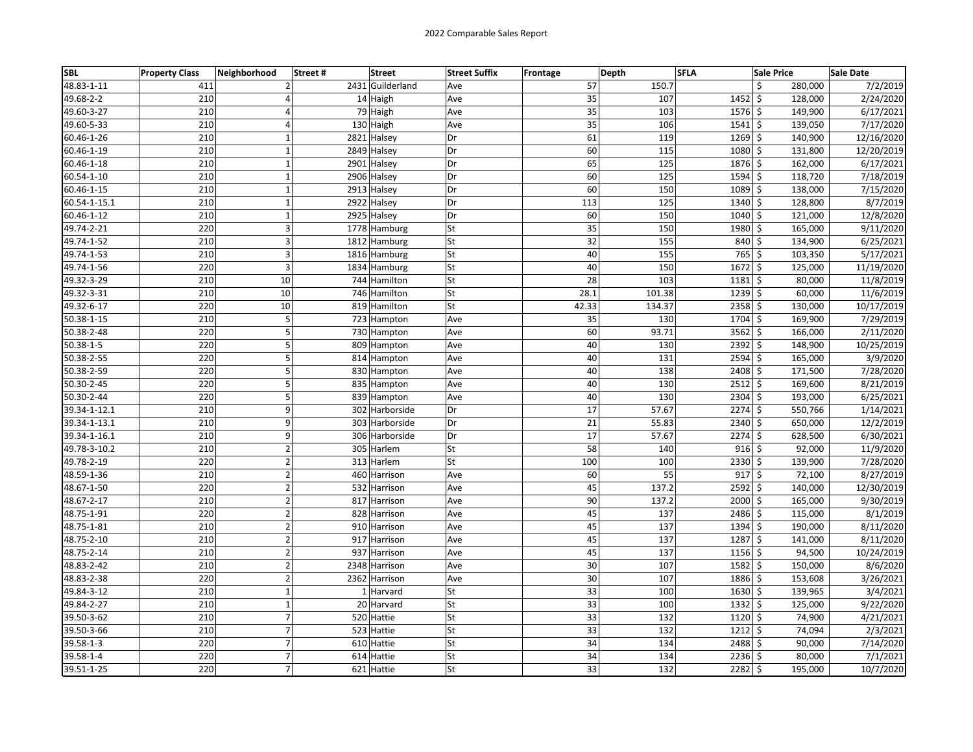| <b>SBL</b>      | <b>Property Class</b> | Neighborhood     | <b>Street</b><br>Street# | <b>Street Suffix</b> | Frontage | Depth       | <b>SFLA</b>        | <b>Sale Price</b> | Sale Date  |
|-----------------|-----------------------|------------------|--------------------------|----------------------|----------|-------------|--------------------|-------------------|------------|
| 48.83-1-11      | 411                   | $\overline{2}$   | 2431 Guilderland         | Ave                  |          | 57<br>150.7 | \$                 | 280,000           | 7/2/2019   |
| 49.68-2-2       | 210                   | 4                | 14 Haigh                 | Ave                  |          | 35<br>107   | $1452 \frac{1}{5}$ | 128,000           | 2/24/2020  |
| 49.60-3-27      | 210                   | 4                | 79 Haigh                 | Ave                  |          | 35<br>103   | $1576$ \$          | 149,900           | 6/17/2021  |
| 49.60-5-33      | 210                   | $\overline{4}$   | 130 Haigh                | Ave                  |          | 35<br>106   | $1541 \;$ \$       | 139,050           | 7/17/2020  |
| 60.46-1-26      | 210                   | $\mathbf{1}$     | 2821 Halsey              | Dr                   |          | 61<br>119   | $1269$ \$          | 140,900           | 12/16/2020 |
| 60.46-1-19      | 210                   | $\mathbf 1$      | 2849 Halsey              | Dr                   |          | 60<br>115   | 1080 \$            | 131,800           | 12/20/2019 |
| 60.46-1-18      | 210                   | $\mathbf{1}$     | 2901 Halsey              | Dr                   |          | 65<br>125   | 1876 \$            | 162,000           | 6/17/2021  |
| 60.54-1-10      | 210                   | $\mathbf 1$      | 2906 Halsey              | Dr                   |          | 60<br>125   | $1594$ \$          | 118,720           | 7/18/2019  |
| 60.46-1-15      | 210                   | $\mathbf 1$      | 2913 Halsey              | Dr                   |          | 60<br>150   | 1089 \$            | 138,000           | 7/15/2020  |
| 60.54-1-15.1    | 210                   | $\mathbf 1$      | 2922 Halsey              | Dr                   | 113      | 125         | 1340 \$            | 128,800           | 8/7/2019   |
| 60.46-1-12      | 210                   | $\mathbf 1$      | 2925 Halsey              | Dr                   |          | 60<br>150   | 1040 \$            | 121,000           | 12/8/2020  |
| 49.74-2-21      | 220                   | 3                | 1778 Hamburg             | <b>St</b>            |          | 35<br>150   | 1980 \$            | 165,000           | 9/11/2020  |
| 49.74-1-52      | 210                   | 3                | 1812 Hamburg             | <b>St</b>            |          | 32<br>155   | 840 \$             | 134,900           | 6/25/2021  |
| 49.74-1-53      | 210                   | $\overline{3}$   | 1816 Hamburg             | <b>St</b>            |          | 40<br>155   | $765$ \$           | 103,350           | 5/17/2021  |
| 49.74-1-56      | 220                   | 3                | 1834 Hamburg             | <b>St</b>            |          | 40<br>150   | $1672 \frac{1}{5}$ | 125,000           | 11/19/2020 |
| 49.32-3-29      | 210                   | 10               | 744 Hamilton             | <b>St</b>            |          | 28<br>103   | $1181$ \$          | 80,000            | 11/8/2019  |
| 49.32-3-31      | 210                   | 10               | 746 Hamilton             | <b>St</b>            | 28.1     | 101.38      | $1239$ \$          | 60,000            | 11/6/2019  |
| 49.32-6-17      | 220                   | 10               | 819 Hamilton             | St                   | 42.33    | 134.37      | $2358$ \$          | 130,000           | 10/17/2019 |
| 50.38-1-15      | 210                   | 5                | 723 Hampton              | Ave                  |          | 130<br>35   | 1704 \$            | 169,900           | 7/29/2019  |
| 50.38-2-48      | 220                   | 5                | 730 Hampton              | Ave                  |          | 93.71<br>60 | $3562$ \$          | 166,000           | 2/11/2020  |
| $50.38 - 1 - 5$ | 220                   | 5                | 809 Hampton              | Ave                  |          | 40<br>130   | $2392$ \$          | 148,900           | 10/25/2019 |
| 50.38-2-55      | 220                   | 5                | 814 Hampton              | Ave                  |          | 40<br>131   | $2594$ \$          | 165,000           | 3/9/2020   |
| 50.38-2-59      | 220                   | 5                | 830 Hampton              | Ave                  |          | 40<br>138   | $2408$ \$          | 171,500           | 7/28/2020  |
| 50.30-2-45      | 220                   | 5                | 835 Hampton              | Ave                  |          | 40<br>130   | $2512$ \$          | 169,600           | 8/21/2019  |
| 50.30-2-44      | 220                   | 5                | 839 Hampton              | Ave                  |          | 40<br>130   | 2304 \$            | 193,000           | 6/25/2021  |
| 39.34-1-12.1    | 210                   | 9                | 302 Harborside           | Dr                   |          | 17<br>57.67 | $2274$ \$          | 550,766           | 1/14/2021  |
| 39.34-1-13.1    | 210                   | 9                | 303 Harborside           | Dr                   |          | 21<br>55.83 | $2340 \mid 5$      | 650,000           | 12/2/2019  |
| 39.34-1-16.1    | 210                   | 9                | 306 Harborside           | Dr                   |          | 17<br>57.67 | $2274$ \$          | 628,500           | 6/30/2021  |
| 49.78-3-10.2    | 210                   | $\overline{2}$   | 305 Harlem               | lSt                  |          | 58<br>140   | $916$ \$           | 92,000            | 11/9/2020  |
| 49.78-2-19      | 220                   | $\mathbf 2$      | 313 Harlem               | St                   | 100      | 100         | 2330 \$            | 139,900           | 7/28/2020  |
| 48.59-1-36      | 210                   | $\overline{2}$   | 460 Harrison             | Ave                  |          | 55<br>60    | $917$ \$           | 72,100            | 8/27/2019  |
| 48.67-1-50      | 220                   | $\overline{2}$   | 532 Harrison             | Ave                  |          | 45<br>137.2 | $2592$ \$          | 140,000           | 12/30/2019 |
| 48.67-2-17      | 210                   | $\mathbf 2$      | 817 Harrison             | Ave                  |          | 90<br>137.2 | 2000 \$            | 165,000           | 9/30/2019  |
| 48.75-1-91      | 220                   | $\mathbf 2$      | 828 Harrison             | Ave                  |          | 45<br>137   | 2486 \$            | 115,000           | 8/1/2019   |
| 48.75-1-81      | 210                   | $\overline{2}$   | 910 Harrison             | Ave                  |          | 45<br>137   | 1394 \$            | 190,000           | 8/11/2020  |
| 48.75-2-10      | 210                   | $\overline{2}$   | 917 Harrison             | Ave                  |          | 45<br>137   | 1287 \$            | 141,000           | 8/11/2020  |
| 48.75-2-14      | 210                   | $\overline{2}$   | 937 Harrison             | Ave                  |          | 45<br>137   | $1156$ \$          | 94,500            | 10/24/2019 |
| 48.83-2-42      | 210                   | $\mathbf 2$      | 2348 Harrison            | Ave                  |          | 30<br>107   | $1582 \mid 5$      | 150,000           | 8/6/2020   |
| 48.83-2-38      | 220                   | $\overline{2}$   | 2362 Harrison            | Ave                  |          | 30<br>107   | 1886 \$            | 153,608           | 3/26/2021  |
| 49.84-3-12      | 210                   | $\mathbf 1$      | 1 Harvard                | lSt                  |          | 33<br>100   | $1630 \mid 5$      | 139,965           | 3/4/2021   |
| 49.84-2-27      | 210                   | $\mathbf{1}$     | 20 Harvard               | <b>St</b>            |          | 33<br>100   | $1332 \mid 5$      | 125,000           | 9/22/2020  |
| 39.50-3-62      | 210                   | $\overline{7}$   | 520 Hattie               | <b>St</b>            |          | 33<br>132   | 1120 \$            | 74,900            | 4/21/2021  |
| 39.50-3-66      | 210                   | $\overline{7}$   | 523 Hattie               | <b>St</b>            |          | 33<br>132   | $1212$ \$          | 74,094            | 2/3/2021   |
| 39.58-1-3       | 220                   | $\overline{7}$   | 610 Hattie               | <b>St</b>            |          | 34<br>134   | 2488 \$            | 90,000            | 7/14/2020  |
| 39.58-1-4       | 220                   | $\boldsymbol{7}$ | 614 Hattie               | <b>St</b>            |          | 34<br>134   | $2236$ \$          | 80,000            | 7/1/2021   |
| 39.51-1-25      | 220                   | $\overline{7}$   | 621 Hattie               | <b>St</b>            |          | 33<br>132   | 2282 \$            | 195,000           | 10/7/2020  |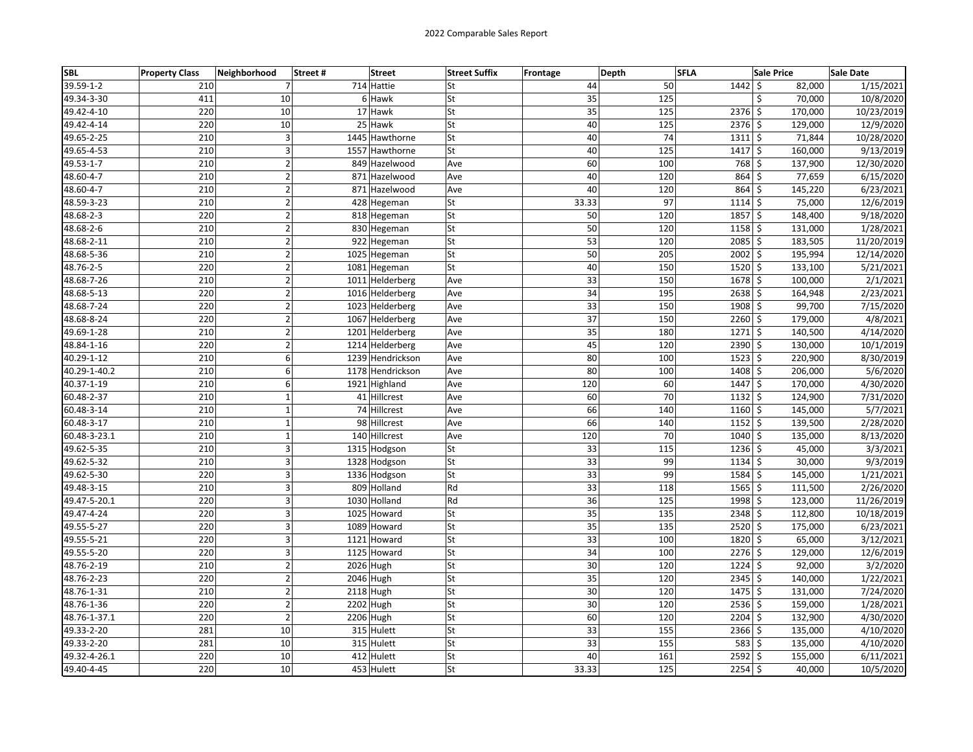| <b>SBL</b>   | <b>Property Class</b> | Neighborhood   | <b>Street</b><br>Street# | <b>Street Suffix</b> | <b>Frontage</b> | Depth                  | <b>SFLA</b>          | <b>Sale Price</b> | Sale Date  |
|--------------|-----------------------|----------------|--------------------------|----------------------|-----------------|------------------------|----------------------|-------------------|------------|
| 39.59-1-2    | 210                   | 7              | 714 Hattie               | lSt                  |                 | 44<br>50               | $1442 \mid$ \$       | 82,000            | 1/15/2021  |
| 49.34-3-30   | 411                   | 10             | 6 Hawk                   | St                   |                 | 35<br>125              | \$                   | 70,000            | 10/8/2020  |
| 49.42-4-10   | 220                   | 10             | 17 Hawk                  | <b>St</b>            |                 | 35<br>125              | 2376 \$              | 170,000           | 10/23/2019 |
| 49.42-4-14   | 220                   | 10             | 25 Hawk                  | <b>St</b>            |                 | 40<br>125              | 2376 \$              | 129,000           | 12/9/2020  |
| 49.65-2-25   | 210                   | 3              | 1445 Hawthorne           | <b>St</b>            |                 | 40<br>74               | 13115                | 71,844            | 10/28/2020 |
| 49.65-4-53   | 210                   | 3              | 1557 Hawthorne           | <b>St</b>            |                 | 40<br>125              | $1417 \,$ \$         | 160,000           | 9/13/2019  |
| 49.53-1-7    | 210                   | $\mathbf 2$    | 849 Hazelwood            | Ave                  |                 | 60<br>100              | 768 \$               | 137,900           | 12/30/2020 |
| 48.60-4-7    | 210                   | $\overline{2}$ | 871 Hazelwood            | Ave                  |                 | 40<br>120              | $864$ \$             | 77,659            | 6/15/2020  |
| 48.60-4-7    | 210                   | $\overline{2}$ | 871 Hazelwood            | Ave                  |                 | 40<br>120              | 864 \$               | 145,220           | 6/23/2021  |
| 48.59-3-23   | 210                   | $\overline{2}$ | 428 Hegeman              | lSt                  | 33.33           | 97                     | $1114$ \$            | 75,000            | 12/6/2019  |
| 48.68-2-3    | 220                   | $\mathbf 2$    | 818 Hegeman              | <b>St</b>            |                 | 50<br>120              | 1857 \$              | 148,400           | 9/18/2020  |
| 48.68-2-6    | 210                   | $\overline{2}$ | 830 Hegeman              | lSt                  |                 | 50<br>120              | $1158$ \$            | 131,000           | 1/28/2021  |
| 48.68-2-11   | 210                   | $\mathbf 2$    | 922 Hegeman              | St                   |                 | 53<br>120              | $2085$ \$            | 183,505           | 11/20/2019 |
| 48.68-5-36   | 210                   | $\overline{2}$ | 1025 Hegeman             | <b>St</b>            |                 | 50<br>205              | 2002 \$              | 195,994           | 12/14/2020 |
| 48.76-2-5    | 220                   | $\overline{2}$ | 1081 Hegeman             | <b>St</b>            |                 | 40<br>150              | $1520$ \$            | 133,100           | 5/21/2021  |
| 48.68-7-26   | 210                   | $\overline{2}$ | 1011 Helderberg          | Ave                  |                 | 33<br>150              | $1678$ \$            | 100,000           | 2/1/2021   |
| 48.68-5-13   | 220                   | $\mathbf 2$    | 1016 Helderberg          | Ave                  |                 | $\overline{34}$<br>195 | $2638$ \$            | 164,948           | 2/23/2021  |
| 48.68-7-24   | 220                   | $\mathbf 2$    | 1023 Helderberg          | Ave                  |                 | 33<br>150              | 1908 \$              | 99,700            | 7/15/2020  |
| 48.68-8-24   | 220                   | $\overline{2}$ | 1067 Helderberg          | Ave                  |                 | $\overline{37}$<br>150 | $2260$ \$            | 179,000           | 4/8/2021   |
| 49.69-1-28   | 210                   | $\overline{2}$ | 1201 Helderberg          | Ave                  |                 | 35<br>180              | 1271 \$              | 140,500           | 4/14/2020  |
| 48.84-1-16   | 220                   | $\mathbf 2$    | 1214 Helderberg          | Ave                  |                 | 45<br>120              | 2390 \$              | 130,000           | 10/1/2019  |
| 40.29-1-12   | 210                   | 6              | 1239 Hendrickson         | Ave                  |                 | 80<br>100              | $1523$ \$            | 220,900           | 8/30/2019  |
| 40.29-1-40.2 | 210                   | 6              | 1178 Hendrickson         | Ave                  |                 | 80<br>100              | 1408 \$              | 206,000           | 5/6/2020   |
| 40.37-1-19   | 210                   | 6              | 1921 Highland            | Ave                  |                 | 120<br>60              | 1447 \$              | 170,000           | 4/30/2020  |
| 60.48-2-37   | 210                   | $\mathbf{1}$   | 41 Hillcrest             | Ave                  |                 | 60<br>70               | $1132$ \$            | 124,900           | 7/31/2020  |
| 60.48-3-14   | 210                   | $\mathbf{1}$   | 74 Hillcrest             | Ave                  |                 | 66<br>140              | 1160 \$              | 145,000           | 5/7/2021   |
| 60.48-3-17   | 210                   | $\mathbf 1$    | 98 Hillcrest             | Ave                  |                 | 66<br>140              | $1152 \,$ \$         | 139,500           | 2/28/2020  |
| 60.48-3-23.1 | 210                   | $\mathbf 1$    | 140 Hillcrest            | Ave                  |                 | 70<br>120              | 1040 \$              | 135,000           | 8/13/2020  |
| 49.62-5-35   | 210                   | 3              | 1315 Hodgson             | lSt                  |                 | 33<br>115              | $1236$ \$            | 45,000            | 3/3/2021   |
| 49.62-5-32   | 210                   | 3              | 1328 Hodgson             | <b>St</b>            |                 | 33<br>99               | $1134$ \$            | 30,000            | 9/3/2019   |
| 49.62-5-30   | 220                   | 3              | 1336 Hodgson             | <b>St</b>            |                 | 33<br>99               | 1584 \$              | 145,000           | 1/21/2021  |
| 49.48-3-15   | 210                   | 3              | 809 Holland              | Rd                   |                 | 33<br>118              | $1565$ \$            | 111,500           | 2/26/2020  |
| 49.47-5-20.1 | 220                   | $\overline{3}$ | 1030 Holland             | Rd                   |                 | $\overline{36}$<br>125 | 1998 \$              | 123,000           | 11/26/2019 |
| 49.47-4-24   | 220                   | 3              | 1025 Howard              | <b>St</b>            |                 | $\overline{35}$<br>135 | $2348$ \$            | 112,800           | 10/18/2019 |
| 49.55-5-27   | 220                   | 3              | 1089 Howard              | St                   |                 | 35<br>135              | $2520$ \$            | 175,000           | 6/23/2021  |
| 49.55-5-21   | 220                   | 3              | 1121 Howard              | lSt                  |                 | 33<br>100              | 1820 \$              | 65,000            | 3/12/2021  |
| 49.55-5-20   | 220                   | 3              | 1125 Howard              | lSt                  |                 | 34<br>100              | $\overline{2276}$ \$ | 129,000           | 12/6/2019  |
| 48.76-2-19   | 210                   | $\mathbf 2$    | 2026 Hugh                | <b>St</b>            |                 | 30<br>120              | $1224$ \$            | 92,000            | 3/2/2020   |
| 48.76-2-23   | 220                   | $\mathbf 2$    | 2046 Hugh                | <b>St</b>            |                 | 35<br>120              | $2345$ \$            | 140,000           | 1/22/2021  |
| 48.76-1-31   | 210                   | $\mathbf 2$    | 2118 Hugh                | <b>St</b>            |                 | 30<br>120              | $1475$ \$            | 131,000           | 7/24/2020  |
| 48.76-1-36   | 220                   | $\overline{2}$ | 2202 Hugh                | <b>St</b>            |                 | 30<br>120              | $2536$ \$            | 159,000           | 1/28/2021  |
| 48.76-1-37.1 | 220                   | $\mathbf 2$    | 2206 Hugh                | <b>St</b>            |                 | 60<br>120              | 2204 \$              | 132,900           | 4/30/2020  |
| 49.33-2-20   | 281                   | 10             | 315 Hulett               | <b>St</b>            |                 | 33<br>155              | $2366$ \$            | 135,000           | 4/10/2020  |
| 49.33-2-20   | 281                   | 10             | 315 Hulett               | <b>St</b>            |                 | 33<br>155              | $583$ \$             | 135,000           | 4/10/2020  |
| 49.32-4-26.1 | 220                   | 10             | 412 Hulett               | <b>St</b>            |                 | 40<br>161              | $2592 \mid$ \$       | 155,000           | 6/11/2021  |
| 49.40-4-45   | 220                   | 10             | 453 Hulett               | <b>St</b>            | 33.33           | 125                    | $2254$ \$            | 40,000            | 10/5/2020  |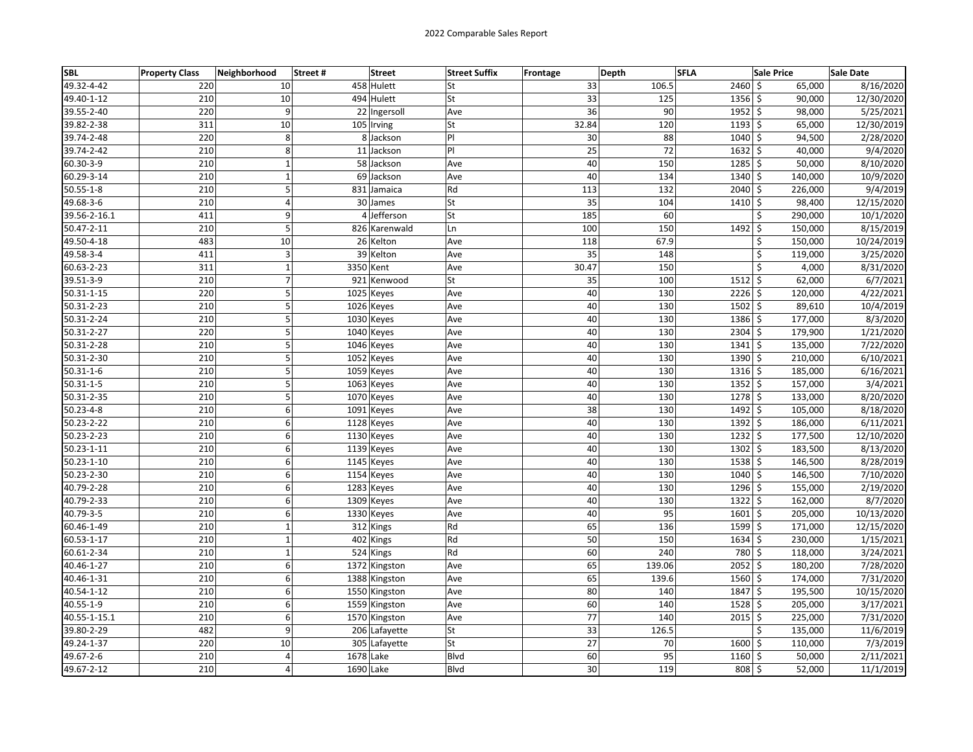| <b>SBL</b>      | <b>Property Class</b> | Neighborhood   | Street#<br><b>Street</b> | <b>Street Suffix</b> | <b>Frontage</b> | Depth  | <b>SFLA</b>    | <b>Sale Price</b>  | <b>Sale Date</b>     |
|-----------------|-----------------------|----------------|--------------------------|----------------------|-----------------|--------|----------------|--------------------|----------------------|
| 49.32-4-42      | 220                   | 10             | 458 Hulett               | lSt                  | 33              | 106.5  | $2460$ \$      | 65,000             | 8/16/2020            |
| 49.40-1-12      | 210                   | 10             | 494 Hulett               | lSt                  | 33              | 125    | $1356$ \$      | 90,000             | 12/30/2020           |
| 39.55-2-40      | 220                   | 9              | 22 Ingersoll             | Ave                  | 36              | 90     | $1952 \mid$ \$ | 98,000             | 5/25/2021            |
| 39.82-2-38      | 311                   | 10             | 105 Irving               | <b>St</b>            | 32.84           | 120    | $1193$ \$      | 65,000             | 12/30/2019           |
| 39.74-2-48      | 220                   | 8              | 8 Jackson                | PI                   | 30              | 88     | 1040           | $\zeta$<br>94,500  | 2/28/2020            |
| 39.74-2-42      | 210                   | 8              | 11 Jackson               | P                    | 25              | 72     | $1632 \mid 5$  | 40,000             | 9/4/2020             |
| 60.30-3-9       | 210                   | $\mathbf{1}$   | 58 Jackson               | Ave                  | 40              | 150    | 1285           | 50,000<br>\$       | 8/10/2020            |
| 60.29-3-14      | 210                   | $\mathbf{1}$   | 69 Jackson               | Ave                  | 40              | 134    | 1340           | \$<br>140,000      | 10/9/2020            |
| $50.55 - 1 - 8$ | 210                   | 5              | 831 Jamaica              | Rd                   | 113             | 132    | $2040 \,$ \$   | 226,000            | 9/4/2019             |
| 49.68-3-6       | 210                   | $\overline{4}$ | 30 James                 | lSt                  | 35              | 104    | $1410 \pm$     | 98,400             | 12/15/2020           |
| 39.56-2-16.1    | 411                   | 9              | 4 Jefferson              | <b>St</b>            | 185             | 60     |                | \$<br>290,000      | 10/1/2020            |
| 50.47-2-11      | 210                   | 5              | 826 Karenwald            | Ln                   | 100             | 150    | 1492           | $\zeta$<br>150,000 | 8/15/2019            |
| 49.50-4-18      | 483                   | 10             | 26 Kelton                | Ave                  | 118             | 67.9   |                | \$<br>150,000      | 10/24/2019           |
| 49.58-3-4       | 411                   | 3              | 39 Kelton                | Ave                  | 35              | 148    |                | \$<br>119,000      | 3/25/2020            |
| 60.63-2-23      | 311                   | $\mathbf{1}$   | 3350 Kent                | Ave                  | 30.47           | 150    |                | Ś<br>4,000         | 8/31/2020            |
| 39.51-3-9       | 210                   | $\overline{7}$ | 921 Kenwood              | <b>St</b>            | 35              | 100    | $1512 \,$ \$   | 62,000             | 6/7/2021             |
| 50.31-1-15      | 220                   | 5              | 1025 Keyes               | Ave                  | 40              | 130    | 2226           | \$<br>120,000      | 4/22/2021            |
| 50.31-2-23      | 210                   | 5              | 1026 Keyes               | Ave                  | 40              | 130    | $1502 \mid 5$  | 89,610             | 10/4/2019            |
| 50.31-2-24      | 210                   | 5              | 1030 Keyes               | Ave                  | 40              | 130    | 1386 \$        | 177,000            | 8/3/2020             |
| 50.31-2-27      | 220                   | 5              | 1040 Keyes               | Ave                  | 40              | 130    | $2304$ \$      | 179,900            | 1/21/2020            |
| 50.31-2-28      | 210                   | 5              | 1046 Keyes               | Ave                  | 40              | 130    | $1341 \;$ \$   | 135,000            | 7/22/2020            |
| 50.31-2-30      | 210                   | 5              | 1052 Keyes               | Ave                  | 40              | 130    | 1390 \$        | 210,000            | 6/10/2021            |
| $50.31 - 1 - 6$ | 210                   | 5              | 1059 Keyes               | Ave                  | 40              | 130    | $1316 \mid 5$  | 185,000            | 6/16/2021            |
| $50.31 - 1 - 5$ | 210                   | 5              | 1063 Keyes               | Ave                  | 40              | 130    | $1352$ \$      | 157,000            | 3/4/2021             |
| 50.31-2-35      | 210                   | 5              | 1070 Keyes               | Ave                  | 40              | 130    | 1278 \$        | 133,000            | 8/20/2020            |
| $50.23 - 4 - 8$ | 210                   | 6              | 1091 Keyes               | Ave                  | 38              | 130    | $1492 \mid 5$  | 105,000            | 8/18/2020            |
| 50.23-2-22      | 210                   | 6              | 1128 Keyes               | Ave                  | 40              | 130    | $1392$ \$      | 186,000            | $\frac{6}{11}{2021}$ |
| 50.23-2-23      | 210                   | 6              | 1130 Keyes               | Ave                  | 40              | 130    | $1232 \mid 5$  | 177,500            | 12/10/2020           |
| 50.23-1-11      | 210                   | 6              | 1139 Keyes               | Ave                  | 40              | 130    | 1302           | \$<br>183,500      | 8/13/2020            |
| 50.23-1-10      | 210                   | 6              | 1145 Keyes               | Ave                  | 40              | 130    | $1538$ \$      | 146,500            | 8/28/2019            |
| 50.23-2-30      | 210                   | 6              | 1154 Keyes               | Ave                  | 40              | 130    | $1040 \le$     | 146,500            | 7/10/2020            |
| 40.79-2-28      | 210                   | 6              | 1283 Keyes               | Ave                  | 40              | 130    | $1296$ \$      | 155,000            | 2/19/2020            |
| 40.79-2-33      | 210                   | 6              | 1309 Keyes               | Ave                  | 40              | 130    | $1322$ \$      | 162,000            | 8/7/2020             |
| 40.79-3-5       | 210                   | 6              | 1330 Keyes               | Ave                  | 40              | 95     | 1601           | \$<br>205,000      | 10/13/2020           |
| 60.46-1-49      | 210                   | $\mathbf 1$    | 312 Kings                | Rd                   | 65              | 136    | 1599           | \$<br>171,000      | 12/15/2020           |
| 60.53-1-17      | 210                   | $\mathbf{1}$   | 402 Kings                | Rd                   | 50              | 150    | 1634 \$        | 230,000            | 1/15/2021            |
| 60.61-2-34      | 210                   | $\mathbf 1$    | 524 Kings                | Rd                   | 60              | 240    | 780 \$         | 118,000            | 3/24/2021            |
| 40.46-1-27      | 210                   | 6              | 1372 Kingston            | Ave                  | 65              | 139.06 | $2052 \mid 5$  | 180,200            | 7/28/2020            |
| 40.46-1-31      | 210                   | 6              | 1388 Kingston            | Ave                  | 65              | 139.6  | 1560           | \$<br>174,000      | 7/31/2020            |
| 40.54-1-12      | 210                   | 6              | 1550 Kingston            | Ave                  | 80              | 140    | 1847 \$        | 195,500            | 10/15/2020           |
| 40.55-1-9       | 210                   | 6              | 1559 Kingston            | Ave                  | 60              | 140    | 1528           | \$<br>205,000      | 3/17/2021            |
| 40.55-1-15.1    | 210                   | 6              | 1570 Kingston            | Ave                  | 77              | 140    | 2015           | \$<br>225,000      | 7/31/2020            |
| 39.80-2-29      | 482                   | 9              | 206 Lafayette            | lSt                  | 33              | 126.5  |                | \$<br>135,000      | 11/6/2019            |
| 49.24-1-37      | 220                   | 10             | 305 Lafayette            | <b>St</b>            | 27              | 70     | 1600           | Ś.<br>110,000      | 7/3/2019             |
| 49.67-2-6       | 210                   | 4              | 1678 Lake                | <b>Blvd</b>          | 60              | 95     | 1160           | \$<br>50,000       | 2/11/2021            |
| 49.67-2-12      | 210                   | 4              | 1690 Lake                | <b>B</b> lvd         | 30              | 119    | 808 \$         | 52,000             | 11/1/2019            |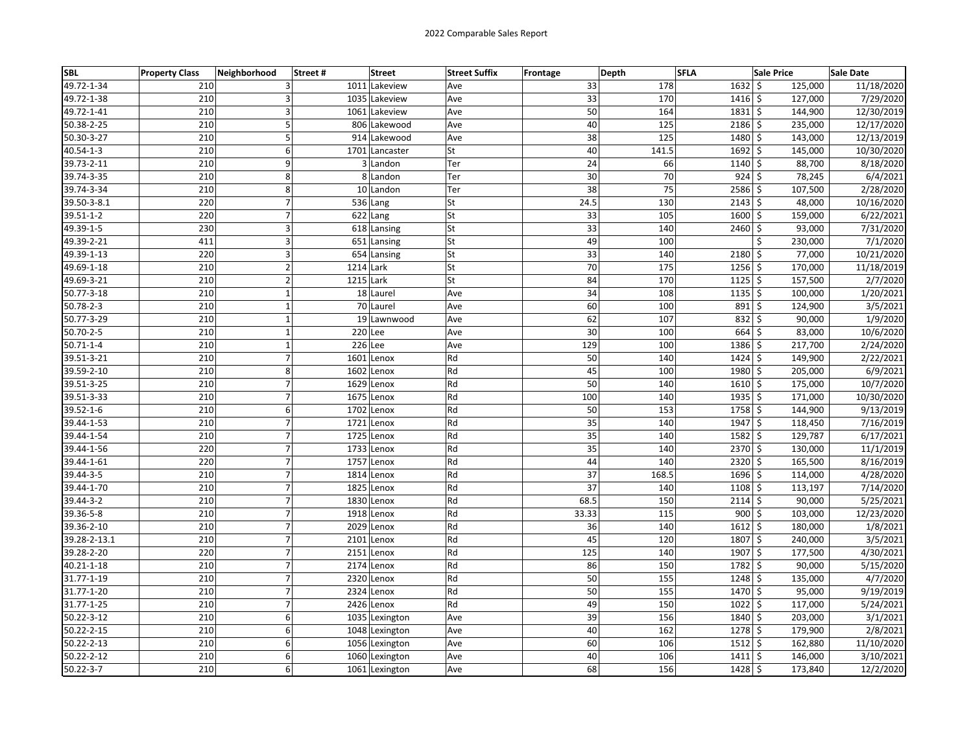| <b>SBL</b>      | <b>Property Class</b> | Neighborhood     | Street#<br><b>Street</b> | <b>Street Suffix</b> | <b>Frontage</b> | Depth | <b>SFLA</b>          | <b>Sale Price</b>  | <b>Sale Date</b> |
|-----------------|-----------------------|------------------|--------------------------|----------------------|-----------------|-------|----------------------|--------------------|------------------|
| 49.72-1-34      | 210                   | 3                | 1011 Lakeview            | Ave                  | 33              | 178   | $1632 \mid 5$        | 125,000            | 11/18/2020       |
| 49.72-1-38      | 210                   | 3                | 1035 Lakeview            | Ave                  | 33              | 170   | $1416 \mid 5$        | 127,000            | 7/29/2020        |
| 49.72-1-41      | 210                   | 3                | 1061 Lakeview            | Ave                  | 50              | 164   | $1831 \;$ \$         | 144,900            | 12/30/2019       |
| 50.38-2-25      | 210                   | 5                | 806 Lakewood             | Ave                  | 40              | 125   | $2186$ \$            | 235,000            | 12/17/2020       |
| 50.30-3-27      | 210                   | 5                | 914 Lakewood             | Ave                  | 38              | 125   | 1480                 | \$<br>143,000      | 12/13/2019       |
| 40.54-1-3       | 210                   | 6                | 1701 Lancaster           | <b>St</b>            | 40              | 141.5 | 1692                 | \$<br>145,000      | 10/30/2020       |
| 39.73-2-11      | 210                   | 9                | 3 Landon                 | Ter                  | 24              | 66    | 1140                 | \$<br>88,700       | 8/18/2020        |
| 39.74-3-35      | 210                   | 8                | 8 Landon                 | Ter                  | 30              | 70    | 924                  | \$<br>78,245       | 6/4/2021         |
| 39.74-3-34      | 210                   | 8                | 10 Landon                | Ter                  | 38              | 75    | 2586 \$              | 107,500            | 2/28/2020        |
| 39.50-3-8.1     | 220                   | $\overline{7}$   | $536$ Lang               | <b>St</b>            | 24.5            | 130   | $2143$ \$            | 48,000             | 10/16/2020       |
| 39.51-1-2       | 220                   | $\boldsymbol{7}$ | 622 Lang                 | <b>St</b>            | 33              | 105   | 1600 \$              | 159,000            | 6/22/2021        |
| 49.39-1-5       | 230                   | 3                | 618 Lansing              | <b>St</b>            | 33              | 140   | 2460                 | \$<br>93,000       | 7/31/2020        |
| 49.39-2-21      | 411                   | 3                | 651 Lansing              | St                   | 49              | 100   |                      | \$<br>230,000      | 7/1/2020         |
| 49.39-1-13      | 220                   | 3                | 654 Lansing              | <b>St</b>            | 33              | 140   | 2180 \$              | 77,000             | 10/21/2020       |
| 49.69-1-18      | 210                   | $\overline{2}$   | 1214 Lark                | <b>St</b>            | 70              | 175   | $1256$ \$            | 170,000            | 11/18/2019       |
| 49.69-3-21      | 210                   | $\overline{2}$   | 1215 Lark                | <b>St</b>            | 84              | 170   | $1125$ \$            | 157,500            | 2/7/2020         |
| 50.77-3-18      | 210                   | $\mathbf{1}$     | 18 Laurel                | Ave                  | 34              | 108   | $1135$ \$            | 100,000            | 1/20/2021        |
| 50.78-2-3       | 210                   | $\mathbf 1$      | 70 Laurel                | Ave                  | 60              | 100   | 891                  | \$<br>124,900      | 3/5/2021         |
| 50.77-3-29      | 210                   | $\mathbf{1}$     | 19 Lawnwood              | Ave                  | 62              | 107   | $832 \mid 5$         | 90,000             | 1/9/2020         |
| 50.70-2-5       | 210                   | $\mathbf{1}$     | 220 Lee                  | Ave                  | 30              | 100   | $664$ \$             | 83,000             | 10/6/2020        |
| $50.71 - 1 - 4$ | 210                   | $\mathbf{1}$     | $226$ Lee                | Ave                  | 129             | 100   | 1386 \$              | 217,700            | 2/24/2020        |
| 39.51-3-21      | 210                   | $\overline{7}$   | 1601 Lenox               | Rd                   | 50              | 140   | $1424$ \$            | 149,900            | 2/22/2021        |
| 39.59-2-10      | 210                   | 8                | 1602 Lenox               | Rd                   | 45              | 100   | 1980 \$              | 205,000            | 6/9/2021         |
| 39.51-3-25      | 210                   | $\overline{7}$   | 1629 Lenox               | Rd                   | 50              | 140   | 1610                 | \$<br>175,000      | 10/7/2020        |
| 39.51-3-33      | 210                   | $\overline{7}$   | 1675 Lenox               | Rd                   | 100             | 140   | $1935$ \$            | 171,000            | 10/30/2020       |
| 39.52-1-6       | 210                   | 6                | 1702 Lenox               | Rd                   | 50              | 153   | $1758$ \$            | 144,900            | 9/13/2019        |
| 39.44-1-53      | 210                   | $\overline{7}$   | 1721 Lenox               | Rd                   | 35              | 140   | $1947$ \$            | 118,450            | 7/16/2019        |
| 39.44-1-54      | 210                   | $\boldsymbol{7}$ | 1725 Lenox               | Rd                   | 35              | 140   | $1582 \mid 5$        | 129,787            | 6/17/2021        |
| 39.44-1-56      | 220                   | $\overline{7}$   | 1733 Lenox               | Rd                   | 35              | 140   | 2370                 | \$<br>130,000      | 11/1/2019        |
| 39.44-1-61      | 220                   | $\overline{7}$   | 1757 Lenox               | Rd                   | 44              | 140   | 2320                 | \$<br>165,500      | 8/16/2019        |
| 39.44-3-5       | 210                   | $\overline{7}$   | 1814 Lenox               | Rd                   | 37              | 168.5 | 1696 \$              | 114,000            | 4/28/2020        |
| 39.44-1-70      | 210                   | $\overline{7}$   | 1825 Lenox               | Rd                   | 37              | 140   | $\overline{1108}$ \$ | 113,197            | 7/14/2020        |
| 39.44-3-2       | 210                   | $\boldsymbol{7}$ | 1830 Lenox               | Rd                   | 68.5            | 150   | $2114 \div$          | 90,000             | 5/25/2021        |
| 39.36-5-8       | 210                   | $\overline{7}$   | 1918 Lenox               | Rd                   | 33.33           | 115   | 900                  | \$<br>103,000      | 12/23/2020       |
| 39.36-2-10      | 210                   | $\overline{7}$   | 2029 Lenox               | Rd                   | 36              | 140   | $1612 \mid 5$        | 180,000            | 1/8/2021         |
| 39.28-2-13.1    | 210                   | $\overline{7}$   | 2101 Lenox               | Rd                   | 45              | 120   | 1807                 | $\zeta$<br>240,000 | 3/5/2021         |
| 39.28-2-20      | 220                   | $\overline{7}$   | 2151 Lenox               | Rd                   | 125             | 140   | 1907                 | \$<br>177,500      | 4/30/2021        |
| 40.21-1-18      | 210                   | $\overline{7}$   | 2174 Lenox               | Rd                   | 86              | 150   | 1782 \$              | 90,000             | 5/15/2020        |
| 31.77-1-19      | 210                   | $\overline{7}$   | 2320 Lenox               | Rd                   | 50              | 155   | 1248                 | \$<br>135,000      | 4/7/2020         |
| 31.77-1-20      | 210                   | $\overline{7}$   | 2324 Lenox               | Rd                   | 50              | 155   | $1470 \mid 5$        | 95,000             | 9/19/2019        |
| 31.77-1-25      | 210                   | $\overline{7}$   | 2426 Lenox               | Rd                   | 49              | 150   | 1022                 | \$<br>117,000      | 5/24/2021        |
| 50.22-3-12      | 210                   | 6                | 1035 Lexington           | Ave                  | 39              | 156   | 1840                 | \$<br>203,000      | 3/1/2021         |
| 50.22-2-15      | 210                   | 6                | 1048 Lexington           | Ave                  | 40              | 162   | 1278 \$              | 179,900            | 2/8/2021         |
| 50.22-2-13      | 210                   | 6                | 1056 Lexington           | Ave                  | 60              | 106   | $1512 \mid 5$        | 162,880            | 11/10/2020       |
| 50.22-2-12      | 210                   | 6                | 1060 Lexington           | Ave                  | 40              | 106   | $1411 \xi$           | 146,000            | 3/10/2021        |
| $50.22 - 3 - 7$ | 210                   | 6                | 1061 Lexington           | Ave                  | 68              | 156   | 1428                 | \$<br>173,840      | 12/2/2020        |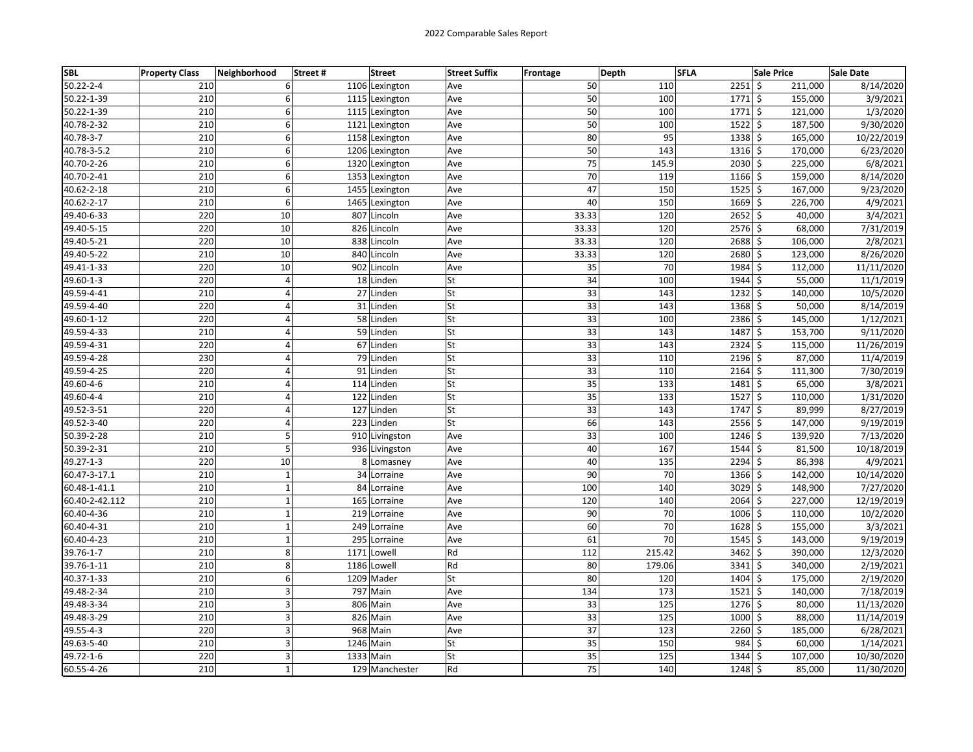| <b>SBL</b>      | <b>Property Class</b> | Neighborhood            | <b>Street</b><br>Street# | <b>Street Suffix</b> | Frontage        | Depth           | <b>SFLA</b>    | <b>Sale Price</b> | <b>Sale Date</b> |
|-----------------|-----------------------|-------------------------|--------------------------|----------------------|-----------------|-----------------|----------------|-------------------|------------------|
| $50.22 - 2 - 4$ | 210                   | 6                       | 1106 Lexington           | Ave                  | 50              | 110             | 2251           | \$<br>211,000     | 8/14/2020        |
| 50.22-1-39      | 210                   | 6                       | 1115 Lexington           | Ave                  | 50              | 100             | $1771$ \$      | 155,000           | 3/9/2021         |
| 50.22-1-39      | 210                   | 6                       | 1115 Lexington           | Ave                  | 50              | 100             | $1771$ \$      | 121,000           | 1/3/2020         |
| 40.78-2-32      | 210                   | 6                       | 1121 Lexington           | Ave                  | 50              | 100             | $1522$ \$      | 187,500           | 9/30/2020        |
| 40.78-3-7       | 210                   | 6                       | 1158 Lexington           | Ave                  | 80              | 95              | 1338           | \$<br>165,000     | 10/22/2019       |
| 40.78-3-5.2     | 210                   | 6                       | 1206 Lexington           | Ave                  | 50              | 143             | $1316$ \$      | 170,000           | 6/23/2020        |
| 40.70-2-26      | 210                   | 6                       | 1320 Lexington           | Ave                  | 75              | 145.9           | 2030           | \$<br>225,000     | 6/8/2021         |
| 40.70-2-41      | 210                   | 6                       | 1353 Lexington           | Ave                  | 70              | 119             | 1166 \$        | 159,000           | 8/14/2020        |
| 40.62-2-18      | 210                   | 6                       | 1455 Lexington           | Ave                  | 47              | 150             | $1525$ \$      | 167,000           | 9/23/2020        |
| 40.62-2-17      | 210                   | 6                       | 1465 Lexington           | Ave                  | 40              | 150             | 1669 \$        | 226,700           | 4/9/2021         |
| 49.40-6-33      | 220                   | 10                      | 807 Lincoln              | Ave                  | 33.33           | 120             | $2652 \mid$ \$ | 40,000            | 3/4/2021         |
| 49.40-5-15      | 220                   | 10                      | 826 Lincoln              | Ave                  | 33.33           | 120             | 2576           | \$<br>68,000      | 7/31/2019        |
| 49.40-5-21      | 220                   | 10                      | 838 Lincoln              | Ave                  | 33.33           | 120             | 2688 \$        | 106,000           | 2/8/2021         |
| 49.40-5-22      | 210                   | 10                      | 840 Lincoln              | Ave                  | 33.33           | 120             | 2680 \$        | 123,000           | 8/26/2020        |
| 49.41-1-33      | 220                   | 10                      | 902 Lincoln              | Ave                  | 35              | 70              | 1984 \$        | 112,000           | 11/11/2020       |
| 49.60-1-3       | 220                   | $\overline{4}$          | 18 Linden                | St                   | 34              | 100             | 1944 \$        | 55,000            | 11/1/2019        |
| 49.59-4-41      | 210                   | $\overline{4}$          | 27 Linden                | lSt                  | 33              | 143             | 1232           | \$<br>140,000     | 10/5/2020        |
| 49.59-4-40      | 220                   | 4                       | 31 Linden                | St                   | 33              | 143             | 1368           | \$<br>50,000      | 8/14/2019        |
| 49.60-1-12      | 220                   | 4                       | 58 Linden                | <b>St</b>            | 33              | 100             | 2386 \$        | 145,000           | 1/12/2021        |
| 49.59-4-33      | 210                   | 4                       | 59 Linden                | lSt                  | 33              | 143             | 1487           | \$<br>153,700     | 9/11/2020        |
| 49.59-4-31      | 220                   | $\overline{4}$          | 67 Linden                | <b>St</b>            | 33              | 143             | $2324$ \$      | 115,000           | 11/26/2019       |
| 49.59-4-28      | 230                   | $\overline{4}$          | 79 Linden                | <b>St</b>            | 33              | 110             | 2196           | \$<br>87,000      | 11/4/2019        |
| 49.59-4-25      | 220                   | 4                       | 91 Linden                | St                   | 33              | 110             | 2164           | \$<br>111,300     | 7/30/2019        |
| 49.60-4-6       | 210                   | $\overline{4}$          | 114 Linden               | <b>St</b>            | $\overline{35}$ | 133             | 1481           | \$<br>65,000      | 3/8/2021         |
| 49.60-4-4       | 210                   | 4                       | 122 Linden               | lSt                  | 35              | 133             | 1527           | \$<br>110,000     | 1/31/2020        |
| 49.52-3-51      | 220                   | $\overline{4}$          | 127 Linden               | <b>St</b>            | 33              | 143             | 1747 \$        | 89,999            | 8/27/2019        |
| 49.52-3-40      | 220                   | $\overline{\mathbf{4}}$ | 223 Linden               | <b>St</b>            | 66              | 143             | 2556           | \$<br>147,000     | 9/19/2019        |
| 50.39-2-28      | 210                   | 5                       | 910 Livingston           | Ave                  | 33              | 100             | 1246           | \$<br>139,920     | 7/13/2020        |
| 50.39-2-31      | 210                   | 5                       | 936 Livingston           | Ave                  | 40              | 167             | 1544           | \$<br>81,500      | 10/18/2019       |
| 49.27-1-3       | 220                   | 10                      | 8 Lomasney               | Ave                  | 40              | 135             | 2294           | \$<br>86,398      | 4/9/2021         |
| 60.47-3-17.1    | 210                   | $\mathbf{1}$            | 34 Lorraine              | Ave                  | 90              | 70              | $1366$ \$      | 142,000           | 10/14/2020       |
| 60.48-1-41.1    | 210                   | $\mathbf{1}$            | 84 Lorraine              | Ave                  | 100             | 140             | $3029$ \$      | 148,900           | 7/27/2020        |
| 60.40-2-42.112  | 210                   | $\mathbf 1$             | 165 Lorraine             | Ave                  | 120             | 140             | $2064$ \$      | 227,000           | 12/19/2019       |
| 60.40-4-36      | 210                   | $\mathbf 1$             | 219 Lorraine             | Ave                  | 90              | 70              | 1006           | \$<br>110,000     | 10/2/2020        |
| 60.40-4-31      | 210                   | $\mathbf{1}$            | 249 Lorraine             | Ave                  | 60              | 70              | 1628           | \$<br>155,000     | 3/3/2021         |
| 60.40-4-23      | 210                   | $\mathbf{1}$            | 295 Lorraine             | Ave                  | 61              | $\overline{70}$ | 1545 \$        | 143,000           | 9/19/2019        |
| 39.76-1-7       | 210                   | 8                       | 1171 Lowell              | Rd                   | 112             | 215.42          | 3462           | \$<br>390,000     | 12/3/2020        |
| 39.76-1-11      | 210                   | 8                       | 1186 Lowell              | Rd                   | 80              | 179.06          | $3341$ \$      | 340,000           | 2/19/2021        |
| 40.37-1-33      | 210                   | 6                       | 1209 Mader               | lSt                  | 80              | 120             | 1404           | \$<br>175,000     | 2/19/2020        |
| 49.48-2-34      | 210                   | 3                       | 797 Main                 | Ave                  | 134             | 173             | 1521           | \$<br>140,000     | 7/18/2019        |
| 49.48-3-34      | 210                   | 3                       | 806 Main                 | Ave                  | 33              | 125             | 1276           | \$<br>80,000      | 11/13/2020       |
| 49.48-3-29      | 210                   | 3                       | 826 Main                 | Ave                  | 33              | 125             | 1000 \$        | 88,000            | 11/14/2019       |
| 49.55-4-3       | 220                   | 3                       | 968 Main                 | Ave                  | 37              | 123             | $2260$ \$      | 185,000           | 6/28/2021        |
| 49.63-5-40      | 210                   | 3                       | 1246 Main                | <b>St</b>            | 35              | 150             | 984            | Ś.<br>60,000      | 1/14/2021        |
| 49.72-1-6       | 220                   | 3                       | 1333 Main                | <b>St</b>            | 35              | 125             | 1344 \$        | 107,000           | 10/30/2020       |
| 60.55-4-26      | 210                   | $\mathbf 1$             | 129 Manchester           | Rd                   | 75              | 140             | 1248           | \$<br>85,000      | 11/30/2020       |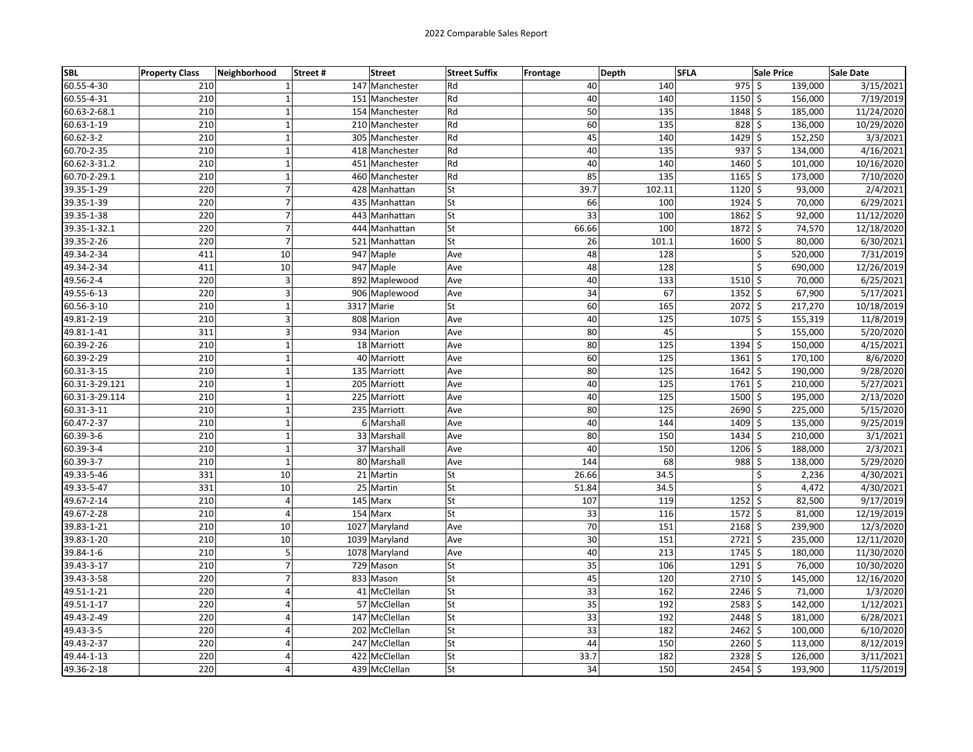| <b>SBL</b>      | <b>Property Class</b> | Neighborhood                     | Street# | <b>Street</b>  | <b>Street Suffix</b> | Frontage | Depth           | <b>SFLA</b> |                | <b>Sale Price</b> | <b>Sale Date</b>       |
|-----------------|-----------------------|----------------------------------|---------|----------------|----------------------|----------|-----------------|-------------|----------------|-------------------|------------------------|
| 60.55-4-30      | 210                   |                                  |         | 147 Manchester | Rd                   |          | 40              | 140         | 975            | \$<br>139,000     | 3/15/2021              |
| 60.55-4-31      | 210                   |                                  |         | 151 Manchester | Rd                   |          | 40              | 140         | $1150 \,$ \$   | 156,000           | 7/19/2019              |
| 60.63-2-68.1    | 210                   | $\mathbf{1}$                     |         | 154 Manchester | Rd                   |          | 50              | 135         | 1848 \$        | 185,000           | 11/24/2020             |
| 60.63-1-19      | 210                   | $\mathbf 1$                      |         | 210 Manchester | Rd                   |          | 60              | 135         | $828$ \$       | 136,000           | 10/29/2020             |
| $60.62 - 3 - 2$ | 210                   | $\mathbf 1$                      |         | 305 Manchester | Rd                   |          | 45              | 140         | 1429           | \$<br>152,250     | 3/3/2021               |
| 60.70-2-35      | 210                   | $\mathbf 1$                      |         | 418 Manchester | Rd                   |          | 40              | 135         | $937$ \$       | 134,000           | 4/16/2021              |
| 60.62-3-31.2    | 210                   | $\mathbf{1}$                     |         | 451 Manchester | Rd                   |          | 40              | 140         | 1460 \$        | 101,000           | 10/16/2020             |
| 60.70-2-29.1    | 210                   | $\mathbf 1$                      |         | 460 Manchester | Rd                   |          | 85              | 135         | 1165 \$        | 173,000           | 7/10/2020              |
| 39.35-1-29      | 220                   | $\overline{7}$                   |         | 428 Manhattan  | <b>St</b>            |          | 39.7            | 102.11      | $1120 \,$ \$   | 93,000            | 2/4/2021               |
| 39.35-1-39      | 220                   | $\overline{7}$                   |         | 435 Manhattan  | St                   |          | 66              | 100         | 1924 \$        | 70,000            | 6/29/2021              |
| 39.35-1-38      | 220                   | $\overline{7}$                   |         | 443 Manhattan  | St                   |          | 33              | 100         | 1862 \$        | 92,000            | 11/12/2020             |
| 39.35-1-32.1    | 220                   | $\overline{7}$                   |         | 444 Manhattan  | St                   |          | 66.66           | 100         | 1872           | \$<br>74,570      | 12/18/2020             |
| 39.35-2-26      | 220                   | $\overline{7}$                   |         | 521 Manhattan  | St                   |          | 26              | 101.1       | 1600 \$        | 80,000            | 6/30/2021              |
| 49.34-2-34      | 411                   | 10                               |         | 947 Maple      | Ave                  |          | 48              | 128         |                | \$<br>520,000     | 7/31/2019              |
| 49.34-2-34      | 411                   | 10                               |         | 947 Maple      | Ave                  |          | 48              | 128         |                | \$<br>690,000     | 12/26/2019             |
| 49.56-2-4       | 220                   | 3                                |         | 892 Maplewood  | Ave                  |          | 40              | 133         | $1510 \,$ \$   | 70,000            | 6/25/2021              |
| 49.55-6-13      | 220                   | 3                                |         | 906 Maplewood  | Ave                  |          | 34              | 67          | 1352           | \$<br>67,900      | 5/17/2021              |
| 60.56-3-10      | 210                   | $\mathbf{1}$                     |         | 3317 Marie     | St                   |          | 60              | 165         | $2072 \mid 5$  | 217,270           | 10/18/2019             |
| 49.81-2-19      | 210                   | 3                                |         | 808 Marion     | Ave                  |          | 40              | 125         | 1075           | \$<br>155,319     | 11/8/2019              |
| 49.81-1-41      | 311                   | 3                                |         | 934 Marion     | Ave                  |          | 80              | 45          |                | \$<br>155,000     | 5/20/2020              |
| 60.39-2-26      | 210                   | $\mathbf{1}$                     |         | 18 Marriott    | Ave                  |          | 80              | 125         | $1394$ \$      | 150,000           | 4/15/2021              |
| 60.39-2-29      | 210                   | $\mathbf 1$                      |         | 40 Marriott    | Ave                  |          | 60              | 125         | 1361           | \$<br>170,100     | 8/6/2020               |
| 60.31-3-15      | 210                   | $\mathbf 1$                      |         | 135 Marriott   | Ave                  |          | 80              | 125         | $1642 \mid 5$  | 190,000           | 9/28/2020              |
| 60.31-3-29.121  | 210                   | $\overline{1}$                   |         | 205 Marriott   | Ave                  |          | 40              | 125         | 1761           | \$<br>210,000     | 5/27/2021              |
| 60.31-3-29.114  | 210                   | $\mathbf{1}$                     |         | 225 Marriott   | Ave                  |          | 40              | 125         | 1500 \$        | 195,000           | 2/13/2020              |
| 60.31-3-11      | 210                   | $\mathbf{1}$                     |         | 235 Marriott   | Ave                  |          | 80              | 125         | 2690 \$        | 225,000           | 5/15/2020              |
| 60.47-2-37      | 210                   | $\mathbf 1$                      |         | 6 Marshall     | Ave                  |          | 40              | 144         | 1409           | \$<br>135,000     | 9/25/2019              |
| 60.39-3-6       | 210                   | $\mathbf 1$                      |         | 33 Marshall    | Ave                  |          | 80              | 150         | 1434           | \$<br>210,000     | 3/1/2021               |
| 60.39-3-4       | 210                   | $\overline{1}$                   |         | 37 Marshall    | Ave                  |          | 40              | 150         | 1206           | \$<br>188,000     | 2/3/2021               |
| 60.39-3-7       | 210                   | $\mathbf{1}$                     |         | 80 Marshall    | Ave                  |          | 144             | 68          | 988            | \$<br>138,000     | 5/29/2020              |
| 49.33-5-46      | 331                   | 10                               |         | 21 Martin      | St                   |          | 26.66           | 34.5        |                | Ś<br>2,236        | 4/30/2021              |
| 49.33-5-47      | 331                   | 10                               |         | 25 Martin      | St                   | 51.84    |                 | 34.5        |                | Ś<br>4,472        | 4/30/2021              |
| 49.67-2-14      | 210                   | 4                                |         | 145 Marx       | St                   |          | 107             | 119         | 1252           | \$<br>82,500      | 9/17/2019              |
| 49.67-2-28      | 210                   | 4                                |         | 154 Marx       | St                   |          | 33              | 116         | 1572           | \$<br>81,000      | 12/19/2019             |
| 39.83-1-21      | 210                   | 10                               |         | 1027 Maryland  | Ave                  |          | 70              | 151         | $2168$ \$      | 239,900           | 12/3/2020              |
| 39.83-1-20      | 210                   | 10                               |         | 1039 Maryland  | Ave                  |          | 30              | 151         | 2721 \$        | 235,000           | 12/11/2020             |
| 39.84-1-6       | 210                   | 5                                |         | 1078 Maryland  | Ave                  |          | 40              | 213         | $1745$ \$      | 180,000           | 11/30/2020             |
| 39.43-3-17      | 210                   | $\overline{\phantom{a}}$         |         | 729 Mason      | St                   |          | 35              | 106         | $1291 \pm$     | 76,000            | 10/30/2020             |
| 39.43-3-58      | 220                   | $\overline{7}$                   |         | 833 Mason      | St                   |          | 45              | 120         | 2710           | \$<br>145,000     | 12/16/2020             |
| 49.51-1-21      | 220                   | $\overline{4}$                   |         | 41 McClellan   | St                   |          | 33              | 162         | 2246           | \$<br>71,000      | 1/3/2020               |
| 49.51-1-17      | 220                   | 4                                |         | 57 McClellan   | St                   |          | $\overline{35}$ | 192         | 2583           | \$<br>142,000     | 1/12/2021              |
| 49.43-2-49      | 220                   | $\overline{4}$                   |         | 147 McClellan  | St                   |          | 33              | 192         | 2448 \$        | 181,000           | 6/28/2021              |
| 49.43-3-5       | 220<br>220            | $\overline{4}$<br>$\overline{4}$ |         | 202 McClellan  | St                   |          | 33<br>44        | 182         | $2462 \mid$ \$ | 100,000<br>Ś      | 6/10/2020<br>8/12/2019 |
| 49.43-2-37      |                       |                                  |         | 247 McClellan  | St                   |          |                 | 150         | 2260           | 113,000           |                        |
| 49.44-1-13      | 220                   | 4                                |         | 422 McClellan  | St                   |          | 33.7            | 182         | $2328$ \$      | 126,000           | 3/11/2021              |
| 49.36-2-18      | 220                   | $\overline{4}$                   |         | 439 McClellan  | St                   |          | 34              | 150         | 2454           | \$<br>193,900     | 11/5/2019              |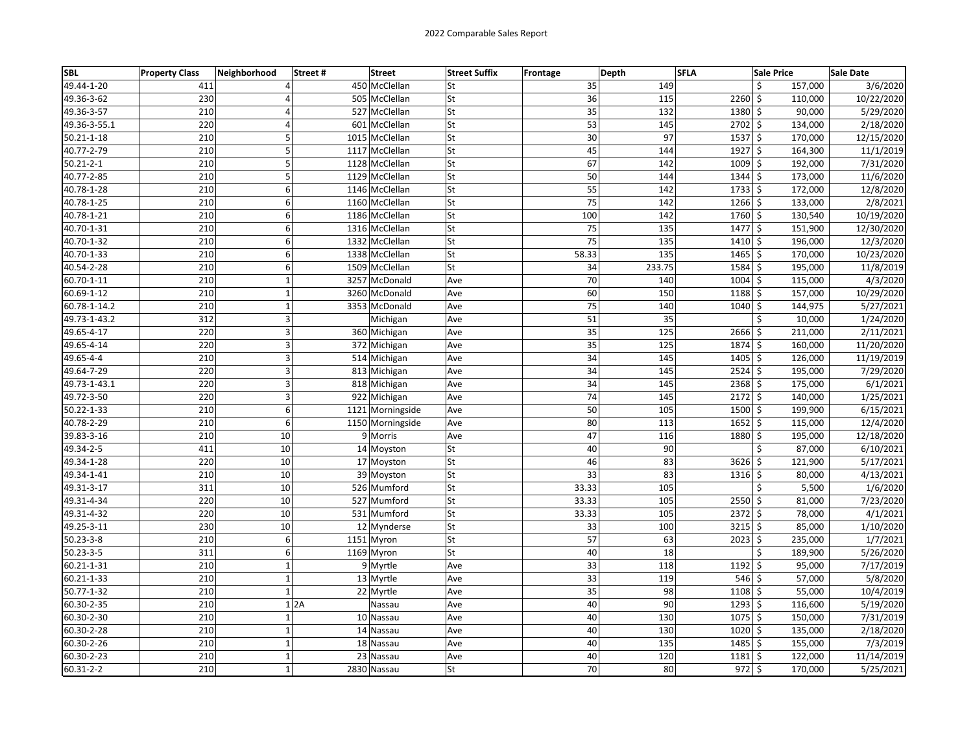| <b>SBL</b>       | <b>Property Class</b> | Neighborhood   | Street# | <b>Street</b>    | <b>Street Suffix</b> | Frontage | Depth           | <b>SFLA</b> |               | <b>Sale Price</b> | Sale Date  |
|------------------|-----------------------|----------------|---------|------------------|----------------------|----------|-----------------|-------------|---------------|-------------------|------------|
| 49.44-1-20       | 411                   | 4              |         | 450 McClellan    | lSt                  |          | 35              | 149         |               | \$<br>157,000     | 3/6/2020   |
| 49.36-3-62       | 230                   | 4              |         | 505 McClellan    | lSt                  |          | 36              | 115         | $2260$ \$     | 110,000           | 10/22/2020 |
| 49.36-3-57       | 210                   | 4              |         | 527 McClellan    | <b>St</b>            |          | 35              | 132         | 1380 \$       | 90,000            | 5/29/2020  |
| 49.36-3-55.1     | 220                   | $\overline{4}$ |         | 601 McClellan    | <b>St</b>            |          | 53              | 145         | 2702 \$       | 134,000           | 2/18/2020  |
| $50.21 - 1 - 18$ | 210                   | 5              |         | 1015 McClellan   | <b>St</b>            |          | $\overline{30}$ | 97          | $1537$ \$     | 170,000           | 12/15/2020 |
| 40.77-2-79       | 210                   | 5              |         | 1117 McClellan   | <b>St</b>            |          | 45              | 144         | $1927$ \$     | 164,300           | 11/1/2019  |
| $50.21 - 2 - 1$  | 210                   | 5              |         | 1128 McClellan   | <b>St</b>            |          | 67              | 142         | $1009$ \$     | 192,000           | 7/31/2020  |
| 40.77-2-85       | 210                   | 5              |         | 1129 McClellan   | lSt                  |          | 50              | 144         | $1344$ \$     | 173,000           | 11/6/2020  |
| 40.78-1-28       | 210                   | 6              |         | 1146 McClellan   | <b>St</b>            |          | 55              | 142         | $1733$ \$     | 172,000           | 12/8/2020  |
| 40.78-1-25       | 210                   | 6              |         | 1160 McClellan   | <b>St</b>            |          | 75              | 142         | $1266$ \$     | 133,000           | 2/8/2021   |
| 40.78-1-21       | 210                   | 6              |         | 1186 McClellan   | <b>St</b>            |          | 100             | 142         | 1760 \$       | 130,540           | 10/19/2020 |
| 40.70-1-31       | 210                   | 6              |         | 1316 McClellan   | lSt                  |          | $\overline{75}$ | 135         | $1477$ \$     | 151,900           | 12/30/2020 |
| 40.70-1-32       | 210                   | 6              |         | 1332 McClellan   | St                   |          | 75              | 135         | $1410 \mid 5$ | 196,000           | 12/3/2020  |
| 40.70-1-33       | 210                   | 6              |         | 1338 McClellan   | <b>St</b>            | 58.33    |                 | 135         | $1465$ \$     | 170,000           | 10/23/2020 |
| 40.54-2-28       | 210                   | 6              |         | 1509 McClellan   | lSt                  |          | 34              | 233.75      | $1584$ \$     | 195,000           | 11/8/2019  |
| 60.70-1-11       | 210                   | $\mathbf{1}$   |         | 3257 McDonald    | Ave                  |          | 70              | 140         | $1004$ \$     | 115,000           | 4/3/2020   |
| 60.69-1-12       | 210                   | $\mathbf 1$    |         | 3260 McDonald    | Ave                  |          | 60              | 150         | $1188$ \$     | 157,000           | 10/29/2020 |
| 60.78-1-14.2     | 210                   | $\mathbf 1$    |         | 3353 McDonald    | Ave                  |          | 75              | 140         | 1040 \$       | 144,975           | 5/27/2021  |
| 49.73-1-43.2     | 312                   | $\overline{3}$ |         | Michigan         | Ave                  |          | 51              | 35          |               | \$<br>10,000      | 1/24/2020  |
| 49.65-4-17       | 220                   | 3              |         | 360 Michigan     | Ave                  |          | 35              | 125         | 2666 \$       | 211,000           | 2/11/2021  |
| 49.65-4-14       | 220                   | 3              |         | 372 Michigan     | Ave                  |          | $\overline{35}$ | 125         | 1874 \$       | 160,000           | 11/20/2020 |
| 49.65-4-4        | 210                   | 3              |         | 514 Michigan     | Ave                  |          | 34              | 145         | $1405$ \$     | 126,000           | 11/19/2019 |
| 49.64-7-29       | 220                   | 3              |         | 813 Michigan     | Ave                  |          | 34              | 145         | $2524$ \$     | 195,000           | 7/29/2020  |
| 49.73-1-43.1     | 220                   | $\overline{3}$ |         | 818 Michigan     | Ave                  |          | 34              | 145         | $2368$ \$     | 175,000           | 6/1/2021   |
| 49.72-3-50       | 220                   | 3              |         | 922 Michigan     | Ave                  |          | 74              | 145         | 2172 \$       | 140,000           | 1/25/2021  |
| 50.22-1-33       | 210                   | 6              |         | 1121 Morningside | Ave                  |          | 50              | 105         | 1500 \$       | 199,900           | 6/15/2021  |
| 40.78-2-29       | 210                   | 6              |         | 1150 Morningside | Ave                  |          | 80              | 113         | $1652$ \$     | 115,000           | 12/4/2020  |
| 39.83-3-16       | 210                   | 10             |         | 9 Morris         | Ave                  |          | 47              | 116         | 1880 \$       | 195,000           | 12/18/2020 |
| 49.34-2-5        | 411                   | 10             |         | 14 Moyston       | lSt                  |          | 40              | 90          |               | Ś<br>87,000       | 6/10/2021  |
| 49.34-1-28       | 220                   | 10             |         | 17 Moyston       | <b>St</b>            |          | 46              | 83          | $3626$ \$     | 121,900           | 5/17/2021  |
| 49.34-1-41       | 210                   | 10             |         | 39 Moyston       | <b>St</b>            |          | 33              | 83          | $1316 \,$ \$  | 80,000            | 4/13/2021  |
| 49.31-3-17       | 311                   | 10             |         | 526 Mumford      | lst                  | 33.33    |                 | 105         |               | Ś<br>5,500        | 1/6/2020   |
| 49.31-4-34       | 220                   | 10             |         | 527 Mumford      | <b>St</b>            | 33.33    |                 | 105         | $2550$ \$     | 81,000            | 7/23/2020  |
| 49.31-4-32       | 220                   | 10             |         | 531 Mumford      | <b>St</b>            | 33.33    |                 | 105         | $2372$ \$     | 78,000            | 4/1/2021   |
| 49.25-3-11       | 230                   | 10             |         | 12 Mynderse      | <b>St</b>            |          | 33              | 100         | $3215$ \$     | 85,000            | 1/10/2020  |
| $50.23 - 3 - 8$  | 210                   | 6              |         | 1151 Myron       | <b>St</b>            |          | 57              | 63          | 2023 \$       | 235,000           | 1/7/2021   |
| $50.23 - 3 - 5$  | 311                   | 6              |         | 1169 Myron       | lSt                  |          | 40              | 18          |               | Ś<br>189,900      | 5/26/2020  |
| 60.21-1-31       | 210                   | $\mathbf 1$    |         | 9 Myrtle         | Ave                  |          | 33              | 118         | $1192 \mid 5$ | 95,000            | 7/17/2019  |
| 60.21-1-33       | 210                   | $\mathbf 1$    |         | 13 Myrtle        | Ave                  |          | 33              | 119         | $546$ \$      | 57,000            | 5/8/2020   |
| 50.77-1-32       | 210                   | $\mathbf 1$    |         | 22 Myrtle        | Ave                  |          | 35              | 98          | $1108$ \$     | 55,000            | 10/4/2019  |
| 60.30-2-35       | 210                   |                | 1 2A    | Nassau           | Ave                  |          | 40              | 90          | $1293$ \$     | 116,600           | 5/19/2020  |
| 60.30-2-30       | 210                   | $\mathbf 1$    |         | 10 Nassau        | Ave                  |          | 40              | 130         | 1075 \$       | 150,000           | 7/31/2019  |
| 60.30-2-28       | 210                   | $\mathbf{1}$   |         | 14 Nassau        | Ave                  |          | 40              | 130         | 1020 \$       | 135,000           | 2/18/2020  |
| 60.30-2-26       | 210                   | $\mathbf 1$    |         | 18 Nassau        | Ave                  |          | 40              | 135         | $1485$ \$     | 155,000           | 7/3/2019   |
| 60.30-2-23       | 210                   | $\mathbf 1$    |         | 23 Nassau        | Ave                  |          | 40              | 120         | $1181 \;$ \$  | 122,000           | 11/14/2019 |
| 60.31-2-2        | 210                   | $\mathbf 1$    |         | 2830 Nassau      | <b>St</b>            |          | 70              | 80          | $972 \;$ \$   | 170,000           | 5/25/2021  |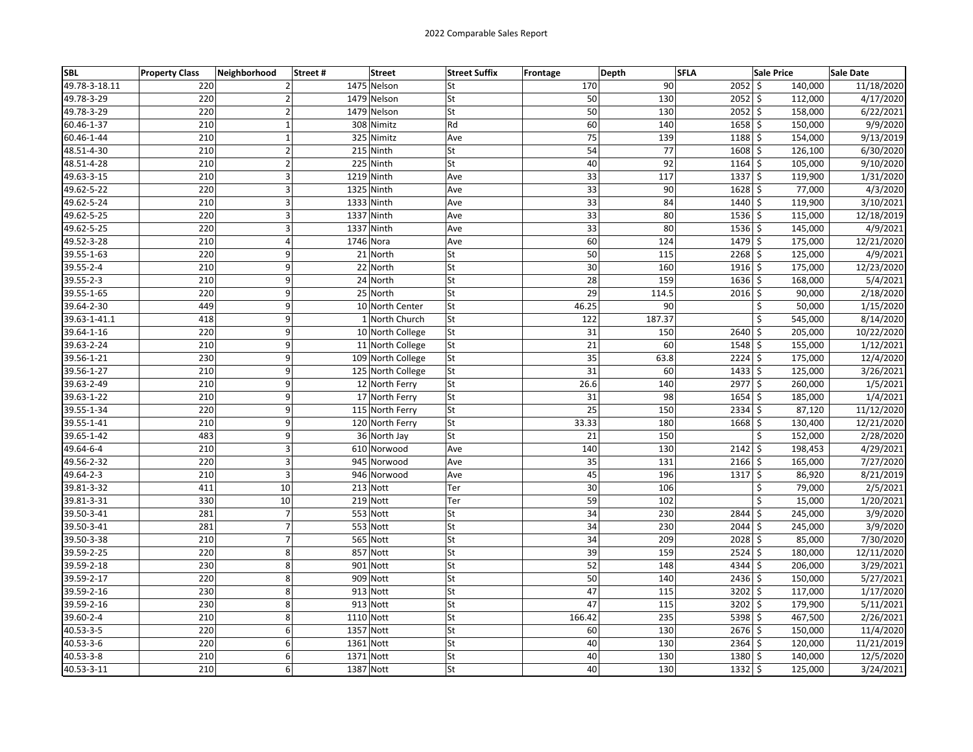| <b>SBL</b>    | <b>Property Class</b> | Neighborhood       | Street # | <b>Street</b>     | <b>Street Suffix</b> | <b>Frontage</b> | Depth  | <b>SFLA</b> |                      | <b>Sale Price</b> | Sale Date  |
|---------------|-----------------------|--------------------|----------|-------------------|----------------------|-----------------|--------|-------------|----------------------|-------------------|------------|
| 49.78-3-18.11 | 220                   | $\overline{2}$     |          | 1475 Nelson       | lSt                  |                 | 170    | 90          | $2052$ \$            | 140,000           | 11/18/2020 |
| 49.78-3-29    | 220                   | $\overline{2}$     |          | 1479 Nelson       | St                   |                 | 50     | 130         | $2052$ \$            | 112,000           | 4/17/2020  |
| 49.78-3-29    | 220                   | $\overline{2}$     |          | 1479 Nelson       | <b>St</b>            |                 | 50     | 130         | 2052 \$              | 158,000           | 6/22/2021  |
| 60.46-1-37    | 210                   | $\mathbf 1$        |          | 308 Nimitz        | Rd                   |                 | 60     | 140         | 1658 \$              | 150,000           | 9/9/2020   |
| 60.46-1-44    | 210                   | $\mathbf 1$        |          | 325 Nimitz        | Ave                  |                 | 75     | 139         | 1188 \$              | 154,000           | 9/13/2019  |
| 48.51-4-30    | 210                   | $\mathbf 2$        |          | 215 Ninth         | St                   |                 | 54     | 77          | $1608$ \$            | 126,100           | 6/30/2020  |
| 48.51-4-28    | 210                   | $\mathbf 2$        |          | 225 Ninth         | lSt                  |                 | 40     | 92          | $1164$ \$            | 105,000           | 9/10/2020  |
| 49.63-3-15    | 210                   | 3                  |          | 1219 Ninth        | Ave                  |                 | 33     | 117         | $1337$ \$            | 119,900           | 1/31/2020  |
| 49.62-5-22    | 220                   | $\overline{3}$     |          | 1325 Ninth        | Ave                  |                 | 33     | 90          | $1628$ \$            | 77,000            | 4/3/2020   |
| 49.62-5-24    | 210                   | 3                  |          | 1333 Ninth        | Ave                  |                 | 33     | 84          | 1440 \$              | 119,900           | 3/10/2021  |
| 49.62-5-25    | 220                   | 3                  |          | 1337 Ninth        | Ave                  |                 | 33     | 80          | $1536$ \$            | 115,000           | 12/18/2019 |
| 49.62-5-25    | 220                   | 3                  |          | 1337 Ninth        | Ave                  |                 | 33     | 80          | $1536$ \$            | 145,000           | 4/9/2021   |
| 49.52-3-28    | 210                   | 4                  |          | 1746 Nora         | Ave                  |                 | 60     | 124         | 1479 \$              | 175,000           | 12/21/2020 |
| 39.55-1-63    | 220                   | 9                  |          | 21 North          | <b>St</b>            |                 | 50     | 115         | $2268$ \$            | 125,000           | 4/9/2021   |
| 39.55-2-4     | 210                   | 9                  |          | 22 North          | lSt                  |                 | 30     | 160         | $1916$ \$            | 175,000           | 12/23/2020 |
| 39.55-2-3     | 210                   | 9                  |          | 24 North          | <b>St</b>            |                 | 28     | 159         | $1636$ \$            | 168,000           | 5/4/2021   |
| 39.55-1-65    | 220                   | 9                  |          | 25 North          | <b>St</b>            |                 | 29     | 114.5       | $2016$ \$            | 90,000            | 2/18/2020  |
| 39.64-2-30    | 449                   | 9                  |          | 10 North Center   | <b>St</b>            |                 | 46.25  | 90          |                      | \$<br>50,000      | 1/15/2020  |
| 39.63-1-41.1  | 418                   | 9                  |          | 1 North Church    | <b>St</b>            |                 | 122    | 187.37      |                      | \$<br>545,000     | 8/14/2020  |
| 39.64-1-16    | 220                   | 9                  |          | 10 North College  | <b>St</b>            |                 | 31     | 150         | 2640 \$              | 205,000           | 10/22/2020 |
| 39.63-2-24    | 210                   | 9                  |          | 11 North College  | <b>St</b>            |                 | 21     | 60          | 1548 \$              | 155,000           | 1/12/2021  |
| 39.56-1-21    | 230                   | 9                  |          | 109 North College | <b>St</b>            |                 | 35     | 63.8        | $2224$ \$            | 175,000           | 12/4/2020  |
| 39.56-1-27    | 210                   | 9                  |          | 125 North College | <b>St</b>            |                 | 31     | 60          | $1433$ \$            | 125,000           | 3/26/2021  |
| 39.63-2-49    | 210                   | 9                  |          | 12 North Ferry    | <b>St</b>            |                 | 26.6   | 140         | $2977$ \$            | 260,000           | 1/5/2021   |
| 39.63-1-22    | 210                   | 9                  |          | 17 North Ferry    | <b>St</b>            |                 | 31     | 98          | 1654 \$              | 185,000           | 1/4/2021   |
| 39.55-1-34    | 220                   | 9                  |          | 115 North Ferry   | <b>St</b>            |                 | 25     | 150         | $2334$ \$            | 87,120            | 11/12/2020 |
| 39.55-1-41    | 210                   | 9                  |          | 120 North Ferry   | <b>St</b>            |                 | 33.33  | 180         | $1668$ \$            | 130,400           | 12/21/2020 |
| 39.65-1-42    | 483                   | 9                  |          | 36 North Jay      | <b>St</b>            |                 | 21     | 150         |                      | \$<br>152,000     | 2/28/2020  |
| 49.64-6-4     | 210                   | $\overline{3}$     |          | 610 Norwood       | Ave                  |                 | 140    | 130         | $2142$ \$            | 198,453           | 4/29/2021  |
| 49.56-2-32    | 220                   | 3                  |          | 945 Norwood       | Ave                  |                 | 35     | 131         | $2166$ \$            | 165,000           | 7/27/2020  |
| 49.64-2-3     | 210                   | 3                  |          | 946 Norwood       | Ave                  |                 | 45     | 196         | $1317 \frac{1}{5}$   | 86,920            | 8/21/2019  |
| 39.81-3-32    | 411                   | 10                 |          | 213 Nott          | Ter                  |                 | 30     | 106         |                      | Ś<br>79,000       | 2/5/2021   |
| 39.81-3-31    | 330                   | 10                 |          | 219 Nott          | Ter                  |                 | 59     | 102         |                      | \$<br>15,000      | 1/20/2021  |
| 39.50-3-41    | 281                   | $\overline{7}$     |          | 553 Nott          | St                   |                 | 34     | 230         | $2844$ \$            | 245,000           | 3/9/2020   |
| 39.50-3-41    | 281                   | $\overline{7}$     |          | 553 Nott          | St                   |                 | 34     | 230         | $2044$ \$            | 245,000           | 3/9/2020   |
| 39.50-3-38    | 210                   | $\overline{7}$     |          | 565 Nott          | <b>St</b>            |                 | 34     | 209         | 2028 \$              | 85,000            | 7/30/2020  |
| 39.59-2-25    | 220                   | 8                  |          | 857 Nott          | lSt                  |                 | 39     | 159         | $\overline{2524}$ \$ | 180,000           | 12/11/2020 |
| 39.59-2-18    | 230                   | 8                  |          | 901 Nott          | <b>St</b>            |                 | 52     | 148         | 4344 \$              | 206,000           | 3/29/2021  |
| 39.59-2-17    | 220                   | $\overline{\bf 8}$ |          | 909 Nott          | <b>St</b>            |                 | 50     | 140         | $2436$ \$            | 150,000           | 5/27/2021  |
| 39.59-2-16    | 230                   | 8                  |          | 913 Nott          | <b>St</b>            |                 | 47     | 115         | $3202 \mid 5$        | 117,000           | 1/17/2020  |
| 39.59-2-16    | 230                   | 8                  |          | 913 Nott          | <b>St</b>            |                 | 47     | 115         | $3202 \mid 5$        | 179,900           | 5/11/2021  |
| 39.60-2-4     | 210                   | 8                  |          | 1110 Nott         | <b>St</b>            |                 | 166.42 | 235         | $5398$ \$            | 467,500           | 2/26/2021  |
| 40.53-3-5     | 220                   | 6                  |          | 1357 Nott         | <b>St</b>            |                 | 60     | 130         | 2676 \$              | 150,000           | 11/4/2020  |
| 40.53-3-6     | 220                   | 6                  |          | 1361 Nott         | <b>St</b>            |                 | 40     | 130         | $2364$ \$            | 120,000           | 11/21/2019 |
| 40.53-3-8     | 210                   | 6                  |          | 1371 Nott         | <b>St</b>            |                 | 40     | 130         | $1380 \mid 5$        | 140,000           | 12/5/2020  |
| 40.53-3-11    | 210                   | $\overline{6}$     |          | 1387 Nott         | <b>St</b>            |                 | 40     | 130         | 1332 \$              | 125,000           | 3/24/2021  |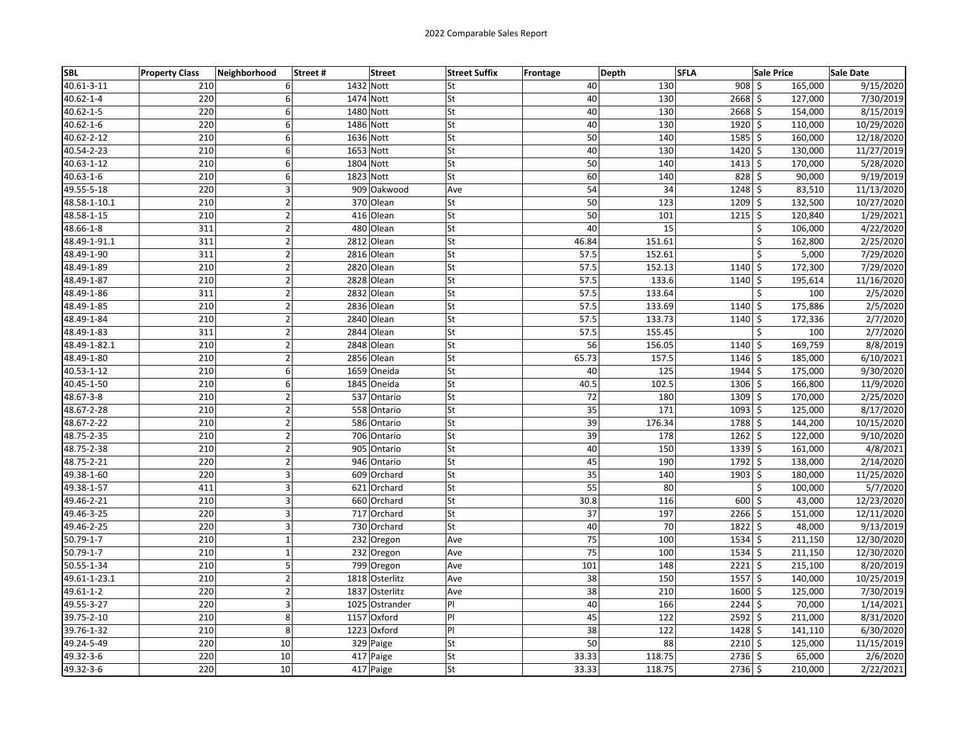| <b>SBL</b>      | <b>Property Class</b> | Neighborhood   | Street # | <b>Street</b>  | <b>Street Suffix</b> | <b>Frontage</b> | Depth           | <b>SFLA</b> |                  | <b>Sale Price</b> | Sale Date  |
|-----------------|-----------------------|----------------|----------|----------------|----------------------|-----------------|-----------------|-------------|------------------|-------------------|------------|
| 40.61-3-11      | 210                   | 6              |          | 1432 Nott      | lSt                  |                 | 40              | 130         | 908 <sup>5</sup> | 165,000           | 9/15/2020  |
| $40.62 - 1 - 4$ | 220                   | 6              |          | 1474 Nott      | lSt                  |                 | 40              | 130         | $2668$ \$        | 127,000           | 7/30/2019  |
| 40.62-1-5       | 220                   | 6              |          | 1480 Nott      | <b>St</b>            |                 | 40              | 130         | 2668 \$          | 154,000           | 8/15/2019  |
| $40.62 - 1 - 6$ | 220                   | 6              |          | 1486 Nott      | <b>St</b>            |                 | 40              | 130         | 1920 \$          | 110,000           | 10/29/2020 |
| 40.62-2-12      | 210                   | 6              |          | 1636 Nott      | <b>St</b>            |                 | 50              | 140         | $1585$ \$        | 160,000           | 12/18/2020 |
| 40.54-2-23      | 210                   | 6              |          | 1653 Nott      | <b>St</b>            |                 | 40              | 130         | 1420 \$          | 130,000           | 11/27/2019 |
| 40.63-1-12      | 210                   | 6              |          | 1804 Nott      | lSt                  |                 | 50              | 140         | $1413 \mid 5$    | 170,000           | 5/28/2020  |
| 40.63-1-6       | 210                   | 6              |          | 1823 Nott      | St                   |                 | 60              | 140         | $828$ \$         | 90,000            | 9/19/2019  |
| 49.55-5-18      | 220                   | $\overline{3}$ |          | 909 Oakwood    | Ave                  |                 | 54              | 34          | $1248$ \$        | 83,510            | 11/13/2020 |
| 48.58-1-10.1    | 210                   | $\overline{2}$ |          | 370 Olean      | lSt                  |                 | 50              | 123         | $1209$ \$        | 132,500           | 10/27/2020 |
| 48.58-1-15      | 210                   | $\mathbf 2$    |          | 416 Olean      | <b>St</b>            |                 | 50              | 101         | $1215$ \$        | 120,840           | 1/29/2021  |
| 48.66-1-8       | 311                   | $\mathbf 2$    |          | 480 Olean      | lSt                  |                 | 40              | 15          |                  | Ś<br>106,000      | 4/22/2020  |
| 48.49-1-91.1    | 311                   | $\mathbf 2$    |          | 2812 Olean     | St                   | 46.84           |                 | 151.61      |                  | \$<br>162,800     | 2/25/2020  |
| 48.49-1-90      | 311                   | $\overline{2}$ |          | 2816 Olean     | <b>St</b>            | 57.5            |                 | 152.61      |                  | \$<br>5,000       | 7/29/2020  |
| 48.49-1-89      | 210                   | $\overline{2}$ |          | 2820 Olean     | <b>St</b>            | 57.5            |                 | 152.13      | $1140 \mid$ \$   | 172,300           | 7/29/2020  |
| 48.49-1-87      | 210                   | $\overline{2}$ |          | 2828 Olean     | <b>St</b>            | 57.5            |                 | 133.6       | $1140 \;$ \$     | 195,614           | 11/16/2020 |
| 48.49-1-86      | 311                   | $\mathbf 2$    |          | 2832 Olean     | <b>St</b>            | 57.5            |                 | 133.64      |                  | \$<br>100         | 2/5/2020   |
| 48.49-1-85      | 210                   | $\mathbf 2$    |          | 2836 Olean     | <b>St</b>            |                 | 57.5            | 133.69      | $1140 \;$ \$     | 175,886           | 2/5/2020   |
| 48.49-1-84      | 210                   | $\overline{2}$ |          | 2840 Olean     | <b>St</b>            |                 | 57.5            | 133.73      | $1140 \,$ \$     | 172,336           | 2/7/2020   |
| 48.49-1-83      | 311                   | $\mathbf 2$    |          | 2844 Olean     | <b>St</b>            |                 | 57.5            | 155.45      |                  | \$<br>100         | 2/7/2020   |
| 48.49-1-82.1    | 210                   | $\mathbf 2$    |          | 2848 Olean     | <b>St</b>            |                 | 56              | 156.05      | $1140 \;$ \$     | 169,759           | 8/8/2019   |
| 48.49-1-80      | 210                   | $\overline{2}$ |          | 2856 Olean     | lSt                  | 65.73           |                 | 157.5       | $1146$ \$        | 185,000           | 6/10/2021  |
| 40.53-1-12      | 210                   | 6              |          | 1659 Oneida    | <b>St</b>            |                 | 40              | 125         | 1944 \$          | 175,000           | 9/30/2020  |
| 40.45-1-50      | 210                   | 6              |          | 1845<br>Oneida | St                   | 40.5            |                 | 102.5       | $1306$ \$        | 166,800           | 11/9/2020  |
| 48.67-3-8       | 210                   | $\overline{2}$ |          | 537 Ontario    | <b>St</b>            |                 | 72              | 180         | 1309 \$          | 170,000           | 2/25/2020  |
| 48.67-2-28      | 210                   | $\overline{2}$ |          | 558 Ontario    | <b>St</b>            |                 | 35              | 171         | 1093 \$          | 125,000           | 8/17/2020  |
| 48.67-2-22      | 210                   | $\overline{2}$ |          | 586 Ontario    | lSt                  |                 | 39              | 176.34      | 1788 \$          | 144,200           | 10/15/2020 |
| 48.75-2-35      | 210                   | $\mathbf 2$    |          | 706 Ontario    | <b>St</b>            |                 | 39              | 178         | $1262 \mid 5$    | 122,000           | 9/10/2020  |
| 48.75-2-38      | 210                   | $\overline{2}$ |          | 905 Ontario    | lSt                  |                 | 40              | 150         | $1339$ \$        | 161,000           | 4/8/2021   |
| 48.75-2-21      | 220                   | $\overline{2}$ |          | 946 Ontario    | <b>St</b>            |                 | 45              | 190         | 1792 \$          | 138,000           | 2/14/2020  |
| 49.38-1-60      | 220                   | 3              |          | 609 Orchard    | <b>St</b>            |                 | 35              | 140         | $1903$ \$        | 180,000           | 11/25/2020 |
| 49.38-1-57      | 411                   | $\overline{3}$ |          | 621 Orchard    | lst                  |                 | 55              | 80          |                  | Ś<br>100,000      | 5/7/2020   |
| 49.46-2-21      | 210                   | $\overline{3}$ |          | 660 Orchard    | <b>St</b>            |                 | 30.8            | 116         | $600 \le$        | 43,000            | 12/23/2020 |
| 49.46-3-25      | 220                   | 3              |          | 717 Orchard    | <b>St</b>            |                 | 37              | 197         | $2266$ \$        | 151,000           | 12/11/2020 |
| 49.46-2-25      | 220                   | 3              |          | 730 Orchard    | lSt                  |                 | 40              | 70          | $1822$ \$        | 48,000            | 9/13/2019  |
| 50.79-1-7       | 210                   | $\mathbf{1}$   |          | 232 Oregon     | Ave                  |                 | $\overline{75}$ | 100         | $1534$ \$        | 211,150           | 12/30/2020 |
| $50.79 - 1 - 7$ | 210                   | $\mathbf 1$    |          | 232 Oregon     | Ave                  |                 | 75              | 100         | 1534 \$          | 211,150           | 12/30/2020 |
| 50.55-1-34      | 210                   | 5              |          | 799 Oregon     | Ave                  |                 | 101             | 148         | $2221$ \$        | 215,100           | 8/20/2019  |
| 49.61-1-23.1    | 210                   | $\mathbf 2$    |          | 1818 Osterlitz | Ave                  |                 | 38              | 150         | $1557$ \$        | 140,000           | 10/25/2019 |
| 49.61-1-2       | 220                   | $\mathbf 2$    |          | 1837 Osterlitz | Ave                  |                 | 38              | 210         | $1600 \,$ \$     | 125,000           | 7/30/2019  |
| 49.55-3-27      | 220                   | $\overline{3}$ |          | 1025 Ostrander | PI                   |                 | 40              | 166         | $2244$ \$        | 70,000            | 1/14/2021  |
| 39.75-2-10      | 210                   | 8              |          | 1157 Oxford    | PI                   |                 | 45              | 122         | 2592 \$          | 211,000           | 8/31/2020  |
| 39.76-1-32      | 210                   | 8              |          | 1223 Oxford    | P                    |                 | 38              | 122         | 1428 \$          | 141,110           | 6/30/2020  |
| 49.24-5-49      | 220                   | 10             |          | 329 Paige      | <b>St</b>            |                 | 50              | 88          | $2210$ \$        | 125,000           | 11/15/2019 |
| 49.32-3-6       | 220                   | 10             |          | 417 Paige      | <b>St</b>            | 33.33           |                 | 118.75      | $2736$ \$        | 65,000            | 2/6/2020   |
| 49.32-3-6       | 220                   | 10             |          | 417 Paige      | <b>St</b>            | 33.33           |                 | 118.75      | $2736$ \$        | 210,000           | 2/22/2021  |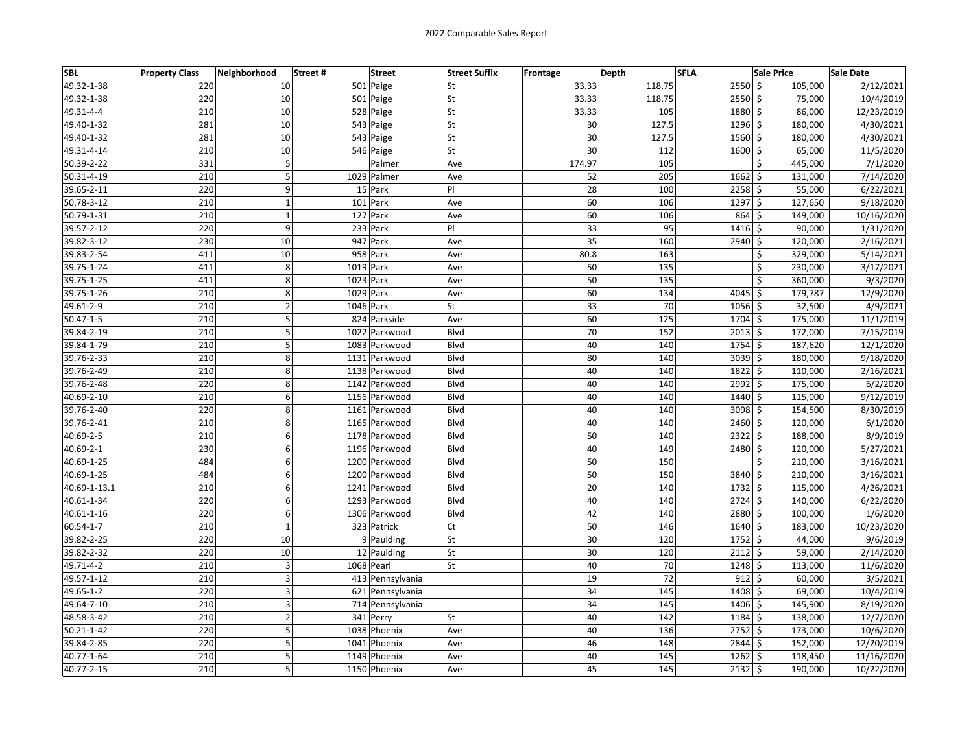| <b>SBL</b>      | <b>Property Class</b> | Neighborhood            | Street#<br><b>Street</b> | <b>Street Suffix</b> | Frontage | Depth  | <b>SFLA</b>   | <b>Sale Price</b>  | <b>Sale Date</b> |
|-----------------|-----------------------|-------------------------|--------------------------|----------------------|----------|--------|---------------|--------------------|------------------|
| 49.32-1-38      | 220                   | 10                      | 501 Paige                | lSt                  | 33.33    | 118.75 | $2550$ \$     | 105,000            | 2/12/2021        |
| 49.32-1-38      | 220                   | 10                      | 501 Paige                | lSt                  | 33.33    | 118.75 | 2550 \$       | 75,000             | 10/4/2019        |
| 49.31-4-4       | 210                   | 10                      | 528 Paige                | <b>St</b>            | 33.33    | 105    | 1880 \$       | 86,000             | 12/23/2019       |
| 49.40-1-32      | 281                   | 10                      | 543 Paige                | <b>St</b>            | 30       | 127.5  | $1296$ \$     | 180,000            | 4/30/2021        |
| 49.40-1-32      | 281                   | 10                      | 543 Paige                | <b>St</b>            | 30       | 127.5  | 1560 \$       | 180,000            | 4/30/2021        |
| 49.31-4-14      | 210                   | 10                      | 546 Paige                | <b>St</b>            | 30       | 112    | 1600          | \$<br>65,000       | 11/5/2020        |
| 50.39-2-22      | 331                   | 5                       | Palmer                   | Ave                  | 174.97   | 105    |               | Ś<br>445,000       | 7/1/2020         |
| 50.31-4-19      | 210                   | 5                       | 1029 Palmer              | Ave                  | 52       | 205    | 1662          | \$<br>131,000      | 7/14/2020        |
| 39.65-2-11      | 220                   | 9                       | 15 Park                  | PI                   | 28       | 100    | 2258 \$       | 55,000             | 6/22/2021        |
| 50.78-3-12      | 210                   | $\mathbf{1}$            | 101 Park                 | Ave                  | 60       | 106    | 1297 \$       | 127,650            | 9/18/2020        |
| 50.79-1-31      | 210                   | $\mathbf 1$             | 127 Park                 | Ave                  | 60       | 106    | $864 \;$ \$   | 149,000            | 10/16/2020       |
| 39.57-2-12      | 220                   | 9                       | 233 Park                 | PI                   | 33       | 95     | 1416          | \$<br>90,000       | 1/31/2020        |
| 39.82-3-12      | 230                   | 10                      | 947 Park                 | Ave                  | 35       | 160    | 2940          | \$<br>120,000      | 2/16/2021        |
| 39.83-2-54      | 411                   | 10                      | 958 Park                 | Ave                  | 80.8     | 163    |               | \$<br>329,000      | 5/14/2021        |
| 39.75-1-24      | 411                   | 8                       | 1019 Park                | Ave                  | 50       | 135    |               | \$<br>230,000      | 3/17/2021        |
| 39.75-1-25      | 411                   | 8                       | 1023 Park                | Ave                  | 50       | 135    |               | \$<br>360,000      | 9/3/2020         |
| 39.75-1-26      | 210                   | 8                       | 1029 Park                | Ave                  | 60       | 134    | 4045          | Ŝ.<br>179,787      | 12/9/2020        |
| 49.61-2-9       | 210                   | $\overline{\mathbf{c}}$ | 1046 Park                | lSt                  | 33       | 70     | 1056          | \$<br>32,500       | 4/9/2021         |
| $50.47 - 1 - 5$ | 210                   | 5                       | 824 Parkside             | Ave                  | 60       | 125    | 1704 \$       | 175,000            | 11/1/2019        |
| 39.84-2-19      | 210                   | 5                       | 1022 Parkwood            | Blvd                 | 70       | 152    | $2013$ \$     | 172,000            | 7/15/2019        |
| 39.84-1-79      | 210                   | 5                       | 1083 Parkwood            | <b>Blvd</b>          | 40       | 140    | $1754$ \$     | 187,620            | 12/1/2020        |
| 39.76-2-33      | 210                   | 8                       | 1131 Parkwood            | <b>B</b> lvd         | 80       | 140    | $3039$ \$     | 180,000            | 9/18/2020        |
| 39.76-2-49      | 210                   | 8                       | 1138 Parkwood            | Blvd                 | 40       | 140    | $1822 \mid 5$ | 110,000            | 2/16/2021        |
| 39.76-2-48      | 220                   | 8                       | 1142 Parkwood            | Blvd                 | 40       | 140    | 2992          | \$<br>175,000      | 6/2/2020         |
| 40.69-2-10      | 210                   | 6                       | 1156 Parkwood            | Blvd                 | 40       | 140    | 1440 \$       | 115,000            | 9/12/2019        |
| 39.76-2-40      | 220                   | 8                       | 1161 Parkwood            | <b>Blvd</b>          | 40       | 140    | 3098 \$       | 154,500            | 8/30/2019        |
| 39.76-2-41      | 210                   | 8                       | 1165 Parkwood            | <b>Blvd</b>          | 40       | 140    | $2460 \leq$   | 120,000            | 6/1/2020         |
| 40.69-2-5       | 210                   | 6                       | 1178 Parkwood            | <b>Blvd</b>          | 50       | 140    | $2322$ \$     | 188,000            | 8/9/2019         |
| 40.69-2-1       | 230                   | 6                       | 1196 Parkwood            | <b>Blvd</b>          | 40       | 149    | 2480          | \$<br>120,000      | 5/27/2021        |
| 40.69-1-25      | 484                   | 6                       | 1200 Parkwood            | <b>Blvd</b>          | 50       | 150    |               | \$<br>210,000      | 3/16/2021        |
| 40.69-1-25      | 484                   | 6                       | 1200 Parkwood            | Blvd                 | 50       | 150    | 3840          | $\zeta$<br>210,000 | 3/16/2021        |
| 40.69-1-13.1    | 210                   | 6                       | 1241 Parkwood            | Blvd                 | 20       | 140    | 1732 \$       | 115,000            | 4/26/2021        |
| 40.61-1-34      | 220                   | 6                       | 1293 Parkwood            | <b>Blvd</b>          | 40       | 140    | $2724$ \$     | 140,000            | 6/22/2020        |
| 40.61-1-16      | 220                   | 6                       | 1306 Parkwood            | <b>Blvd</b>          | 42       | 140    | 2880          | \$<br>100,000      | 1/6/2020         |
| 60.54-1-7       | 210                   | $\mathbf{1}$            | 323 Patrick              | Ct                   | 50       | 146    | $1640 \mid 5$ | 183,000            | 10/23/2020       |
| 39.82-2-25      | 220                   | 10                      | 9 Paulding               | <b>St</b>            | 30       | 120    | $1752 \,$ \$  | 44,000             | 9/6/2019         |
| 39.82-2-32      | 220                   | 10                      | 12 Paulding              | <b>St</b>            | 30       | 120    | 2112 \$       | 59,000             | 2/14/2020        |
| 49.71-4-2       | 210                   | 3                       | 1068 Pearl               | <b>St</b>            | 40       | 70     | $1248$ \$     | 113,000            | 11/6/2020        |
| 49.57-1-12      | 210                   | 3                       | 413 Pennsylvania         |                      | 19       | 72     | $912$ \$      | 60,000             | 3/5/2021         |
| 49.65-1-2       | 220                   | 3                       | 621 Pennsylvania         |                      | 34       | 145    | 1408 \$       | 69,000             | 10/4/2019        |
| 49.64-7-10      | 210                   | 3                       | 714 Pennsylvania         |                      | 34       | 145    | 1406          | \$<br>145,900      | 8/19/2020        |
| 48.58-3-42      | 210                   | $\mathbf 2$             | 341 Perry                | St                   | 40       | 142    | 1184          | \$<br>138,000      | 12/7/2020        |
| 50.21-1-42      | 220                   | 5                       | 1038 Phoenix             | Ave                  | 40       | 136    | $2752 \mid 5$ | 173,000            | 10/6/2020        |
| 39.84-2-85      | 220                   | 5                       | 1041 Phoenix             | Ave                  | 46       | 148    | 2844 \$       | 152,000            | 12/20/2019       |
| 40.77-1-64      | 210                   | 5                       | 1149 Phoenix             | Ave                  | 40       | 145    | $1262 \mid 5$ | 118,450            | 11/16/2020       |
| 40.77-2-15      | 210                   | 5                       | 1150 Phoenix             | Ave                  | 45       | 145    | 2132          | \$<br>190,000      | 10/22/2020       |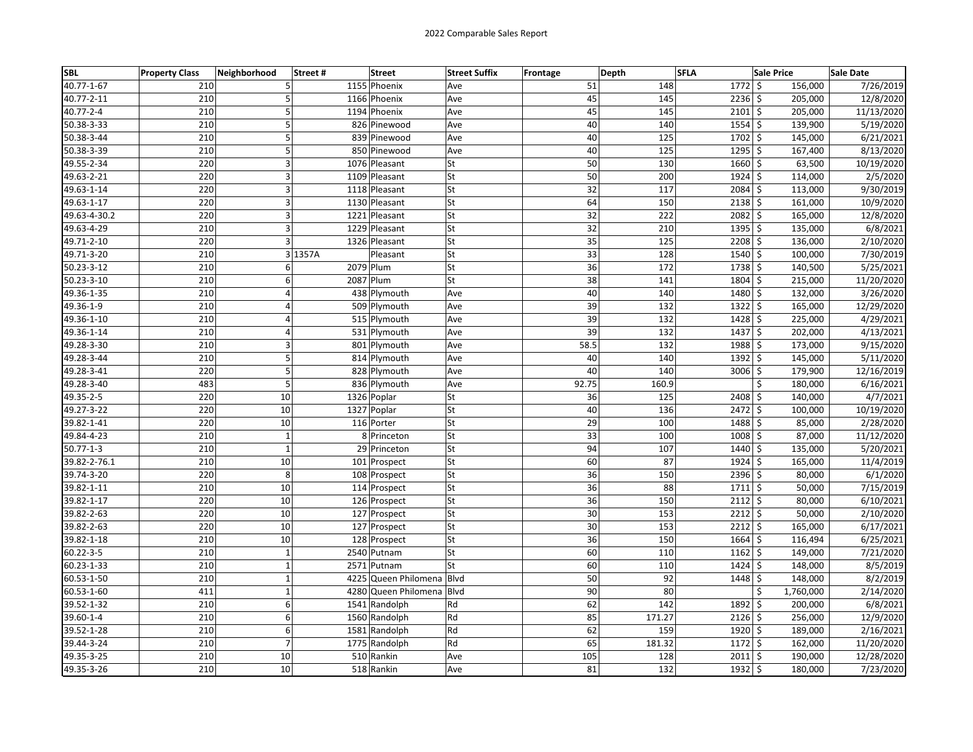| <b>SBL</b>      | <b>Property Class</b> | Neighborhood   | Street# | <b>Street</b>             | <b>Street Suffix</b> | <b>Frontage</b> | Depth | <b>SFLA</b> |                    | <b>Sale Price</b> | Sale Date  |
|-----------------|-----------------------|----------------|---------|---------------------------|----------------------|-----------------|-------|-------------|--------------------|-------------------|------------|
| 40.77-1-67      | 210                   | 5              |         | 1155 Phoenix              | Ave                  |                 | 51    | 148         | $1772 \,$ \$       | 156,000           | 7/26/2019  |
| 40.77-2-11      | 210                   | 5              |         | 1166 Phoenix              | Ave                  |                 | 45    | 145         | $2236$ \$          | 205,000           | 12/8/2020  |
| 40.77-2-4       | 210                   | 5              |         | 1194 Phoenix              | Ave                  |                 | 45    | 145         | $2101 \frac{1}{2}$ | 205,000           | 11/13/2020 |
| 50.38-3-33      | 210                   | 5              |         | 826 Pinewood              | Ave                  |                 | 40    | 140         | $1554$ \$          | 139,900           | 5/19/2020  |
| 50.38-3-44      | 210                   | 5              |         | 839 Pinewood              | Ave                  |                 | 40    | 125         | 1702 \$            | 145,000           | 6/21/2021  |
| 50.38-3-39      | 210                   | 5              |         | 850 Pinewood              | Ave                  |                 | 40    | 125         | $1295$ \$          | 167,400           | 8/13/2020  |
| 49.55-2-34      | 220                   | 3              |         | 1076 Pleasant             | lSt                  |                 | 50    | 130         | 1660 \$            | 63,500            | 10/19/2020 |
| 49.63-2-21      | 220                   | 3              |         | 1109 Pleasant             | St                   |                 | 50    | 200         | $1924$ \$          | 114,000           | 2/5/2020   |
| 49.63-1-14      | 220                   | 3              |         | 1118 Pleasant             | <b>St</b>            |                 | 32    | 117         | 2084 \$            | 113,000           | 9/30/2019  |
| 49.63-1-17      | 220                   | 3              |         | 1130 Pleasant             | <b>St</b>            |                 | 64    | 150         | $2138$ \$          | 161,000           | 10/9/2020  |
| 49.63-4-30.2    | 220                   | 3              |         | 1221 Pleasant             | <b>St</b>            |                 | 32    | 222         | $2082 \mid 5$      | 165,000           | 12/8/2020  |
| 49.63-4-29      | 210                   | 3              |         | 1229 Pleasant             | <b>St</b>            |                 | 32    | 210         | $1395$ \$          | 135,000           | 6/8/2021   |
| 49.71-2-10      | 220                   | $\overline{3}$ |         | 1326 Pleasant             | St                   |                 | 35    | 125         | $2208$ \$          | 136,000           | 2/10/2020  |
| 49.71-3-20      | 210                   |                | 3 1357A | Pleasant                  | <b>St</b>            |                 | 33    | 128         | 1540 \$            | 100,000           | 7/30/2019  |
| 50.23-3-12      | 210                   | 6              |         | 2079 Plum                 | <b>St</b>            |                 | 36    | 172         | 1738 \$            | 140,500           | 5/25/2021  |
| 50.23-3-10      | 210                   | 6              |         | 2087 Plum                 | <b>St</b>            |                 | 38    | 141         | 1804 \$            | 215,000           | 11/20/2020 |
| 49.36-1-35      | 210                   | $\overline{a}$ |         | 438 Plymouth              | Ave                  |                 | 40    | 140         | 1480 \$            | 132,000           | 3/26/2020  |
| 49.36-1-9       | 210                   | $\overline{4}$ |         | 509 Plymouth              | Ave                  |                 | 39    | 132         | $1322 \mid 5$      | 165,000           | 12/29/2020 |
| 49.36-1-10      | 210                   | 4              |         | 515 Plymouth              | Ave                  |                 | 39    | 132         | $1428$ \$          | 225,000           | 4/29/2021  |
| 49.36-1-14      | 210                   | $\overline{4}$ |         | 531 Plymouth              | Ave                  |                 | 39    | 132         | 1437 \$            | 202,000           | 4/13/2021  |
| 49.28-3-30      | 210                   | 3              |         | 801 Plymouth              | Ave                  |                 | 58.5  | 132         | 1988 \$            | 173,000           | 9/15/2020  |
| 49.28-3-44      | 210                   | 5              |         | 814 Plymouth              | Ave                  |                 | 40    | 140         | $1392$ \$          | 145,000           | 5/11/2020  |
| 49.28-3-41      | 220                   | 5              |         | 828 Plymouth              | Ave                  |                 | 40    | 140         | $3006$ \$          | 179,900           | 12/16/2019 |
| 49.28-3-40      | 483                   | 5              |         | 836 Plymouth              | Ave                  |                 | 92.75 | 160.9       |                    | Ś<br>180,000      | 6/16/2021  |
| 49.35-2-5       | 220                   | 10             |         | 1326 Poplar               | St                   |                 | 36    | 125         | 2408 \$            | 140,000           | 4/7/2021   |
| 49.27-3-22      | 220                   | 10             |         | 1327 Poplar               | <b>St</b>            |                 | 40    | 136         | $2472 \mid 5$      | 100,000           | 10/19/2020 |
| 39.82-1-41      | 220                   | 10             |         | 116 Porter                | lSt                  |                 | 29    | 100         | 1488 \$            | 85,000            | 2/28/2020  |
| 49.84-4-23      | 210                   | $\mathbf 1$    |         | 8 Princeton               | <b>St</b>            |                 | 33    | 100         | $1008$ \$          | 87,000            | 11/12/2020 |
| $50.77 - 1 - 3$ | 210                   | $\mathbf 1$    |         | 29 Princeton              | <b>St</b>            |                 | 94    | 107         | 1440 \$            | 135,000           | 5/20/2021  |
| 39.82-2-76.1    | 210                   | 10             |         | 101 Prospect              | <b>St</b>            |                 | 60    | 87          | $1924$ \$          | 165,000           | 11/4/2019  |
| 39.74-3-20      | 220                   | 8              |         | 108 Prospect              | <b>St</b>            |                 | 36    | 150         | 2396 \$            | 80,000            | 6/1/2020   |
| 39.82-1-11      | 210                   | 10             |         | 114 Prospect              | <b>St</b>            |                 | 36    | 88          | 1711 \$            | 50,000            | 7/15/2019  |
| 39.82-1-17      | 220                   | 10             |         | 126 Prospect              | <b>St</b>            |                 | 36    | 150         | $2112 \mid 5$      | 80,000            | 6/10/2021  |
| 39.82-2-63      | 220                   | 10             |         | 127 Prospect              | <b>St</b>            |                 | 30    | 153         | 2212 \$            | 50,000            | 2/10/2020  |
| 39.82-2-63      | 220                   | 10             |         | 127 Prospect              | <b>St</b>            |                 | 30    | 153         | $2212 \mid 5$      | 165,000           | 6/17/2021  |
| 39.82-1-18      | 210                   | 10             |         | 128 Prospect              | <b>St</b>            |                 | 36    | 150         | $1664$ \$          | 116,494           | 6/25/2021  |
| $60.22 - 3 - 5$ | 210                   | $\mathbf 1$    |         | 2540 Putnam               | lSt                  |                 | 60    | 110         | $1162 \mid 5$      | 149,000           | 7/21/2020  |
| 60.23-1-33      | 210                   | $\mathbf 1$    |         | 2571 Putnam               | <b>St</b>            |                 | 60    | 110         | 1424 \$            | 148,000           | 8/5/2019   |
| 60.53-1-50      | 210                   | $\mathbf 1$    |         | 4225 Queen Philomena Blvd |                      |                 | 50    | 92          | $1448$ \$          | 148,000           | 8/2/2019   |
| 60.53-1-60      | 411                   | $\mathbf 1$    |         | 4280 Queen Philomena Blvd |                      |                 | 90    | 80          |                    | \$<br>1,760,000   | 2/14/2020  |
| 39.52-1-32      | 210                   | 6              |         | 1541 Randolph             | Rd                   |                 | 62    | 142         | 1892 \$            | 200,000           | 6/8/2021   |
| 39.60-1-4       | 210                   | 6              |         | 1560 Randolph             | Rd                   |                 | 85    | 171.27      | $2126$ \$          | 256,000           | 12/9/2020  |
| 39.52-1-28      | 210                   | 6              |         | 1581 Randolph             | Rd                   |                 | 62    | 159         | $1920 \,$ \$       | 189,000           | 2/16/2021  |
| 39.44-3-24      | 210                   | $\overline{7}$ |         | 1775 Randolph             | Rd                   |                 | 65    | 181.32      | $1172 \,$ \$       | 162,000           | 11/20/2020 |
| 49.35-3-25      | 210                   | 10             |         | 510 Rankin                | Ave                  |                 | 105   | 128         | $2011 \frac{1}{2}$ | 190,000           | 12/28/2020 |
| 49.35-3-26      | 210                   | 10             |         | 518 Rankin                | Ave                  |                 | 81    | 132         | $1932$ \$          | 180,000           | 7/23/2020  |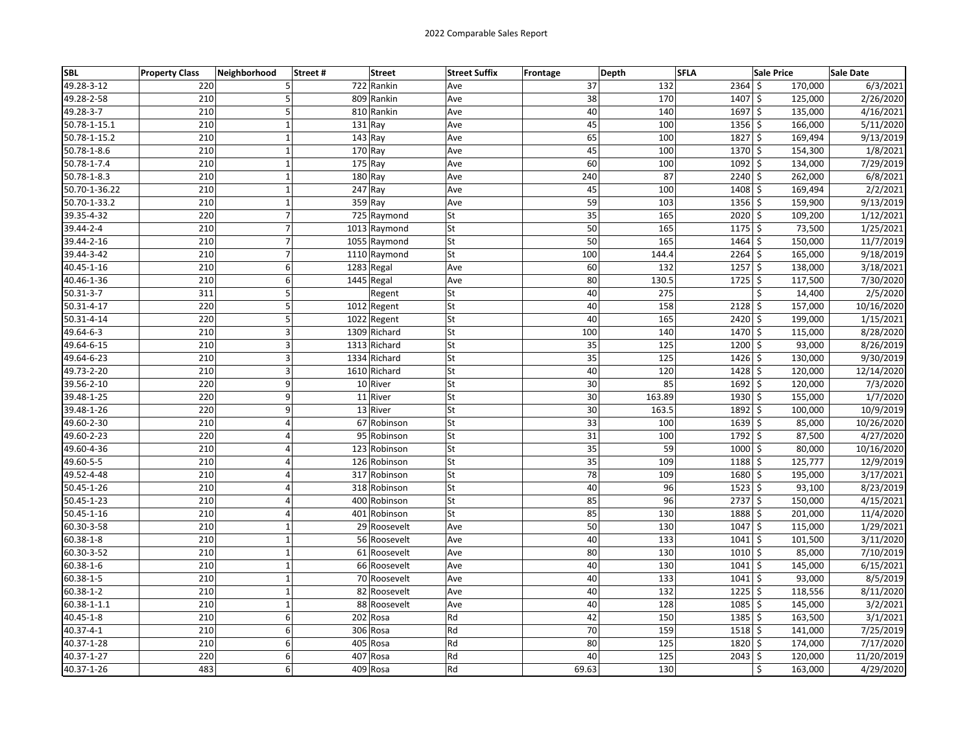| <b>SBL</b>    | <b>Property Class</b> | Neighborhood     | Street#<br><b>Street</b> | <b>Street Suffix</b>     | <b>Frontage</b> | Depth  | <b>SFLA</b>                 | <b>Sale Price</b>  | <b>Sale Date</b> |
|---------------|-----------------------|------------------|--------------------------|--------------------------|-----------------|--------|-----------------------------|--------------------|------------------|
| 49.28-3-12    | 220                   | 5                | 722 Rankin               | Ave                      | 37              | 132    | $2364$ \$                   | 170,000            | 6/3/2021         |
| 49.28-2-58    | 210                   | 5                | 809 Rankin               | Ave                      | 38              | 170    | 1407                        | \$<br>125,000      | 2/26/2020        |
| 49.28-3-7     | 210                   | 5                | 810 Rankin               | Ave                      | 40              | 140    | 1697 \$                     | 135,000            | 4/16/2021        |
| 50.78-1-15.1  | 210                   | $\mathbf 1$      | $131$ Ray                | Ave                      | 45              | 100    | $1356 \overline{\smash{5}}$ | 166,000            | 5/11/2020        |
| 50.78-1-15.2  | 210                   | $\mathbf 1$      | $143$ Ray                | Ave                      | 65              | 100    | 1827                        | $\zeta$<br>169,494 | 9/13/2019        |
| 50.78-1-8.6   | 210                   | $\mathbf 1$      | $170$ Ray                | Ave                      | 45              | 100    | $1370 \mid 5$               | 154,300            | 1/8/2021         |
| 50.78-1-7.4   | 210                   | $\mathbf 1$      | 175 Ray                  | Ave                      | 60              | 100    | 1092                        | \$<br>134,000      | 7/29/2019        |
| 50.78-1-8.3   | 210                   | $\mathbf 1$      | 180 Ray                  | Ave                      | 240             | 87     | 2240                        | \$<br>262,000      | 6/8/2021         |
| 50.70-1-36.22 | 210                   | $\mathbf 1$      | $247$ Ray                | Ave                      | 45              | 100    | $1408$ \$                   | 169,494            | 2/2/2021         |
| 50.70-1-33.2  | 210                   | $\mathbf 1$      | $359$ Ray                | Ave                      | 59              | 103    | $1356$ \$                   | 159,900            | 9/13/2019        |
| 39.35-4-32    | 220                   | $\boldsymbol{7}$ | 725 Raymond              | <b>St</b>                | 35              | 165    | $2020$ \$                   | 109,200            | 1/12/2021        |
| 39.44-2-4     | 210                   | $\overline{7}$   | 1013 Raymond             | lSt                      | 50              | 165    | $1175$ \$                   | 73,500             | 1/25/2021        |
| 39.44-2-16    | 210                   | $\overline{7}$   | 1055 Raymond             | lSt                      | 50              | 165    | 1464                        | \$<br>150,000      | 11/7/2019        |
| 39.44-3-42    | 210                   | $\overline{7}$   | 1110 Raymond             | <b>St</b>                | 100             | 144.4  | 2264 \$                     | 165,000            | 9/18/2019        |
| 40.45-1-16    | 210                   | 6                | 1283 Regal               | Ave                      | 60              | 132    | $1257$ \$                   | 138,000            | 3/18/2021        |
| 40.46-1-36    | 210                   | 6                | 1445 Regal               | Ave                      | 80              | 130.5  | $1725$ \$                   | 117,500            | 7/30/2020        |
| 50.31-3-7     | 311                   | 5                | Regent                   | St                       | 40              | 275    |                             | Ś<br>14,400        | 2/5/2020         |
| 50.31-4-17    | 220                   | 5                | 1012 Regent              | <b>St</b>                | 40              | 158    | $2128$ \$                   | 157,000            | 10/16/2020       |
| 50.31-4-14    | 220                   | 5                | 1022 Regent              | St                       | 40              | 165    | $2420 \mid 5$               | 199,000            | 1/15/2021        |
| 49.64-6-3     | 210                   | 3                | 1309 Richard             | <b>St</b>                | 100             | 140    | $\frac{1}{470}$ \$          | 115,000            | 8/28/2020        |
| 49.64-6-15    | 210                   | 3                | 1313 Richard             | <b>St</b>                | 35              | 125    | $1200 \leq$                 | 93,000             | 8/26/2019        |
| 49.64-6-23    | 210                   | 3                | 1334 Richard             | lSt                      | 35              | 125    | $1426$ \$                   | 130,000            | 9/30/2019        |
| 49.73-2-20    | 210                   | 3                | 1610 Richard             | <b>St</b>                | 40              | 120    | $1428$ \$                   | 120,000            | 12/14/2020       |
| 39.56-2-10    | 220                   | 9                | 10 River                 | St                       | 30              | 85     | 1692 \$                     | 120,000            | 7/3/2020         |
| 39.48-1-25    | 220                   | 9                | 11 River                 | <b>St</b>                | 30              | 163.89 | 1930 \$                     | 155,000            | 1/7/2020         |
| 39.48-1-26    | 220                   | 9                | 13 River                 | <b>St</b>                | 30              | 163.5  | $1892 \,$ \$                | 100,000            | 10/9/2019        |
| 49.60-2-30    | 210                   | $\overline{4}$   | 67 Robinson              | lSt                      | 33              | 100    | $1639$ \$                   | 85,000             | 10/26/2020       |
| 49.60-2-23    | 220                   | 4                | 95 Robinson              | <b>St</b>                | 31              | 100    | $1792 \mid 5$               | 87,500             | 4/27/2020        |
| 49.60-4-36    | 210                   | 4                | 123 Robinson             | lSt                      | 35              | 59     | 1000                        | \$<br>80,000       | 10/16/2020       |
| 49.60-5-5     | 210                   | 4                | 126 Robinson             | <b>St</b>                | 35              | 109    | 1188 \$                     | 125,777            | 12/9/2019        |
| 49.52-4-48    | 210                   | 4                | 317 Robinson             | <b>St</b>                | 78              | 109    | 1680 \$                     | 195,000            | 3/17/2021        |
| 50.45-1-26    | 210                   | $\overline{a}$   | 318 Robinson             | <b>St</b>                | 40              | 96     | $1523$ \$                   | 93,100             | 8/23/2019        |
| 50.45-1-23    | 210                   | 4                | 400 Robinson             | $\overline{\mathsf{St}}$ | 85              | 96     | $2737$ \$                   | 150,000            | 4/15/2021        |
| 50.45-1-16    | 210                   | $\overline{4}$   | 401 Robinson             | <b>St</b>                | 85              | 130    | 1888                        | \$<br>201,000      | 11/4/2020        |
| 60.30-3-58    | 210                   | $\mathbf{1}$     | 29 Roosevelt             | Ave                      | 50              | 130    | 1047                        | \$<br>115,000      | 1/29/2021        |
| 60.38-1-8     | 210                   | $\mathbf{1}$     | 56 Roosevelt             | Ave                      | 40              | 133    | $1041 \,$ \$                | 101,500            | 3/11/2020        |
| 60.30-3-52    | 210                   | $\mathbf 1$      | 61 Roosevelt             | Ave                      | 80              | 130    | 1010 \$                     | 85,000             | 7/10/2019        |
| 60.38-1-6     | 210                   | $\mathbf 1$      | 66 Roosevelt             | Ave                      | 40              | 130    | $1041 \;$ \$                | 145,000            | 6/15/2021        |
| 60.38-1-5     | 210                   | $\mathbf{1}$     | 70 Roosevelt             | Ave                      | 40              | 133    | 1041                        | \$<br>93,000       | 8/5/2019         |
| 60.38-1-2     | 210                   | $\mathbf{1}$     | 82 Roosevelt             | Ave                      | 40              | 132    | 1225                        | \$<br>118,556      | 8/11/2020        |
| 60.38-1-1.1   | 210                   | $\mathbf 1$      | 88 Roosevelt             | Ave                      | 40              | 128    | 1085                        | \$<br>145,000      | 3/2/2021         |
| 40.45-1-8     | 210                   | 6                | 202 Rosa                 | Rd                       | 42              | 150    | $1385$ \$                   | 163,500            | 3/1/2021         |
| 40.37-4-1     | 210                   | 6                | 306 Rosa                 | Rd                       | 70              | 159    | 1518 \$                     | 141,000            | 7/25/2019        |
| 40.37-1-28    | 210                   | 6                | 405 Rosa                 | Rd                       | 80              | 125    | 1820                        | Ś<br>174,000       | 7/17/2020        |
| 40.37-1-27    | 220                   | 6                | 407 Rosa                 | Rd                       | 40              | 125    | 2043                        | \$<br>120,000      | 11/20/2019       |
| 40.37-1-26    | 483                   | $\overline{6}$   | 409 Rosa                 | Rd                       | 69.63           | 130    |                             | \$<br>163,000      | 4/29/2020        |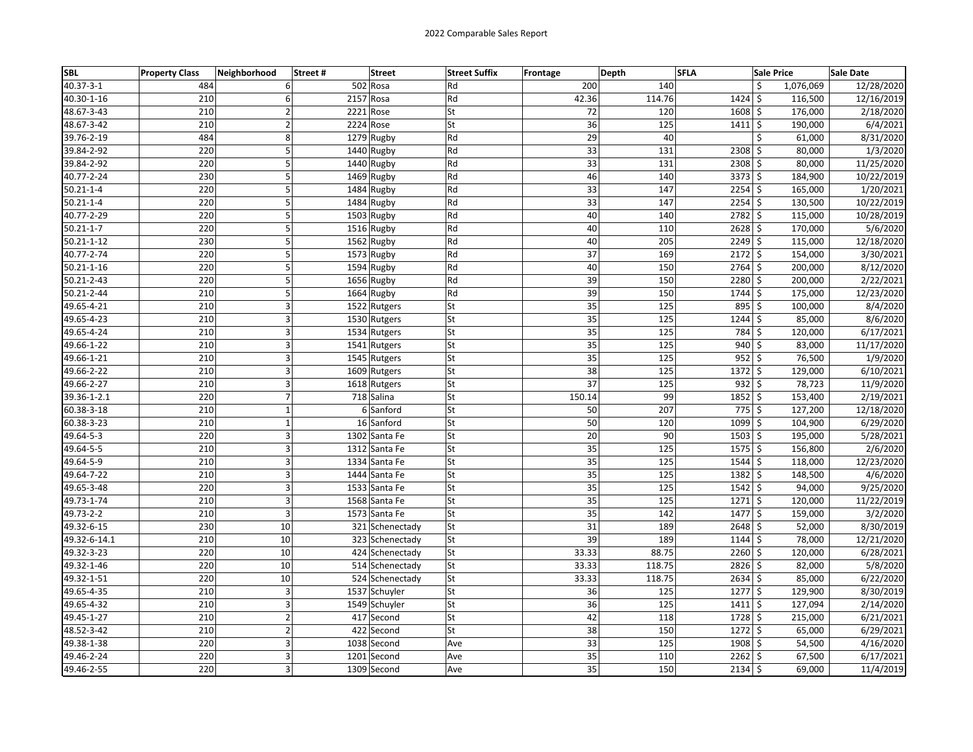| <b>SBL</b>       | <b>Property Class</b> | Neighborhood   | Street# | <b>Street</b>   | <b>Street Suffix</b> | Frontage | Depth           | <b>SFLA</b> |                      | <b>Sale Price</b> | Sale Date  |
|------------------|-----------------------|----------------|---------|-----------------|----------------------|----------|-----------------|-------------|----------------------|-------------------|------------|
| $40.37 - 3 - 1$  | 484                   | 6              |         | 502 Rosa        | Rd                   |          | 200             | 140         |                      | \$<br>1,076,069   | 12/28/2020 |
| 40.30-1-16       | 210                   | 6              |         | 2157 Rosa       | Rd                   |          | 42.36           | 114.76      | $1424$ \$            | 116,500           | 12/16/2019 |
| 48.67-3-43       | 210                   | $\overline{2}$ |         | 2221 Rose       | lSt                  |          | 72              | 120         | $1608$ \$            | 176,000           | 2/18/2020  |
| 48.67-3-42       | 210                   | $\overline{2}$ |         | 2224 Rose       | <b>St</b>            |          | 36              | 125         | $1411 \frac{1}{5}$   | 190,000           | 6/4/2021   |
| 39.76-2-19       | 484                   | 8              |         | 1279 Rugby      | Rd                   |          | 29              | 40          |                      | Ś<br>61,000       | 8/31/2020  |
| 39.84-2-92       | 220                   | 5              |         | 1440 Rugby      | Rd                   |          | 33              | 131         | $2308$ \$            | 80,000            | 1/3/2020   |
| 39.84-2-92       | 220                   | 5              |         | 1440 Rugby      | Rd                   |          | 33              | 131         | $\overline{2308}$ \$ | 80,000            | 11/25/2020 |
| 40.77-2-24       | 230                   | 5              |         | 1469 Rugby      | Rd                   |          | 46              | 140         | $3373$ \$            | 184,900           | 10/22/2019 |
| $50.21 - 1 - 4$  | 220                   | 5              |         | 1484 Rugby      | Rd                   |          | 33              | 147         | $2254$ \$            | 165,000           | 1/20/2021  |
| $50.21 - 1 - 4$  | 220                   | 5              |         | 1484 Rugby      | Rd                   |          | 33              | 147         | $2254$ \$            | 130,500           | 10/22/2019 |
| 40.77-2-29       | 220                   | 5              |         | 1503 Rugby      | Rd                   |          | 40              | 140         | $2782 \mid 5$        | 115,000           | 10/28/2019 |
| $50.21 - 1 - 7$  | 220                   | 5              |         | 1516 Rugby      | Rd                   |          | 40              | 110         | $2628$ \$            | 170,000           | 5/6/2020   |
| $50.21 - 1 - 12$ | 230                   | 5              |         | 1562 Rugby      | Rd                   |          | 40              | 205         | 2249 \$              | 115,000           | 12/18/2020 |
| 40.77-2-74       | 220                   | 5              |         | 1573 Rugby      | Rd                   |          | 37              | 169         | $2172 \mid 5$        | 154,000           | 3/30/2021  |
| $50.21 - 1 - 16$ | 220                   | 5              |         | 1594 Rugby      | Rd                   |          | 40              | 150         | $2764$ \$            | 200,000           | 8/12/2020  |
| 50.21-2-43       | 220                   | 5              |         | 1656 Rugby      | Rd                   |          | 39              | 150         | 2280 \$              | 200,000           | 2/22/2021  |
| 50.21-2-44       | 210                   | 5              |         | 1664 Rugby      | Rd                   |          | 39              | 150         | $1744$ \$            | 175,000           | 12/23/2020 |
| 49.65-4-21       | 210                   | $\overline{3}$ |         | 1522 Rutgers    | St                   |          | 35              | 125         | 895 \$               | 100,000           | 8/4/2020   |
| 49.65-4-23       | 210                   | 3              |         | 1530 Rutgers    | <b>St</b>            |          | 35              | 125         | $1244$ \$            | 85,000            | 8/6/2020   |
| 49.65-4-24       | 210                   | 3              |         | 1534 Rutgers    | lSt                  |          | 35              | 125         | 784 \$               | 120,000           | 6/17/2021  |
| 49.66-1-22       | 210                   | 3              |         | 1541 Rutgers    | <b>St</b>            |          | 35              | 125         | 940 \$               | 83,000            | 11/17/2020 |
| 49.66-1-21       | 210                   | $\overline{3}$ |         | 1545 Rutgers    | <b>St</b>            |          | 35              | 125         | $952 \mid 5$         | 76,500            | 1/9/2020   |
| 49.66-2-22       | 210                   | 3              |         | 1609 Rutgers    | St                   |          | 38              | 125         | $1372 \mid$ \$       | 129,000           | 6/10/2021  |
| 49.66-2-27       | 210                   | $\overline{3}$ |         | 1618 Rutgers    | <b>St</b>            |          | 37              | 125         | $932$ \$             | 78,723            | 11/9/2020  |
| 39.36-1-2.1      | 220                   | $\overline{7}$ |         | 718 Salina      | <b>St</b>            |          | 150.14          | 99          | 1852 \$              | 153,400           | 2/19/2021  |
| 60.38-3-18       | 210                   | $\mathbf 1$    |         | 6 Sanford       | <b>St</b>            |          | 50              | 207         | $775$ \$             | 127,200           | 12/18/2020 |
| 60.38-3-23       | 210                   | $\mathbf 1$    |         | 16 Sanford      | <b>St</b>            |          | 50              | 120         | $1099$ \$            | 104,900           | 6/29/2020  |
| 49.64-5-3        | 220                   | 3              |         | 1302 Santa Fe   | <b>St</b>            |          | 20              | 90          | $1503$ \$            | 195,000           | 5/28/2021  |
| 49.64-5-5        | 210                   | 3              |         | 1312 Santa Fe   | <b>St</b>            |          | 35              | 125         | $1575$ \$            | 156,800           | 2/6/2020   |
| 49.64-5-9        | 210                   | 3              |         | 1334 Santa Fe   | <b>St</b>            |          | 35              | 125         | 1544 \$              | 118,000           | 12/23/2020 |
| 49.64-7-22       | 210                   | 3              |         | 1444 Santa Fe   | <b>St</b>            |          | 35              | 125         | 1382 \$              | 148,500           | 4/6/2020   |
| 49.65-3-48       | 220                   | 3              |         | 1533 Santa Fe   | lSt                  |          | 35              | 125         | $1542 \mid$ \$       | 94,000            | 9/25/2020  |
| 49.73-1-74       | 210                   | 3              |         | 1568 Santa Fe   | <b>St</b>            |          | 35              | 125         | $1271 \mid 5$        | 120,000           | 11/22/2019 |
| 49.73-2-2        | 210                   | 3              |         | 1573 Santa Fe   | <b>St</b>            |          | 35              | 142         | $1477$ \$            | 159,000           | 3/2/2020   |
| 49.32-6-15       | 230                   | 10             |         | 321 Schenectady | lSt                  |          | 31              | 189         | $2648$ \$            | 52,000            | 8/30/2019  |
| 49.32-6-14.1     | 210                   | 10             |         | 323 Schenectady | <b>St</b>            |          | 39              | 189         | $1144$ \$            | 78,000            | 12/21/2020 |
| 49.32-3-23       | 220                   | 10             |         | 424 Schenectady | <b>St</b>            |          | 33.33           | 88.75       | $\overline{2260}$ \$ | 120,000           | 6/28/2021  |
| 49.32-1-46       | 220                   | 10             |         | 514 Schenectady | <b>St</b>            |          | 33.33           | 118.75      | $2826$ \$            | 82,000            | 5/8/2020   |
| 49.32-1-51       | 220                   | 10             |         | 524 Schenectady | <b>St</b>            |          | 33.33           | 118.75      | $2634$ \$            | 85,000            | 6/22/2020  |
| 49.65-4-35       | 210                   | 3              |         | 1537 Schuyler   | <b>St</b>            |          | 36              | 125         | $1277$ \$            | 129,900           | 8/30/2019  |
| 49.65-4-32       | 210                   | $\overline{3}$ |         | 1549 Schuyler   | <b>St</b>            |          | $\overline{36}$ | 125         | $1411 \frac{1}{5}$   | 127,094           | 2/14/2020  |
| 49.45-1-27       | 210                   | $\overline{2}$ |         | 417 Second      | <b>St</b>            |          | 42              | 118         | 1728 \$              | 215,000           | 6/21/2021  |
| 48.52-3-42       | 210                   | $\overline{2}$ |         | 422 Second      | lSt                  |          | 38              | 150         | 1272 \$              | 65,000            | 6/29/2021  |
| 49.38-1-38       | 220                   | 3              |         | 1038 Second     | Ave                  |          | 33              | 125         | 1908 \$              | 54,500            | 4/16/2020  |
| 49.46-2-24       | 220                   | 3              |         | 1201 Second     | Ave                  |          | 35              | 110         | $2262 \mid 5$        | 67,500            | 6/17/2021  |
| 49.46-2-55       | 220                   | $\overline{3}$ |         | 1309 Second     | Ave                  |          | 35              | 150         | $2134$ \$            | 69,000            | 11/4/2019  |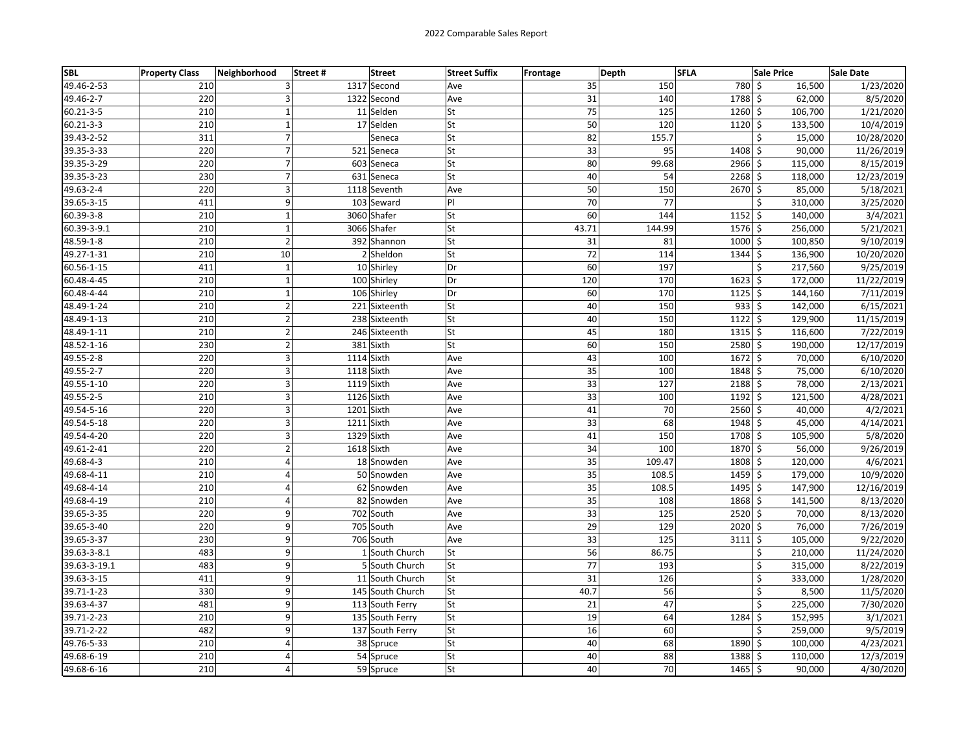| <b>SBL</b>      | <b>Property Class</b> | Neighborhood            | <b>Street</b><br>Street# | <b>Street Suffix</b> | Frontage | Depth | <b>SFLA</b> |                     | <b>Sale Price</b> | Sale Date  |
|-----------------|-----------------------|-------------------------|--------------------------|----------------------|----------|-------|-------------|---------------------|-------------------|------------|
| 49.46-2-53      | 210                   | 3                       | 1317 Second              | Ave                  |          | 35    | 150         | 780 \$              | 16,500            | 1/23/2020  |
| 49.46-2-7       | 220                   | 3                       | 1322 Second              | Ave                  |          | 31    | 140         | 1788 \$             | 62,000            | 8/5/2020   |
| 60.21-3-5       | 210                   | $\mathbf{1}$            | 11 Selden                | <b>St</b>            |          | 75    | 125         | $1260 \mid 5$       | 106,700           | 1/21/2020  |
| $60.21 - 3 - 3$ | 210                   | $\mathbf 1$             | 17 Selden                | <b>St</b>            |          | 50    | 120         | $1120 \frac{1}{5}$  | 133,500           | 10/4/2019  |
| 39.43-2-52      | 311                   | $\overline{7}$          | Seneca                   | <b>St</b>            |          | 82    | 155.7       |                     | Ś<br>15,000       | 10/28/2020 |
| 39.35-3-33      | 220                   | $\overline{7}$          | 521 Seneca               | lSt                  |          | 33    | 95          | $1408$ \$           | 90,000            | 11/26/2019 |
| 39.35-3-29      | 220                   | $\overline{7}$          | 603 Seneca               | St                   |          | 80    | 99.68       | 2966 \$             | 115,000           | 8/15/2019  |
| 39.35-3-23      | 230                   | $\overline{7}$          | 631 Seneca               | <b>St</b>            |          | 40    | 54          | $2268$ \$           | 118,000           | 12/23/2019 |
| 49.63-2-4       | 220                   | 3                       | 1118 Seventh             | Ave                  |          | 50    | 150         | 2670 \$             | 85,000            | 5/18/2021  |
| 39.65-3-15      | 411                   | 9                       | 103 Seward               | PI                   |          | 70    | 77          |                     | Ś<br>310,000      | 3/25/2020  |
| 60.39-3-8       | 210                   | $\mathbf 1$             | 3060 Shafer              | <b>St</b>            |          | 60    | 144         | $1152$ \$           | 140,000           | 3/4/2021   |
| 60.39-3-9.1     | 210                   | $\mathbf 1$             | 3066 Shafer              | <b>St</b>            | 43.71    |       | 144.99      | $1576$ \$           | 256,000           | 5/21/2021  |
| 48.59-1-8       | 210                   | $\overline{2}$          | 392 Shannon              | <b>St</b>            |          | 31    | 81          | $1000$ \$           | 100,850           | 9/10/2019  |
| 49.27-1-31      | 210                   | 10                      | $2$ Sheldon              | <b>St</b>            |          | 72    | 114         | $1344$ \$           | 136,900           | 10/20/2020 |
| 60.56-1-15      | 411                   | $\mathbf 1$             | 10 Shirley               | Dr                   |          | 60    | 197         |                     | \$<br>217,560     | 9/25/2019  |
| 60.48-4-45      | 210                   | $\mathbf 1$             | 100 Shirley              | Dr                   |          | 120   | 170         | $1623$ \$           | 172,000           | 11/22/2019 |
| 60.48-4-44      | 210                   | $\mathbf 1$             | 106 Shirley              | Dr                   |          | 60    | 170         | $1125$ \$           | 144,160           | 7/11/2019  |
| 48.49-1-24      | 210                   | $\mathbf 2$             | 221 Sixteenth            | St                   |          | 40    | 150         | $933$ \$            | 142,000           | 6/15/2021  |
| 48.49-1-13      | 210                   | $\overline{2}$          | 238 Sixteenth            | <b>St</b>            |          | 40    | 150         | $1122$ \$           | 129,900           | 11/15/2019 |
| 48.49-1-11      | 210                   | $\overline{2}$          | 246 Sixteenth            | lSt                  |          | 45    | 180         | $1315$ \$           | 116,600           | 7/22/2019  |
| 48.52-1-16      | 230                   | $\overline{2}$          | 381 Sixth                | <b>St</b>            |          | 60    | 150         | 2580 \$             | 190,000           | 12/17/2019 |
| 49.55-2-8       | 220                   | 3                       | 1114 Sixth               | Ave                  |          | 43    | 100         | $1672 \mid$ \$      | 70,000            | 6/10/2020  |
| 49.55-2-7       | 220                   | 3                       | 1118 Sixth               | Ave                  |          | 35    | 100         | 1848 \$             | 75,000            | 6/10/2020  |
| 49.55-1-10      | 220                   | $\overline{3}$          | 1119 Sixth               | Ave                  |          | 33    | 127         | 2188 \$             | 78,000            | 2/13/2021  |
| 49.55-2-5       | 210                   | $\overline{3}$          | 1126 Sixth               | Ave                  |          | 33    | 100         | $\frac{1}{1192}$ \$ | 121,500           | 4/28/2021  |
| 49.54-5-16      | 220                   | 3                       | 1201 Sixth               | Ave                  |          | 41    | 70          | 2560 \$             | 40,000            | 4/2/2021   |
| 49.54-5-18      | 220                   | 3                       | 1211 Sixth               | Ave                  |          | 33    | 68          | 1948 \$             | 45,000            | 4/14/2021  |
| 49.54-4-20      | 220                   | 3                       | 1329 Sixth               | Ave                  |          | 41    | 150         | $1708$ \$           | 105,900           | 5/8/2020   |
| 49.61-2-41      | 220                   | $\overline{2}$          | 1618 Sixth               | Ave                  |          | 34    | 100         | 1870 \$             | 56,000            | 9/26/2019  |
| 49.68-4-3       | 210                   | $\overline{\mathbf{4}}$ | 18 Snowden               | Ave                  |          | 35    | 109.47      | 1808 \$             | 120,000           | 4/6/2021   |
| 49.68-4-11      | 210                   | 4                       | 50 Snowden               | Ave                  |          | 35    | 108.5       | $1459$ \$           | 179,000           | 10/9/2020  |
| 49.68-4-14      | 210                   | $\overline{a}$          | 62 Snowden               | Ave                  |          | 35    | 108.5       | 1495 \$             | 147,900           | 12/16/2019 |
| 49.68-4-19      | 210                   | 4                       | 82 Snowden               | Ave                  |          | 35    | 108         | 1868 \$             | 141,500           | 8/13/2020  |
| 39.65-3-35      | 220                   | 9                       | 702 South                | Ave                  |          | 33    | 125         | $2520$ \$           | 70,000            | 8/13/2020  |
| 39.65-3-40      | 220                   | 9                       | 705 South                | Ave                  |          | 29    | 129         | $2020$ \$           | 76,000            | 7/26/2019  |
| 39.65-3-37      | 230                   | 9                       | 706 South                | Ave                  |          | 33    | 125         | $3111$ \$           | 105,000           | 9/22/2020  |
| 39.63-3-8.1     | 483                   | 9                       | 1 South Church           | lSt                  |          | 56    | 86.75       |                     | \$<br>210,000     | 11/24/2020 |
| 39.63-3-19.1    | 483                   | 9                       | 5 South Church           | <b>St</b>            |          | 77    | 193         |                     | \$<br>315,000     | 8/22/2019  |
| 39.63-3-15      | 411                   | $\overline{9}$          | 11 South Church          | <b>St</b>            |          | 31    | 126         |                     | Ś<br>333,000      | 1/28/2020  |
| 39.71-1-23      | 330                   | 9                       | 145 South Church         | <b>St</b>            |          | 40.7  | 56          |                     | \$<br>8,500       | 11/5/2020  |
| 39.63-4-37      | 481                   | 9                       | 113 South Ferry          | <b>St</b>            |          | 21    | 47          |                     | \$<br>225,000     | 7/30/2020  |
| 39.71-2-23      | 210                   | 9                       | 135 South Ferry          | <b>St</b>            |          | 19    | 64          | 1284                | \$<br>152,995     | 3/1/2021   |
| 39.71-2-22      | 482                   | 9                       | 137 South Ferry          | <b>St</b>            |          | 16    | 60          |                     | \$<br>259,000     | 9/5/2019   |
| 49.76-5-33      | 210                   | $\overline{a}$          | 38 Spruce                | <b>St</b>            |          | 40    | 68          | 1890 \$             | 100,000           | 4/23/2021  |
| 49.68-6-19      | 210                   | $\overline{4}$          | 54 Spruce                | <b>St</b>            |          | 40    | 88          | $1388$ \$           | 110,000           | 12/3/2019  |
| 49.68-6-16      | 210                   | $\overline{4}$          | 59 Spruce                | <b>St</b>            |          | 40    | 70          | 1465 \$             | 90,000            | 4/30/2020  |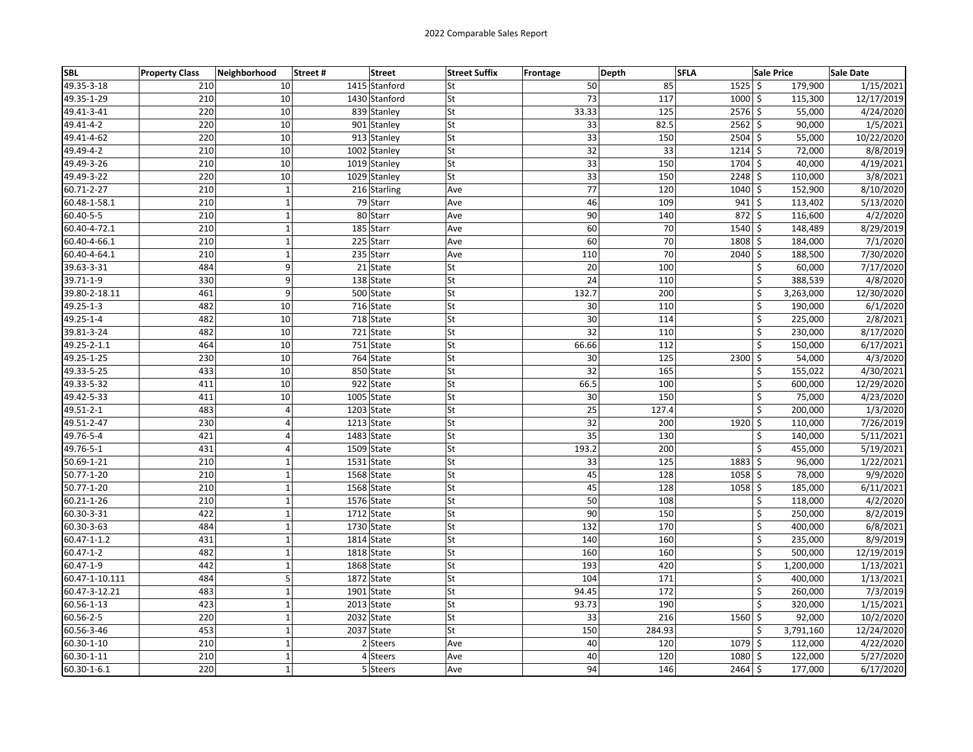| SBL             | <b>Property Class</b> | Neighborhood   | Street # | <b>Street</b> | <b>Street Suffix</b> | <b>Frontage</b> | Depth | <b>SFLA</b> |                            | <b>Sale Price</b> | Sale Date  |
|-----------------|-----------------------|----------------|----------|---------------|----------------------|-----------------|-------|-------------|----------------------------|-------------------|------------|
| 49.35-3-18      | 210                   | 10             |          | 1415 Stanford | lSt                  |                 | 50    | 85          | $1525$ \$                  | 179,900           | 1/15/2021  |
| 49.35-1-29      | 210                   | 10             |          | 1430 Stanford | lSt                  |                 | 73    | 117         | $1000$ \$                  | 115,300           | 12/17/2019 |
| 49.41-3-41      | 220                   | 10             |          | 839 Stanley   | <b>St</b>            |                 | 33.33 | 125         | 2576 \$                    | 55,000            | 4/24/2020  |
| 49.41-4-2       | 220                   | 10             |          | 901 Stanley   | <b>St</b>            |                 | 33    | 82.5        | $2562 \mid$ \$             | 90,000            | 1/5/2021   |
| 49.41-4-62      | 220                   | 10             |          | 913 Stanley   | <b>St</b>            |                 | 33    | 150         | $2504$ \$                  | 55,000            | 10/22/2020 |
| 49.49-4-2       | 210                   | 10             |          | 1002 Stanley  | <b>St</b>            |                 | 32    | 33          | $1214$ \$                  | 72,000            | 8/8/2019   |
| 49.49-3-26      | 210                   | 10             |          | 1019 Stanley  | lSt                  |                 | 33    | 150         | 1704 \$                    | 40,000            | 4/19/2021  |
| 49.49-3-22      | 220                   | 10             |          | 1029 Stanley  | lSt                  |                 | 33    | 150         | 2248 \$                    | 110,000           | 3/8/2021   |
| 60.71-2-27      | 210                   | $\mathbf{1}$   |          | 216 Starling  | Ave                  |                 | 77    | 120         | $1040 \,$ \$               | 152,900           | 8/10/2020  |
| 60.48-1-58.1    | 210                   | $\mathbf 1$    |          | 79 Starr      | Ave                  |                 | 46    | 109         | $941$ \$                   | 113,402           | 5/13/2020  |
| 60.40-5-5       | 210                   | $\mathbf 1$    |          | 80 Starr      | Ave                  |                 | 90    | 140         | $872 \mid 5$               | 116,600           | 4/2/2020   |
| 60.40-4-72.1    | 210                   | $\mathbf 1$    |          | 185 Starr     | Ave                  |                 | 60    | 70          | $1540 \,$ \$               | 148,489           | 8/29/2019  |
| 60.40-4-66.1    | 210                   | $\mathbf 1$    |          | 225 Starr     | Ave                  |                 | 60    | 70          | 1808 \$                    | 184,000           | 7/1/2020   |
| 60.40-4-64.1    | 210                   | $\mathbf{1}$   |          | 235 Starr     | Ave                  |                 | 110   | 70          | $2040$ \$                  | 188,500           | 7/30/2020  |
| 39.63-3-31      | 484                   | 9              |          | 21 State      | lSt                  |                 | 20    | 100         | \$                         | 60,000            | 7/17/2020  |
| 39.71-1-9       | 330                   | 9              |          | 138 State     | <b>St</b>            |                 | 24    | 110         | \$                         | 388,539           | 4/8/2020   |
| 39.80-2-18.11   | 461                   | 9              |          | 500 State     | <b>St</b>            |                 | 132.7 | 200         | \$                         | 3,263,000         | 12/30/2020 |
| 49.25-1-3       | 482                   | 10             |          | 716 State     | <b>St</b>            |                 | 30    | 110         | Ś                          | 190,000           | 6/1/2020   |
| 49.25-1-4       | 482                   | 10             |          | 718 State     | <b>St</b>            |                 | 30    | 114         | \$                         | 225,000           | 2/8/2021   |
| 39.81-3-24      | 482                   | 10             |          | 721 State     | <b>St</b>            |                 | 32    | 110         | \$                         | 230,000           | 8/17/2020  |
| 49.25-2-1.1     | 464                   | 10             |          | 751 State     | <b>St</b>            |                 | 66.66 | 112         | \$                         | 150,000           | 6/17/2021  |
| 49.25-1-25      | 230                   | 10             |          | 764 State     | lSt                  |                 | 30    | 125         | Ŝ.<br>2300                 | 54,000            | 4/3/2020   |
| 49.33-5-25      | 433                   | 10             |          | 850 State     | <b>St</b>            |                 | 32    | 165         | Ś                          | 155,022           | 4/30/2021  |
| 49.33-5-32      | 411                   | 10             |          | 922 State     | St                   |                 | 66.5  | 100         | \$                         | 600,000           | 12/29/2020 |
| 49.42-5-33      | 411                   | 10             |          | 1005 State    | <b>St</b>            |                 | 30    | 150         | Ś                          | 75,000            | 4/23/2020  |
| 49.51-2-1       | 483                   | 4              |          | 1203 State    | <b>St</b>            |                 | 25    | 127.4       | \$                         | 200,000           | 1/3/2020   |
| 49.51-2-47      | 230                   | $\overline{4}$ |          | 1213 State    | lSt                  |                 | 32    | 200         | 1920<br>$\mathsf{\hat{S}}$ | 110,000           | 7/26/2019  |
| 49.76-5-4       | 421                   | 4              |          | 1483 State    | <b>St</b>            |                 | 35    | 130         | \$                         | 140,000           | 5/11/2021  |
| 49.76-5-1       | 431                   | 4              |          | 1509 State    | lSt                  |                 | 193.2 | 200         | Ś                          | 455,000           | 5/19/2021  |
| 50.69-1-21      | 210                   | $\mathbf 1$    |          | 1531 State    | <b>St</b>            |                 | 33    | 125         | $1883$ \$                  | 96,000            | 1/22/2021  |
| 50.77-1-20      | 210                   | $\mathbf 1$    |          | 1568 State    | <b>St</b>            |                 | 45    | 128         | $1058$ \$                  | 78,000            | 9/9/2020   |
| 50.77-1-20      | 210                   | $\mathbf{1}$   |          | 1568 State    | lst                  |                 | 45    | 128         | $1058$ \$                  | 185,000           | 6/11/2021  |
| 60.21-1-26      | 210                   | $\mathbf 1$    |          | 1576 State    | <b>St</b>            |                 | 50    | 108         | Ś                          | 118,000           | 4/2/2020   |
| 60.30-3-31      | 422                   | $\mathbf 1$    |          | 1712 State    | <b>St</b>            |                 | 90    | 150         | \$                         | 250,000           | 8/2/2019   |
| 60.30-3-63      | 484                   | $\mathbf 1$    |          | 1730 State    | St                   |                 | 132   | 170         | \$                         | 400,000           | 6/8/2021   |
| 60.47-1-1.2     | 431                   | $\mathbf{1}$   |          | 1814 State    | <b>St</b>            |                 | 140   | 160         | \$                         | 235,000           | 8/9/2019   |
| $60.47 - 1 - 2$ | 482                   | $\mathbf 1$    |          | 1818 State    | lSt                  |                 | 160   | 160         | Ś                          | 500,000           | 12/19/2019 |
| 60.47-1-9       | 442                   | $\mathbf 1$    |          | 1868 State    | <b>St</b>            |                 | 193   | 420         | \$                         | 1,200,000         | 1/13/2021  |
| 60.47-1-10.111  | 484                   | 5              |          | 1872 State    | <b>St</b>            |                 | 104   | 171         | Ś                          | 400,000           | 1/13/2021  |
| 60.47-3-12.21   | 483                   | $\mathbf 1$    |          | 1901 State    | <b>St</b>            |                 | 94.45 | 172         | Ś                          | 260,000           | 7/3/2019   |
| 60.56-1-13      | 423                   | $\mathbf{1}$   |          | 2013 State    | <b>St</b>            |                 | 93.73 | 190         | \$                         | 320,000           | 1/15/2021  |
| 60.56-2-5       | 220                   | $\mathbf 1$    |          | 2032<br>State | <b>St</b>            |                 | 33    | 216         | 1560 \$                    | 92,000            | 10/2/2020  |
| 60.56-3-46      | 453                   | $\mathbf{1}$   |          | 2037 State    | <b>St</b>            |                 | 150   | 284.93      | Ś.                         | 3,791,160         | 12/24/2020 |
| 60.30-1-10      | 210                   | $\mathbf 1$    |          | 2 Steers      | Ave                  |                 | 40    | 120         | $1079$ \$                  | 112,000           | 4/22/2020  |
| 60.30-1-11      | 210                   | $\mathbf 1$    |          | 4 Steers      | Ave                  |                 | 40    | 120         | $1080 \mid 5$              | 122,000           | 5/27/2020  |
| 60.30-1-6.1     | 220                   | $\mathbf 1$    |          | 5 Steers      | Ave                  |                 | 94    | 146         | $2464$ \$                  | 177,000           | 6/17/2020  |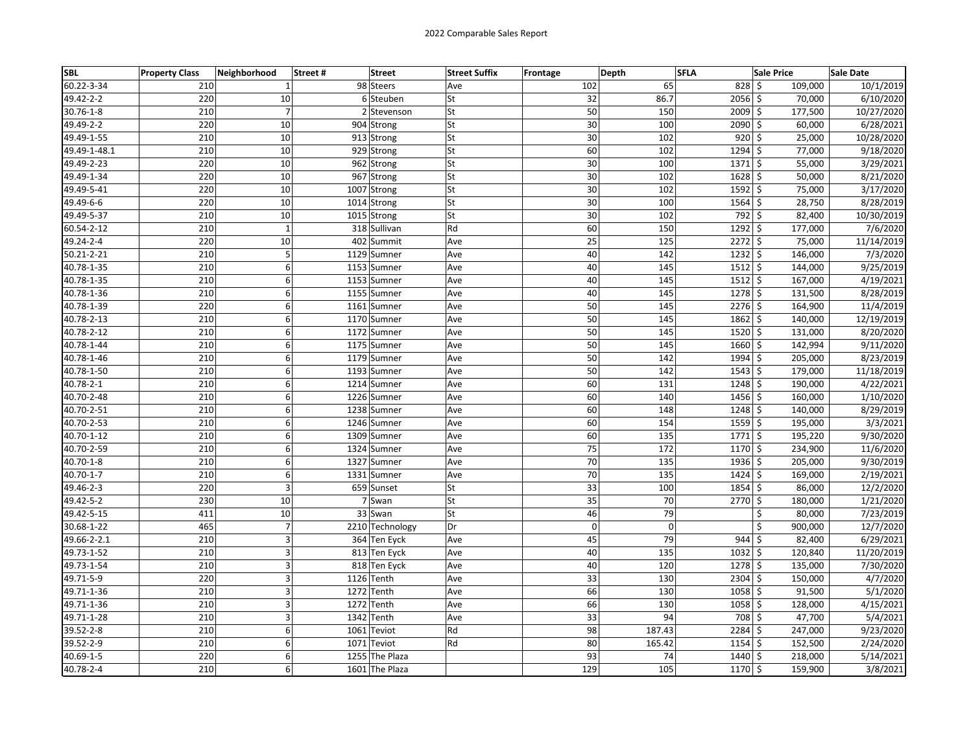| <b>SBL</b>   | <b>Property Class</b> | Neighborhood   | Street #<br><b>Street</b> | <b>Street Suffix</b> | <b>Frontage</b> | Depth           | <b>SFLA</b> |                | <b>Sale Price</b> | Sale Date             |
|--------------|-----------------------|----------------|---------------------------|----------------------|-----------------|-----------------|-------------|----------------|-------------------|-----------------------|
| 60.22-3-34   | 210                   | $\mathbf{1}$   | 98 Steers                 | Ave                  |                 | 102             | 65          | $828$ \$       | 109,000           | 10/1/2019             |
| 49.42-2-2    | 220                   | 10             | 6 Steuben                 | St                   |                 | 32              | 86.7        | $2056$ \$      | 70,000            | 6/10/2020             |
| 30.76-1-8    | 210                   | $\overline{7}$ | 2 Stevenson               | <b>St</b>            |                 | 50              | 150         | 2009 \$        | 177,500           | 10/27/2020            |
| 49.49-2-2    | 220                   | 10             | 904 Strong                | <b>St</b>            |                 | 30              | 100         | 2090 \$        | 60,000            | 6/28/2021             |
| 49.49-1-55   | 210                   | 10             | 913 Strong                | <b>St</b>            |                 | $\overline{30}$ | 102         | $920$ \$       | 25,000            | 10/28/2020            |
| 49.49-1-48.1 | 210                   | 10             | 929 Strong                | <b>St</b>            |                 | 60              | 102         | $1294$ \$      | 77,000            | 9/18/2020             |
| 49.49-2-23   | 220                   | 10             | 962 Strong                | lSt                  |                 | 30              | 100         | $1371$ \$      | 55,000            | 3/29/2021             |
| 49.49-1-34   | 220                   | 10             | 967 Strong                | lSt                  |                 | 30              | 102         | $1628$ \$      | 50,000            | 8/21/2020             |
| 49.49-5-41   | 220                   | 10             | 1007 Strong               | <b>St</b>            |                 | 30              | 102         | $1592 \mid$ \$ | 75,000            | 3/17/2020             |
| 49.49-6-6    | 220                   | 10             | 1014 Strong               | <b>St</b>            |                 | 30              | 100         | $1564$ \$      | 28,750            | 8/28/2019             |
| 49.49-5-37   | 210                   | 10             | 1015 Strong               | <b>St</b>            |                 | 30              | 102         | 792 \$         | 82,400            | 10/30/2019            |
| 60.54-2-12   | 210                   | $\mathbf 1$    | 318 Sullivan              | Rd                   |                 | 60              | 150         | $1292 \mid 5$  | 177,000           | $\frac{1}{7}$ /6/2020 |
| 49.24-2-4    | 220                   | 10             | 402 Summit                | Ave                  |                 | 25              | 125         | $2272$ \$      | 75,000            | 11/14/2019            |
| 50.21-2-21   | 210                   | 5              | 1129 Sumner               | Ave                  |                 | 40              | 142         | $1232 \mid 5$  | 146,000           | 7/3/2020              |
| 40.78-1-35   | 210                   | 6              | 1153 Sumner               | Ave                  |                 | 40              | 145         | $1512 \mid 5$  | 144,000           | 9/25/2019             |
| 40.78-1-35   | 210                   | 6              | 1153 Sumner               | Ave                  |                 | 40              | 145         | $1512 \mid 5$  | 167,000           | 4/19/2021             |
| 40.78-1-36   | 210                   | 6              | 1155 Sumner               | Ave                  |                 | 40              | 145         | $1278$ \$      | 131,500           | 8/28/2019             |
| 40.78-1-39   | 220                   | 6              | 1161 Sumner               | Ave                  |                 | 50              | 145         | $2276$ \$      | 164,900           | 11/4/2019             |
| 40.78-2-13   | 210                   | 6              | 1170 Sumner               | Ave                  |                 | 50              | 145         | $1862 \mid$ \$ | 140,000           | 12/19/2019            |
| 40.78-2-12   | 210                   | 6              | 1172 Sumner               | Ave                  |                 | 50              | 145         | $1520 \mid 5$  | 131,000           | 8/20/2020             |
| 40.78-1-44   | 210                   | 6              | 1175 Sumner               | Ave                  |                 | 50              | 145         | 1660 \$        | 142,994           | 9/11/2020             |
| 40.78-1-46   | 210                   | 6              | 1179 Sumner               | Ave                  |                 | 50              | 142         | 1994 \$        | 205,000           | 8/23/2019             |
| 40.78-1-50   | 210                   | 6              | 1193 Sumner               | Ave                  |                 | 50              | 142         | $1543$ \$      | 179,000           | 11/18/2019            |
| 40.78-2-1    | 210                   | 6              | 1214 Sumner               | Ave                  |                 | 60              | 131         | $1248$ \$      | 190,000           | 4/22/2021             |
| 40.70-2-48   | 210                   | 6              | 1226 Sumner               | Ave                  |                 | 60              | 140         | 1456 \$        | 160,000           | 1/10/2020             |
| 40.70-2-51   | 210                   | 6              | 1238 Sumner               | Ave                  |                 | 60              | 148         | 1248 \$        | 140,000           | 8/29/2019             |
| 40.70-2-53   | 210                   | 6              | 1246 Sumner               | Ave                  |                 | 60              | 154         | $1559$ \$      | 195,000           | 3/3/2021              |
| 40.70-1-12   | 210                   | 6              | 1309 Sumner               | Ave                  |                 | 60              | 135         | $1771 \mid 5$  | 195,220           | 9/30/2020             |
| 40.70-2-59   | 210                   | 6              | 1324 Sumner               | Ave                  |                 | 75              | 172         | $1170 \mid$ \$ | 234,900           | 11/6/2020             |
| 40.70-1-8    | 210                   | 6              | 1327 Sumner               | Ave                  |                 | 70              | 135         | $1936$ \$      | 205,000           | 9/30/2019             |
| 40.70-1-7    | 210                   | 6              | 1331 Sumner               | Ave                  |                 | 70              | 135         | $1424$ \$      | 169,000           | 2/19/2021             |
| 49.46-2-3    | 220                   | 3              | 659 Sunset                | lSt                  |                 | 33              | 100         | 1854 \$        | 86,000            | 12/2/2020             |
| 49.42-5-2    | 230                   | 10             | 7 Swan                    | <b>St</b>            |                 | 35              | 70          | 2770 \$        | 180,000           | 1/21/2020             |
| 49.42-5-15   | 411                   | 10             | 33 Swan                   | lSt                  |                 | 46              | 79          |                | \$<br>80,000      | 7/23/2019             |
| 30.68-1-22   | 465                   | $\overline{7}$ | 2210 Technology           | Dr                   |                 | $\mathbf 0$     | $\Omega$    |                | \$<br>900,000     | 12/7/2020             |
| 49.66-2-2.1  | 210                   | 3              | 364 Ten Eyck              | Ave                  |                 | 45              | 79          | $944$ \$       | 82,400            | 6/29/2021             |
| 49.73-1-52   | 210                   | 3              | 813 Ten Eyck              | Ave                  |                 | 40              | 135         | $1032 \mid 5$  | 120,840           | 11/20/2019            |
| 49.73-1-54   | 210                   | 3              | 818 Ten Eyck              | Ave                  |                 | 40              | 120         | $1278$ \$      | 135,000           | 7/30/2020             |
| 49.71-5-9    | 220                   | 3              | 1126 Tenth                | Ave                  |                 | 33              | 130         | $2304$ \$      | 150,000           | 4/7/2020              |
| 49.71-1-36   | 210                   | 3              | 1272 Tenth                | Ave                  |                 | 66              | 130         | $1058$ \$      | 91,500            | 5/1/2020              |
| 49.71-1-36   | 210                   | $\overline{3}$ | 1272<br>Tenth             | Ave                  |                 | 66              | 130         | $1058$ \$      | 128,000           | 4/15/2021             |
| 49.71-1-28   | 210                   | 3              | 1342<br>Tenth             | Ave                  |                 | 33              | 94          | 708 \$         | 47,700            | 5/4/2021              |
| 39.52-2-8    | 210                   | 6              | 1061<br>Teviot            | Rd                   |                 | 98              | 187.43      | 2284 \$        | 247,000           | 9/23/2020             |
| 39.52-2-9    | 210                   | 6              | 1071<br>Teviot            | Rd                   |                 | 80              | 165.42      | $1154$ \$      | 152,500           | 2/24/2020             |
| 40.69-1-5    | 220                   | 6              | 1255 The Plaza            |                      |                 | 93              | 74          | $1440 \mid 5$  | 218,000           | 5/14/2021             |
| 40.78-2-4    | 210                   | $\overline{6}$ | 1601 The Plaza            |                      |                 | 129             | 105         | $1170 \mid 5$  | 159,900           | 3/8/2021              |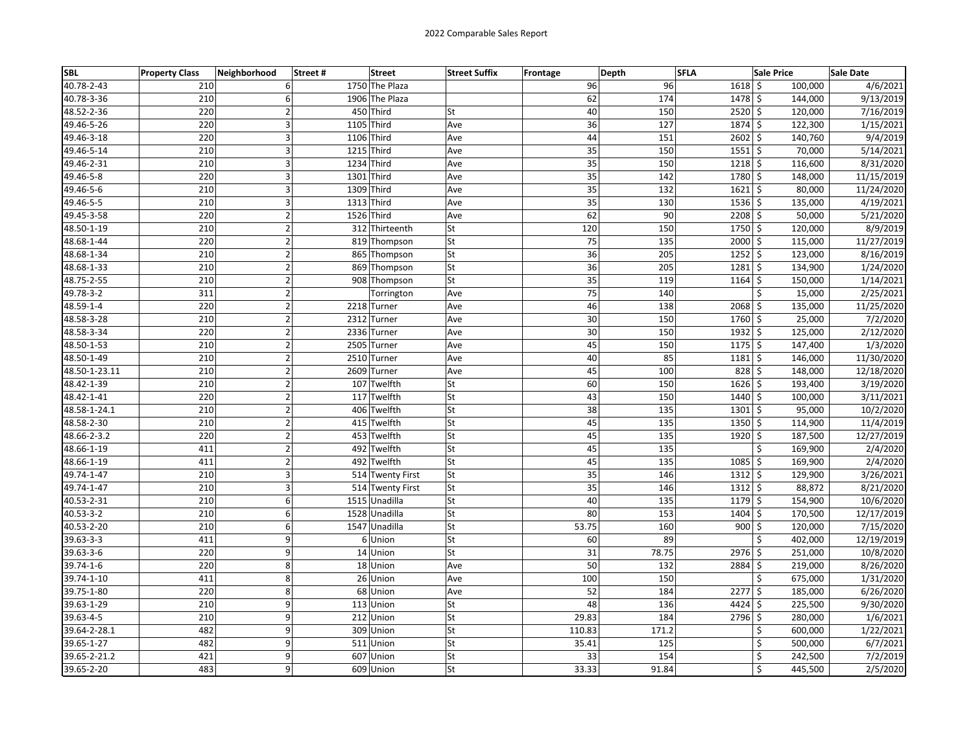| <b>SBL</b>    | <b>Property Class</b> | Neighborhood   | Street # | <b>Street</b>    | <b>Street Suffix</b> | <b>Frontage</b> | Depth           | <b>SFLA</b> |               | <b>Sale Price</b> | Sale Date  |
|---------------|-----------------------|----------------|----------|------------------|----------------------|-----------------|-----------------|-------------|---------------|-------------------|------------|
| 40.78-2-43    | 210                   | 6              |          | 1750 The Plaza   |                      |                 | 96              | 96          | $1618$ \$     | 100,000           | 4/6/2021   |
| 40.78-3-36    | 210                   | 6              |          | 1906 The Plaza   |                      |                 | 62              | 174         | 1478 \$       | 144,000           | 9/13/2019  |
| 48.52-2-36    | 220                   | $\overline{2}$ |          | 450 Third        | lSt                  |                 | 40              | 150         | 2520 \$       | 120,000           | 7/16/2019  |
| 49.46-5-26    | 220                   | 3              |          | 1105 Third       | Ave                  |                 | 36              | 127         | 1874 \$       | 122,300           | 1/15/2021  |
| 49.46-3-18    | 220                   | 3              |          | 1106 Third       | Ave                  |                 | 44              | 151         | $2602 \,$ \$  | 140,760           | 9/4/2019   |
| 49.46-5-14    | 210                   | 3              |          | 1215 Third       | Ave                  |                 | 35              | 150         | $1551 \,$ \$  | 70,000            | 5/14/2021  |
| 49.46-2-31    | 210                   | 3              |          | 1234 Third       | Ave                  |                 | 35              | 150         | $1218$ \$     | 116,600           | 8/31/2020  |
| 49.46-5-8     | 220                   | 3              |          | 1301<br>Third    | Ave                  |                 | 35              | 142         | 1780 \$       | 148,000           | 11/15/2019 |
| 49.46-5-6     | 210                   | $\overline{3}$ |          | 1309 Third       | Ave                  |                 | $\overline{35}$ | 132         | $1621 \mid 5$ | 80,000            | 11/24/2020 |
| 49.46-5-5     | 210                   | 3              |          | 1313 Third       | Ave                  |                 | 35              | 130         | $1536$ \$     | 135,000           | 4/19/2021  |
| 49.45-3-58    | 220                   | $\mathbf 2$    |          | 1526 Third       | Ave                  |                 | 62              | 90          | $2208$ \$     | 50,000            | 5/21/2020  |
| 48.50-1-19    | 210                   | $\overline{2}$ |          | 312 Thirteenth   | lSt                  |                 | 120             | 150         | 1750 \$       | 120,000           | 8/9/2019   |
| 48.68-1-44    | 220                   | $\mathbf 2$    |          | 819 Thompson     | St                   |                 | 75              | 135         | $2000$ \$     | 115,000           | 11/27/2019 |
| 48.68-1-34    | 210                   | $\overline{2}$ |          | 865 Thompson     | <b>St</b>            |                 | 36              | 205         | $1252$ \$     | 123,000           | 8/16/2019  |
| 48.68-1-33    | 210                   | $\overline{2}$ |          | 869 Thompson     | <b>St</b>            |                 | 36              | 205         | $1281 \,$ \$  | 134,900           | 1/24/2020  |
| 48.75-2-55    | 210                   | $\overline{2}$ |          | 908 Thompson     | <b>St</b>            |                 | $\overline{35}$ | 119         | $1164$ \$     | 150,000           | 1/14/2021  |
| 49.78-3-2     | 311                   | $\mathbf 2$    |          | Torrington       | Ave                  |                 | 75              | 140         |               | \$<br>15,000      | 2/25/2021  |
| 48.59-1-4     | 220                   | $\mathbf 2$    |          | 2218 Turner      | Ave                  |                 | 46              | 138         | $2068$ \$     | 135,000           | 11/25/2020 |
| 48.58-3-28    | 210                   | $\overline{2}$ |          | 2312 Turner      | Ave                  |                 | 30              | 150         | $1760 \,$ \$  | 25,000            | 7/2/2020   |
| 48.58-3-34    | 220                   | $\mathbf 2$    |          | 2336 Turner      | Ave                  |                 | 30              | 150         | $1932$ \$     | 125,000           | 2/12/2020  |
| 48.50-1-53    | 210                   | $\mathbf 2$    |          | 2505 Turner      | Ave                  |                 | 45              | 150         | $1175$ \$     | 147,400           | 1/3/2020   |
| 48.50-1-49    | 210                   | $\overline{2}$ |          | 2510 Turner      | Ave                  |                 | 40              | 85          | $1181$ \$     | 146,000           | 11/30/2020 |
| 48.50-1-23.11 | 210                   | $\overline{2}$ |          | 2609 Turner      | Ave                  |                 | 45              | 100         | 828 \$        | 148,000           | 12/18/2020 |
| 48.42-1-39    | 210                   | $\overline{2}$ |          | 107 Twelfth      | St                   |                 | 60              | 150         | $1626$ \$     | 193,400           | 3/19/2020  |
| 48.42-1-41    | 220                   | $\mathbf 2$    |          | 117 Twelfth      | <b>St</b>            |                 | 43              | 150         | 1440 \$       | 100,000           | 3/11/2021  |
| 48.58-1-24.1  | 210                   | $\overline{2}$ |          | 406 Twelfth      | <b>St</b>            |                 | 38              | 135         | $1301$ \$     | 95,000            | 10/2/2020  |
| 48.58-2-30    | 210                   | $\overline{2}$ |          | 415 Twelfth      | lSt                  |                 | 45              | 135         | $1350$ \$     | 114,900           | 11/4/2019  |
| 48.66-2-3.2   | 220                   | $\mathbf 2$    |          | 453 Twelfth      | <b>St</b>            |                 | 45              | 135         | $1920 \mid 5$ | 187,500           | 12/27/2019 |
| 48.66-1-19    | 411                   | $\overline{2}$ |          | 492 Twelfth      | lSt                  |                 | 45              | 135         |               | Ś<br>169,900      | 2/4/2020   |
| 48.66-1-19    | 411                   | $\overline{2}$ |          | 492 Twelfth      | <b>St</b>            |                 | 45              | 135         | $1085$ \$     | 169,900           | 2/4/2020   |
| 49.74-1-47    | 210                   | 3              |          | 514 Twenty First | <b>St</b>            |                 | 35              | 146         | $1312 \,$ \$  | 129,900           | 3/26/2021  |
| 49.74-1-47    | 210                   | 3              |          | 514 Twenty First | <b>St</b>            |                 | 35              | 146         | $1312 \mid 5$ | 88,872            | 8/21/2020  |
| 40.53-2-31    | 210                   | 6              |          | 1515 Unadilla    | <b>St</b>            |                 | 40              | 135         | $1179$ \$     | 154,900           | 10/6/2020  |
| 40.53-3-2     | 210                   | 6              |          | 1528 Unadilla    | <b>St</b>            |                 | 80              | 153         | 1404 \$       | 170,500           | 12/17/2019 |
| 40.53-2-20    | 210                   | 6              |          | 1547 Unadilla    | St                   |                 | 53.75           | 160         | $900$ \$      | 120,000           | 7/15/2020  |
| 39.63-3-3     | 411                   | 9              |          | 6 Union          | <b>St</b>            |                 | 60              | 89          |               | Ś<br>402,000      | 12/19/2019 |
| 39.63-3-6     | 220                   | 9              |          | 14 Union         | lSt                  |                 | 31              | 78.75       | $2976$ \$     | 251,000           | 10/8/2020  |
| 39.74-1-6     | 220                   | 8              |          | 18 Union         | Ave                  |                 | 50              | 132         | 2884 \$       | 219,000           | 8/26/2020  |
| 39.74-1-10    | 411                   | 8              |          | 26 Union         | Ave                  |                 | 100             | 150         |               | Ś<br>675,000      | 1/31/2020  |
| 39.75-1-80    | 220                   | 8              |          | 68 Union         | Ave                  |                 | 52              | 184         | $2277$ \$     | 185,000           | 6/26/2020  |
| 39.63-1-29    | 210                   | 9              |          | 113 Union        | St                   |                 | 48              | 136         | 4424 \$       | 225,500           | 9/30/2020  |
| 39.63-4-5     | 210                   | 9              |          | 212 Union        | <b>St</b>            |                 | 29.83           | 184         | 2796 \$       | 280,000           | 1/6/2021   |
| 39.64-2-28.1  | 482                   | 9              |          | 309 Union        | <b>St</b>            |                 | 110.83          | 171.2       |               | \$<br>600,000     | 1/22/2021  |
| 39.65-1-27    | 482                   | 9              |          | 511<br>Union     | <b>St</b>            |                 | 35.41           | 125         |               | Ś<br>500,000      | 6/7/2021   |
| 39.65-2-21.2  | 421                   | 9              |          | 607 Union        | <b>St</b>            |                 | 33              | 154         |               | \$<br>242,500     | 7/2/2019   |
| 39.65-2-20    | 483                   | $\overline{9}$ |          | 609 Union        | <b>St</b>            |                 | 33.33           | 91.84       |               | Ś<br>445,500      | 2/5/2020   |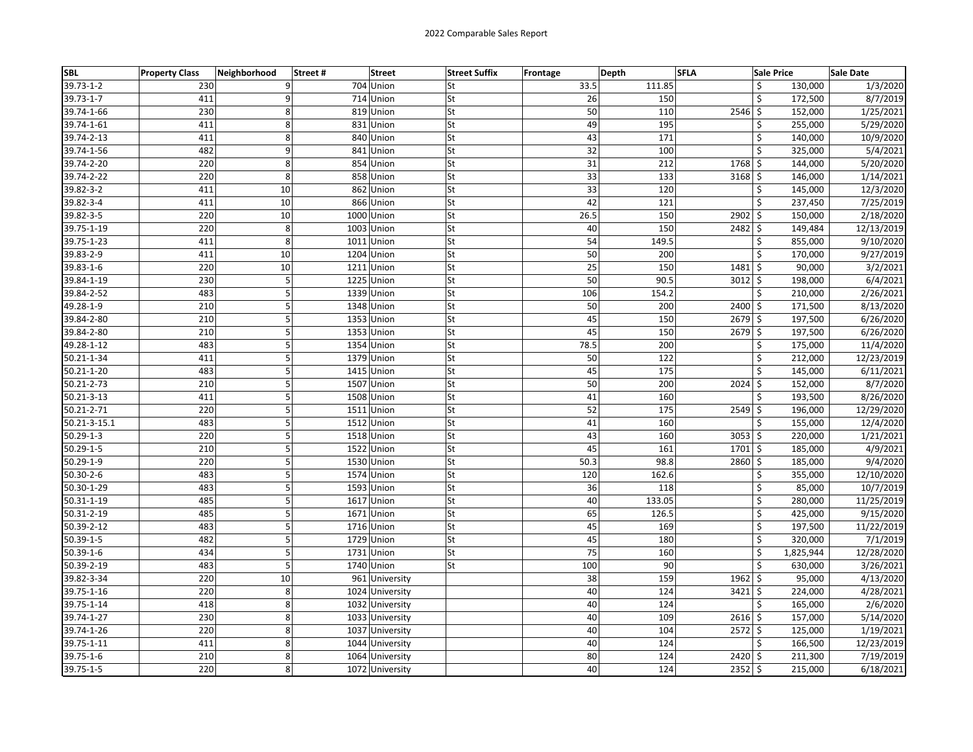| <b>SBL</b>      | <b>Property Class</b> | Neighborhood | Street# | <b>Street</b>   | <b>Street Suffix</b> | Frontage | Depth  | <b>SFLA</b>        | <b>Sale Price</b> | Sale Date  |
|-----------------|-----------------------|--------------|---------|-----------------|----------------------|----------|--------|--------------------|-------------------|------------|
| 39.73-1-2       | 230                   | 9            |         | 704 Union       | St                   | 33.5     | 111.85 | \$                 | 130,000           | 1/3/2020   |
| 39.73-1-7       | 411                   | 9            |         | 714 Union       | St                   | 26       | 150    | \$                 | 172,500           | 8/7/2019   |
| 39.74-1-66      | 230                   | 8            |         | 819 Union       | St                   | 50       | 110    | \$<br>2546         | 152,000           | 1/25/2021  |
| 39.74-1-61      | 411                   | 8            |         | 831 Union       | St                   | 49       | 195    | \$                 | 255,000           | 5/29/2020  |
| 39.74-2-13      | 411                   | 8            |         | 840 Union       | St                   | 43       | 171    | Ś                  | 140,000           | 10/9/2020  |
| 39.74-1-56      | 482                   | 9            |         | 841 Union       | St                   | 32       | 100    | \$                 | 325,000           | 5/4/2021   |
| 39.74-2-20      | 220                   | 8            |         | 854 Union       | St                   | 31       | 212    | 1768 \$            | 144,000           | 5/20/2020  |
| 39.74-2-22      | 220                   | 8            |         | 858 Union       | St                   | 33       | 133    | $3168$ \$          | 146,000           | 1/14/2021  |
| 39.82-3-2       | 411                   | 10           |         | 862 Union       | St                   | 33       | 120    | \$                 | 145,000           | 12/3/2020  |
| 39.82-3-4       | 411                   | 10           |         | 866 Union       | St                   | 42       | 121    | \$                 | 237,450           | 7/25/2019  |
| 39.82-3-5       | 220                   | 10           |         | 1000 Union      | St                   | 26.5     | 150    | 2902 \$            | 150,000           | 2/18/2020  |
| 39.75-1-19      | 220                   | 8            |         | 1003 Union      | St                   | 40       | 150    | $2482 \mid 5$      | 149,484           | 12/13/2019 |
| 39.75-1-23      | 411                   | 8            | 1011    | Union           | St                   | 54       | 149.5  | \$                 | 855,000           | 9/10/2020  |
| 39.83-2-9       | 411                   | 10           |         | 1204 Union      | St                   | 50       | 200    | \$                 | 170,000           | 9/27/2019  |
| 39.83-1-6       | 220                   | 10           |         | 1211 Union      | St                   | 25       | 150    | $1481 \;$ \$       | 90,000            | 3/2/2021   |
| 39.84-1-19      | 230                   | 5            |         | 1225 Union      | St                   | 50       | 90.5   | $3012 \,$ \$       | 198,000           | 6/4/2021   |
| 39.84-2-52      | 483                   | 5            |         | 1339 Union      | St                   | 106      | 154.2  | Ś                  | 210,000           | 2/26/2021  |
| 49.28-1-9       | 210                   | 5            |         | 1348 Union      | St                   | 50       | 200    | 2400 \$            | 171,500           | 8/13/2020  |
| 39.84-2-80      | 210                   | 5            |         | 1353 Union      | St                   | 45       | 150    | $2679$ \$          | 197,500           | 6/26/2020  |
| 39.84-2-80      | 210                   | 5            |         | 1353 Union      | St                   | 45       | 150    | $2679$ \$          | 197,500           | 6/26/2020  |
| 49.28-1-12      | 483                   | 5            |         | 1354 Union      | <b>St</b>            | 78.5     | 200    | \$                 | 175,000           | 11/4/2020  |
| 50.21-1-34      | 411                   | 5            |         | 1379 Union      | St                   | 50       | 122    | Ś                  | 212,000           | 12/23/2019 |
| 50.21-1-20      | 483                   | 5            |         | 1415 Union      | St                   | 45       | 175    | \$                 | 145,000           | 6/11/2021  |
| 50.21-2-73      | 210                   | 5            |         | 1507 Union      | St                   | 50       | 200    | 2024<br>\$         | 152,000           | 8/7/2020   |
| 50.21-3-13      | 411                   | 5            |         | 1508 Union      | St                   | 41       | 160    | \$                 | 193,500           | 8/26/2020  |
| 50.21-2-71      | 220                   | 5            |         | 1511 Union      | St                   | 52       | 175    | $2549$ \$          | 196,000           | 12/29/2020 |
| 50.21-3-15.1    | 483                   | 5            |         | 1512 Union      | St                   | 41       | 160    | \$                 | 155,000           | 12/4/2020  |
| 50.29-1-3       | 220                   | 5            |         | 1518 Union      | St                   | 43       | 160    | $3053$ \$          | 220,000           | 1/21/2021  |
| $50.29 - 1 - 5$ | 210                   | 5            |         | 1522 Union      | St                   | 45       | 161    | $1701 \,$ \$       | 185,000           | 4/9/2021   |
| 50.29-1-9       | 220                   | 5            |         | 1530 Union      | St                   | 50.3     | 98.8   | 2860 \$            | 185,000           | 9/4/2020   |
| $50.30 - 2 - 6$ | 483                   | 5            |         | 1574 Union      | St                   | 120      | 162.6  | \$                 | 355,000           | 12/10/2020 |
| 50.30-1-29      | 483                   | 5            |         | 1593 Union      | St                   | 36       | 118    | Ś                  | 85,000            | 10/7/2019  |
| 50.31-1-19      | 485                   | 5            |         | 1617 Union      | St                   | 40       | 133.05 | \$                 | 280,000           | 11/25/2019 |
| 50.31-2-19      | 485                   | 5            |         | 1671 Union      | St                   | 65       | 126.5  | \$                 | 425,000           | 9/15/2020  |
| 50.39-2-12      | 483                   | 5            |         | 1716 Union      | St                   | 45       | 169    | \$                 | 197,500           | 11/22/2019 |
| 50.39-1-5       | 482                   | 5            |         | 1729 Union      | St                   | 45       | 180    | \$                 | 320,000           | 7/1/2019   |
| 50.39-1-6       | 434                   | 5            |         | 1731 Union      | St                   | 75       | 160    | \$                 | 1,825,944         | 12/28/2020 |
| 50.39-2-19      | 483                   | 5            |         | 1740 Union      | St                   | 100      | 90     | \$                 | 630,000           | 3/26/2021  |
| 39.82-3-34      | 220                   | 10           |         | 961 University  |                      | 38       | 159    | $1962 \mid 5$      | 95,000            | 4/13/2020  |
| 39.75-1-16      | 220                   | 8            |         | 1024 University |                      | 40       | 124    | $3421 \frac{1}{5}$ | 224,000           | 4/28/2021  |
| 39.75-1-14      | 418                   | 8            |         | 1032 University |                      | 40       | 124    | Ś                  | 165,000           | 2/6/2020   |
| 39.74-1-27      | 230                   | 8            |         | 1033 University |                      | 40       | 109    | $2616$ \$          | 157,000           | 5/14/2020  |
| 39.74-1-26      | 220                   | 8            |         | 1037 University |                      | 40       | 104    | $2572 \mid$ \$     | 125,000           | 1/19/2021  |
| 39.75-1-11      | 411                   | 8            |         | 1044 University |                      | 40       | 124    | \$                 | 166,500           | 12/23/2019 |
| 39.75-1-6       | 210                   | 8            |         | 1064 University |                      | 80       | 124    | 2420 \$            | 211,300           | 7/19/2019  |
| 39.75-1-5       | 220                   | 8            |         | 1072 University |                      | 40       | 124    | $2352$ \$          | 215,000           | 6/18/2021  |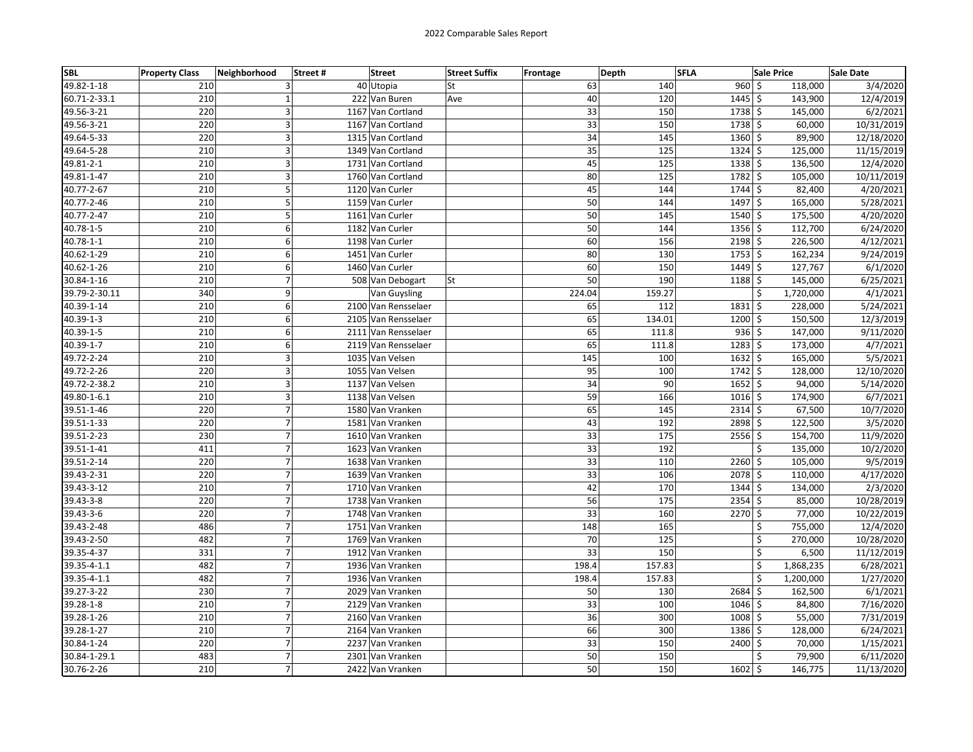| SBL             | <b>Property Class</b> | Neighborhood     | Street# | <b>Street</b>       | <b>Street Suffix</b> | <b>Frontage</b> | Depth  | <b>SFLA</b>          | <b>Sale Price</b> | Sale Date  |
|-----------------|-----------------------|------------------|---------|---------------------|----------------------|-----------------|--------|----------------------|-------------------|------------|
| 49.82-1-18      | 210                   | 3                |         | 40 Utopia           | St                   | 63              |        | $960$ \$<br>140      | 118,000           | 3/4/2020   |
| 60.71-2-33.1    | 210                   | $\mathbf{1}$     |         | 222 Van Buren       | Ave                  | 40              |        | $1445$ \$<br>120     | 143,900           | 12/4/2019  |
| 49.56-3-21      | 220                   | 3                |         | 1167 Van Cortland   |                      | 33              |        | 1738 \$<br>150       | 145,000           | 6/2/2021   |
| 49.56-3-21      | 220                   | 3                |         | 1167 Van Cortland   |                      | 33              |        | 1738 \$<br>150       | 60,000            | 10/31/2019 |
| 49.64-5-33      | 220                   | 3                |         | 1315 Van Cortland   |                      | $\overline{34}$ |        | 145<br>1360 \$       | 89,900            | 12/18/2020 |
| 49.64-5-28      | 210                   | 3                |         | 1349 Van Cortland   |                      | 35              |        | 125<br>$1324$ \$     | 125,000           | 11/15/2019 |
| 49.81-2-1       | 210                   | 3                |         | 1731 Van Cortland   |                      | 45              |        | 125<br>$1338$ \$     | 136,500           | 12/4/2020  |
| 49.81-1-47      | 210                   | 3                |         | 1760 Van Cortland   |                      | 80              |        | 125<br>1782 \$       | 105,000           | 10/11/2019 |
| 40.77-2-67      | 210                   | 5                |         | 1120 Van Curler     |                      | 45              |        | 144<br>1744 \$       | 82,400            | 4/20/2021  |
| 40.77-2-46      | 210                   | 5                |         | 1159 Van Curler     |                      | 50              |        | 144<br>1497 \$       | 165,000           | 5/28/2021  |
| 40.77-2-47      | 210                   | 5                |         | 1161 Van Curler     |                      | 50              |        | 145<br>1540 \$       | 175,500           | 4/20/2020  |
| 40.78-1-5       | 210                   | 6                |         | 1182 Van Curler     |                      | 50              |        | 144<br>$1356$ \$     | 112,700           | 6/24/2020  |
| $40.78 - 1 - 1$ | 210                   | 6                |         | 1198 Van Curler     |                      | 60              |        | 156<br>$2198$ \$     | 226,500           | 4/12/2021  |
| 40.62-1-29      | 210                   |                  | 6       | 1451 Van Curler     |                      | 80              |        | 130<br>$1753$ \$     | 162,234           | 9/24/2019  |
| 40.62-1-26      | 210                   | 6                |         | 1460 Van Curler     |                      | 60              |        | $1449$ \$<br>150     | 127,767           | 6/1/2020   |
| 30.84-1-16      | 210                   | $\overline{7}$   |         | 508 Van Debogart    | <b>St</b>            | 50              |        | 190<br>1188 \$       | 145,000           | 6/25/2021  |
| 39.79-2-30.11   | 340                   | 9                |         | Van Guysling        |                      | 224.04          | 159.27 |                      | \$<br>1,720,000   | 4/1/2021   |
| 40.39-1-14      | 210                   | 6                |         | 2100 Van Rensselaer |                      | 65              |        | 112<br>1831          | \$<br>228,000     | 5/24/2021  |
| 40.39-1-3       | 210                   | 6                |         | 2105 Van Rensselaer |                      | 65              | 134.01 | $1200 \mid 5$        | 150,500           | 12/3/2019  |
| 40.39-1-5       | 210                   | 6                |         | 2111 Van Rensselaer |                      | 65              |        | $936$ \$<br>111.8    | 147,000           | 9/11/2020  |
| 40.39-1-7       | 210                   |                  | 6       | 2119 Van Rensselaer |                      | 65              |        | $1283$ \$<br>111.8   | 173,000           | 4/7/2021   |
| 49.72-2-24      | 210                   | 3                |         | 1035 Van Velsen     |                      | 145             |        | 100<br>$1632 \,$ \$  | 165,000           | 5/5/2021   |
| 49.72-2-26      | 220                   | $\overline{3}$   |         | 1055 Van Velsen     |                      | 95              |        | 100<br>1742 \$       | 128,000           | 12/10/2020 |
| 49.72-2-38.2    | 210                   | $\overline{3}$   |         | 1137 Van Velsen     |                      | 34              |        | 90<br>$1652 \mid$ \$ | 94,000            | 5/14/2020  |
| 49.80-1-6.1     | 210                   | 3                |         | 1138 Van Velsen     |                      | 59              |        | 166<br>1016 \$       | 174,900           | 6/7/2021   |
| 39.51-1-46      | 220                   | $\overline{7}$   |         | 1580 Van Vranken    |                      | 65              |        | $2314$ \$<br>145     | 67,500            | 10/7/2020  |
| 39.51-1-33      | 220                   | $\overline{7}$   |         | 1581 Van Vranken    |                      | 43              |        | 192<br>2898 \$       | 122,500           | 3/5/2020   |
| 39.51-2-23      | 230                   | $\boldsymbol{7}$ |         | 1610 Van Vranken    |                      | 33              |        | 175<br>$2556$ \$     | 154,700           | 11/9/2020  |
| 39.51-1-41      | 411                   | $\overline{7}$   |         | 1623 Van Vranken    |                      | 33              |        | 192                  | \$<br>135,000     | 10/2/2020  |
| 39.51-2-14      | 220                   | $\overline{7}$   |         | 1638 Van Vranken    |                      | 33              |        | 2260 \$<br>110       | 105,000           | 9/5/2019   |
| 39.43-2-31      | 220                   | $\overline{7}$   |         | 1639 Van Vranken    |                      | 33              |        | $2078$ \$<br>106     | 110,000           | 4/17/2020  |
| 39.43-3-12      | 210                   | $\overline{7}$   |         | 1710 Van Vranken    |                      | 42              |        | 170<br>$1344$ \$     | 134,000           | 2/3/2020   |
| 39.43-3-8       | 220                   | $\boldsymbol{7}$ |         | 1738 Van Vranken    |                      | 56              |        | 175<br>$2354$ \$     | 85,000            | 10/28/2019 |
| 39.43-3-6       | 220                   | $\overline{7}$   |         | 1748 Van Vranken    |                      | 33              |        | 160<br>$2270$ \$     | 77,000            | 10/22/2019 |
| 39.43-2-48      | 486                   | $\boldsymbol{7}$ |         | 1751 Van Vranken    |                      | 148             |        | 165                  | \$<br>755,000     | 12/4/2020  |
| 39.43-2-50      | 482                   | $\overline{7}$   |         | 1769 Van Vranken    |                      | 70              |        | 125                  | \$<br>270,000     | 10/28/2020 |
| 39.35-4-37      | 331                   | $\overline{7}$   |         | 1912 Van Vranken    |                      | 33              |        | 150                  | Ś<br>6,500        | 11/12/2019 |
| 39.35-4-1.1     | 482                   | $\overline{7}$   |         | 1936 Van Vranken    |                      | 198.4           | 157.83 |                      | \$<br>1,868,235   | 6/28/2021  |
| 39.35-4-1.1     | 482                   | $\overline{7}$   |         | 1936 Van Vranken    |                      | 198.4           | 157.83 |                      | Ś<br>1,200,000    | 1/27/2020  |
| 39.27-3-22      | 230                   | $\overline{7}$   |         | 2029 Van Vranken    |                      | 50              |        | 130<br>2684 \$       | 162,500           | 6/1/2021   |
| 39.28-1-8       | 210                   | $\overline{7}$   |         | 2129 Van Vranken    |                      | 33              |        | 100<br>$1046$ \$     | 84,800            | 7/16/2020  |
| 39.28-1-26      | 210                   | $\overline{7}$   |         | 2160 Van Vranken    |                      | 36              |        | 300<br>$1008$ \$     | 55,000            | 7/31/2019  |
| 39.28-1-27      | 210                   | $\overline{7}$   |         | 2164 Van Vranken    |                      | 66              |        | 1386 \$<br>300       | 128,000           | 6/24/2021  |
| 30.84-1-24      | 220                   | $\overline{7}$   |         | 2237 Van Vranken    |                      | 33              |        | 2400 \$<br>150       | 70,000            | 1/15/2021  |
| 30.84-1-29.1    | 483                   | $\boldsymbol{7}$ |         | 2301 Van Vranken    |                      | 50              |        | 150                  | \$<br>79,900      | 6/11/2020  |
| 30.76-2-26      | 210                   | $\overline{7}$   |         | 2422 Van Vranken    |                      | 50              |        | 150<br>$1602 \mid 5$ | 146,775           | 11/13/2020 |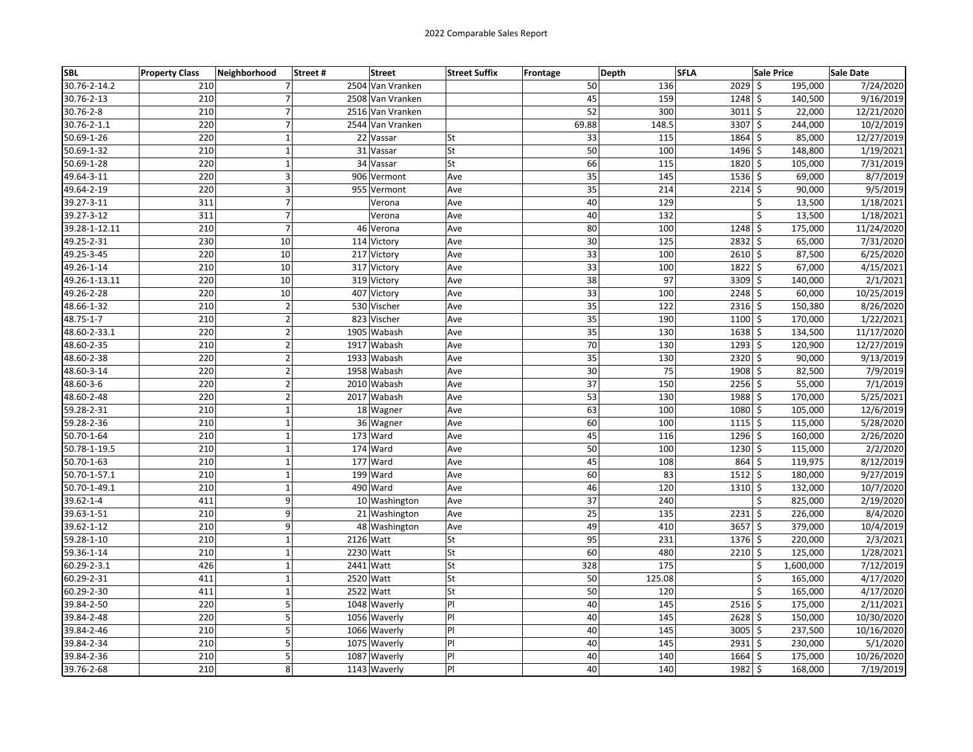| <b>SBL</b>    | <b>Property Class</b> | Neighborhood     | Street#<br><b>Street</b> | <b>Street Suffix</b> | <b>Frontage</b> | Depth  | <b>SFLA</b>        | <b>Sale Price</b>             | <b>Sale Date</b> |
|---------------|-----------------------|------------------|--------------------------|----------------------|-----------------|--------|--------------------|-------------------------------|------------------|
| 30.76-2-14.2  | 210                   | 7                | 2504 Van Vranken         |                      | 50              | 136    | $2029$ \$          | 195,000                       | 7/24/2020        |
| 30.76-2-13    | 210                   | $\overline{7}$   | 2508 Van Vranken         |                      | 45              | 159    | $1248$ \$          | 140,500                       | 9/16/2019        |
| 30.76-2-8     | 210                   | $\overline{7}$   | 2516 Van Vranken         |                      | 52              | 300    | $3011 \frac{1}{2}$ | 22,000                        | 12/21/2020       |
| 30.76-2-1.1   | 220                   | 7                | 2544 Van Vranken         |                      | 69.88           | 148.5  | 3307 \$            | 244,000                       | 10/2/2019        |
| 50.69-1-26    | 220                   | $\mathbf 1$      | 22 Vassar                | <b>St</b>            | 33              | 115    | 1864               | Ŝ.<br>85,000                  | 12/27/2019       |
| 50.69-1-32    | 210                   | $\mathbf{1}$     | 31 Vassar                | <b>St</b>            | 50              | 100    | $1496$ \$          | 148,800                       | 1/19/2021        |
| 50.69-1-28    | 220                   | $\mathbf{1}$     | 34 Vassar                | lSt                  | 66              | 115    | 1820               | \$<br>105,000                 | 7/31/2019        |
| 49.64-3-11    | 220                   | 3                | 906 Vermont              | Ave                  | 35              | 145    | $1536 \;$ \$       | 69,000                        | 8/7/2019         |
| 49.64-2-19    | 220                   | 3                | 955 Vermont              | Ave                  | 35              | 214    | $2214$ \$          | 90,000                        | 9/5/2019         |
| 39.27-3-11    | 311                   | $\overline{7}$   | Verona                   | Ave                  | 40              | 129    |                    | \$<br>13,500                  | 1/18/2021        |
| 39.27-3-12    | 311                   | $\boldsymbol{7}$ | Verona                   | Ave                  | 40              | 132    |                    | Ś<br>13,500                   | 1/18/2021        |
| 39.28-1-12.11 | 210                   | $\overline{7}$   | 46 Verona                | Ave                  | 80              | 100    | 1248               | \$<br>175,000                 | 11/24/2020       |
| 49.25-2-31    | 230                   | 10               | 114 Victory              | Ave                  | 30              | 125    | 2832               | \$<br>65,000                  | 7/31/2020        |
| 49.25-3-45    | 220                   | 10               | 217 Victory              | Ave                  | 33              | 100    | 2610 \$            | 87,500                        | 6/25/2020        |
| 49.26-1-14    | 210                   | 10               | 317 Victory              | Ave                  | 33              | 100    | $1822 \div$        | 67,000                        | 4/15/2021        |
| 49.26-1-13.11 | 220                   | 10               | 319 Victory              | Ave                  | 38              | 97     | 3309 \$            | 140,000                       | 2/1/2021         |
| 49.26-2-28    | 220                   | 10               | 407 Victory              | Ave                  | 33              | 100    | $2248$ \$          | 60,000                        | 10/25/2019       |
| 48.66-1-32    | 210                   | $\mathbf 2$      | 530 Vischer              | Ave                  | 35              | 122    | $2316 \,$ \$       | 150,380                       | 8/26/2020        |
| 48.75-1-7     | 210                   | $\overline{2}$   | 823 Vischer              | Ave                  | 35              | 190    | $1100 \le$         | 170,000                       | 1/22/2021        |
| 48.60-2-33.1  | 220                   | $\overline{2}$   | 1905 Wabash              | Ave                  | 35              | 130    | 1638 \$            | 134,500                       | 11/17/2020       |
| 48.60-2-35    | 210                   | $\overline{2}$   | 1917 Wabash              | Ave                  | 70              | 130    | $1293$ \$          | 120,900                       | 12/27/2019       |
| 48.60-2-38    | 220                   | $\overline{2}$   | 1933 Wabash              | Ave                  | $\overline{35}$ | 130    | $2320$ \$          | 90,000                        | 9/13/2019        |
| 48.60-3-14    | 220                   | $\mathbf 2$      | 1958 Wabash              | Ave                  | 30              | 75     | 1908 \$            | 82,500                        | 7/9/2019         |
| 48.60-3-6     | 220                   | $\overline{2}$   | 2010 Wabash              | Ave                  | 37              | 150    | 2256               | 55,000<br>\$                  | 7/1/2019         |
| 48.60-2-48    | 220                   | $\overline{2}$   | 2017 Wabash              | Ave                  | 53              | 130    | 1988 \$            | 170,000                       | 5/25/2021        |
| 59.28-2-31    | 210                   | $\mathbf 1$      | 18 Wagner                | Ave                  | 63              | 100    | $1080 \leq$        | 105,000                       | 12/6/2019        |
| 59.28-2-36    | 210                   | $\mathbf{1}$     | 36 Wagner                | Ave                  | 60              | 100    | $1115$ \$          | 115,000                       | 5/28/2020        |
| 50.70-1-64    | 210                   | $\mathbf 1$      | 173 Ward                 | Ave                  | 45              | 116    | $1296$ \$          | 160,000                       | 2/26/2020        |
| 50.78-1-19.5  | 210                   | $\mathbf 1$      | 174 Ward                 | Ave                  | 50              | 100    | 1230               | \$<br>115,000                 | 2/2/2020         |
| 50.70-1-63    | 210                   | $\mathbf 1$      | 177 Ward                 | Ave                  | 45              | 108    | 864                | \$<br>119,975                 | 8/12/2019        |
| 50.70-1-57.1  | 210                   | $\mathbf{1}$     | 199 Ward                 | Ave                  | 60              | 83     | $1512 \mid 5$      | 180,000                       | 9/27/2019        |
| 50.70-1-49.1  | 210                   | $\mathbf 1$      | 490 Ward                 | Ave                  | 46              | 120    | 1310               | $\ddot{\varsigma}$<br>132,000 | 10/7/2020        |
| 39.62-1-4     | 411                   | 9                | 10 Washington            | Ave                  | 37              | 240    |                    | \$<br>825,000                 | 2/19/2020        |
| 39.63-1-51    | 210                   | 9                | 21 Washington            | Ave                  | 25              | 135    | 2231               | \$<br>226,000                 | 8/4/2020         |
| 39.62-1-12    | 210                   | 9                | 48 Washington            | Ave                  | 49              | 410    | $3657$ \$          | 379,000                       | 10/4/2019        |
| 59.28-1-10    | 210                   | $\mathbf{1}$     | 2126 Watt                | <b>St</b>            | 95              | 231    | $1376$ \$          | 220,000                       | 2/3/2021         |
| 59.36-1-14    | 210                   | $\mathbf{1}$     | 2230 Watt                | <b>St</b>            | 60              | 480    | 2210               | \$<br>125,000                 | 1/28/2021        |
| 60.29-2-3.1   | 426                   | $\mathbf{1}$     | 2441 Watt                | <b>St</b>            | 328             | 175    |                    | \$<br>1,600,000               | 7/12/2019        |
| 60.29-2-31    | 411                   | $\mathbf{1}$     | 2520 Watt                | <b>St</b>            | 50              | 125.08 |                    | Ś<br>165,000                  | 4/17/2020        |
| 60.29-2-30    | 411                   | $\mathbf 1$      | 2522 Watt                | <b>St</b>            | 50              | 120    |                    | \$<br>165,000                 | 4/17/2020        |
| 39.84-2-50    | 220                   | 5                | 1048 Waverly             | PI                   | 40              | 145    | 2516               | \$<br>175,000                 | 2/11/2021        |
| 39.84-2-48    | 220                   | 5                | 1056 Waverly             | PI                   | 40              | 145    | 2628 \$            | 150,000                       | 10/30/2020       |
| 39.84-2-46    | 210                   | 5                | 1066 Waverly             | P                    | 40              | 145    | $3005$ \$          | 237,500                       | 10/16/2020       |
| 39.84-2-34    | 210                   | 5                | 1075<br>Waverly          | PI                   | 40              | 145    | $2931$ \$          | 230,000                       | 5/1/2020         |
| 39.84-2-36    | 210                   | 5                | 1087 Waverly             | P                    | 40              | 140    | $1664$ \$          | 175,000                       | 10/26/2020       |
| 39.76-2-68    | 210                   | 8                | 1143 Waverly             | P                    | 40              | 140    | 1982               | \$<br>168,000                 | 7/19/2019        |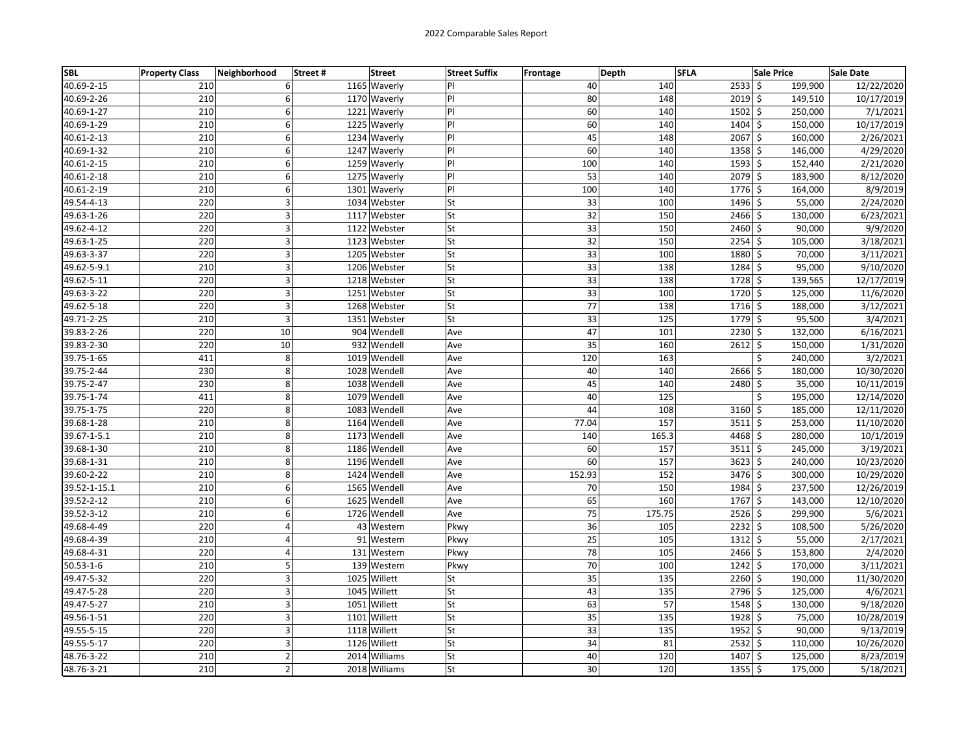| SBL             | <b>Property Class</b> | Neighborhood   | Street # | <b>Street</b>   | <b>Street Suffix</b> | <b>Frontage</b> | Depth | <b>SFLA</b> |               | <b>Sale Price</b> | Sale Date  |
|-----------------|-----------------------|----------------|----------|-----------------|----------------------|-----------------|-------|-------------|---------------|-------------------|------------|
| 40.69-2-15      | 210                   | 6              |          | 1165 Waverly    | IPI.                 |                 | 40    | 140         | $2533$ \$     | 199,900           | 12/22/2020 |
| 40.69-2-26      | 210                   | 6              |          | 1170 Waverly    | PI                   |                 | 80    | 148         | $2019$ \$     | 149,510           | 10/17/2019 |
| 40.69-1-27      | 210                   | 6              |          | 1221 Waverly    | PI                   |                 | 60    | 140         | $1502 \mid 5$ | 250,000           | 7/1/2021   |
| 40.69-1-29      | 210                   | 6              |          | 1225 Waverly    | P                    |                 | 60    | 140         | 1404 \$       | 150,000           | 10/17/2019 |
| 40.61-2-13      | 210                   | 6              |          | 1234 Waverly    | PI                   |                 | 45    | 148         | 2067 \$       | 160,000           | 2/26/2021  |
| 40.69-1-32      | 210                   | 6              |          | 1247 Waverly    | P                    |                 | 60    | 140         | $1358$ \$     | 146,000           | 4/29/2020  |
| 40.61-2-15      | 210                   | 6              |          | 1259 Waverly    | PI                   |                 | 100   | 140         | $1593$ \$     | 152,440           | 2/21/2020  |
| 40.61-2-18      | 210                   | 6              |          | 1275 Waverly    | PI                   |                 | 53    | 140         | 2079 \$       | 183,900           | 8/12/2020  |
| 40.61-2-19      | 210                   | 6              |          | 1301 Waverly    | P                    |                 | 100   | 140         | 1776 \$       | 164,000           | 8/9/2019   |
| 49.54-4-13      | 220                   | 3              |          | 1034 Webster    | <b>St</b>            |                 | 33    | 100         | 1496 \$       | 55,000            | 2/24/2020  |
| 49.63-1-26      | 220                   | 3              |          | 1117 Webster    | <b>St</b>            |                 | 32    | 150         | $2466$ \$     | 130,000           | 6/23/2021  |
| 49.62-4-12      | 220                   | 3              |          | 1122 Webster    | lSt                  |                 | 33    | 150         | $2460$ \$     | 90,000            | 9/9/2020   |
| 49.63-1-25      | 220                   | 3              |          | 1123 Webster    | St                   |                 | 32    | 150         | $2254$ \$     | 105,000           | 3/18/2021  |
| 49.63-3-37      | 220                   | 3              |          | 1205 Webster    | <b>St</b>            |                 | 33    | 100         | 1880 \$       | 70,000            | 3/11/2021  |
| 49.62-5-9.1     | 210                   | 3              |          | 1206 Webster    | <b>St</b>            |                 | 33    | 138         | $1284$ \$     | 95,000            | 9/10/2020  |
| 49.62-5-11      | 220                   | 3              |          | 1218 Webster    | <b>St</b>            |                 | 33    | 138         | $1728$ \$     | 139,565           | 12/17/2019 |
| 49.63-3-22      | 220                   | 3              |          | 1251 Webster    | <b>St</b>            |                 | 33    | 100         | 1720 \$       | 125,000           | 11/6/2020  |
| 49.62-5-18      | 220                   | 3              |          | 1268 Webster    | St                   |                 | 77    | 138         | $1716 \,$ \$  | 188,000           | 3/12/2021  |
| 49.71-2-25      | 210                   | $\overline{3}$ |          | 1351 Webster    | <b>St</b>            |                 | 33    | 125         | $1779$ \$     | 95,500            | 3/4/2021   |
| 39.83-2-26      | 220                   | 10             |          | 904 Wendell     | Ave                  |                 | 47    | 101         | $2230$ \$     | 132,000           | 6/16/2021  |
| 39.83-2-30      | 220                   | 10             |          | 932 Wendell     | Ave                  |                 | 35    | 160         | $2612 \mid 5$ | 150,000           | 1/31/2020  |
| 39.75-1-65      | 411                   | 8              |          | 1019 Wendell    | Ave                  |                 | 120   | 163         |               | Ś<br>240,000      | 3/2/2021   |
| 39.75-2-44      | 230                   | 8              |          | 1028 Wendell    | Ave                  |                 | 40    | 140         | 2666 \$       | 180,000           | 10/30/2020 |
| 39.75-2-47      | 230                   | 8              |          | 1038 Wendell    | Ave                  |                 | 45    | 140         | 2480 \$       | 35,000            | 10/11/2019 |
| 39.75-1-74      | 411                   | 8              |          | 1079 Wendell    | Ave                  |                 | 40    | 125         |               | \$<br>195,000     | 12/14/2020 |
| 39.75-1-75      | 220                   | 8              |          | 1083 Wendell    | Ave                  |                 | 44    | 108         | $3160$ \$     | 185,000           | 12/11/2020 |
| 39.68-1-28      | 210                   | 8              |          | 1164 Wendell    | Ave                  |                 | 77.04 | 157         | $3511$ \$     | 253,000           | 11/10/2020 |
| 39.67-1-5.1     | 210                   | 8              |          | 1173 Wendell    | Ave                  |                 | 140   | 165.3       | 4468 \$       | 280,000           | 10/1/2019  |
| 39.68-1-30      | 210                   | 8              |          | 1186 Wendell    | Ave                  |                 | 60    | 157         | $3511$ \$     | 245,000           | 3/19/2021  |
| 39.68-1-31      | 210                   | 8              |          | 1196 Wendell    | Ave                  |                 | 60    | 157         | $3623$ \$     | 240,000           | 10/23/2020 |
| 39.60-2-22      | 210                   | 8              |          | 1424 Wendell    | Ave                  | 152.93          |       | 152         | 3476 \$       | 300,000           | 10/29/2020 |
| 39.52-1-15.1    | 210                   | 6              |          | 1565 Wendell    | Ave                  |                 | 70    | 150         | 1984 \$       | 237,500           | 12/26/2019 |
| 39.52-2-12      | 210                   | 6              |          | 1625 Wendell    | Ave                  |                 | 65    | 160         | 1767 \$       | 143,000           | 12/10/2020 |
| 39.52-3-12      | 210                   | 6              |          | 1726 Wendell    | Ave                  |                 | 75    | 175.75      | $2526$ \$     | 299,900           | 5/6/2021   |
| 49.68-4-49      | 220                   | $\overline{4}$ |          | 43 Western      | Pkwy                 |                 | 36    | 105         | $2232$ \$     | 108,500           | 5/26/2020  |
| 49.68-4-39      | 210                   | 4              |          | 91 Western      | Pkwy                 |                 | 25    | 105         | $1312 \mid 5$ | 55,000            | 2/17/2021  |
| 49.68-4-31      | 220                   | 4              |          | 131 Western     | Pkwy                 |                 | 78    | 105         | $2466$ \$     | 153,800           | 2/4/2020   |
| $50.53 - 1 - 6$ | 210                   | 5              |          | 139 Western     | Pkwy                 |                 | 70    | 100         | $1242 \mid 5$ | 170,000           | 3/11/2021  |
| 49.47-5-32      | 220                   | 3              |          | 1025<br>Willett | St                   |                 | 35    | 135         | $2260$ \$     | 190,000           | 11/30/2020 |
| 49.47-5-28      | 220                   | 3              |          | 1045<br>Willett | lSt                  |                 | 43    | 135         | $2796$ \$     | 125,000           | 4/6/2021   |
| 49.47-5-27      | 210                   | $\overline{3}$ |          | 1051<br>Willett | <b>St</b>            |                 | 63    | 57          | 1548 \$       | 130,000           | 9/18/2020  |
| 49.56-1-51      | 220                   | 3              |          | 1101 Willett    | St                   |                 | 35    | 135         | $1928$ \$     | 75,000            | 10/28/2019 |
| 49.55-5-15      | 220                   | 3              |          | 1118 Willett    | <b>St</b>            |                 | 33    | 135         | 1952 \$       | 90,000            | 9/13/2019  |
| 49.55-5-17      | 220                   | 3              |          | 1126 Willett    | <b>St</b>            |                 | 34    | 81          | $2532$ \$     | 110,000           | 10/26/2020 |
| 48.76-3-22      | 210                   | $\mathbf 2$    |          | 2014 Williams   | <b>St</b>            |                 | 40    | 120         | $1407$ \$     | 125,000           | 8/23/2019  |
| 48.76-3-21      | 210                   | $\overline{2}$ |          | 2018 Williams   | <b>St</b>            |                 | 30    | 120         | $1355$ \$     | 175,000           | 5/18/2021  |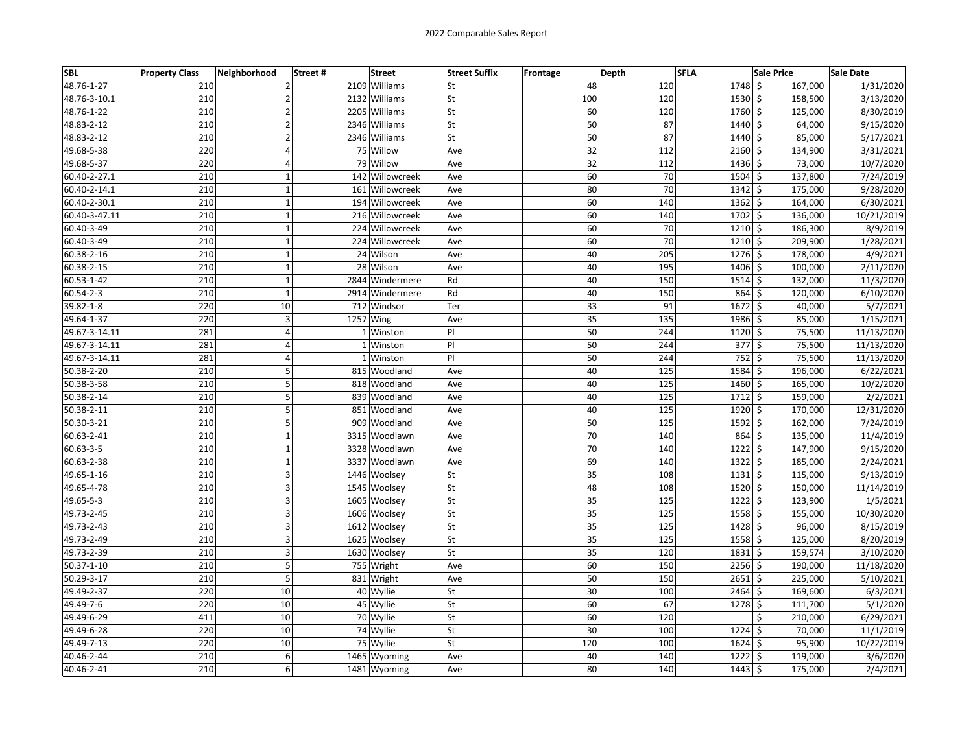| <b>SBL</b>      | <b>Property Class</b> | Neighborhood            | <b>Street</b><br>Street# | <b>Street Suffix</b> | Frontage | Depth                  | <b>SFLA</b>   | <b>Sale Price</b>  | <b>Sale Date</b> |
|-----------------|-----------------------|-------------------------|--------------------------|----------------------|----------|------------------------|---------------|--------------------|------------------|
| 48.76-1-27      | 210                   | $\overline{2}$          | 2109 Williams            | lSt                  |          | 48<br>120              | 1748 \$       | 167,000            | 1/31/2020        |
| 48.76-3-10.1    | 210                   | $\overline{2}$          | 2132 Williams            | St                   | 100      | 120                    | $1530 \div$   | 158,500            | 3/13/2020        |
| 48.76-1-22      | 210                   | $\overline{2}$          | 2205 Williams            | <b>St</b>            |          | 60<br>120              | 1760 \$       | 125,000            | 8/30/2019        |
| 48.83-2-12      | 210                   | $\overline{2}$          | 2346 Williams            | <b>St</b>            |          | 50<br>87               | 1440 \$       | 64,000             | 9/15/2020        |
| 48.83-2-12      | 210                   | $\mathbf 2$             | 2346 Williams            | <b>St</b>            |          | 50<br>87               | 1440          | \$<br>85,000       | 5/17/2021        |
| 49.68-5-38      | 220                   | $\overline{4}$          | 75 Willow                | Ave                  |          | 32<br>112              | $2160 \,$ \$  | 134,900            | 3/31/2021        |
| 49.68-5-37      | 220                   | 4                       | 79 Willow                | Ave                  |          | $\overline{32}$<br>112 | 1436 \$       | 73,000             | 10/7/2020        |
| 60.40-2-27.1    | 210                   | $\mathbf 1$             | 142 Willowcreek          | Ave                  |          | 60<br>70               | 1504 \$       | 137,800            | 7/24/2019        |
| 60.40-2-14.1    | 210                   | $\mathbf 1$             | 161 Willowcreek          | Ave                  |          | 70<br>80               | $1342 \mid 5$ | 175,000            | 9/28/2020        |
| 60.40-2-30.1    | 210                   | $\mathbf{1}$            | 194 Willowcreek          | Ave                  |          | 60<br>140              | 1362          | \$<br>164,000      | 6/30/2021        |
| 60.40-3-47.11   | 210                   | $\mathbf 1$             | 216 Willowcreek          | Ave                  |          | 60<br>140              | 1702          | \$<br>136,000      | 10/21/2019       |
| 60.40-3-49      | 210                   | $\mathbf 1$             | 224 Willowcreek          | Ave                  |          | 60<br>70               | 1210          | \$<br>186,300      | 8/9/2019         |
| 60.40-3-49      | 210                   | $\mathbf{1}$            | 224 Willowcreek          | Ave                  |          | 70<br>60               | 1210          | \$<br>209,900      | 1/28/2021        |
| 60.38-2-16      | 210                   | $\mathbf 1$             | 24 Wilson                | Ave                  |          | 40<br>205              | $1276$ \$     | 178,000            | 4/9/2021         |
| 60.38-2-15      | 210                   | $\mathbf 1$             | 28 Wilson                | Ave                  |          | 40<br>195              | 1406 \$       | 100,000            | 2/11/2020        |
| 60.53-1-42      | 210                   | $\mathbf 1$             | 2844 Windermere          | Rd                   |          | 40<br>150              | $1514 \,$ \$  | 132,000            | 11/3/2020        |
| $60.54 - 2 - 3$ | 210                   | $\mathbf{1}$            | 2914 Windermere          | Rd                   |          | 40<br>150              | 864           | \$<br>120,000      | 6/10/2020        |
| 39.82-1-8       | 220                   | 10                      | 712 Windsor              | Ter                  |          | 33<br>91               | 1672          | \$<br>40,000       | 5/7/2021         |
| 49.64-1-37      | 220                   | 3                       | 1257 Wing                | Ave                  |          | 35<br>135              | 1986 \$       | 85,000             | 1/15/2021        |
| 49.67-3-14.11   | 281                   | $\overline{4}$          | 1 Winston                | PI                   |          | 50<br>244              | $1120$ \$     | 75,500             | 11/13/2020       |
| 49.67-3-14.11   | 281                   | $\overline{\mathbf{4}}$ | 1 Winston                | P                    |          | 50<br>244              | $377$ \$      | 75,500             | 11/13/2020       |
| 49.67-3-14.11   | 281                   | 4                       | 1 Winston                | PI                   |          | 50<br>244              | 752           | \$<br>75,500       | 11/13/2020       |
| 50.38-2-20      | 210                   | 5                       | 815 Woodland             | Ave                  |          | 40<br>125              | 1584          | \$<br>196,000      | 6/22/2021        |
| 50.38-3-58      | 210                   | 5                       | 818 Woodland             | Ave                  |          | 40<br>125              | 1460 \$       | 165,000            | 10/2/2020        |
| 50.38-2-14      | 210                   | 5                       | 839 Woodland             | Ave                  |          | 40<br>125              | 1712 \$       | 159,000            | 2/2/2021         |
| 50.38-2-11      | 210                   | 5                       | 851 Woodland             | Ave                  |          | 40<br>125              | 1920 \$       | 170,000            | 12/31/2020       |
| 50.30-3-21      | 210                   | 5                       | 909 Woodland             | Ave                  |          | 50<br>125              | 1592          | \$<br>162,000      | 7/24/2019        |
| 60.63-2-41      | 210                   | $\mathbf{1}$            | 3315 Woodlawn            | Ave                  |          | 70<br>140              | 864           | $\zeta$<br>135,000 | 11/4/2019        |
| $60.63 - 3 - 5$ | 210                   | $\mathbf{1}$            | 3328 Woodlawn            | Ave                  |          | 70<br>140              | 1222          | \$<br>147,900      | 9/15/2020        |
| 60.63-2-38      | 210                   | $\mathbf{1}$            | 3337 Woodlawn            | Ave                  |          | 69<br>140              | 1322          | \$<br>185,000      | 2/24/2021        |
| 49.65-1-16      | 210                   | 3                       | 1446 Woolsey             | <b>St</b>            |          | 35<br>108              | $1131 \, \s$  | 115,000            | 9/13/2019        |
| 49.65-4-78      | 210                   | 3                       | 1545 Woolsey             | lSt                  |          | 48<br>108              | $1520$ \$     | 150,000            | 11/14/2019       |
| 49.65-5-3       | 210                   | 3                       | 1605 Woolsey             | <b>St</b>            |          | 35<br>125              | $1222$ \$     | 123,900            | 1/5/2021         |
| 49.73-2-45      | 210                   | 3                       | 1606 Woolsey             | <b>St</b>            |          | $\overline{35}$<br>125 | 1558          | \$<br>155,000      | 10/30/2020       |
| 49.73-2-43      | 210                   | 3                       | 1612 Woolsey             | lSt                  |          | 35<br>125              | 1428          | \$<br>96,000       | 8/15/2019        |
| 49.73-2-49      | 210                   | 3                       | 1625 Woolsey             | <b>St</b>            |          | 35<br>125              | 1558 \$       | 125,000            | 8/20/2019        |
| 49.73-2-39      | 210                   | 3                       | 1630 Woolsey             | lSt                  |          | 35<br>120              | $1831$ \$     | 159,574            | 3/10/2020        |
| 50.37-1-10      | 210                   | 5                       | 755 Wright               | Ave                  |          | 60<br>150              | $2256$ \$     | 190,000            | 11/18/2020       |
| 50.29-3-17      | 210                   | 5                       | 831 Wright               | Ave                  |          | 50<br>150              | 2651          | \$<br>225,000      | 5/10/2021        |
| 49.49-2-37      | 220                   | 10                      | 40 Wyllie                | St                   |          | 30<br>100              | 2464          | \$<br>169,600      | 6/3/2021         |
| 49.49-7-6       | 220                   | 10                      | 45 Wyllie                | <b>St</b>            |          | 60<br>67               | 1278          | \$<br>111,700      | 5/1/2020         |
| 49.49-6-29      | 411                   | 10                      | 70 Wyllie                | <b>St</b>            |          | 60<br>120              |               | \$<br>210,000      | 6/29/2021        |
| 49.49-6-28      | 220                   | 10                      | 74 Wyllie                | lSt                  |          | 30<br>100              | $1224$ \$     | 70,000             | 11/1/2019        |
| 49.49-7-13      | 220                   | 10                      | 75 Wyllie                | <b>St</b>            | 120      | 100                    | 1624          | Ś<br>95,900        | 10/22/2019       |
| 40.46-2-44      | 210                   | 6                       | 1465 Wyoming             | Ave                  |          | 40<br>140              | 1222          | \$<br>119,000      | 3/6/2020         |
| 40.46-2-41      | 210                   | 6                       | 1481 Wyoming             | Ave                  |          | 80<br>140              | 1443          | \$<br>175,000      | 2/4/2021         |